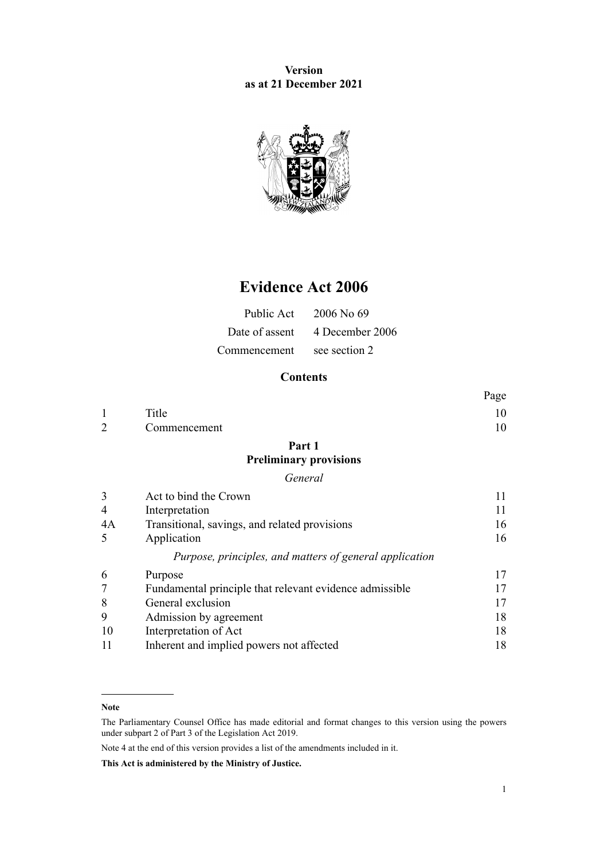# **Version as at 21 December 2021**



# **Evidence Act 2006**

|              | Public Act 2006 No 69          |
|--------------|--------------------------------|
|              | Date of assent 4 December 2006 |
| Commencement | see section 2                  |

# **Contents**

|                |                                                         | Page |
|----------------|---------------------------------------------------------|------|
| $\mathbf{1}$   | Title                                                   | 10   |
| $\overline{2}$ | Commencement                                            | 10   |
|                | Part 1                                                  |      |
|                | <b>Preliminary provisions</b>                           |      |
|                | General                                                 |      |
| 3              | Act to bind the Crown                                   | 11   |
| 4              | Interpretation                                          | 11   |
| 4A             | Transitional, savings, and related provisions           | 16   |
| 5              | Application                                             | 16   |
|                | Purpose, principles, and matters of general application |      |
| 6              | Purpose                                                 | 17   |
| $\overline{7}$ | Fundamental principle that relevant evidence admissible | 17   |
| 8              | General exclusion                                       | 17   |
| 9              | Admission by agreement                                  | 18   |
| 10             | Interpretation of Act                                   | 18   |
| 11             | Inherent and implied powers not affected                | 18   |

**Note**

Note 4 at the end of this version provides a list of the amendments included in it.

**This Act is administered by the Ministry of Justice.**

The Parliamentary Counsel Office has made editorial and format changes to this version using the powers under [subpart 2](http://legislation.govt.nz/pdflink.aspx?id=DLM7298371) of Part 3 of the Legislation Act 2019.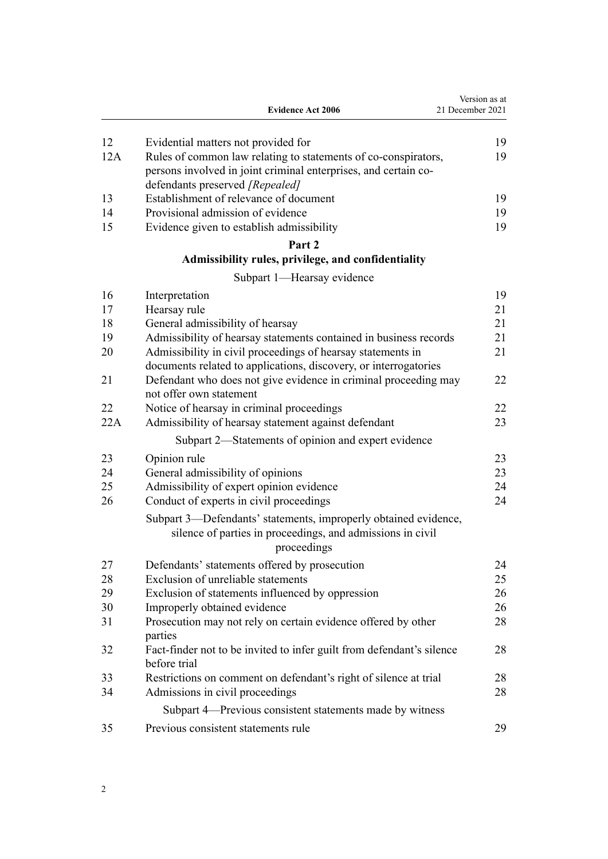|     | <b>Evidence Act 2006</b>                                              | Version as at<br>21 December 2021 |
|-----|-----------------------------------------------------------------------|-----------------------------------|
| 12  | Evidential matters not provided for                                   | 19                                |
| 12A | Rules of common law relating to statements of co-conspirators,        | 19                                |
|     | persons involved in joint criminal enterprises, and certain co-       |                                   |
|     | defendants preserved [Repealed]                                       |                                   |
| 13  | Establishment of relevance of document                                | 19                                |
| 14  | Provisional admission of evidence                                     | 19                                |
| 15  | Evidence given to establish admissibility                             | 19                                |
|     | Part <sub>2</sub>                                                     |                                   |
|     | Admissibility rules, privilege, and confidentiality                   |                                   |
|     | Subpart 1—Hearsay evidence                                            |                                   |
| 16  | Interpretation                                                        | 19                                |
| 17  | Hearsay rule                                                          | 21                                |
| 18  | General admissibility of hearsay                                      | 21                                |
| 19  | Admissibility of hearsay statements contained in business records     | 21                                |
| 20  | Admissibility in civil proceedings of hearsay statements in           | 21                                |
|     | documents related to applications, discovery, or interrogatories      |                                   |
| 21  | Defendant who does not give evidence in criminal proceeding may       | 22                                |
|     | not offer own statement                                               |                                   |
| 22  | Notice of hearsay in criminal proceedings                             | 22                                |
| 22A | Admissibility of hearsay statement against defendant                  | 23                                |
|     | Subpart 2—Statements of opinion and expert evidence                   |                                   |
| 23  | Opinion rule                                                          | 23                                |
| 24  | General admissibility of opinions                                     | 23                                |
| 25  | Admissibility of expert opinion evidence                              | 24                                |
| 26  | Conduct of experts in civil proceedings                               | 24                                |
|     | Subpart 3—Defendants' statements, improperly obtained evidence,       |                                   |
|     | silence of parties in proceedings, and admissions in civil            |                                   |
|     | proceedings                                                           |                                   |
| 27  | Defendants' statements offered by prosecution                         | 24                                |
| 28  | Exclusion of unreliable statements                                    | 25                                |
| 29  | Exclusion of statements influenced by oppression                      | 26                                |
| 30  | Improperly obtained evidence                                          | 26                                |
| 31  | Prosecution may not rely on certain evidence offered by other         | 28                                |
|     | parties                                                               |                                   |
| 32  | Fact-finder not to be invited to infer guilt from defendant's silence | 28                                |
|     | before trial                                                          |                                   |
| 33  | Restrictions on comment on defendant's right of silence at trial      | 28                                |
| 34  | Admissions in civil proceedings                                       | 28                                |
|     | Subpart 4—Previous consistent statements made by witness              |                                   |
| 35  | Previous consistent statements rule                                   | 29                                |
|     |                                                                       |                                   |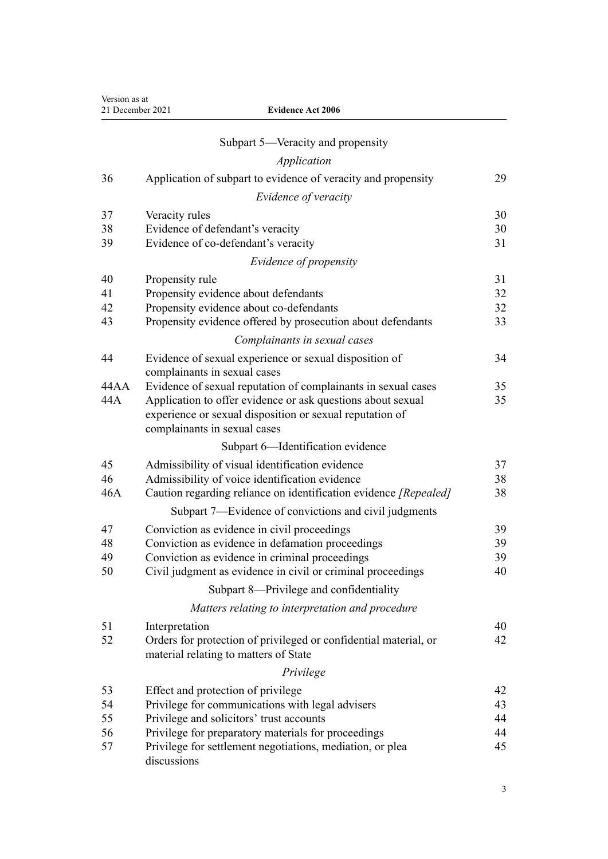| Version as at    |
|------------------|
| 21 December 2021 |

| Version as at<br>21 December 2021 | <b>Evidence Act 2006</b>                                         |    |
|-----------------------------------|------------------------------------------------------------------|----|
|                                   |                                                                  |    |
|                                   | Subpart 5—Veracity and propensity                                |    |
|                                   | Application                                                      |    |
| 36                                | Application of subpart to evidence of veracity and propensity    | 29 |
|                                   | Evidence of veracity                                             |    |
| 37                                | Veracity rules                                                   | 30 |
| 38                                | Evidence of defendant's veracity                                 | 30 |
| 39                                | Evidence of co-defendant's veracity                              | 31 |
|                                   | Evidence of propensity                                           |    |
| 40                                | Propensity rule                                                  | 31 |
| 41                                | Propensity evidence about defendants                             | 32 |
| 42                                | Propensity evidence about co-defendants                          | 32 |
| 43                                | Propensity evidence offered by prosecution about defendants      | 33 |
|                                   | Complainants in sexual cases                                     |    |
| 44                                | Evidence of sexual experience or sexual disposition of           | 34 |
|                                   | complainants in sexual cases                                     |    |
| 44AA                              | Evidence of sexual reputation of complainants in sexual cases    | 35 |
| 44A                               | Application to offer evidence or ask questions about sexual      | 35 |
|                                   | experience or sexual disposition or sexual reputation of         |    |
|                                   | complainants in sexual cases                                     |    |
|                                   | Subpart 6-Identification evidence                                |    |
| 45                                | Admissibility of visual identification evidence                  | 37 |
| 46                                | Admissibility of voice identification evidence                   | 38 |
| 46A                               | Caution regarding reliance on identification evidence [Repealed] | 38 |
|                                   | Subpart 7—Evidence of convictions and civil judgments            |    |
| 47                                | Conviction as evidence in civil proceedings                      | 39 |
| 48                                | Conviction as evidence in defamation proceedings                 | 39 |
| 49                                | Conviction as evidence in criminal proceedings                   | 39 |
| 50                                | Civil judgment as evidence in civil or criminal proceedings      | 40 |
|                                   | Subpart 8—Privilege and confidentiality                          |    |
|                                   | Matters relating to interpretation and procedure                 |    |
| 51                                | Interpretation                                                   | 40 |
| 52                                | Orders for protection of privileged or confidential material, or | 42 |
|                                   | material relating to matters of State                            |    |
|                                   | Privilege                                                        |    |
| 53                                | Effect and protection of privilege                               | 42 |
| 54                                | Privilege for communications with legal advisers                 | 43 |
| 55                                | Privilege and solicitors' trust accounts                         | 44 |
| 56                                | Privilege for preparatory materials for proceedings              | 44 |
| 57                                | Privilege for settlement negotiations, mediation, or plea        | 45 |

[57](#page-44-0) [Privilege for settlement negotiations, mediation, or plea](#page-44-0) [discussions](#page-44-0)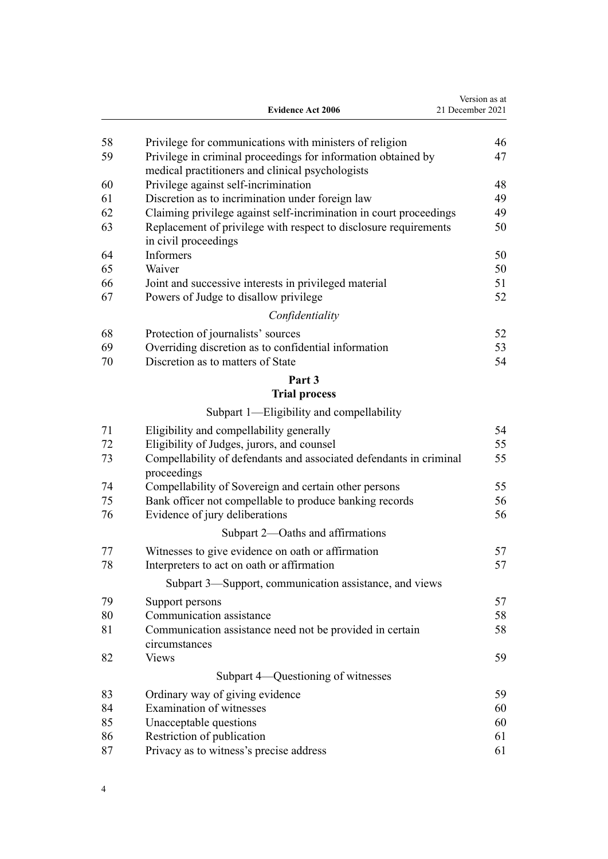|    | <b>Evidence Act 2006</b>                                                                                          | Version as at<br>21 December 2021 |
|----|-------------------------------------------------------------------------------------------------------------------|-----------------------------------|
| 58 |                                                                                                                   | 46                                |
|    | Privilege for communications with ministers of religion                                                           |                                   |
| 59 | Privilege in criminal proceedings for information obtained by<br>medical practitioners and clinical psychologists | 47                                |
| 60 | Privilege against self-incrimination                                                                              | 48                                |
| 61 | Discretion as to incrimination under foreign law                                                                  | 49                                |
| 62 | Claiming privilege against self-incrimination in court proceedings                                                | 49                                |
| 63 | Replacement of privilege with respect to disclosure requirements<br>in civil proceedings                          | 50                                |
| 64 | Informers                                                                                                         | 50                                |
| 65 | Waiver                                                                                                            | 50                                |
| 66 | Joint and successive interests in privileged material                                                             | 51                                |
| 67 | Powers of Judge to disallow privilege                                                                             | 52                                |
|    | Confidentiality                                                                                                   |                                   |
| 68 | Protection of journalists' sources                                                                                | 52                                |
| 69 | Overriding discretion as to confidential information                                                              | 53                                |
| 70 | Discretion as to matters of State                                                                                 | 54                                |
|    | Part 3<br><b>Trial process</b>                                                                                    |                                   |
|    | Subpart 1—Eligibility and compellability                                                                          |                                   |
| 71 | Eligibility and compellability generally                                                                          | 54                                |
| 72 | Eligibility of Judges, jurors, and counsel                                                                        | 55                                |
| 73 | Compellability of defendants and associated defendants in criminal                                                | 55                                |
|    | proceedings                                                                                                       |                                   |
| 74 | Compellability of Sovereign and certain other persons                                                             | 55                                |
| 75 | Bank officer not compellable to produce banking records                                                           | 56                                |
| 76 | Evidence of jury deliberations                                                                                    | 56                                |
|    | Subpart 2-Oaths and affirmations                                                                                  |                                   |
| 77 | Witnesses to give evidence on oath or affirmation                                                                 | 57                                |
| 78 | Interpreters to act on oath or affirmation                                                                        | 57                                |
|    | Subpart 3—Support, communication assistance, and views                                                            |                                   |
| 79 | Support persons                                                                                                   | 57                                |
| 80 | Communication assistance                                                                                          | 58                                |
| 81 | Communication assistance need not be provided in certain<br>circumstances                                         | 58                                |
| 82 | <b>Views</b>                                                                                                      | 59                                |
|    | Subpart 4—Questioning of witnesses                                                                                |                                   |
| 83 | Ordinary way of giving evidence                                                                                   | 59                                |
| 84 | Examination of witnesses                                                                                          | 60                                |
| 85 | Unacceptable questions                                                                                            | 60                                |
| 86 | Restriction of publication                                                                                        | 61                                |
| 87 | Privacy as to witness's precise address                                                                           | 61                                |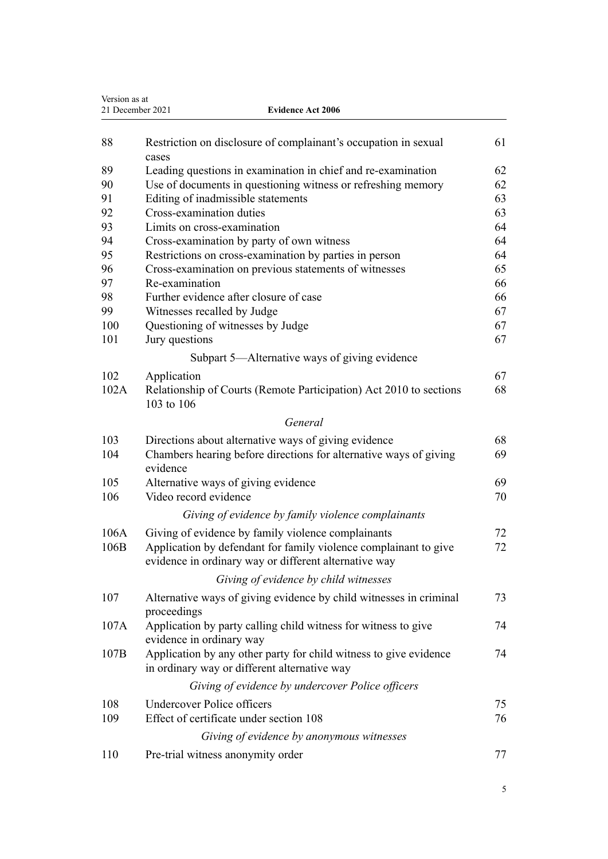| Version as at | 21 December 2021<br><b>Evidence Act 2006</b>                                                                                                                                    |          |
|---------------|---------------------------------------------------------------------------------------------------------------------------------------------------------------------------------|----------|
| 88            | Restriction on disclosure of complainant's occupation in sexual<br>cases                                                                                                        | 61       |
| 89            | Leading questions in examination in chief and re-examination                                                                                                                    | 62       |
| 90            | Use of documents in questioning witness or refreshing memory                                                                                                                    | 62       |
| 91            | Editing of inadmissible statements                                                                                                                                              | 63       |
| 92            | Cross-examination duties                                                                                                                                                        | 63       |
| 93            | Limits on cross-examination                                                                                                                                                     | 64       |
| 94            | Cross-examination by party of own witness                                                                                                                                       | 64       |
| 95            | Restrictions on cross-examination by parties in person                                                                                                                          | 64       |
| 96            | Cross-examination on previous statements of witnesses                                                                                                                           | 65       |
| 97            | Re-examination                                                                                                                                                                  | 66       |
| 98            | Further evidence after closure of case                                                                                                                                          | 66       |
| 99            | Witnesses recalled by Judge                                                                                                                                                     | 67       |
| 100           | Questioning of witnesses by Judge                                                                                                                                               | 67       |
| 101           | Jury questions                                                                                                                                                                  | 67       |
|               | Subpart 5—Alternative ways of giving evidence                                                                                                                                   |          |
| 102           | Application                                                                                                                                                                     | 67       |
| 102A          | Relationship of Courts (Remote Participation) Act 2010 to sections<br>103 to 106                                                                                                | 68       |
|               | General                                                                                                                                                                         |          |
| 103<br>104    | Directions about alternative ways of giving evidence<br>Chambers hearing before directions for alternative ways of giving<br>evidence                                           | 68<br>69 |
| 105           | Alternative ways of giving evidence                                                                                                                                             | 69       |
| 106           | Video record evidence                                                                                                                                                           | 70       |
|               | Giving of evidence by family violence complainants                                                                                                                              |          |
| 106A<br>106B  | Giving of evidence by family violence complainants<br>Application by defendant for family violence complainant to give<br>evidence in ordinary way or different alternative way | 72<br>72 |
|               | Giving of evidence by child witnesses                                                                                                                                           |          |
| 107           | Alternative ways of giving evidence by child witnesses in criminal<br>proceedings                                                                                               | 73       |
| 107A          | Application by party calling child witness for witness to give<br>evidence in ordinary way                                                                                      | 74       |
| 107B          | Application by any other party for child witness to give evidence<br>in ordinary way or different alternative way                                                               | 74       |
|               | Giving of evidence by undercover Police officers                                                                                                                                |          |
| 108           | <b>Undercover Police officers</b>                                                                                                                                               | 75       |
| 109           | Effect of certificate under section 108                                                                                                                                         | 76       |
|               | Giving of evidence by anonymous witnesses                                                                                                                                       |          |
| 110           | Pre-trial witness anonymity order                                                                                                                                               | 77       |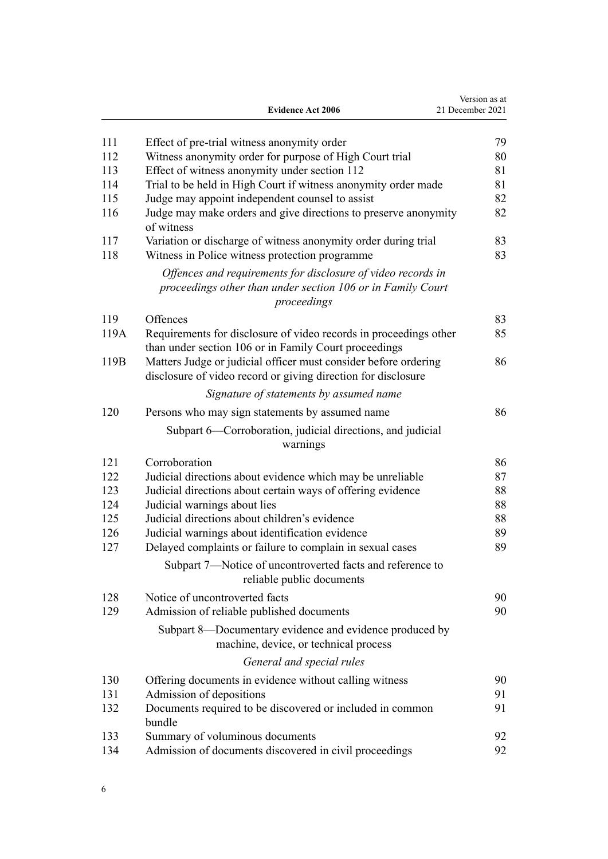| 111<br>Effect of pre-trial witness anonymity order<br>Witness anonymity order for purpose of High Court trial<br>112<br>Effect of witness anonymity under section 112<br>113<br>Trial to be held in High Court if witness anonymity order made<br>114<br>Judge may appoint independent counsel to assist<br>115<br>116<br>Judge may make orders and give directions to preserve anonymity<br>of witness<br>117<br>Variation or discharge of witness anonymity order during trial<br>Witness in Police witness protection programme<br>118<br>Offences and requirements for disclosure of video records in<br>proceedings other than under section 106 or in Family Court<br>proceedings<br>119<br>Offences<br>119A<br>Requirements for disclosure of video records in proceedings other<br>than under section 106 or in Family Court proceedings<br>Matters Judge or judicial officer must consider before ordering<br>119B<br>disclosure of video record or giving direction for disclosure<br>Signature of statements by assumed name<br>120<br>Persons who may sign statements by assumed name<br>Subpart 6—Corroboration, judicial directions, and judicial<br>warnings | Version as at<br>21 December 2021 |
|-----------------------------------------------------------------------------------------------------------------------------------------------------------------------------------------------------------------------------------------------------------------------------------------------------------------------------------------------------------------------------------------------------------------------------------------------------------------------------------------------------------------------------------------------------------------------------------------------------------------------------------------------------------------------------------------------------------------------------------------------------------------------------------------------------------------------------------------------------------------------------------------------------------------------------------------------------------------------------------------------------------------------------------------------------------------------------------------------------------------------------------------------------------------------------|-----------------------------------|
|                                                                                                                                                                                                                                                                                                                                                                                                                                                                                                                                                                                                                                                                                                                                                                                                                                                                                                                                                                                                                                                                                                                                                                             |                                   |
|                                                                                                                                                                                                                                                                                                                                                                                                                                                                                                                                                                                                                                                                                                                                                                                                                                                                                                                                                                                                                                                                                                                                                                             | 79                                |
|                                                                                                                                                                                                                                                                                                                                                                                                                                                                                                                                                                                                                                                                                                                                                                                                                                                                                                                                                                                                                                                                                                                                                                             | 80                                |
|                                                                                                                                                                                                                                                                                                                                                                                                                                                                                                                                                                                                                                                                                                                                                                                                                                                                                                                                                                                                                                                                                                                                                                             | 81                                |
|                                                                                                                                                                                                                                                                                                                                                                                                                                                                                                                                                                                                                                                                                                                                                                                                                                                                                                                                                                                                                                                                                                                                                                             | 81                                |
|                                                                                                                                                                                                                                                                                                                                                                                                                                                                                                                                                                                                                                                                                                                                                                                                                                                                                                                                                                                                                                                                                                                                                                             | 82                                |
|                                                                                                                                                                                                                                                                                                                                                                                                                                                                                                                                                                                                                                                                                                                                                                                                                                                                                                                                                                                                                                                                                                                                                                             | 82                                |
|                                                                                                                                                                                                                                                                                                                                                                                                                                                                                                                                                                                                                                                                                                                                                                                                                                                                                                                                                                                                                                                                                                                                                                             | 83                                |
|                                                                                                                                                                                                                                                                                                                                                                                                                                                                                                                                                                                                                                                                                                                                                                                                                                                                                                                                                                                                                                                                                                                                                                             | 83                                |
|                                                                                                                                                                                                                                                                                                                                                                                                                                                                                                                                                                                                                                                                                                                                                                                                                                                                                                                                                                                                                                                                                                                                                                             |                                   |
|                                                                                                                                                                                                                                                                                                                                                                                                                                                                                                                                                                                                                                                                                                                                                                                                                                                                                                                                                                                                                                                                                                                                                                             | 83                                |
|                                                                                                                                                                                                                                                                                                                                                                                                                                                                                                                                                                                                                                                                                                                                                                                                                                                                                                                                                                                                                                                                                                                                                                             | 85                                |
|                                                                                                                                                                                                                                                                                                                                                                                                                                                                                                                                                                                                                                                                                                                                                                                                                                                                                                                                                                                                                                                                                                                                                                             | 86                                |
|                                                                                                                                                                                                                                                                                                                                                                                                                                                                                                                                                                                                                                                                                                                                                                                                                                                                                                                                                                                                                                                                                                                                                                             |                                   |
|                                                                                                                                                                                                                                                                                                                                                                                                                                                                                                                                                                                                                                                                                                                                                                                                                                                                                                                                                                                                                                                                                                                                                                             | 86                                |
|                                                                                                                                                                                                                                                                                                                                                                                                                                                                                                                                                                                                                                                                                                                                                                                                                                                                                                                                                                                                                                                                                                                                                                             |                                   |
|                                                                                                                                                                                                                                                                                                                                                                                                                                                                                                                                                                                                                                                                                                                                                                                                                                                                                                                                                                                                                                                                                                                                                                             |                                   |
| 121<br>Corroboration                                                                                                                                                                                                                                                                                                                                                                                                                                                                                                                                                                                                                                                                                                                                                                                                                                                                                                                                                                                                                                                                                                                                                        | 86                                |
| 122<br>Judicial directions about evidence which may be unreliable                                                                                                                                                                                                                                                                                                                                                                                                                                                                                                                                                                                                                                                                                                                                                                                                                                                                                                                                                                                                                                                                                                           | 87                                |
| 123<br>Judicial directions about certain ways of offering evidence                                                                                                                                                                                                                                                                                                                                                                                                                                                                                                                                                                                                                                                                                                                                                                                                                                                                                                                                                                                                                                                                                                          | 88                                |
| Judicial warnings about lies<br>124<br>Judicial directions about children's evidence<br>125                                                                                                                                                                                                                                                                                                                                                                                                                                                                                                                                                                                                                                                                                                                                                                                                                                                                                                                                                                                                                                                                                 | 88<br>88                          |
| 126<br>Judicial warnings about identification evidence                                                                                                                                                                                                                                                                                                                                                                                                                                                                                                                                                                                                                                                                                                                                                                                                                                                                                                                                                                                                                                                                                                                      | 89                                |
| Delayed complaints or failure to complain in sexual cases<br>127                                                                                                                                                                                                                                                                                                                                                                                                                                                                                                                                                                                                                                                                                                                                                                                                                                                                                                                                                                                                                                                                                                            | 89                                |
|                                                                                                                                                                                                                                                                                                                                                                                                                                                                                                                                                                                                                                                                                                                                                                                                                                                                                                                                                                                                                                                                                                                                                                             |                                   |
| Subpart 7-Notice of uncontroverted facts and reference to<br>reliable public documents                                                                                                                                                                                                                                                                                                                                                                                                                                                                                                                                                                                                                                                                                                                                                                                                                                                                                                                                                                                                                                                                                      |                                   |
| Notice of uncontroverted facts<br>128                                                                                                                                                                                                                                                                                                                                                                                                                                                                                                                                                                                                                                                                                                                                                                                                                                                                                                                                                                                                                                                                                                                                       | 90                                |
| 129<br>Admission of reliable published documents                                                                                                                                                                                                                                                                                                                                                                                                                                                                                                                                                                                                                                                                                                                                                                                                                                                                                                                                                                                                                                                                                                                            | 90                                |
| Subpart 8-Documentary evidence and evidence produced by<br>machine, device, or technical process                                                                                                                                                                                                                                                                                                                                                                                                                                                                                                                                                                                                                                                                                                                                                                                                                                                                                                                                                                                                                                                                            |                                   |
| General and special rules                                                                                                                                                                                                                                                                                                                                                                                                                                                                                                                                                                                                                                                                                                                                                                                                                                                                                                                                                                                                                                                                                                                                                   |                                   |
| 130<br>Offering documents in evidence without calling witness                                                                                                                                                                                                                                                                                                                                                                                                                                                                                                                                                                                                                                                                                                                                                                                                                                                                                                                                                                                                                                                                                                               | 90                                |
| 131<br>Admission of depositions                                                                                                                                                                                                                                                                                                                                                                                                                                                                                                                                                                                                                                                                                                                                                                                                                                                                                                                                                                                                                                                                                                                                             | 91                                |
| 132<br>Documents required to be discovered or included in common                                                                                                                                                                                                                                                                                                                                                                                                                                                                                                                                                                                                                                                                                                                                                                                                                                                                                                                                                                                                                                                                                                            | 91                                |
| bundle                                                                                                                                                                                                                                                                                                                                                                                                                                                                                                                                                                                                                                                                                                                                                                                                                                                                                                                                                                                                                                                                                                                                                                      |                                   |
| Summary of voluminous documents<br>133                                                                                                                                                                                                                                                                                                                                                                                                                                                                                                                                                                                                                                                                                                                                                                                                                                                                                                                                                                                                                                                                                                                                      | 92                                |
| 134<br>Admission of documents discovered in civil proceedings                                                                                                                                                                                                                                                                                                                                                                                                                                                                                                                                                                                                                                                                                                                                                                                                                                                                                                                                                                                                                                                                                                               | 92                                |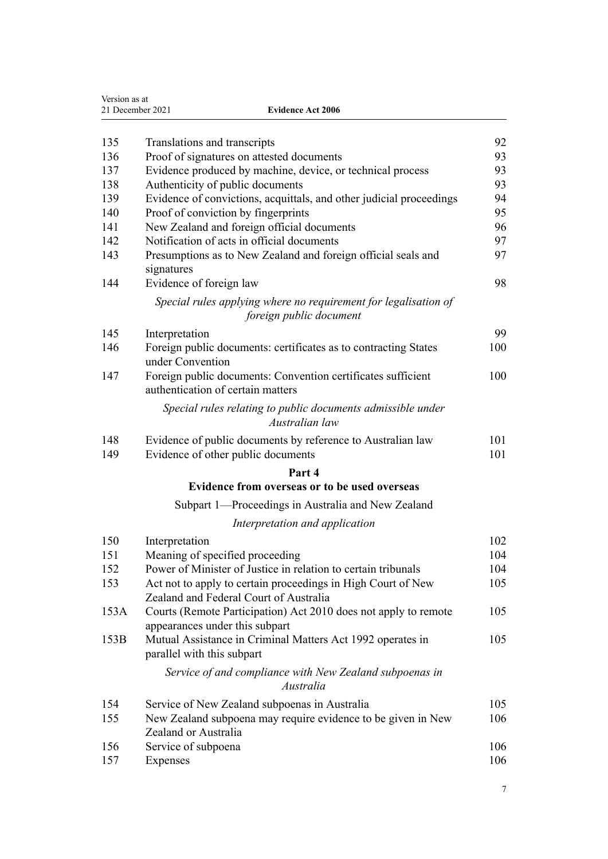| Version as at<br>21 December 2021 | <b>Evidence Act 2006</b>                                                                               |            |
|-----------------------------------|--------------------------------------------------------------------------------------------------------|------------|
| 135                               | Translations and transcripts                                                                           | 92         |
| 136                               | Proof of signatures on attested documents                                                              | 93         |
| 137                               | Evidence produced by machine, device, or technical process                                             | 93         |
| 138                               | Authenticity of public documents                                                                       | 93         |
| 139                               | Evidence of convictions, acquittals, and other judicial proceedings                                    | 94         |
| 140                               | Proof of conviction by fingerprints                                                                    | 95         |
| 141                               | New Zealand and foreign official documents                                                             | 96         |
| 142                               | Notification of acts in official documents                                                             | 97         |
| 143                               | Presumptions as to New Zealand and foreign official seals and<br>signatures                            | 97         |
| 144                               | Evidence of foreign law                                                                                | 98         |
|                                   | Special rules applying where no requirement for legalisation of<br>foreign public document             |            |
| 145                               | Interpretation                                                                                         | 99         |
| 146                               | Foreign public documents: certificates as to contracting States<br>under Convention                    | 100        |
| 147                               | Foreign public documents: Convention certificates sufficient<br>authentication of certain matters      | 100        |
|                                   | Special rules relating to public documents admissible under<br>Australian law                          |            |
| 148<br>149                        | Evidence of public documents by reference to Australian law<br>Evidence of other public documents      | 101<br>101 |
|                                   | Part 4                                                                                                 |            |
|                                   | Evidence from overseas or to be used overseas                                                          |            |
|                                   | Subpart 1—Proceedings in Australia and New Zealand                                                     |            |
|                                   |                                                                                                        |            |
|                                   | Interpretation and application                                                                         |            |
| 150                               | Interpretation                                                                                         | 102        |
| 151                               | Meaning of specified proceeding                                                                        | 104        |
| 152                               | Power of Minister of Justice in relation to certain tribunals                                          | 104        |
| 153                               | Act not to apply to certain proceedings in High Court of New<br>Zealand and Federal Court of Australia | 105        |
| 153A                              | Courts (Remote Participation) Act 2010 does not apply to remote<br>appearances under this subpart      | 105        |
| 153B                              | Mutual Assistance in Criminal Matters Act 1992 operates in<br>parallel with this subpart               | 105        |
|                                   | Service of and compliance with New Zealand subpoenas in<br>Australia                                   |            |
| 154                               | Service of New Zealand subpoenas in Australia                                                          | 105        |
| 155                               | New Zealand subpoena may require evidence to be given in New<br>Zealand or Australia                   | 106        |
| 156                               | Service of subpoena                                                                                    | 106        |
| 157                               | Expenses                                                                                               | 106        |
|                                   |                                                                                                        |            |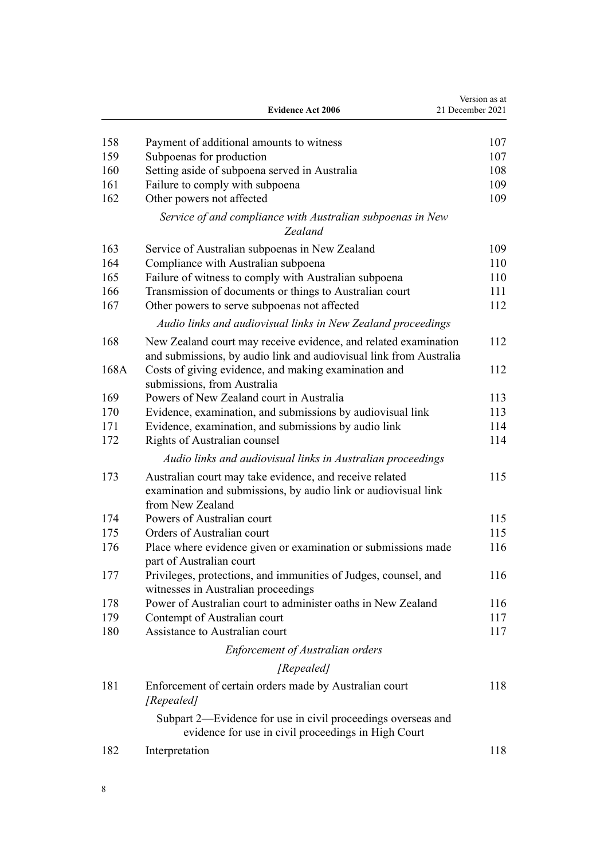|      | <b>Evidence Act 2006</b>                                                                                                              | Version as at<br>21 December 2021 |
|------|---------------------------------------------------------------------------------------------------------------------------------------|-----------------------------------|
| 158  | Payment of additional amounts to witness                                                                                              | 107                               |
| 159  | Subpoenas for production                                                                                                              | 107                               |
| 160  | Setting aside of subpoena served in Australia                                                                                         | 108                               |
| 161  | Failure to comply with subpoena                                                                                                       | 109                               |
| 162  | Other powers not affected                                                                                                             | 109                               |
|      | Service of and compliance with Australian subpoenas in New<br>Zealand                                                                 |                                   |
| 163  | Service of Australian subpoenas in New Zealand                                                                                        | 109                               |
| 164  | Compliance with Australian subpoena                                                                                                   | 110                               |
| 165  | Failure of witness to comply with Australian subpoena                                                                                 | 110                               |
| 166  | Transmission of documents or things to Australian court                                                                               | 111                               |
| 167  | Other powers to serve subpoenas not affected                                                                                          | 112                               |
|      | Audio links and audiovisual links in New Zealand proceedings                                                                          |                                   |
| 168  | New Zealand court may receive evidence, and related examination<br>and submissions, by audio link and audiovisual link from Australia | 112                               |
| 168A | Costs of giving evidence, and making examination and<br>submissions, from Australia                                                   | 112                               |
| 169  | Powers of New Zealand court in Australia                                                                                              | 113                               |
| 170  | Evidence, examination, and submissions by audiovisual link                                                                            | 113                               |
| 171  | Evidence, examination, and submissions by audio link                                                                                  | 114                               |
| 172  | <b>Rights of Australian counsel</b>                                                                                                   | 114                               |
|      | Audio links and audiovisual links in Australian proceedings                                                                           |                                   |
| 173  | Australian court may take evidence, and receive related                                                                               | 115                               |
|      | examination and submissions, by audio link or audiovisual link<br>from New Zealand                                                    |                                   |
| 174  | Powers of Australian court                                                                                                            | 115                               |
| 175  | Orders of Australian court                                                                                                            | 115                               |
| 176  | Place where evidence given or examination or submissions made<br>part of Australian court                                             | 116                               |
| 177  | Privileges, protections, and immunities of Judges, counsel, and<br>witnesses in Australian proceedings                                | 116                               |
| 178  | Power of Australian court to administer oaths in New Zealand                                                                          | 116                               |
| 179  | Contempt of Australian court                                                                                                          | 117                               |
| 180  | Assistance to Australian court                                                                                                        | 117                               |
|      | <b>Enforcement of Australian orders</b>                                                                                               |                                   |
|      | [Repealed]                                                                                                                            |                                   |
| 181  | Enforcement of certain orders made by Australian court<br>[Repealed]                                                                  | 118                               |
|      | Subpart 2—Evidence for use in civil proceedings overseas and<br>evidence for use in civil proceedings in High Court                   |                                   |
| 182  | Interpretation                                                                                                                        | 118                               |
|      |                                                                                                                                       |                                   |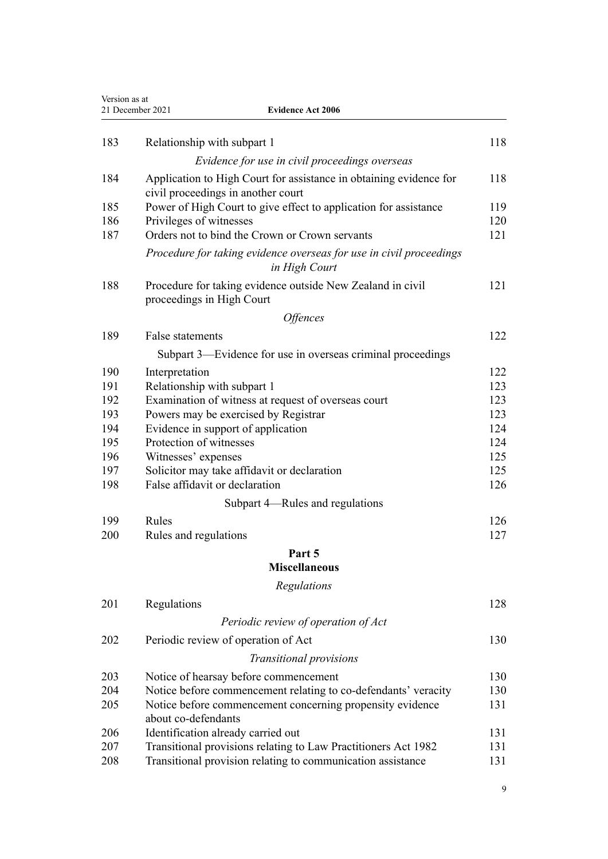| Version as at | 21 December 2021<br><b>Evidence Act 2006</b>                                                             |     |
|---------------|----------------------------------------------------------------------------------------------------------|-----|
| 183           | Relationship with subpart 1                                                                              | 118 |
|               | Evidence for use in civil proceedings overseas                                                           |     |
|               |                                                                                                          |     |
| 184           | Application to High Court for assistance in obtaining evidence for<br>civil proceedings in another court | 118 |
| 185           | Power of High Court to give effect to application for assistance                                         | 119 |
| 186           | Privileges of witnesses                                                                                  | 120 |
| 187           | Orders not to bind the Crown or Crown servants                                                           | 121 |
|               | Procedure for taking evidence overseas for use in civil proceedings<br>in High Court                     |     |
| 188           | Procedure for taking evidence outside New Zealand in civil<br>proceedings in High Court                  | 121 |
|               | <i><b>Offences</b></i>                                                                                   |     |
| 189           | False statements                                                                                         | 122 |
|               | Subpart 3—Evidence for use in overseas criminal proceedings                                              |     |
| 190           | Interpretation                                                                                           | 122 |
| 191           | Relationship with subpart 1                                                                              | 123 |
| 192           | Examination of witness at request of overseas court                                                      | 123 |
| 193           | Powers may be exercised by Registrar                                                                     | 123 |
| 194           | Evidence in support of application                                                                       | 124 |
| 195           | Protection of witnesses                                                                                  | 124 |
| 196           | Witnesses' expenses                                                                                      | 125 |
| 197           | Solicitor may take affidavit or declaration                                                              | 125 |
| 198           | False affidavit or declaration                                                                           | 126 |
|               | Subpart 4—Rules and regulations                                                                          |     |
| 199           | Rules                                                                                                    | 126 |
| 200           | Rules and regulations                                                                                    | 127 |
|               | Part 5<br><b>Miscellaneous</b>                                                                           |     |
|               | Regulations                                                                                              |     |
| 201           | Regulations                                                                                              | 128 |
|               | Periodic review of operation of Act                                                                      |     |
| 202           | Periodic review of operation of Act                                                                      | 130 |
|               | Transitional provisions                                                                                  |     |
| 203           | Notice of hearsay before commencement                                                                    | 130 |
| 204           | Notice before commencement relating to co-defendants' veracity                                           | 130 |
| 205           | Notice before commencement concerning propensity evidence<br>about co-defendants                         | 131 |
| 206           | Identification already carried out                                                                       | 131 |
| 207           | Transitional provisions relating to Law Practitioners Act 1982                                           | 131 |
| 208           | Transitional provision relating to communication assistance                                              | 131 |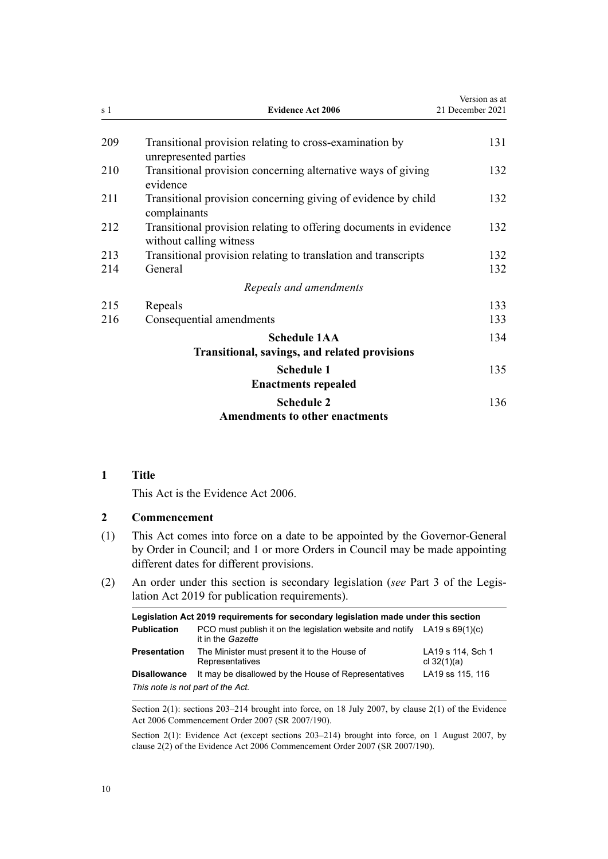<span id="page-9-0"></span>

| s 1 | <b>Evidence Act 2006</b>                                                                     | Version as at<br>21 December 2021 |
|-----|----------------------------------------------------------------------------------------------|-----------------------------------|
| 209 | Transitional provision relating to cross-examination by<br>unrepresented parties             | 131                               |
| 210 | Transitional provision concerning alternative ways of giving<br>evidence                     | 132                               |
| 211 | Transitional provision concerning giving of evidence by child<br>complainants                | 132                               |
| 212 | Transitional provision relating to offering documents in evidence<br>without calling witness | 132                               |
| 213 | Transitional provision relating to translation and transcripts                               | 132                               |
| 214 | General                                                                                      | 132                               |
|     | Repeals and amendments                                                                       |                                   |
| 215 | Repeals                                                                                      | 133                               |
| 216 | Consequential amendments                                                                     | 133                               |
|     | <b>Schedule 1AA</b><br>Transitional, savings, and related provisions                         | 134                               |
|     | <b>Schedule 1</b><br><b>Enactments repealed</b>                                              | 135                               |
|     | <b>Schedule 2</b><br><b>Amendments to other enactments</b>                                   | 136                               |

# **1 Title**

This Act is the Evidence Act 2006.

### **2 Commencement**

- (1) This Act comes into force on a date to be appointed by the Governor-General by Order in Council; and 1 or more Orders in Council may be made appointing different dates for different provisions.
- (2) An order under this section is secondary legislation (*see* [Part 3](http://legislation.govt.nz/pdflink.aspx?id=DLM7298343) of the Legis‐ lation Act 2019 for publication requirements).

| Legislation Act 2019 requirements for secondary legislation made under this section |                                                                                                  |                                    |  |
|-------------------------------------------------------------------------------------|--------------------------------------------------------------------------------------------------|------------------------------------|--|
| <b>Publication</b>                                                                  | PCO must publish it on the legislation website and notify LA19 s $69(1)(c)$<br>it in the Gazette |                                    |  |
| <b>Presentation</b>                                                                 | The Minister must present it to the House of<br>Representatives                                  | LA19 s 114, Sch 1<br>cl $32(1)(a)$ |  |
| <b>Disallowance</b>                                                                 | It may be disallowed by the House of Representatives                                             | LA19 ss 115, 116                   |  |
| This note is not part of the Act.                                                   |                                                                                                  |                                    |  |

Section 2(1): sections 203–214 brought into force, on 18 July 2007, by [clause 2\(1\)](http://legislation.govt.nz/pdflink.aspx?id=DLM442435) of the Evidence Act 2006 Commencement Order 2007 (SR 2007/190).

Section 2(1): Evidence Act (except sections 203–214) brought into force, on 1 August 2007, by [clause 2\(2\)](http://legislation.govt.nz/pdflink.aspx?id=DLM442435) of the Evidence Act 2006 Commencement Order 2007 (SR 2007/190).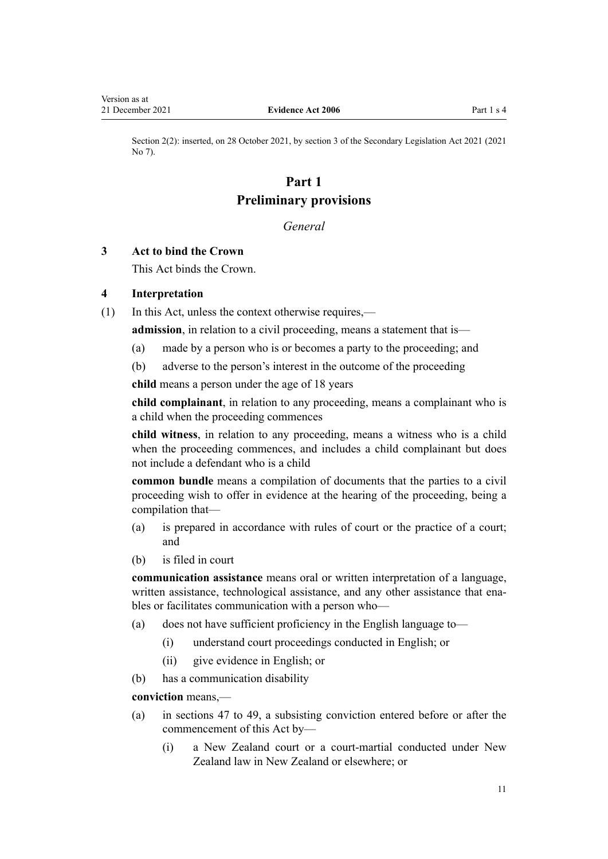<span id="page-10-0"></span>Section 2(2): inserted, on 28 October 2021, by [section 3](http://legislation.govt.nz/pdflink.aspx?id=LMS268932) of the Secondary Legislation Act 2021 (2021 No 7).

# **Part 1 Preliminary provisions**

### *General*

# **3 Act to bind the Crown**

This Act binds the Crown.

### **4 Interpretation**

(1) In this Act, unless the context otherwise requires,—

**admission**, in relation to a civil proceeding, means a statement that is—

- (a) made by a person who is or becomes a party to the proceeding; and
- (b) adverse to the person's interest in the outcome of the proceeding

**child** means a person under the age of 18 years

**child complainant**, in relation to any proceeding, means a complainant who is a child when the proceeding commences

**child witness**, in relation to any proceeding, means a witness who is a child when the proceeding commences, and includes a child complainant but does not include a defendant who is a child

**common bundle** means a compilation of documents that the parties to a civil proceeding wish to offer in evidence at the hearing of the proceeding, being a compilation that—

- (a) is prepared in accordance with rules of court or the practice of a court; and
- (b) is filed in court

**communication assistance** means oral or written interpretation of a language, written assistance, technological assistance, and any other assistance that enables or facilitates communication with a person who—

- (a) does not have sufficient proficiency in the English language to—
	- (i) understand court proceedings conducted in English; or
	- (ii) give evidence in English; or
- (b) has a communication disability

**conviction** means,—

- (a) in [sections 47 to 49](#page-38-0), a subsisting conviction entered before or after the commencement of this Act by—
	- (i) a New Zealand court or a court-martial conducted under New Zealand law in New Zealand or elsewhere; or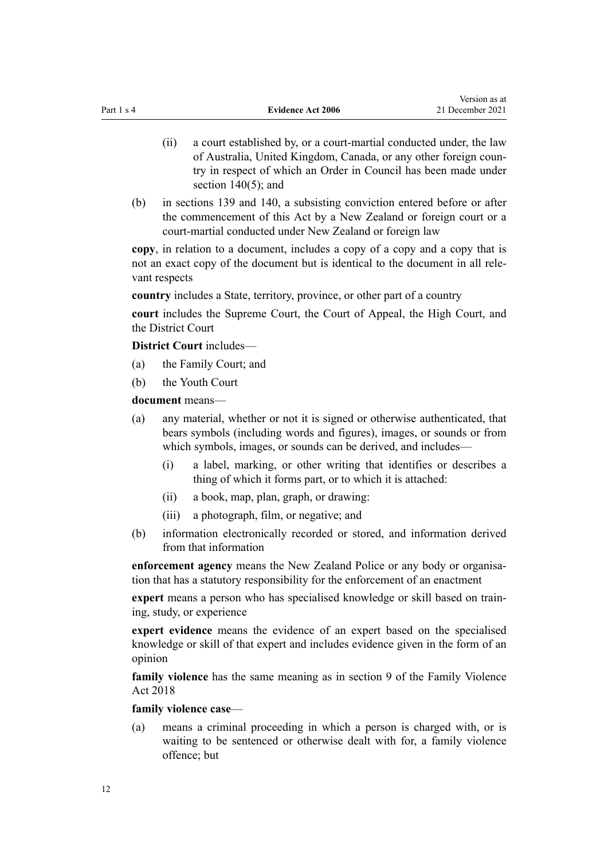Version as at

- (ii) a court established by, or a court-martial conducted under, the law of Australia, United Kingdom, Canada, or any other foreign coun‐ try in respect of which an Order in Council has been made under [section 140\(5\)](#page-94-0); and
- (b) in [sections 139](#page-93-0) and [140](#page-94-0), a subsisting conviction entered before or after the commencement of this Act by a New Zealand or foreign court or a court-martial conducted under New Zealand or foreign law

**copy**, in relation to a document, includes a copy of a copy and a copy that is not an exact copy of the document but is identical to the document in all rele‐ vant respects

**country** includes a State, territory, province, or other part of a country

**court** includes the Supreme Court, the Court of Appeal, the High Court, and the District Court

**District Court** includes—

- (a) the Family Court; and
- (b) the Youth Court

**document** means—

- (a) any material, whether or not it is signed or otherwise authenticated, that bears symbols (including words and figures), images, or sounds or from which symbols, images, or sounds can be derived, and includes-
	- (i) a label, marking, or other writing that identifies or describes a thing of which it forms part, or to which it is attached:
	- (ii) a book, map, plan, graph, or drawing:
	- (iii) a photograph, film, or negative; and
- (b) information electronically recorded or stored, and information derived from that information

**enforcement agency** means the New Zealand Police or any body or organisation that has a statutory responsibility for the enforcement of an enactment

**expert** means a person who has specialised knowledge or skill based on train‐ ing, study, or experience

**expert evidence** means the evidence of an expert based on the specialised knowledge or skill of that expert and includes evidence given in the form of an opinion

**family violence** has the same meaning as in [section 9](http://legislation.govt.nz/pdflink.aspx?id=LMS112966) of the Family Violence Act 2018

### **family violence case**—

(a) means a criminal proceeding in which a person is charged with, or is waiting to be sentenced or otherwise dealt with for, a family violence offence; but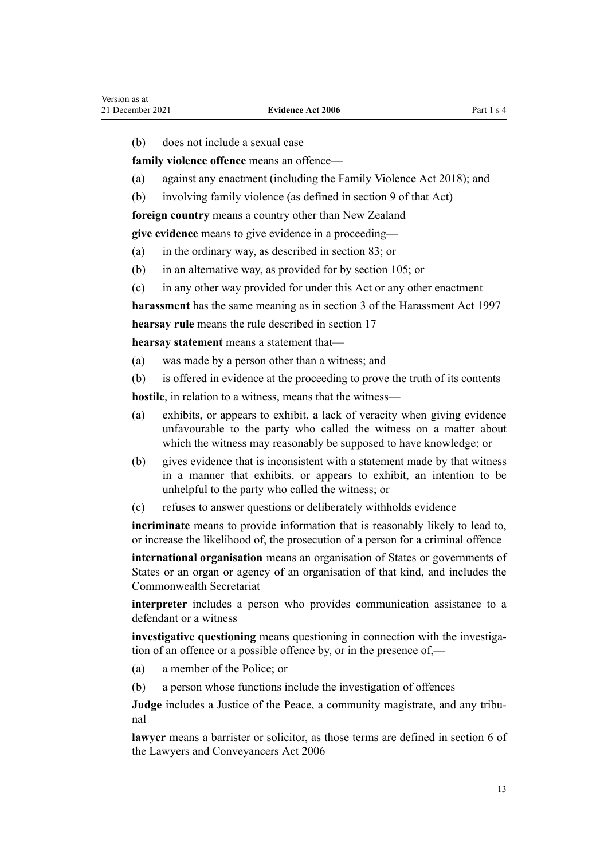(b) does not include a sexual case

**family violence offence** means an offence—

(a) against any enactment (including the [Family Violence Act 2018\)](http://legislation.govt.nz/pdflink.aspx?id=DLM7159300); and

(b) involving family violence (as defined in [section 9](http://legislation.govt.nz/pdflink.aspx?id=LMS112966) of that Act)

**foreign country** means a country other than New Zealand

**give evidence** means to give evidence in a proceeding—

- (a) in the ordinary way, as described in [section 83](#page-58-0); or
- (b) in an alternative way, as provided for by [section 105;](#page-68-0) or
- (c) in any other way provided for under this Act or any other enactment

**harassment** has the same meaning as in [section 3](http://legislation.govt.nz/pdflink.aspx?id=DLM417725) of the Harassment Act 1997

**hearsay rule** means the rule described in [section 17](#page-20-0)

**hearsay statement** means a statement that—

- (a) was made by a person other than a witness; and
- (b) is offered in evidence at the proceeding to prove the truth of its contents

**hostile**, in relation to a witness, means that the witness—

- (a) exhibits, or appears to exhibit, a lack of veracity when giving evidence unfavourable to the party who called the witness on a matter about which the witness may reasonably be supposed to have knowledge; or
- (b) gives evidence that is inconsistent with a statement made by that witness in a manner that exhibits, or appears to exhibit, an intention to be unhelpful to the party who called the witness; or
- (c) refuses to answer questions or deliberately withholds evidence

**incriminate** means to provide information that is reasonably likely to lead to, or increase the likelihood of, the prosecution of a person for a criminal offence

**international organisation** means an organisation of States or governments of States or an organ or agency of an organisation of that kind, and includes the Commonwealth Secretariat

**interpreter** includes a person who provides communication assistance to a defendant or a witness

**investigative questioning** means questioning in connection with the investigation of an offence or a possible offence by, or in the presence of,—

- (a) a member of the Police; or
- (b) a person whose functions include the investigation of offences

**Judge** includes a Justice of the Peace, a community magistrate, and any tribu‐ nal

**lawyer** means a barrister or solicitor, as those terms are defined in [section 6](http://legislation.govt.nz/pdflink.aspx?id=DLM364948) of the Lawyers and Conveyancers Act 2006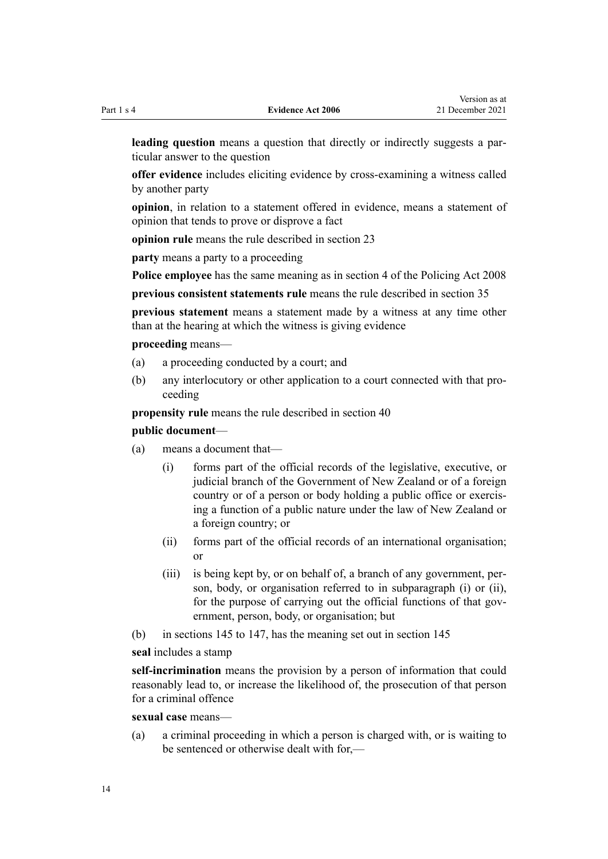**leading question** means a question that directly or indirectly suggests a particular answer to the question

**offer evidence** includes eliciting evidence by cross-examining a witness called by another party

**opinion**, in relation to a statement offered in evidence, means a statement of opinion that tends to prove or disprove a fact

**opinion rule** means the rule described in [section 23](#page-22-0)

**party** means a party to a proceeding

**Police employee** has the same meaning as in [section 4](http://legislation.govt.nz/pdflink.aspx?id=DLM1102132) of the Policing Act 2008

**previous consistent statements rule** means the rule described in [section 35](#page-28-0)

**previous statement** means a statement made by a witness at any time other than at the hearing at which the witness is giving evidence

### **proceeding** means—

- (a) a proceeding conducted by a court; and
- (b) any interlocutory or other application to a court connected with that pro‐ ceeding

**propensity rule** means the rule described in [section 40](#page-30-0)

### **public document**—

- (a) means a document that—
	- (i) forms part of the official records of the legislative, executive, or judicial branch of the Government of New Zealand or of a foreign country or of a person or body holding a public office or exercis‐ ing a function of a public nature under the law of New Zealand or a foreign country; or
	- (ii) forms part of the official records of an international organisation; or
	- (iii) is being kept by, or on behalf of, a branch of any government, per‐ son, body, or organisation referred to in subparagraph (i) or (ii), for the purpose of carrying out the official functions of that government, person, body, or organisation; but
- (b) in [sections 145 to 147](#page-98-0), has the meaning set out in section 145

#### **seal** includes a stamp

**self-incrimination** means the provision by a person of information that could reasonably lead to, or increase the likelihood of, the prosecution of that person for a criminal offence

### **sexual case** means—

(a) a criminal proceeding in which a person is charged with, or is waiting to be sentenced or otherwise dealt with for,—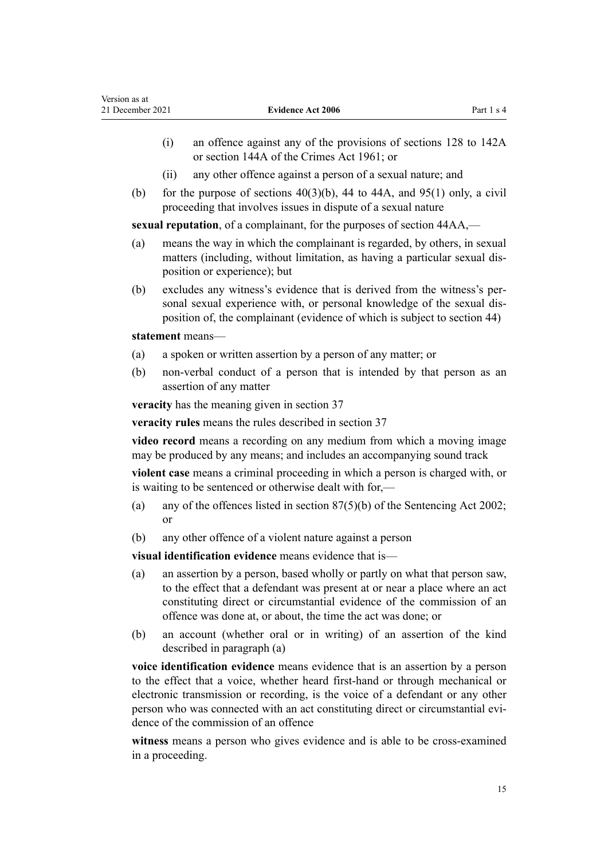- (i) an offence against any of the provisions of [sections 128 to 142A](http://legislation.govt.nz/pdflink.aspx?id=DLM329051) or [section 144A](http://legislation.govt.nz/pdflink.aspx?id=DLM329264) of the Crimes Act 1961; or
- (ii) any other offence against a person of a sexual nature; and
- (b) for the purpose of sections  $40(3)(b)$ , [44 to 44A](#page-33-0), and [95\(1\)](#page-63-0) only, a civil proceeding that involves issues in dispute of a sexual nature

**sexual reputation**, of a complainant, for the purposes of [section 44AA](#page-34-0),—

- (a) means the way in which the complainant is regarded, by others, in sexual matters (including, without limitation, as having a particular sexual dis‐ position or experience); but
- (b) excludes any witness's evidence that is derived from the witness's per‐ sonal sexual experience with, or personal knowledge of the sexual disposition of, the complainant (evidence of which is subject to [section 44\)](#page-33-0)

**statement** means—

- (a) a spoken or written assertion by a person of any matter; or
- (b) non-verbal conduct of a person that is intended by that person as an assertion of any matter

**veracity** has the meaning given in [section 37](#page-29-0)

**veracity rules** means the rules described in [section 37](#page-29-0)

**video record** means a recording on any medium from which a moving image may be produced by any means; and includes an accompanying sound track

**violent case** means a criminal proceeding in which a person is charged with, or is waiting to be sentenced or otherwise dealt with for,—

- (a) any of the offences listed in [section 87\(5\)\(b\)](http://legislation.govt.nz/pdflink.aspx?id=DLM136454) of the Sentencing Act 2002; or
- (b) any other offence of a violent nature against a person

**visual identification evidence** means evidence that is—

- (a) an assertion by a person, based wholly or partly on what that person saw, to the effect that a defendant was present at or near a place where an act constituting direct or circumstantial evidence of the commission of an offence was done at, or about, the time the act was done; or
- (b) an account (whether oral or in writing) of an assertion of the kind described in paragraph (a)

**voice identification evidence** means evidence that is an assertion by a person to the effect that a voice, whether heard first-hand or through mechanical or electronic transmission or recording, is the voice of a defendant or any other person who was connected with an act constituting direct or circumstantial evidence of the commission of an offence

**witness** means a person who gives evidence and is able to be cross-examined in a proceeding.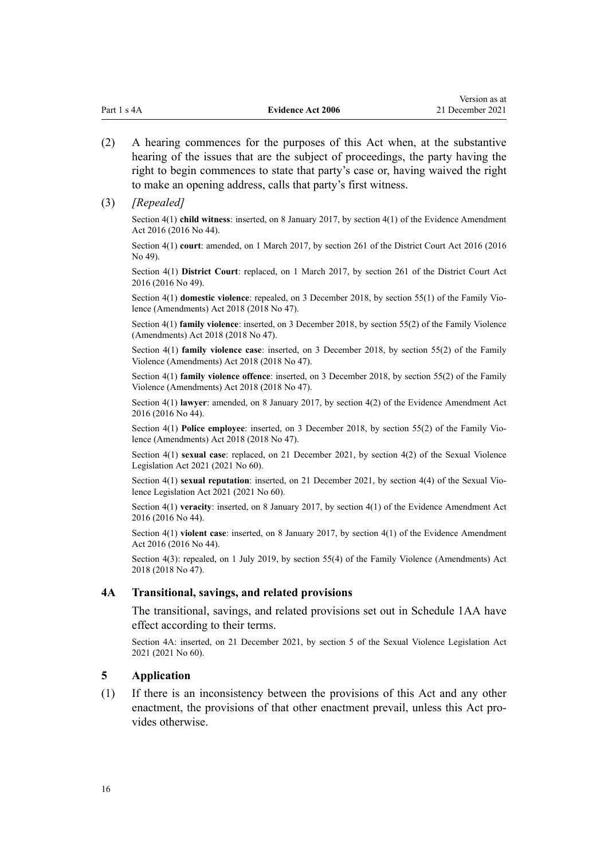<span id="page-15-0"></span>

| Part 1 s 4A | <b>Evidence Act 2006</b> | 21 December 2021 |
|-------------|--------------------------|------------------|
|             |                          |                  |

Version as at

- (2) A hearing commences for the purposes of this Act when, at the substantive hearing of the issues that are the subject of proceedings, the party having the right to begin commences to state that party's case or, having waived the right to make an opening address, calls that party's first witness.
- (3) *[Repealed]*

Section 4(1) **child witness**: inserted, on 8 January 2017, by [section 4\(1\)](http://legislation.govt.nz/pdflink.aspx?id=DLM6488715) of the Evidence Amendment Act 2016 (2016 No 44).

Section 4(1) **court**: amended, on 1 March 2017, by [section 261](http://legislation.govt.nz/pdflink.aspx?id=DLM6942680) of the District Court Act 2016 (2016 No 49).

Section 4(1) **District Court**: replaced, on 1 March 2017, by [section 261](http://legislation.govt.nz/pdflink.aspx?id=DLM6942680) of the District Court Act 2016 (2016 No 49).

Section 4(1) **domestic violence**: repealed, on 3 December 2018, by [section 55\(1\)](http://legislation.govt.nz/pdflink.aspx?id=LMS113557) of the Family Violence (Amendments) Act 2018 (2018 No 47).

Section 4(1) **family violence**: inserted, on 3 December 2018, by [section 55\(2\)](http://legislation.govt.nz/pdflink.aspx?id=LMS113557) of the Family Violence (Amendments) Act 2018 (2018 No 47).

Section 4(1) **family violence case**: inserted, on 3 December 2018, by [section 55\(2\)](http://legislation.govt.nz/pdflink.aspx?id=LMS113557) of the Family Violence (Amendments) Act 2018 (2018 No 47).

Section 4(1) **family violence offence**: inserted, on 3 December 2018, by [section 55\(2\)](http://legislation.govt.nz/pdflink.aspx?id=LMS113557) of the Family Violence (Amendments) Act 2018 (2018 No 47).

Section 4(1) **lawyer**: amended, on 8 January 2017, by [section 4\(2\)](http://legislation.govt.nz/pdflink.aspx?id=DLM6488715) of the Evidence Amendment Act 2016 (2016 No 44).

Section 4(1) **Police employee**: inserted, on 3 December 2018, by [section 55\(2\)](http://legislation.govt.nz/pdflink.aspx?id=LMS113557) of the Family Violence (Amendments) Act 2018 (2018 No 47).

Section 4(1) **sexual case**: replaced, on 21 December 2021, by [section 4\(2\)](http://legislation.govt.nz/pdflink.aspx?id=LMS268253) of the Sexual Violence Legislation Act 2021 (2021 No 60).

Section 4(1) **sexual reputation**: inserted, on 21 December 2021, by [section 4\(4\)](http://legislation.govt.nz/pdflink.aspx?id=LMS268253) of the Sexual Violence Legislation Act 2021 (2021 No 60).

Section 4(1) **veracity**: inserted, on 8 January 2017, by [section 4\(1\)](http://legislation.govt.nz/pdflink.aspx?id=DLM6488715) of the Evidence Amendment Act 2016 (2016 No 44).

Section 4(1) **violent case**: inserted, on 8 January 2017, by [section 4\(1\)](http://legislation.govt.nz/pdflink.aspx?id=DLM6488715) of the Evidence Amendment Act 2016 (2016 No 44).

Section 4(3): repealed, on 1 July 2019, by [section 55\(4\)](http://legislation.govt.nz/pdflink.aspx?id=LMS113557) of the Family Violence (Amendments) Act 2018 (2018 No 47).

#### **4A Transitional, savings, and related provisions**

The transitional, savings, and related provisions set out in [Schedule 1AA](#page-133-0) have effect according to their terms.

Section 4A: inserted, on 21 December 2021, by [section 5](http://legislation.govt.nz/pdflink.aspx?id=LMS268255) of the Sexual Violence Legislation Act 2021 (2021 No 60).

#### **5 Application**

(1) If there is an inconsistency between the provisions of this Act and any other enactment, the provisions of that other enactment prevail, unless this Act provides otherwise.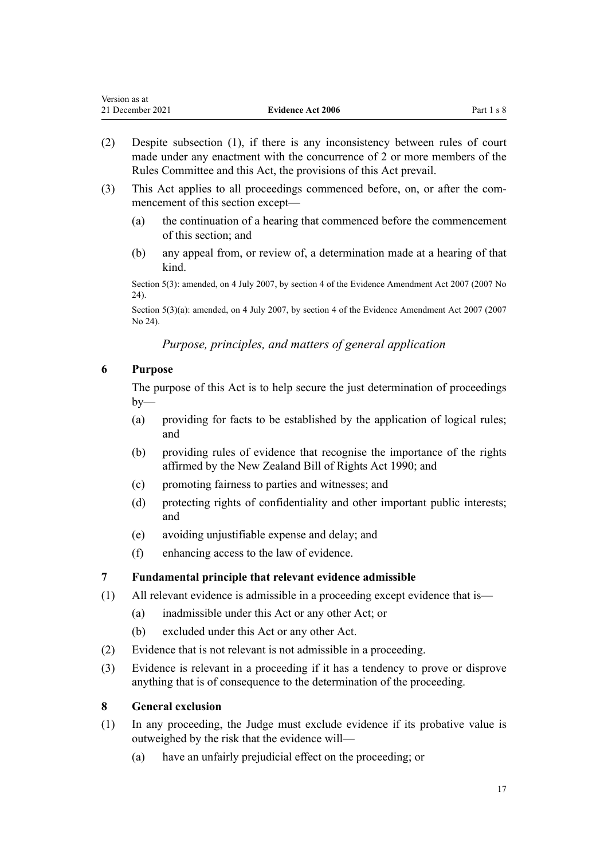<span id="page-16-0"></span>

| Version as at    |                          |            |
|------------------|--------------------------|------------|
| 21 December 2021 | <b>Evidence Act 2006</b> | Part 1 s 8 |

- (2) Despite subsection (1), if there is any inconsistency between rules of court made under any enactment with the concurrence of 2 or more members of the Rules Committee and this Act, the provisions of this Act prevail.
- (3) This Act applies to all proceedings commenced before, on, or after the commencement of this section except—
	- (a) the continuation of a hearing that commenced before the commencement of this section; and
	- (b) any appeal from, or review of, a determination made at a hearing of that kind.

Section 5(3): amended, on 4 July 2007, by [section 4](http://legislation.govt.nz/pdflink.aspx?id=DLM410018) of the Evidence Amendment Act 2007 (2007 No 24).

Section 5(3)(a): amended, on 4 July 2007, by [section 4](http://legislation.govt.nz/pdflink.aspx?id=DLM410018) of the Evidence Amendment Act 2007 (2007) No 24).

*Purpose, principles, and matters of general application*

#### **6 Purpose**

The purpose of this Act is to help secure the just determination of proceedings  $by-$ 

- (a) providing for facts to be established by the application of logical rules; and
- (b) providing rules of evidence that recognise the importance of the rights affirmed by the [New Zealand Bill of Rights Act 1990](http://legislation.govt.nz/pdflink.aspx?id=DLM224791); and
- (c) promoting fairness to parties and witnesses; and
- (d) protecting rights of confidentiality and other important public interests; and
- (e) avoiding unjustifiable expense and delay; and
- (f) enhancing access to the law of evidence.

### **7 Fundamental principle that relevant evidence admissible**

- (1) All relevant evidence is admissible in a proceeding except evidence that is—
	- (a) inadmissible under this Act or any other Act; or
	- (b) excluded under this Act or any other Act.
- (2) Evidence that is not relevant is not admissible in a proceeding.
- (3) Evidence is relevant in a proceeding if it has a tendency to prove or disprove anything that is of consequence to the determination of the proceeding.

### **8 General exclusion**

- (1) In any proceeding, the Judge must exclude evidence if its probative value is outweighed by the risk that the evidence will—
	- (a) have an unfairly prejudicial effect on the proceeding; or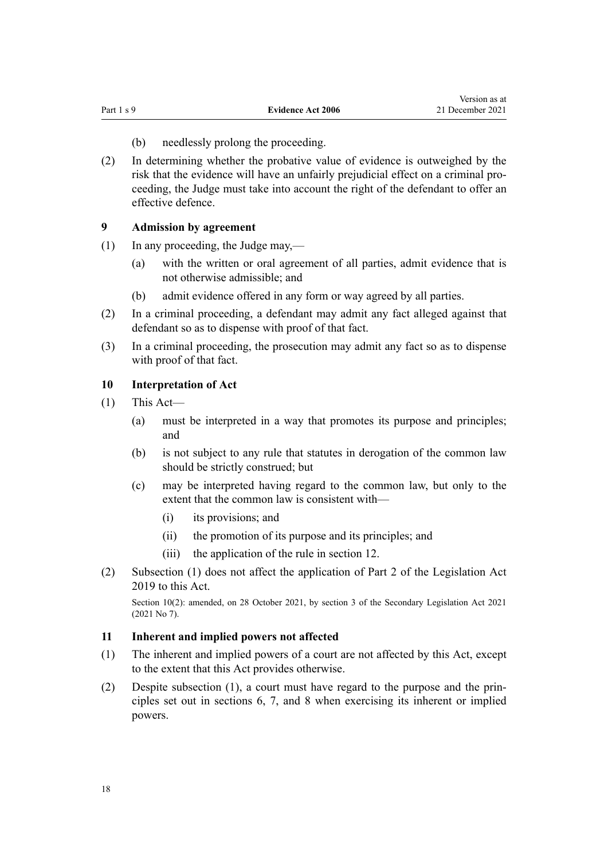- (b) needlessly prolong the proceeding.
- <span id="page-17-0"></span>(2) In determining whether the probative value of evidence is outweighed by the risk that the evidence will have an unfairly prejudicial effect on a criminal pro‐ ceeding, the Judge must take into account the right of the defendant to offer an effective defence.

### **9 Admission by agreement**

- (1) In any proceeding, the Judge may,—
	- (a) with the written or oral agreement of all parties, admit evidence that is not otherwise admissible; and
	- (b) admit evidence offered in any form or way agreed by all parties.
- (2) In a criminal proceeding, a defendant may admit any fact alleged against that defendant so as to dispense with proof of that fact.
- (3) In a criminal proceeding, the prosecution may admit any fact so as to dispense with proof of that fact.

### **10 Interpretation of Act**

- (1) This Act—
	- (a) must be interpreted in a way that promotes its purpose and principles; and
	- (b) is not subject to any rule that statutes in derogation of the common law should be strictly construed; but
	- (c) may be interpreted having regard to the common law, but only to the extent that the common law is consistent with—
		- (i) its provisions; and
		- (ii) the promotion of its purpose and its principles; and
		- (iii) the application of the rule in [section 12](#page-18-0).
- (2) Subsection (1) does not affect the application of [Part 2](http://legislation.govt.nz/pdflink.aspx?id=DLM7298188) of the Legislation Act 2019 to this Act.

Section 10(2): amended, on 28 October 2021, by [section 3](http://legislation.govt.nz/pdflink.aspx?id=LMS268932) of the Secondary Legislation Act 2021 (2021 No 7).

### **11 Inherent and implied powers not affected**

- (1) The inherent and implied powers of a court are not affected by this Act, except to the extent that this Act provides otherwise.
- (2) Despite subsection (1), a court must have regard to the purpose and the prin‐ ciples set out in [sections 6](#page-16-0), [7](#page-16-0), and [8](#page-16-0) when exercising its inherent or implied powers.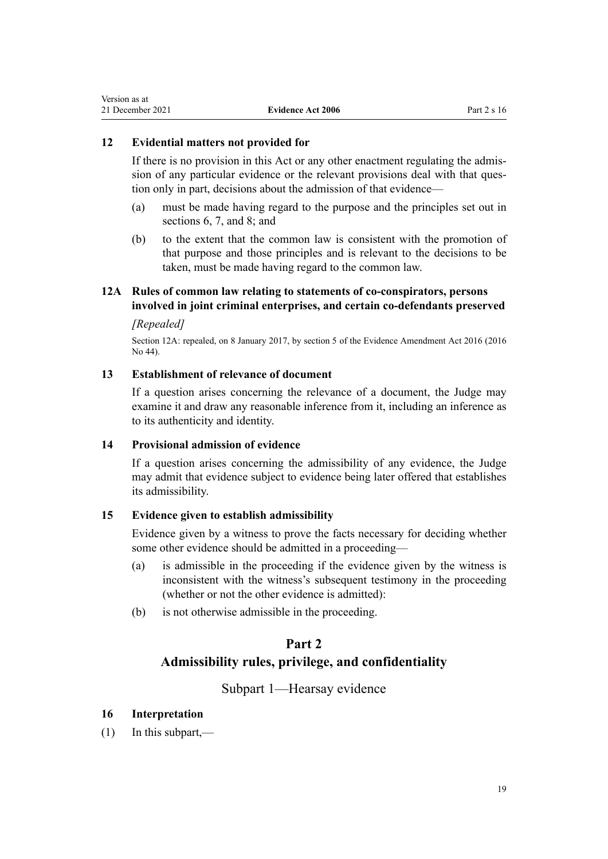### <span id="page-18-0"></span>**12 Evidential matters not provided for**

If there is no provision in this Act or any other enactment regulating the admis‐ sion of any particular evidence or the relevant provisions deal with that ques‐ tion only in part, decisions about the admission of that evidence—

- (a) must be made having regard to the purpose and the principles set out in [sections 6,](#page-16-0) [7](#page-16-0), and [8](#page-16-0); and
- (b) to the extent that the common law is consistent with the promotion of that purpose and those principles and is relevant to the decisions to be taken, must be made having regard to the common law.

# **12A Rules of common law relating to statements of co-conspirators, persons involved in joint criminal enterprises, and certain co-defendants preserved**

#### *[Repealed]*

Section 12A: repealed, on 8 January 2017, by [section 5](http://legislation.govt.nz/pdflink.aspx?id=DLM6488722) of the Evidence Amendment Act 2016 (2016 No 44).

# **13 Establishment of relevance of document**

If a question arises concerning the relevance of a document, the Judge may examine it and draw any reasonable inference from it, including an inference as to its authenticity and identity.

### **14 Provisional admission of evidence**

If a question arises concerning the admissibility of any evidence, the Judge may admit that evidence subject to evidence being later offered that establishes its admissibility.

### **15 Evidence given to establish admissibility**

Evidence given by a witness to prove the facts necessary for deciding whether some other evidence should be admitted in a proceeding—

- (a) is admissible in the proceeding if the evidence given by the witness is inconsistent with the witness's subsequent testimony in the proceeding (whether or not the other evidence is admitted):
- (b) is not otherwise admissible in the proceeding.

# **Part 2**

# **Admissibility rules, privilege, and confidentiality**

# Subpart 1—Hearsay evidence

# **16 Interpretation**

(1) In this subpart,—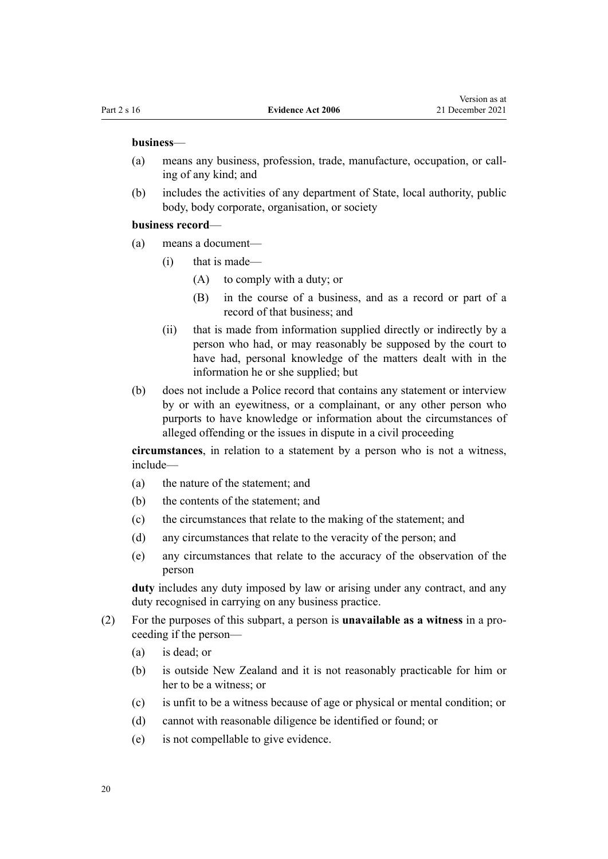#### **business**—

- (a) means any business, profession, trade, manufacture, occupation, or call‐ ing of any kind; and
- (b) includes the activities of any department of State, local authority, public body, body corporate, organisation, or society

### **business record**—

- (a) means a document—
	- (i) that is made—
		- (A) to comply with a duty; or
		- (B) in the course of a business, and as a record or part of a record of that business; and
	- (ii) that is made from information supplied directly or indirectly by a person who had, or may reasonably be supposed by the court to have had, personal knowledge of the matters dealt with in the information he or she supplied; but
- (b) does not include a Police record that contains any statement or interview by or with an eyewitness, or a complainant, or any other person who purports to have knowledge or information about the circumstances of alleged offending or the issues in dispute in a civil proceeding

**circumstances**, in relation to a statement by a person who is not a witness, include—

- (a) the nature of the statement; and
- (b) the contents of the statement; and
- (c) the circumstances that relate to the making of the statement; and
- (d) any circumstances that relate to the veracity of the person; and
- (e) any circumstances that relate to the accuracy of the observation of the person

**duty** includes any duty imposed by law or arising under any contract, and any duty recognised in carrying on any business practice.

- (2) For the purposes of this subpart, a person is **unavailable as a witness** in a pro‐ ceeding if the person—
	- (a) is dead; or
	- (b) is outside New Zealand and it is not reasonably practicable for him or her to be a witness; or
	- (c) is unfit to be a witness because of age or physical or mental condition; or
	- (d) cannot with reasonable diligence be identified or found; or
	- (e) is not compellable to give evidence.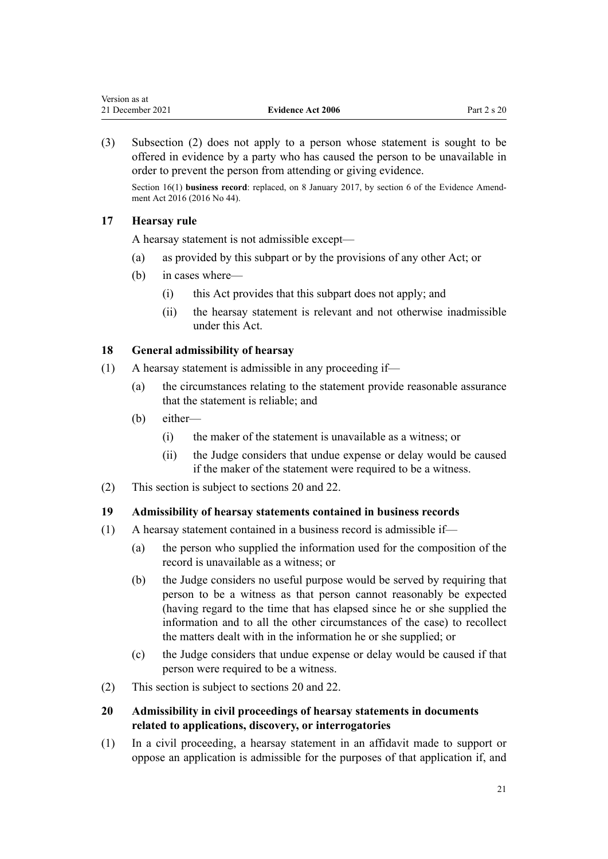<span id="page-20-0"></span>(3) Subsection (2) does not apply to a person whose statement is sought to be offered in evidence by a party who has caused the person to be unavailable in order to prevent the person from attending or giving evidence.

Section 16(1) **business record**: replaced, on 8 January 2017, by [section 6](http://legislation.govt.nz/pdflink.aspx?id=DLM6488723) of the Evidence Amendment Act 2016 (2016 No 44).

### **17 Hearsay rule**

A hearsay statement is not admissible except—

- (a) as provided by this subpart or by the provisions of any other Act; or
- (b) in cases where—
	- (i) this Act provides that this subpart does not apply; and
	- (ii) the hearsay statement is relevant and not otherwise inadmissible under this Act.

#### **18 General admissibility of hearsay**

- (1) A hearsay statement is admissible in any proceeding if—
	- (a) the circumstances relating to the statement provide reasonable assurance that the statement is reliable; and
	- (b) either—
		- (i) the maker of the statement is unavailable as a witness; or
		- (ii) the Judge considers that undue expense or delay would be caused if the maker of the statement were required to be a witness.
- (2) This section is subject to sections 20 and [22](#page-21-0).

# **19 Admissibility of hearsay statements contained in business records**

- (1) A hearsay statement contained in a business record is admissible if—
	- (a) the person who supplied the information used for the composition of the record is unavailable as a witness; or
	- (b) the Judge considers no useful purpose would be served by requiring that person to be a witness as that person cannot reasonably be expected (having regard to the time that has elapsed since he or she supplied the information and to all the other circumstances of the case) to recollect the matters dealt with in the information he or she supplied; or
	- (c) the Judge considers that undue expense or delay would be caused if that person were required to be a witness.
- (2) This section is subject to sections 20 and [22](#page-21-0).

# **20 Admissibility in civil proceedings of hearsay statements in documents related to applications, discovery, or interrogatories**

(1) In a civil proceeding, a hearsay statement in an affidavit made to support or oppose an application is admissible for the purposes of that application if, and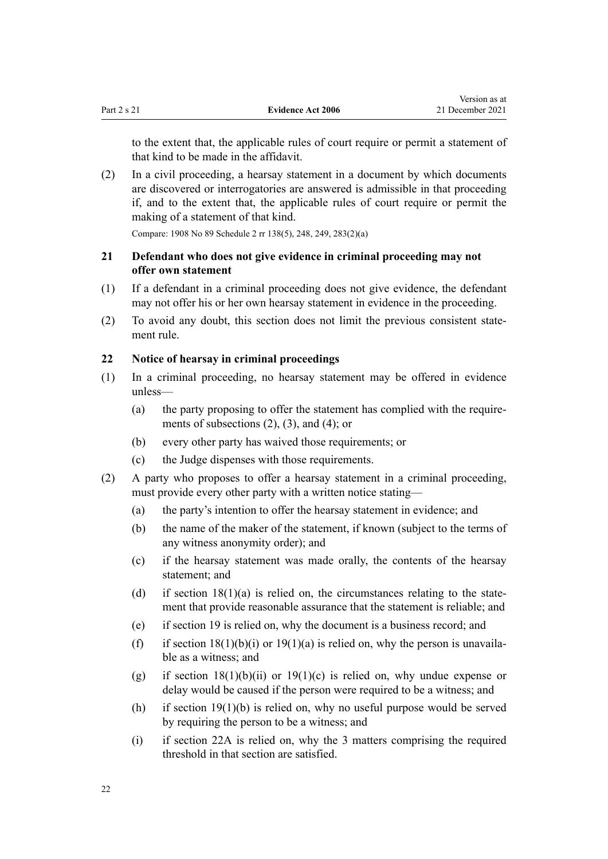<span id="page-21-0"></span>to the extent that, the applicable rules of court require or permit a statement of that kind to be made in the affidavit.

(2) In a civil proceeding, a hearsay statement in a document by which documents are discovered or interrogatories are answered is admissible in that proceeding if, and to the extent that, the applicable rules of court require or permit the making of a statement of that kind.

Compare: 1908 No 89 Schedule 2 rr 138(5), 248, 249, 283(2)(a)

# **21 Defendant who does not give evidence in criminal proceeding may not offer own statement**

- (1) If a defendant in a criminal proceeding does not give evidence, the defendant may not offer his or her own hearsay statement in evidence in the proceeding.
- (2) To avoid any doubt, this section does not limit the previous consistent state‐ ment rule.

### **22 Notice of hearsay in criminal proceedings**

- (1) In a criminal proceeding, no hearsay statement may be offered in evidence unless—
	- (a) the party proposing to offer the statement has complied with the requirements of subsections (2), (3), and (4); or
	- (b) every other party has waived those requirements; or
	- (c) the Judge dispenses with those requirements.
- (2) A party who proposes to offer a hearsay statement in a criminal proceeding, must provide every other party with a written notice stating—
	- (a) the party's intention to offer the hearsay statement in evidence; and
	- (b) the name of the maker of the statement, if known (subject to the terms of any witness anonymity order); and
	- (c) if the hearsay statement was made orally, the contents of the hearsay statement; and
	- (d) if section  $18(1)(a)$  is relied on, the circumstances relating to the statement that provide reasonable assurance that the statement is reliable; and
	- (e) if [section 19](#page-20-0) is relied on, why the document is a business record; and
	- (f) if section  $18(1)(b)(i)$  or  $19(1)(a)$  is relied on, why the person is unavailable as a witness; and
	- (g) if section  $18(1)(b)(ii)$  or  $19(1)(c)$  is relied on, why undue expense or delay would be caused if the person were required to be a witness; and
	- (h) if section  $19(1)(b)$  is relied on, why no useful purpose would be served by requiring the person to be a witness; and
	- (i) if [section 22A](#page-22-0) is relied on, why the 3 matters comprising the required threshold in that section are satisfied.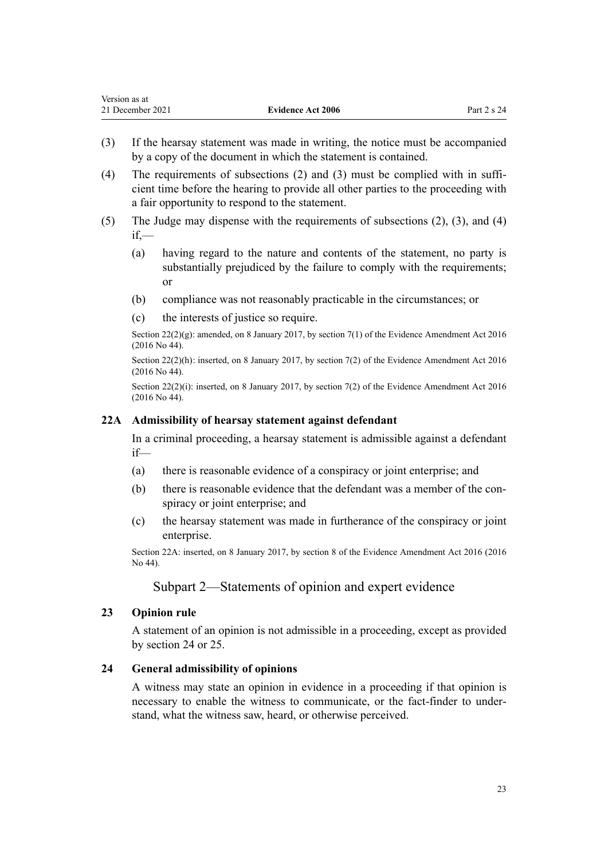<span id="page-22-0"></span>

| Version as at    |                          |             |
|------------------|--------------------------|-------------|
| 21 December 2021 | <b>Evidence Act 2006</b> | Part 2 s 24 |

- (3) If the hearsay statement was made in writing, the notice must be accompanied by a copy of the document in which the statement is contained.
- (4) The requirements of subsections (2) and (3) must be complied with in sufficient time before the hearing to provide all other parties to the proceeding with a fair opportunity to respond to the statement.
- (5) The Judge may dispense with the requirements of subsections (2), (3), and (4) if,—
	- (a) having regard to the nature and contents of the statement, no party is substantially prejudiced by the failure to comply with the requirements; or
	- (b) compliance was not reasonably practicable in the circumstances; or
	- (c) the interests of justice so require.

Section 22(2)(g): amended, on 8 January 2017, by [section 7\(1\)](http://legislation.govt.nz/pdflink.aspx?id=DLM6488727) of the Evidence Amendment Act 2016 (2016 No 44).

Section 22(2)(h): inserted, on 8 January 2017, by [section 7\(2\)](http://legislation.govt.nz/pdflink.aspx?id=DLM6488727) of the Evidence Amendment Act 2016 (2016 No 44).

Section 22(2)(i): inserted, on 8 January 2017, by [section 7\(2\)](http://legislation.govt.nz/pdflink.aspx?id=DLM6488727) of the Evidence Amendment Act 2016 (2016 No 44).

# **22A Admissibility of hearsay statement against defendant**

In a criminal proceeding, a hearsay statement is admissible against a defendant if—

- (a) there is reasonable evidence of a conspiracy or joint enterprise; and
- (b) there is reasonable evidence that the defendant was a member of the conspiracy or joint enterprise; and
- (c) the hearsay statement was made in furtherance of the conspiracy or joint enterprise.

Section 22A: inserted, on 8 January 2017, by [section 8](http://legislation.govt.nz/pdflink.aspx?id=DLM6488728) of the Evidence Amendment Act 2016 (2016 No 44).

# Subpart 2—Statements of opinion and expert evidence

# **23 Opinion rule**

A statement of an opinion is not admissible in a proceeding, except as provided by section 24 or [25](#page-23-0).

### **24 General admissibility of opinions**

A witness may state an opinion in evidence in a proceeding if that opinion is necessary to enable the witness to communicate, or the fact-finder to under‐ stand, what the witness saw, heard, or otherwise perceived.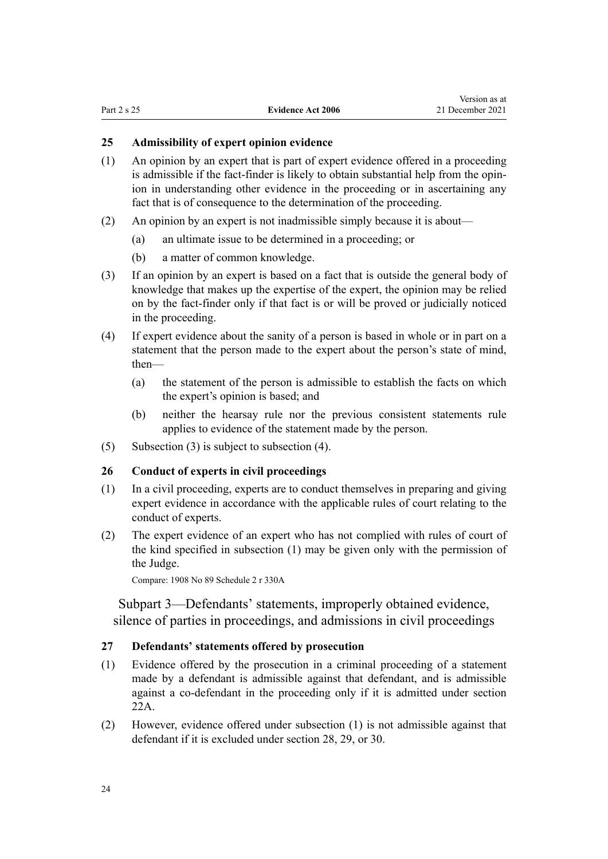# <span id="page-23-0"></span>**25 Admissibility of expert opinion evidence**

- (1) An opinion by an expert that is part of expert evidence offered in a proceeding is admissible if the fact-finder is likely to obtain substantial help from the opin‐ ion in understanding other evidence in the proceeding or in ascertaining any fact that is of consequence to the determination of the proceeding.
- (2) An opinion by an expert is not inadmissible simply because it is about—
	- (a) an ultimate issue to be determined in a proceeding; or
	- (b) a matter of common knowledge.
- (3) If an opinion by an expert is based on a fact that is outside the general body of knowledge that makes up the expertise of the expert, the opinion may be relied on by the fact-finder only if that fact is or will be proved or judicially noticed in the proceeding.
- (4) If expert evidence about the sanity of a person is based in whole or in part on a statement that the person made to the expert about the person's state of mind, then—
	- (a) the statement of the person is admissible to establish the facts on which the expert's opinion is based; and
	- (b) neither the hearsay rule nor the previous consistent statements rule applies to evidence of the statement made by the person.
- (5) Subsection (3) is subject to subsection (4).

### **26 Conduct of experts in civil proceedings**

- (1) In a civil proceeding, experts are to conduct themselves in preparing and giving expert evidence in accordance with the applicable rules of court relating to the conduct of experts.
- (2) The expert evidence of an expert who has not complied with rules of court of the kind specified in subsection (1) may be given only with the permission of the Judge.

```
Compare: 1908 No 89 Schedule 2 r 330A
```
Subpart 3—Defendants' statements, improperly obtained evidence, silence of parties in proceedings, and admissions in civil proceedings

# **27 Defendants' statements offered by prosecution**

- (1) Evidence offered by the prosecution in a criminal proceeding of a statement made by a defendant is admissible against that defendant, and is admissible against a co-defendant in the proceeding only if it is admitted under [section](#page-22-0) [22A](#page-22-0).
- (2) However, evidence offered under subsection (1) is not admissible against that defendant if it is excluded under [section 28,](#page-24-0) [29,](#page-25-0) or [30](#page-25-0).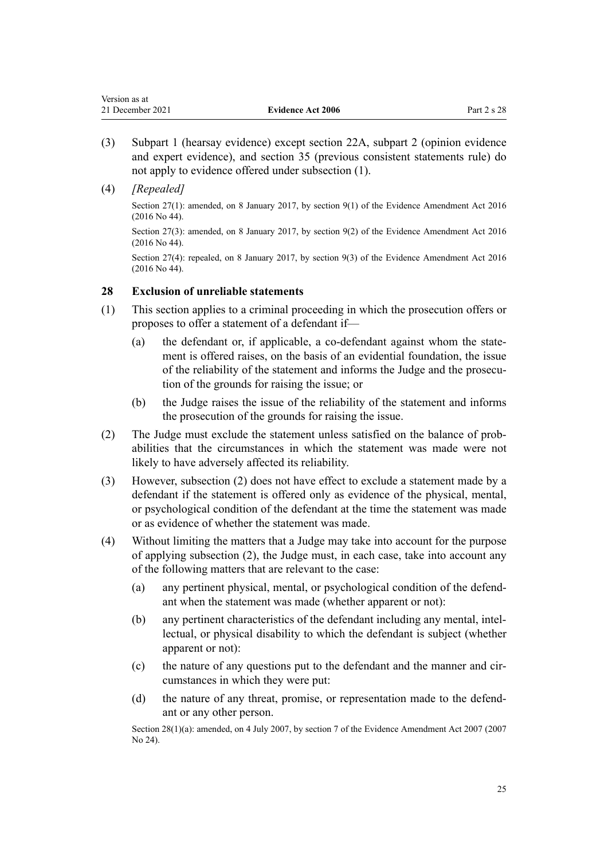- <span id="page-24-0"></span>(3) [Subpart 1](#page-18-0) (hearsay evidence) except [section 22A,](#page-22-0) [subpart 2](#page-22-0) (opinion evidence and expert evidence), and [section 35](#page-28-0) (previous consistent statements rule) do not apply to evidence offered under subsection (1).
- (4) *[Repealed]*

Section 27(1): amended, on 8 January 2017, by [section 9\(1\)](http://legislation.govt.nz/pdflink.aspx?id=DLM6488730) of the Evidence Amendment Act 2016 (2016 No 44).

Section 27(3): amended, on 8 January 2017, by [section 9\(2\)](http://legislation.govt.nz/pdflink.aspx?id=DLM6488730) of the Evidence Amendment Act 2016 (2016 No 44).

Section 27(4): repealed, on 8 January 2017, by [section 9\(3\)](http://legislation.govt.nz/pdflink.aspx?id=DLM6488730) of the Evidence Amendment Act 2016 (2016 No 44).

# **28 Exclusion of unreliable statements**

- (1) This section applies to a criminal proceeding in which the prosecution offers or proposes to offer a statement of a defendant if—
	- (a) the defendant or, if applicable, a co-defendant against whom the statement is offered raises, on the basis of an evidential foundation, the issue of the reliability of the statement and informs the Judge and the prosecu‐ tion of the grounds for raising the issue; or
	- (b) the Judge raises the issue of the reliability of the statement and informs the prosecution of the grounds for raising the issue.
- (2) The Judge must exclude the statement unless satisfied on the balance of prob‐ abilities that the circumstances in which the statement was made were not likely to have adversely affected its reliability.
- (3) However, subsection (2) does not have effect to exclude a statement made by a defendant if the statement is offered only as evidence of the physical, mental, or psychological condition of the defendant at the time the statement was made or as evidence of whether the statement was made.
- (4) Without limiting the matters that a Judge may take into account for the purpose of applying subsection (2), the Judge must, in each case, take into account any of the following matters that are relevant to the case:
	- (a) any pertinent physical, mental, or psychological condition of the defend‐ ant when the statement was made (whether apparent or not):
	- (b) any pertinent characteristics of the defendant including any mental, intel‐ lectual, or physical disability to which the defendant is subject (whether apparent or not):
	- (c) the nature of any questions put to the defendant and the manner and cir‐ cumstances in which they were put:
	- (d) the nature of any threat, promise, or representation made to the defend‐ ant or any other person.

Section 28(1)(a): amended, on 4 July 2007, by [section 7](http://legislation.govt.nz/pdflink.aspx?id=DLM410023) of the Evidence Amendment Act 2007 (2007 No 24).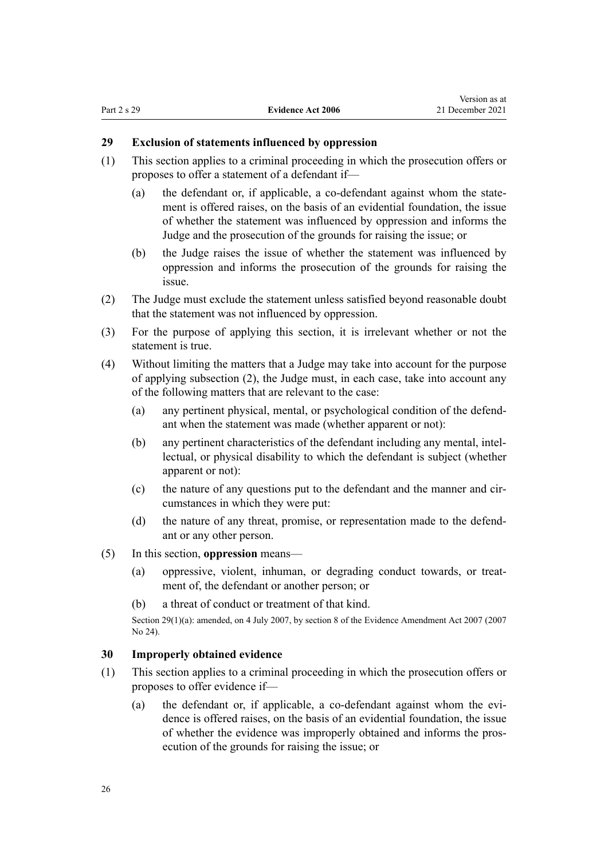Version as at

# <span id="page-25-0"></span>**29 Exclusion of statements influenced by oppression**

- (1) This section applies to a criminal proceeding in which the prosecution offers or proposes to offer a statement of a defendant if—
	- (a) the defendant or, if applicable, a co-defendant against whom the statement is offered raises, on the basis of an evidential foundation, the issue of whether the statement was influenced by oppression and informs the Judge and the prosecution of the grounds for raising the issue; or
	- (b) the Judge raises the issue of whether the statement was influenced by oppression and informs the prosecution of the grounds for raising the issue.
- (2) The Judge must exclude the statement unless satisfied beyond reasonable doubt that the statement was not influenced by oppression.
- (3) For the purpose of applying this section, it is irrelevant whether or not the statement is true.
- (4) Without limiting the matters that a Judge may take into account for the purpose of applying subsection (2), the Judge must, in each case, take into account any of the following matters that are relevant to the case:
	- (a) any pertinent physical, mental, or psychological condition of the defend‐ ant when the statement was made (whether apparent or not):
	- (b) any pertinent characteristics of the defendant including any mental, intel‐ lectual, or physical disability to which the defendant is subject (whether apparent or not):
	- (c) the nature of any questions put to the defendant and the manner and circumstances in which they were put:
	- (d) the nature of any threat, promise, or representation made to the defendant or any other person.
- (5) In this section, **oppression** means—
	- (a) oppressive, violent, inhuman, or degrading conduct towards, or treat‐ ment of, the defendant or another person; or
	- (b) a threat of conduct or treatment of that kind.

Section 29(1)(a): amended, on 4 July 2007, by [section 8](http://legislation.govt.nz/pdflink.aspx?id=DLM410024) of the Evidence Amendment Act 2007 (2007 No 24).

### **30 Improperly obtained evidence**

- (1) This section applies to a criminal proceeding in which the prosecution offers or proposes to offer evidence if—
	- (a) the defendant or, if applicable, a co-defendant against whom the evidence is offered raises, on the basis of an evidential foundation, the issue of whether the evidence was improperly obtained and informs the pros‐ ecution of the grounds for raising the issue; or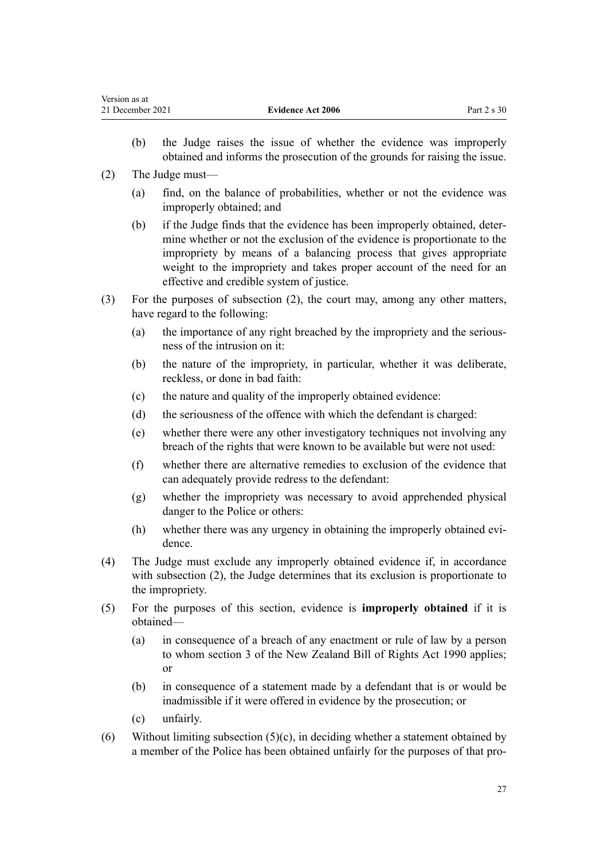| (2)                                  | The Judge must- |                                                                                                                                                                                                                                                                                                                                                    |
|--------------------------------------|-----------------|----------------------------------------------------------------------------------------------------------------------------------------------------------------------------------------------------------------------------------------------------------------------------------------------------------------------------------------------------|
|                                      | (a)             | find, on the balance of probabilities, whether or not the evidence was<br>improperly obtained; and                                                                                                                                                                                                                                                 |
|                                      | (b)             | if the Judge finds that the evidence has been improperly obtained, deter-<br>mine whether or not the exclusion of the evidence is proportionate to the<br>impropriety by means of a balancing process that gives appropriate<br>weight to the impropriety and takes proper account of the need for an<br>effective and credible system of justice. |
| (3)<br>have regard to the following: |                 | For the purposes of subsection (2), the court may, among any other matters,                                                                                                                                                                                                                                                                        |
|                                      | (a)             | the importance of any right breached by the impropriety and the serious-<br>ness of the intrusion on it:                                                                                                                                                                                                                                           |
|                                      | (b)             | the nature of the impropriety, in particular, whether it was deliberate,<br>reckless, or done in bad faith:                                                                                                                                                                                                                                        |
|                                      | (c)             | the nature and quality of the improperly obtained evidence:                                                                                                                                                                                                                                                                                        |
|                                      | (d)             | the seriousness of the offence with which the defendant is charged:                                                                                                                                                                                                                                                                                |
|                                      | (e)             | whether there were any other investigatory techniques not involving any<br>breach of the rights that were known to be available but were not used:                                                                                                                                                                                                 |

- (f) whether there are alternative remedies to exclusion of the evidence that can adequately provide redress to the defendant:
- (g) whether the impropriety was necessary to avoid apprehended physical danger to the Police or others:
- (h) whether there was any urgency in obtaining the improperly obtained evidence.
- (4) The Judge must exclude any improperly obtained evidence if, in accordance with subsection (2), the Judge determines that its exclusion is proportionate to the impropriety.
- (5) For the purposes of this section, evidence is **improperly obtained** if it is obtained—
	- (a) in consequence of a breach of any enactment or rule of law by a person to whom [section 3](http://legislation.govt.nz/pdflink.aspx?id=DLM224799) of the New Zealand Bill of Rights Act 1990 applies; or
	- (b) in consequence of a statement made by a defendant that is or would be inadmissible if it were offered in evidence by the prosecution; or
	- (c) unfairly.

Version as at

(6) Without limiting subsection  $(5)(c)$ , in deciding whether a statement obtained by a member of the Police has been obtained unfairly for the purposes of that pro‐

(b) the Judge raises the issue of whether the evidence was improperly

obtained and informs the prosecution of the grounds for raising the issue.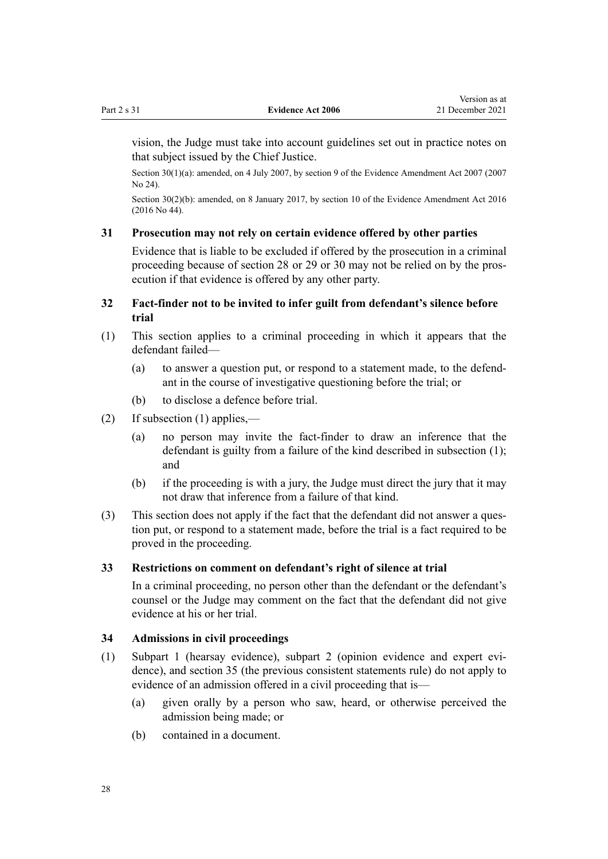<span id="page-27-0"></span>vision, the Judge must take into account guidelines set out in practice notes on that subject issued by the Chief Justice.

Section 30(1)(a): amended, on 4 July 2007, by [section 9](http://legislation.govt.nz/pdflink.aspx?id=DLM410025) of the Evidence Amendment Act 2007 (2007) No 24).

Section 30(2)(b): amended, on 8 January 2017, by [section 10](http://legislation.govt.nz/pdflink.aspx?id=DLM6488731) of the Evidence Amendment Act 2016 (2016 No 44).

### **31 Prosecution may not rely on certain evidence offered by other parties**

Evidence that is liable to be excluded if offered by the prosecution in a criminal proceeding because of [section 28](#page-24-0) or [29](#page-25-0) or [30](#page-25-0) may not be relied on by the pros‐ ecution if that evidence is offered by any other party.

# **32 Fact-finder not to be invited to infer guilt from defendant's silence before trial**

- (1) This section applies to a criminal proceeding in which it appears that the defendant failed—
	- (a) to answer a question put, or respond to a statement made, to the defend‐ ant in the course of investigative questioning before the trial; or
	- (b) to disclose a defence before trial.
- (2) If subsection (1) applies,—
	- (a) no person may invite the fact-finder to draw an inference that the defendant is guilty from a failure of the kind described in subsection (1); and
	- (b) if the proceeding is with a jury, the Judge must direct the jury that it may not draw that inference from a failure of that kind.
- (3) This section does not apply if the fact that the defendant did not answer a ques‐ tion put, or respond to a statement made, before the trial is a fact required to be proved in the proceeding.

#### **33 Restrictions on comment on defendant's right of silence at trial**

In a criminal proceeding, no person other than the defendant or the defendant's counsel or the Judge may comment on the fact that the defendant did not give evidence at his or her trial.

#### **34 Admissions in civil proceedings**

- (1) [Subpart 1](#page-18-0) (hearsay evidence), [subpart 2](#page-22-0) (opinion evidence and expert evi‐ dence), and [section 35](#page-28-0) (the previous consistent statements rule) do not apply to evidence of an admission offered in a civil proceeding that is—
	- (a) given orally by a person who saw, heard, or otherwise perceived the admission being made; or
	- (b) contained in a document.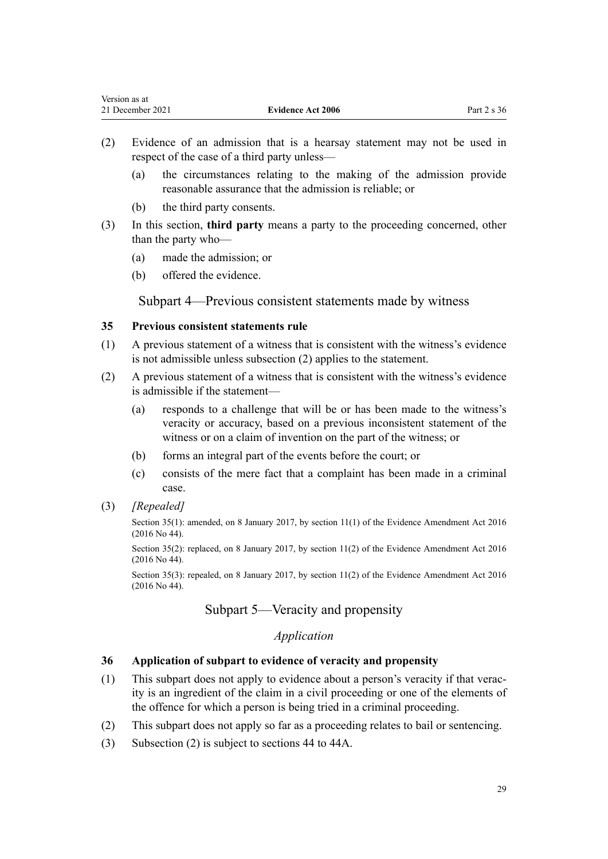- <span id="page-28-0"></span>(2) Evidence of an admission that is a hearsay statement may not be used in respect of the case of a third party unless—
	- (a) the circumstances relating to the making of the admission provide reasonable assurance that the admission is reliable; or
	- (b) the third party consents.
- (3) In this section, **third party** means a party to the proceeding concerned, other than the party who—
	- (a) made the admission; or
	- (b) offered the evidence.

Subpart 4—Previous consistent statements made by witness

# **35 Previous consistent statements rule**

- (1) A previous statement of a witness that is consistent with the witness's evidence is not admissible unless subsection (2) applies to the statement.
- (2) A previous statement of a witness that is consistent with the witness's evidence is admissible if the statement—
	- (a) responds to a challenge that will be or has been made to the witness's veracity or accuracy, based on a previous inconsistent statement of the witness or on a claim of invention on the part of the witness; or
	- (b) forms an integral part of the events before the court; or
	- (c) consists of the mere fact that a complaint has been made in a criminal case.
- (3) *[Repealed]*

Section 35(1): amended, on 8 January 2017, by [section 11\(1\)](http://legislation.govt.nz/pdflink.aspx?id=DLM6488732) of the Evidence Amendment Act 2016 (2016 No 44).

Section 35(2): replaced, on 8 January 2017, by [section 11\(2\)](http://legislation.govt.nz/pdflink.aspx?id=DLM6488732) of the Evidence Amendment Act 2016 (2016 No 44).

Section 35(3): repealed, on 8 January 2017, by [section 11\(2\)](http://legislation.govt.nz/pdflink.aspx?id=DLM6488732) of the Evidence Amendment Act 2016 (2016 No 44).

# Subpart 5—Veracity and propensity

# *Application*

### **36 Application of subpart to evidence of veracity and propensity**

- (1) This subpart does not apply to evidence about a person's veracity if that verac‐ ity is an ingredient of the claim in a civil proceeding or one of the elements of the offence for which a person is being tried in a criminal proceeding.
- (2) This subpart does not apply so far as a proceeding relates to bail or sentencing.
- (3) Subsection (2) is subject to [sections 44 to 44A.](#page-33-0)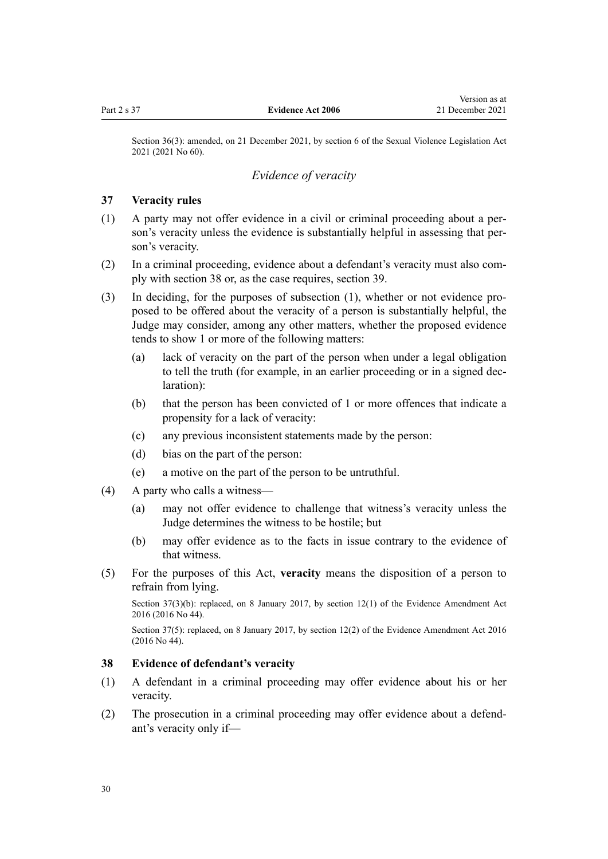<span id="page-29-0"></span>Section 36(3): amended, on 21 December 2021, by [section 6](http://legislation.govt.nz/pdflink.aspx?id=LMS268257) of the Sexual Violence Legislation Act 2021 (2021 No 60).

# *Evidence of veracity*

### **37 Veracity rules**

- (1) A party may not offer evidence in a civil or criminal proceeding about a per‐ son's veracity unless the evidence is substantially helpful in assessing that person's veracity.
- (2) In a criminal proceeding, evidence about a defendant's veracity must also com‐ ply with section 38 or, as the case requires, [section 39.](#page-30-0)
- (3) In deciding, for the purposes of subsection (1), whether or not evidence pro‐ posed to be offered about the veracity of a person is substantially helpful, the Judge may consider, among any other matters, whether the proposed evidence tends to show 1 or more of the following matters:
	- (a) lack of veracity on the part of the person when under a legal obligation to tell the truth (for example, in an earlier proceeding or in a signed dec‐ laration):
	- (b) that the person has been convicted of 1 or more offences that indicate a propensity for a lack of veracity:
	- (c) any previous inconsistent statements made by the person:
	- (d) bias on the part of the person:
	- (e) a motive on the part of the person to be untruthful.
- (4) A party who calls a witness—
	- (a) may not offer evidence to challenge that witness's veracity unless the Judge determines the witness to be hostile; but
	- (b) may offer evidence as to the facts in issue contrary to the evidence of that witness.
- (5) For the purposes of this Act, **veracity** means the disposition of a person to refrain from lying.

Section 37(3)(b): replaced, on 8 January 2017, by [section 12\(1\)](http://legislation.govt.nz/pdflink.aspx?id=DLM6488733) of the Evidence Amendment Act 2016 (2016 No 44).

Section 37(5): replaced, on 8 January 2017, by [section 12\(2\)](http://legislation.govt.nz/pdflink.aspx?id=DLM6488733) of the Evidence Amendment Act 2016 (2016 No 44).

### **38 Evidence of defendant's veracity**

- (1) A defendant in a criminal proceeding may offer evidence about his or her veracity.
- (2) The prosecution in a criminal proceeding may offer evidence about a defend‐ ant's veracity only if—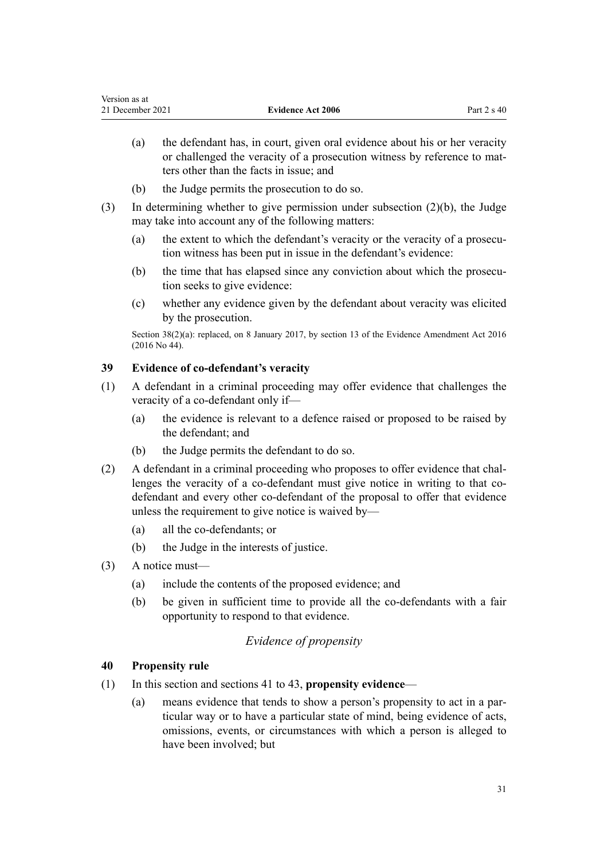- <span id="page-30-0"></span>(a) the defendant has, in court, given oral evidence about his or her veracity or challenged the veracity of a prosecution witness by reference to mat‐ ters other than the facts in issue; and
- (b) the Judge permits the prosecution to do so.
- (3) In determining whether to give permission under subsection (2)(b), the Judge may take into account any of the following matters:
	- (a) the extent to which the defendant's veracity or the veracity of a prosecution witness has been put in issue in the defendant's evidence:
	- (b) the time that has elapsed since any conviction about which the prosecution seeks to give evidence:
	- (c) whether any evidence given by the defendant about veracity was elicited by the prosecution.

Section 38(2)(a): replaced, on 8 January 2017, by [section 13](http://legislation.govt.nz/pdflink.aspx?id=DLM6488735) of the Evidence Amendment Act 2016 (2016 No 44).

# **39 Evidence of co-defendant's veracity**

- (1) A defendant in a criminal proceeding may offer evidence that challenges the veracity of a co-defendant only if—
	- (a) the evidence is relevant to a defence raised or proposed to be raised by the defendant; and
	- (b) the Judge permits the defendant to do so.
- (2) A defendant in a criminal proceeding who proposes to offer evidence that challenges the veracity of a co-defendant must give notice in writing to that codefendant and every other co-defendant of the proposal to offer that evidence unless the requirement to give notice is waived by—
	- (a) all the co-defendants; or
	- (b) the Judge in the interests of justice.
- (3) A notice must—
	- (a) include the contents of the proposed evidence; and
	- (b) be given in sufficient time to provide all the co-defendants with a fair opportunity to respond to that evidence.

# *Evidence of propensity*

### **40 Propensity rule**

- (1) In this section and [sections 41 to 43,](#page-31-0) **propensity evidence**
	- (a) means evidence that tends to show a person's propensity to act in a par‐ ticular way or to have a particular state of mind, being evidence of acts, omissions, events, or circumstances with which a person is alleged to have been involved; but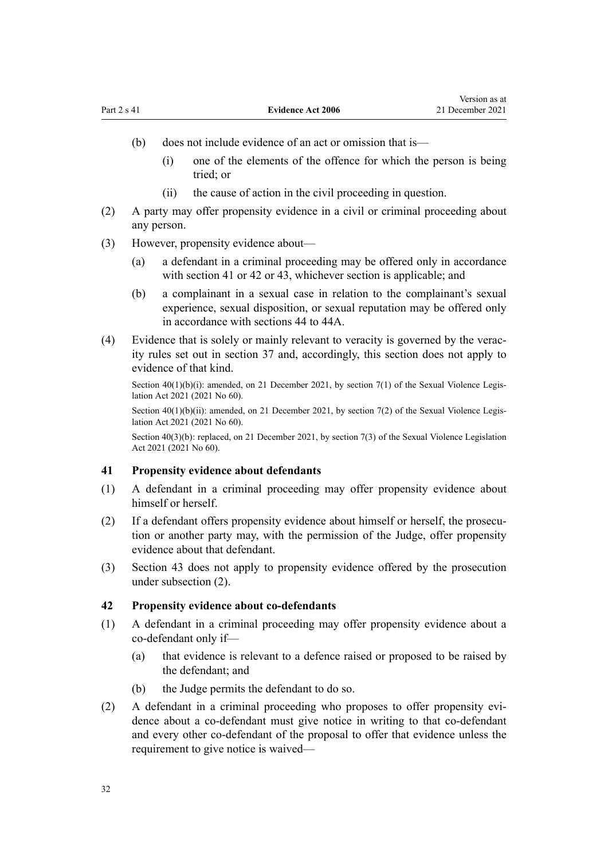- <span id="page-31-0"></span>(b) does not include evidence of an act or omission that is—
	- (i) one of the elements of the offence for which the person is being tried; or
	- (ii) the cause of action in the civil proceeding in question.
- (2) A party may offer propensity evidence in a civil or criminal proceeding about any person.
- (3) However, propensity evidence about—
	- (a) a defendant in a criminal proceeding may be offered only in accordance with section 41 or 42 or [43](#page-32-0), whichever section is applicable; and
	- (b) a complainant in a sexual case in relation to the complainant's sexual experience, sexual disposition, or sexual reputation may be offered only in accordance with [sections 44 to 44A.](#page-33-0)
- (4) Evidence that is solely or mainly relevant to veracity is governed by the verac‐ ity rules set out in [section 37](#page-29-0) and, accordingly, this section does not apply to evidence of that kind.

Section 40(1)(b)(i): amended, on 21 December 2021, by [section 7\(1\)](http://legislation.govt.nz/pdflink.aspx?id=LMS268259) of the Sexual Violence Legislation Act 2021 (2021 No 60).

Section 40(1)(b)(ii): amended, on 21 December 2021, by [section 7\(2\)](http://legislation.govt.nz/pdflink.aspx?id=LMS268259) of the Sexual Violence Legislation Act 2021 (2021 No 60).

Section 40(3)(b): replaced, on 21 December 2021, by [section 7\(3\)](http://legislation.govt.nz/pdflink.aspx?id=LMS268259) of the Sexual Violence Legislation Act 2021 (2021 No 60).

### **41 Propensity evidence about defendants**

- (1) A defendant in a criminal proceeding may offer propensity evidence about himself or herself.
- (2) If a defendant offers propensity evidence about himself or herself, the prosecu‐ tion or another party may, with the permission of the Judge, offer propensity evidence about that defendant.
- (3) [Section 43](#page-32-0) does not apply to propensity evidence offered by the prosecution under subsection (2).

#### **42 Propensity evidence about co-defendants**

- (1) A defendant in a criminal proceeding may offer propensity evidence about a co-defendant only if—
	- (a) that evidence is relevant to a defence raised or proposed to be raised by the defendant; and
	- (b) the Judge permits the defendant to do so.
- (2) A defendant in a criminal proceeding who proposes to offer propensity evidence about a co-defendant must give notice in writing to that co-defendant and every other co-defendant of the proposal to offer that evidence unless the requirement to give notice is waived—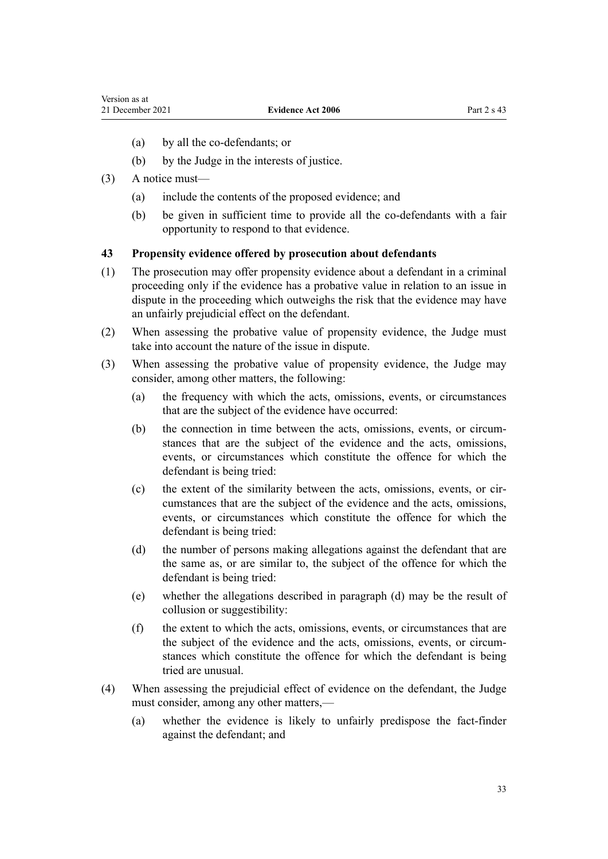- <span id="page-32-0"></span>(a) by all the co-defendants; or
- (b) by the Judge in the interests of justice.
- (3) A notice must—
	- (a) include the contents of the proposed evidence; and
	- (b) be given in sufficient time to provide all the co-defendants with a fair opportunity to respond to that evidence.

#### **43 Propensity evidence offered by prosecution about defendants**

- (1) The prosecution may offer propensity evidence about a defendant in a criminal proceeding only if the evidence has a probative value in relation to an issue in dispute in the proceeding which outweighs the risk that the evidence may have an unfairly prejudicial effect on the defendant.
- (2) When assessing the probative value of propensity evidence, the Judge must take into account the nature of the issue in dispute.
- (3) When assessing the probative value of propensity evidence, the Judge may consider, among other matters, the following:
	- (a) the frequency with which the acts, omissions, events, or circumstances that are the subject of the evidence have occurred:
	- (b) the connection in time between the acts, omissions, events, or circumstances that are the subject of the evidence and the acts, omissions, events, or circumstances which constitute the offence for which the defendant is being tried:
	- (c) the extent of the similarity between the acts, omissions, events, or circumstances that are the subject of the evidence and the acts, omissions, events, or circumstances which constitute the offence for which the defendant is being tried:
	- (d) the number of persons making allegations against the defendant that are the same as, or are similar to, the subject of the offence for which the defendant is being tried:
	- (e) whether the allegations described in paragraph (d) may be the result of collusion or suggestibility:
	- (f) the extent to which the acts, omissions, events, or circumstances that are the subject of the evidence and the acts, omissions, events, or circum‐ stances which constitute the offence for which the defendant is being tried are unusual.
- (4) When assessing the prejudicial effect of evidence on the defendant, the Judge must consider, among any other matters,—
	- (a) whether the evidence is likely to unfairly predispose the fact-finder against the defendant; and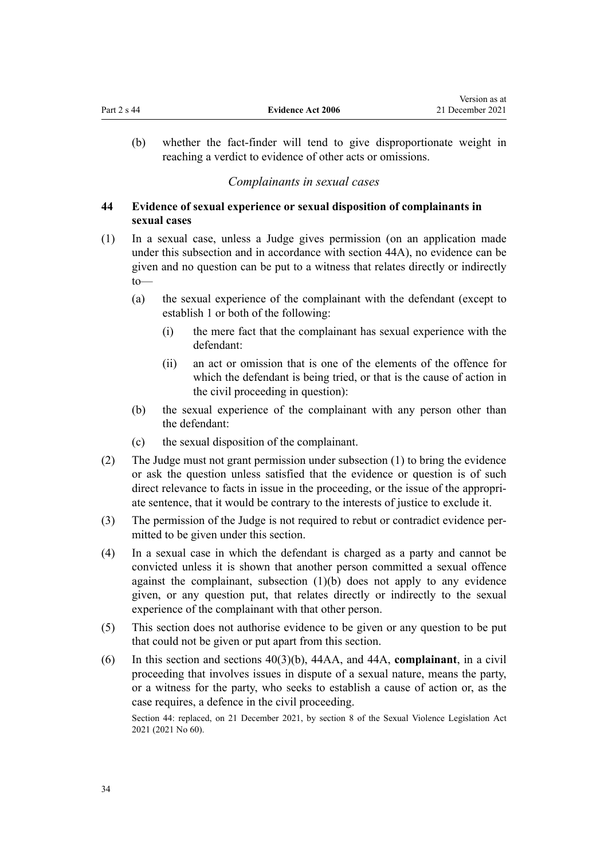<span id="page-33-0"></span>

|             |                          | Version as at    |
|-------------|--------------------------|------------------|
| Part 2 s 44 | <b>Evidence Act 2006</b> | 21 December 2021 |

(b) whether the fact-finder will tend to give disproportionate weight in reaching a verdict to evidence of other acts or omissions.

# *Complainants in sexual cases*

# **44 Evidence of sexual experience or sexual disposition of complainants in sexual cases**

- (1) In a sexual case, unless a Judge gives permission (on an application made under this subsection and in accordance with [section 44A](#page-34-0)), no evidence can be given and no question can be put to a witness that relates directly or indirectly to—
	- (a) the sexual experience of the complainant with the defendant (except to establish 1 or both of the following:
		- (i) the mere fact that the complainant has sexual experience with the defendant:
		- (ii) an act or omission that is one of the elements of the offence for which the defendant is being tried, or that is the cause of action in the civil proceeding in question):
	- (b) the sexual experience of the complainant with any person other than the defendant:
	- (c) the sexual disposition of the complainant.
- (2) The Judge must not grant permission under subsection (1) to bring the evidence or ask the question unless satisfied that the evidence or question is of such direct relevance to facts in issue in the proceeding, or the issue of the appropriate sentence, that it would be contrary to the interests of justice to exclude it.
- (3) The permission of the Judge is not required to rebut or contradict evidence per‐ mitted to be given under this section.
- (4) In a sexual case in which the defendant is charged as a party and cannot be convicted unless it is shown that another person committed a sexual offence against the complainant, subsection  $(1)(b)$  does not apply to any evidence given, or any question put, that relates directly or indirectly to the sexual experience of the complainant with that other person.
- (5) This section does not authorise evidence to be given or any question to be put that could not be given or put apart from this section.
- (6) In this section and [sections 40\(3\)\(b\)](#page-30-0), [44AA](#page-34-0), and [44A,](#page-34-0) **complainant**, in a civil proceeding that involves issues in dispute of a sexual nature, means the party, or a witness for the party, who seeks to establish a cause of action or, as the case requires, a defence in the civil proceeding.

Section 44: replaced, on 21 December 2021, by [section 8](http://legislation.govt.nz/pdflink.aspx?id=LMS268266) of the Sexual Violence Legislation Act 2021 (2021 No 60).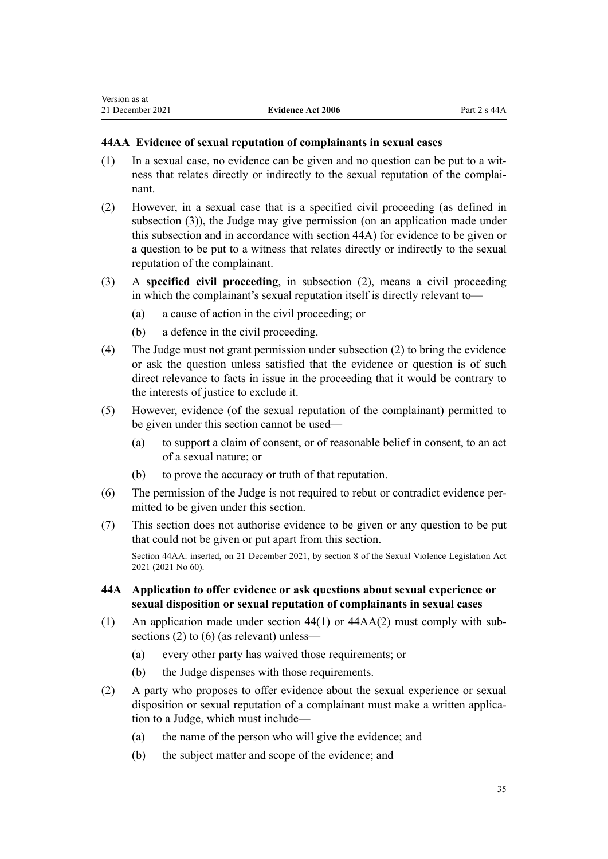### **44AA Evidence of sexual reputation of complainants in sexual cases**

- (1) In a sexual case, no evidence can be given and no question can be put to a wit‐ ness that relates directly or indirectly to the sexual reputation of the complai‐ nant.
- (2) However, in a sexual case that is a specified civil proceeding (as defined in subsection (3)), the Judge may give permission (on an application made under this subsection and in accordance with section 44A) for evidence to be given or a question to be put to a witness that relates directly or indirectly to the sexual reputation of the complainant.
- (3) A **specified civil proceeding**, in subsection (2), means a civil proceeding in which the complainant's sexual reputation itself is directly relevant to—
	- (a) a cause of action in the civil proceeding; or
	- (b) a defence in the civil proceeding.

<span id="page-34-0"></span>Version as at

- (4) The Judge must not grant permission under subsection (2) to bring the evidence or ask the question unless satisfied that the evidence or question is of such direct relevance to facts in issue in the proceeding that it would be contrary to the interests of justice to exclude it.
- (5) However, evidence (of the sexual reputation of the complainant) permitted to be given under this section cannot be used—
	- (a) to support a claim of consent, or of reasonable belief in consent, to an act of a sexual nature; or
	- (b) to prove the accuracy or truth of that reputation.
- (6) The permission of the Judge is not required to rebut or contradict evidence per‐ mitted to be given under this section.
- (7) This section does not authorise evidence to be given or any question to be put that could not be given or put apart from this section.

Section 44AA: inserted, on 21 December 2021, by [section 8](http://legislation.govt.nz/pdflink.aspx?id=LMS268266) of the Sexual Violence Legislation Act 2021 (2021 No 60).

### **44A Application to offer evidence or ask questions about sexual experience or sexual disposition or sexual reputation of complainants in sexual cases**

- (1) An application made under section  $44(1)$  or  $44AA(2)$  must comply with subsections (2) to (6) (as relevant) unless—
	- (a) every other party has waived those requirements; or
	- (b) the Judge dispenses with those requirements.
- (2) A party who proposes to offer evidence about the sexual experience or sexual disposition or sexual reputation of a complainant must make a written application to a Judge, which must include—
	- (a) the name of the person who will give the evidence; and
	- (b) the subject matter and scope of the evidence; and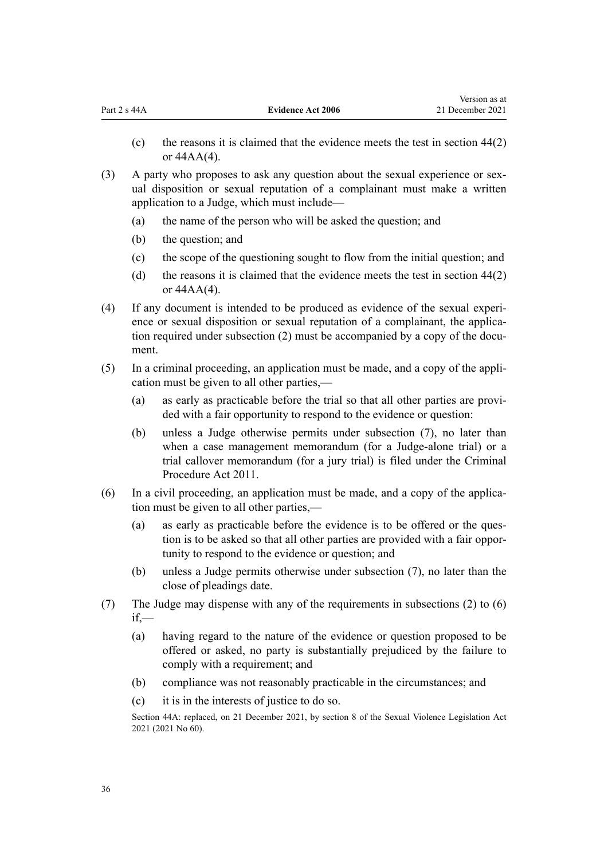- (c) the reasons it is claimed that the evidence meets the test in [section 44\(2\)](#page-33-0) or [44AA\(4\)](#page-34-0).
- (3) A party who proposes to ask any question about the sexual experience or sex‐ ual disposition or sexual reputation of a complainant must make a written application to a Judge, which must include—
	- (a) the name of the person who will be asked the question; and
	- (b) the question; and
	- (c) the scope of the questioning sought to flow from the initial question; and
	- (d) the reasons it is claimed that the evidence meets the test in [section 44\(2\)](#page-33-0) or [44AA\(4\)](#page-34-0).
- (4) If any document is intended to be produced as evidence of the sexual experi‐ ence or sexual disposition or sexual reputation of a complainant, the application required under subsection (2) must be accompanied by a copy of the document.
- (5) In a criminal proceeding, an application must be made, and a copy of the appli‐ cation must be given to all other parties,—
	- (a) as early as practicable before the trial so that all other parties are provided with a fair opportunity to respond to the evidence or question:
	- (b) unless a Judge otherwise permits under subsection (7), no later than when a case management memorandum (for a Judge-alone trial) or a trial callover memorandum (for a jury trial) is filed under the [Criminal](http://legislation.govt.nz/pdflink.aspx?id=DLM3359902) [Procedure Act 2011.](http://legislation.govt.nz/pdflink.aspx?id=DLM3359902)
- (6) In a civil proceeding, an application must be made, and a copy of the applica‐ tion must be given to all other parties,—
	- (a) as early as practicable before the evidence is to be offered or the question is to be asked so that all other parties are provided with a fair oppor‐ tunity to respond to the evidence or question; and
	- (b) unless a Judge permits otherwise under subsection (7), no later than the close of pleadings date.
- (7) The Judge may dispense with any of the requirements in subsections (2) to (6) if,—
	- (a) having regard to the nature of the evidence or question proposed to be offered or asked, no party is substantially prejudiced by the failure to comply with a requirement; and
	- (b) compliance was not reasonably practicable in the circumstances; and
	- (c) it is in the interests of justice to do so.

Section 44A: replaced, on 21 December 2021, by [section 8](http://legislation.govt.nz/pdflink.aspx?id=LMS268266) of the Sexual Violence Legislation Act 2021 (2021 No 60).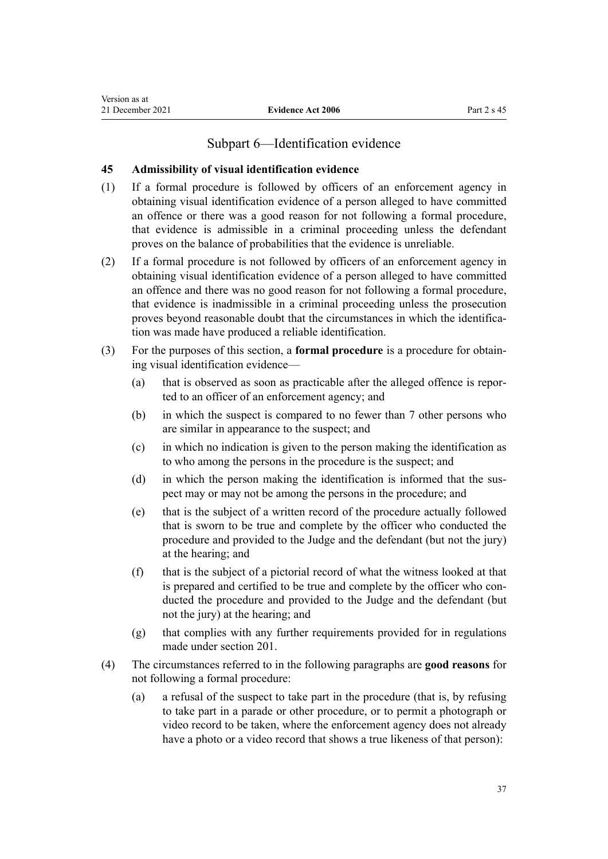#### **45 Admissibility of visual identification evidence**

Version as at

- (1) If a formal procedure is followed by officers of an enforcement agency in obtaining visual identification evidence of a person alleged to have committed an offence or there was a good reason for not following a formal procedure, that evidence is admissible in a criminal proceeding unless the defendant proves on the balance of probabilities that the evidence is unreliable.
- (2) If a formal procedure is not followed by officers of an enforcement agency in obtaining visual identification evidence of a person alleged to have committed an offence and there was no good reason for not following a formal procedure, that evidence is inadmissible in a criminal proceeding unless the prosecution proves beyond reasonable doubt that the circumstances in which the identification was made have produced a reliable identification.
- (3) For the purposes of this section, a **formal procedure** is a procedure for obtain‐ ing visual identification evidence—
	- (a) that is observed as soon as practicable after the alleged offence is repor‐ ted to an officer of an enforcement agency; and
	- (b) in which the suspect is compared to no fewer than 7 other persons who are similar in appearance to the suspect; and
	- (c) in which no indication is given to the person making the identification as to who among the persons in the procedure is the suspect; and
	- (d) in which the person making the identification is informed that the suspect may or may not be among the persons in the procedure; and
	- (e) that is the subject of a written record of the procedure actually followed that is sworn to be true and complete by the officer who conducted the procedure and provided to the Judge and the defendant (but not the jury) at the hearing; and
	- (f) that is the subject of a pictorial record of what the witness looked at that is prepared and certified to be true and complete by the officer who conducted the procedure and provided to the Judge and the defendant (but not the jury) at the hearing; and
	- (g) that complies with any further requirements provided for in regulations made under [section 201.](#page-127-0)
- (4) The circumstances referred to in the following paragraphs are **good reasons** for not following a formal procedure:
	- (a) a refusal of the suspect to take part in the procedure (that is, by refusing to take part in a parade or other procedure, or to permit a photograph or video record to be taken, where the enforcement agency does not already have a photo or a video record that shows a true likeness of that person):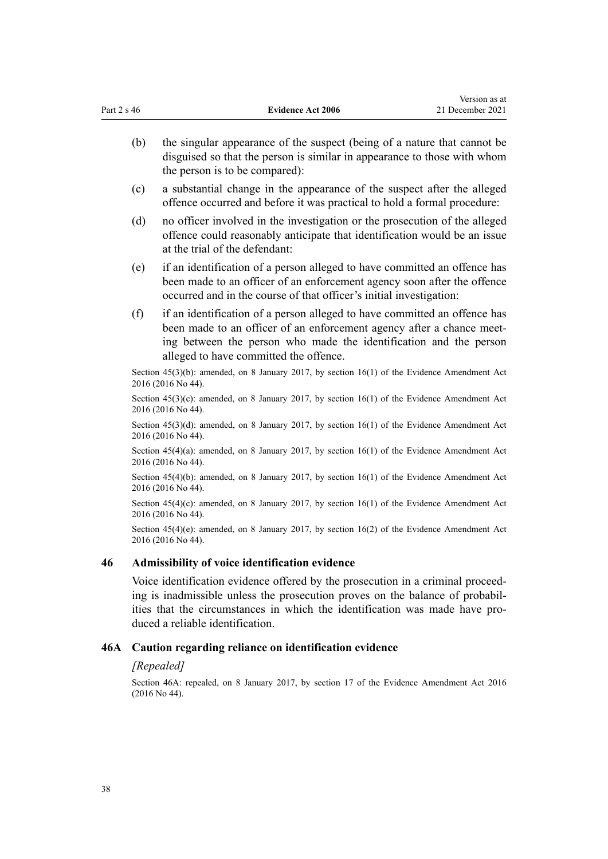|                                          | (b)                                                                                                                   | the singular appearance of the suspect (being of a nature that cannot be<br>disguised so that the person is similar in appearance to those with whom<br>the person is to be compared):                                                                                              |  |
|------------------------------------------|-----------------------------------------------------------------------------------------------------------------------|-------------------------------------------------------------------------------------------------------------------------------------------------------------------------------------------------------------------------------------------------------------------------------------|--|
|                                          | (c)                                                                                                                   | a substantial change in the appearance of the suspect after the alleged<br>offence occurred and before it was practical to hold a formal procedure:                                                                                                                                 |  |
|                                          | (d)                                                                                                                   | no officer involved in the investigation or the prosecution of the alleged<br>offence could reasonably anticipate that identification would be an issue<br>at the trial of the defendant:                                                                                           |  |
|                                          | (e)                                                                                                                   | if an identification of a person alleged to have committed an offence has<br>been made to an officer of an enforcement agency soon after the offence<br>occurred and in the course of that officer's initial investigation:                                                         |  |
|                                          | (f)                                                                                                                   | if an identification of a person alleged to have committed an offence has<br>been made to an officer of an enforcement agency after a chance meet-<br>ing between the person who made the identification and the person<br>alleged to have committed the offence.                   |  |
|                                          |                                                                                                                       | Section $45(3)(b)$ : amended, on 8 January 2017, by section 16(1) of the Evidence Amendment Act<br>2016 (2016 No 44).                                                                                                                                                               |  |
|                                          | Section $45(3)(c)$ : amended, on 8 January 2017, by section 16(1) of the Evidence Amendment Act<br>2016 (2016 No 44). |                                                                                                                                                                                                                                                                                     |  |
|                                          |                                                                                                                       | Section $45(3)(d)$ : amended, on 8 January 2017, by section 16(1) of the Evidence Amendment Act<br>2016 (2016 No 44).                                                                                                                                                               |  |
| 2016 (2016 No 44).<br>2016 (2016 No 44). |                                                                                                                       | Section $45(4)(a)$ : amended, on 8 January 2017, by section 16(1) of the Evidence Amendment Act                                                                                                                                                                                     |  |
|                                          |                                                                                                                       | Section $45(4)(b)$ : amended, on 8 January 2017, by section 16(1) of the Evidence Amendment Act                                                                                                                                                                                     |  |
|                                          |                                                                                                                       | Section $45(4)(c)$ : amended, on 8 January 2017, by section 16(1) of the Evidence Amendment Act<br>2016 (2016 No 44).                                                                                                                                                               |  |
|                                          |                                                                                                                       | Section $45(4)(e)$ : amended, on 8 January 2017, by section 16(2) of the Evidence Amendment Act<br>2016 (2016 No 44).                                                                                                                                                               |  |
| 46                                       | Admissibility of voice identification evidence                                                                        |                                                                                                                                                                                                                                                                                     |  |
|                                          |                                                                                                                       | Voice identification evidence offered by the prosecution in a criminal proceed-<br>ing is inadmissible unless the prosecution proves on the balance of probabil-<br>ities that the circumstances in which the identification was made have pro-<br>duced a reliable identification. |  |
| 46A                                      |                                                                                                                       | Caution regarding reliance on identification evidence                                                                                                                                                                                                                               |  |
|                                          | [Repealed]                                                                                                            |                                                                                                                                                                                                                                                                                     |  |
|                                          | $(2016$ No 44).                                                                                                       | Section 46A: repealed, on 8 January 2017, by section 17 of the Evidence Amendment Act 2016                                                                                                                                                                                          |  |
|                                          |                                                                                                                       |                                                                                                                                                                                                                                                                                     |  |

Version as at 21 December 2021

Part 2 s 46 **Evidence Act 2006**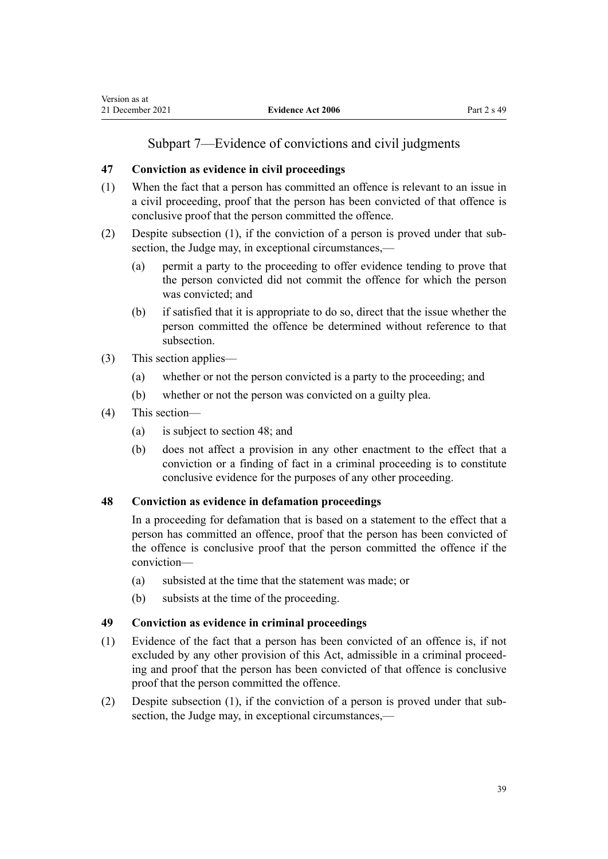# Subpart 7—Evidence of convictions and civil judgments

# **47 Conviction as evidence in civil proceedings**

- (1) When the fact that a person has committed an offence is relevant to an issue in a civil proceeding, proof that the person has been convicted of that offence is conclusive proof that the person committed the offence.
- (2) Despite subsection (1), if the conviction of a person is proved under that sub‐ section, the Judge may, in exceptional circumstances,—
	- (a) permit a party to the proceeding to offer evidence tending to prove that the person convicted did not commit the offence for which the person was convicted; and
	- (b) if satisfied that it is appropriate to do so, direct that the issue whether the person committed the offence be determined without reference to that subsection.
- (3) This section applies—
	- (a) whether or not the person convicted is a party to the proceeding; and
	- (b) whether or not the person was convicted on a guilty plea.
- (4) This section—
	- (a) is subject to section 48; and
	- (b) does not affect a provision in any other enactment to the effect that a conviction or a finding of fact in a criminal proceeding is to constitute conclusive evidence for the purposes of any other proceeding.

## **48 Conviction as evidence in defamation proceedings**

In a proceeding for defamation that is based on a statement to the effect that a person has committed an offence, proof that the person has been convicted of the offence is conclusive proof that the person committed the offence if the conviction—

- (a) subsisted at the time that the statement was made; or
- (b) subsists at the time of the proceeding.

## **49 Conviction as evidence in criminal proceedings**

- (1) Evidence of the fact that a person has been convicted of an offence is, if not excluded by any other provision of this Act, admissible in a criminal proceeding and proof that the person has been convicted of that offence is conclusive proof that the person committed the offence.
- (2) Despite subsection  $(1)$ , if the conviction of a person is proved under that subsection, the Judge may, in exceptional circumstances,—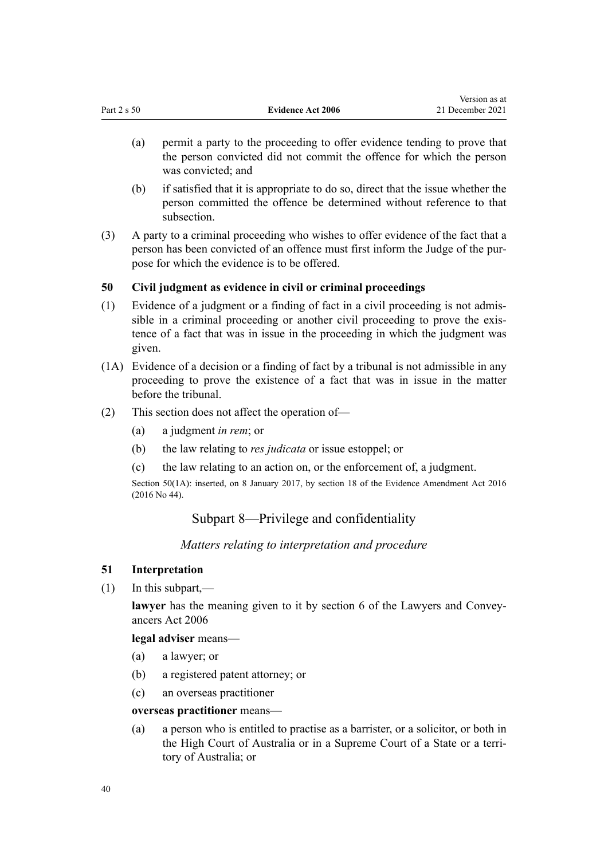|               |                          | Version as at    |
|---------------|--------------------------|------------------|
| Part $2 s 50$ | <b>Evidence Act 2006</b> | 21 December 2021 |

- (a) permit a party to the proceeding to offer evidence tending to prove that the person convicted did not commit the offence for which the person was convicted; and
- (b) if satisfied that it is appropriate to do so, direct that the issue whether the person committed the offence be determined without reference to that subsection.
- (3) A party to a criminal proceeding who wishes to offer evidence of the fact that a person has been convicted of an offence must first inform the Judge of the pur‐ pose for which the evidence is to be offered.

# **50 Civil judgment as evidence in civil or criminal proceedings**

- (1) Evidence of a judgment or a finding of fact in a civil proceeding is not admis‐ sible in a criminal proceeding or another civil proceeding to prove the existence of a fact that was in issue in the proceeding in which the judgment was given.
- (1A) Evidence of a decision or a finding of fact by a tribunal is not admissible in any proceeding to prove the existence of a fact that was in issue in the matter before the tribunal.
- (2) This section does not affect the operation of—
	- (a) a judgment *in rem*; or
	- (b) the law relating to *res judicata* or issue estoppel; or
	- (c) the law relating to an action on, or the enforcement of, a judgment.

Section 50(1A): inserted, on 8 January 2017, by [section 18](http://legislation.govt.nz/pdflink.aspx?id=DLM6488741) of the Evidence Amendment Act 2016 (2016 No 44).

# Subpart 8—Privilege and confidentiality

*Matters relating to interpretation and procedure*

# **51 Interpretation**

(1) In this subpart,—

lawyer has the meaning given to it by [section 6](http://legislation.govt.nz/pdflink.aspx?id=DLM364948) of the Lawyers and Conveyancers Act 2006

## **legal adviser** means—

- (a) a lawyer; or
- (b) a registered patent attorney; or
- (c) an overseas practitioner

# **overseas practitioner** means—

(a) a person who is entitled to practise as a barrister, or a solicitor, or both in the High Court of Australia or in a Supreme Court of a State or a terri‐ tory of Australia; or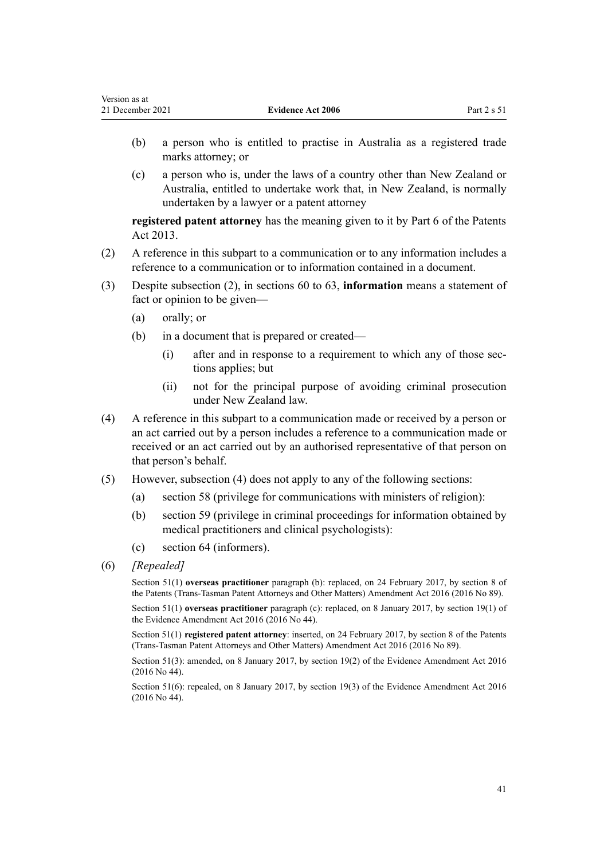- (b) a person who is entitled to practise in Australia as a registered trade marks attorney; or
- (c) a person who is, under the laws of a country other than New Zealand or Australia, entitled to undertake work that, in New Zealand, is normally undertaken by a lawyer or a patent attorney

**registered patent attorney** has the meaning given to it by [Part 6](http://legislation.govt.nz/pdflink.aspx?id=DLM7123300) of the Patents Act 2013.

- (2) A reference in this subpart to a communication or to any information includes a reference to a communication or to information contained in a document.
- (3) Despite subsection (2), in [sections 60 to 63,](#page-47-0) **information** means a statement of fact or opinion to be given—
	- (a) orally; or
	- (b) in a document that is prepared or created—
		- (i) after and in response to a requirement to which any of those sec‐ tions applies; but
		- (ii) not for the principal purpose of avoiding criminal prosecution under New Zealand law.
- (4) A reference in this subpart to a communication made or received by a person or an act carried out by a person includes a reference to a communication made or received or an act carried out by an authorised representative of that person on that person's behalf.
- (5) However, subsection (4) does not apply to any of the following sections:
	- (a) [section 58](#page-45-0) (privilege for communications with ministers of religion):
	- (b) [section 59](#page-46-0) (privilege in criminal proceedings for information obtained by medical practitioners and clinical psychologists):
	- (c) [section 64](#page-49-0) (informers).
- (6) *[Repealed]*

Section 51(1) **overseas practitioner** paragraph (b): replaced, on 24 February 2017, by [section 8](http://legislation.govt.nz/pdflink.aspx?id=DLM6636735) of the Patents (Trans-Tasman Patent Attorneys and Other Matters) Amendment Act 2016 (2016 No 89).

Section 51(1) **overseas practitioner** paragraph (c): replaced, on 8 January 2017, by [section 19\(1\)](http://legislation.govt.nz/pdflink.aspx?id=DLM6488742) of the Evidence Amendment Act 2016 (2016 No 44).

Section 51(1) **registered patent attorney**: inserted, on 24 February 2017, by [section 8](http://legislation.govt.nz/pdflink.aspx?id=DLM6636735) of the Patents (Trans-Tasman Patent Attorneys and Other Matters) Amendment Act 2016 (2016 No 89).

Section 51(3): amended, on 8 January 2017, by [section 19\(2\)](http://legislation.govt.nz/pdflink.aspx?id=DLM6488742) of the Evidence Amendment Act 2016 (2016 No 44).

Section 51(6): repealed, on 8 January 2017, by [section 19\(3\)](http://legislation.govt.nz/pdflink.aspx?id=DLM6488742) of the Evidence Amendment Act 2016 (2016 No 44).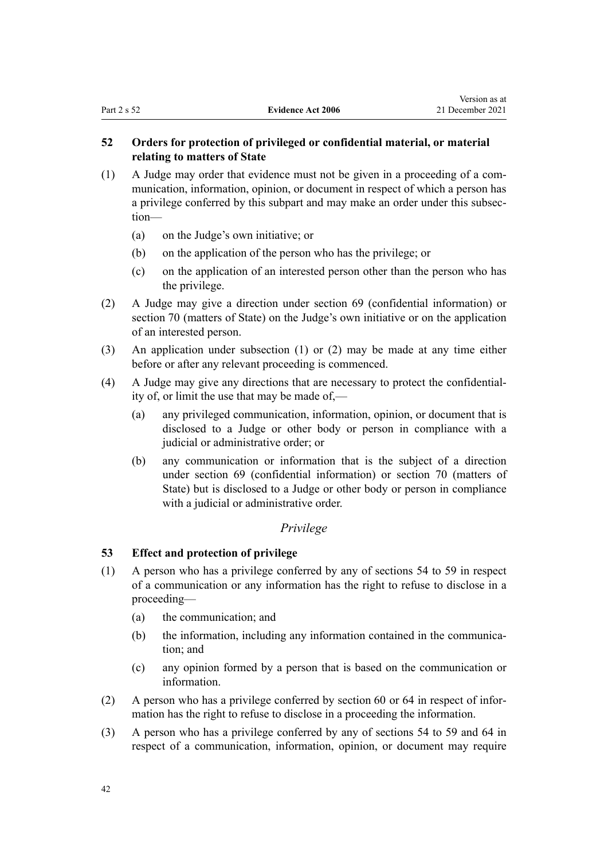# **52 Orders for protection of privileged or confidential material, or material relating to matters of State**

- $(1)$  A Judge may order that evidence must not be given in a proceeding of a communication, information, opinion, or document in respect of which a person has a privilege conferred by this subpart and may make an order under this subsec‐ tion—
	- (a) on the Judge's own initiative; or
	- (b) on the application of the person who has the privilege; or
	- (c) on the application of an interested person other than the person who has the privilege.
- (2) A Judge may give a direction under [section 69](#page-52-0) (confidential information) or [section 70](#page-53-0) (matters of State) on the Judge's own initiative or on the application of an interested person.
- (3) An application under subsection (1) or (2) may be made at any time either before or after any relevant proceeding is commenced.
- (4) A Judge may give any directions that are necessary to protect the confidential‐ ity of, or limit the use that may be made of,—
	- (a) any privileged communication, information, opinion, or document that is disclosed to a Judge or other body or person in compliance with a judicial or administrative order; or
	- (b) any communication or information that is the subject of a direction under [section 69](#page-52-0) (confidential information) or [section 70](#page-53-0) (matters of State) but is disclosed to a Judge or other body or person in compliance with a judicial or administrative order.

# *Privilege*

# **53 Effect and protection of privilege**

- (1) A person who has a privilege conferred by any of [sections 54 to 59](#page-42-0) in respect of a communication or any information has the right to refuse to disclose in a proceeding—
	- (a) the communication; and
	- (b) the information, including any information contained in the communication; and
	- (c) any opinion formed by a person that is based on the communication or information.
- (2) A person who has a privilege conferred by [section 60](#page-47-0) or [64](#page-49-0) in respect of infor‐ mation has the right to refuse to disclose in a proceeding the information.
- (3) A person who has a privilege conferred by any of [sections 54 to 59](#page-42-0) and [64](#page-49-0) in respect of a communication, information, opinion, or document may require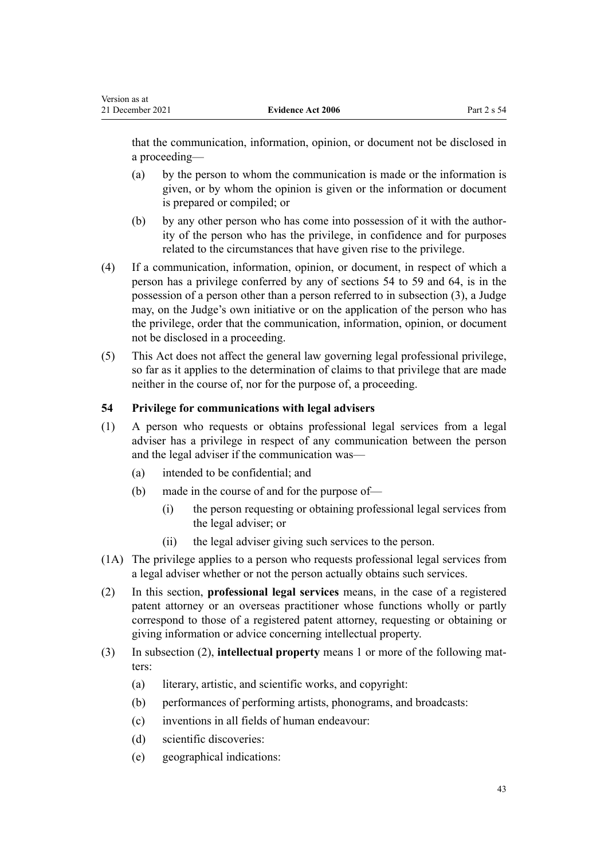that the communication, information, opinion, or document not be disclosed in a proceeding—

- (a) by the person to whom the communication is made or the information is given, or by whom the opinion is given or the information or document is prepared or compiled; or
- (b) by any other person who has come into possession of it with the authority of the person who has the privilege, in confidence and for purposes related to the circumstances that have given rise to the privilege.
- (4) If a communication, information, opinion, or document, in respect of which a person has a privilege conferred by any of sections 54 to 59 and [64,](#page-49-0) is in the possession of a person other than a person referred to in subsection (3), a Judge may, on the Judge's own initiative or on the application of the person who has the privilege, order that the communication, information, opinion, or document not be disclosed in a proceeding.
- (5) This Act does not affect the general law governing legal professional privilege, so far as it applies to the determination of claims to that privilege that are made neither in the course of, nor for the purpose of, a proceeding.

# **54 Privilege for communications with legal advisers**

- (1) A person who requests or obtains professional legal services from a legal adviser has a privilege in respect of any communication between the person and the legal adviser if the communication was—
	- (a) intended to be confidential; and

<span id="page-42-0"></span>Version as at

- (b) made in the course of and for the purpose of—
	- (i) the person requesting or obtaining professional legal services from the legal adviser; or
	- (ii) the legal adviser giving such services to the person.
- (1A) The privilege applies to a person who requests professional legal services from a legal adviser whether or not the person actually obtains such services.
- (2) In this section, **professional legal services** means, in the case of a registered patent attorney or an overseas practitioner whose functions wholly or partly correspond to those of a registered patent attorney, requesting or obtaining or giving information or advice concerning intellectual property.
- (3) In subsection (2), **intellectual property** means 1 or more of the following mat‐ ters:
	- (a) literary, artistic, and scientific works, and copyright:
	- (b) performances of performing artists, phonograms, and broadcasts:
	- (c) inventions in all fields of human endeavour:
	- (d) scientific discoveries:
	- (e) geographical indications: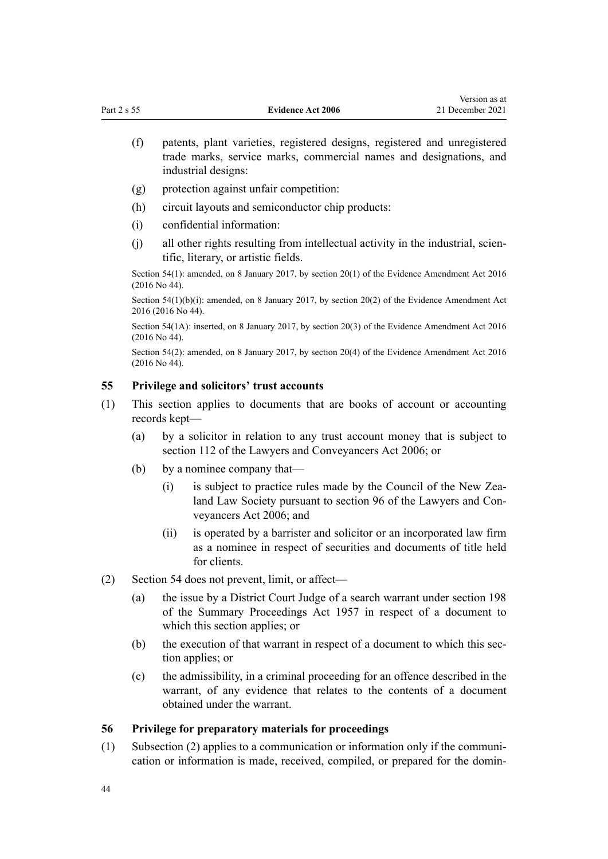- (f) patents, plant varieties, registered designs, registered and unregistered trade marks, service marks, commercial names and designations, and industrial designs:
- (g) protection against unfair competition:
- (h) circuit layouts and semiconductor chip products:
- (i) confidential information:
- $(i)$  all other rights resulting from intellectual activity in the industrial, scientific, literary, or artistic fields.

Section 54(1): amended, on 8 January 2017, by [section 20\(1\)](http://legislation.govt.nz/pdflink.aspx?id=DLM6488744) of the Evidence Amendment Act 2016 (2016 No 44).

Section  $54(1)(b)(i)$ : amended, on 8 January 2017, by section  $20(2)$  of the Evidence Amendment Act 2016 (2016 No 44).

Section 54(1A): inserted, on 8 January 2017, by [section 20\(3\)](http://legislation.govt.nz/pdflink.aspx?id=DLM6488744) of the Evidence Amendment Act 2016 (2016 No 44).

Section 54(2): amended, on 8 January 2017, by [section 20\(4\)](http://legislation.govt.nz/pdflink.aspx?id=DLM6488744) of the Evidence Amendment Act 2016 (2016 No 44).

# **55 Privilege and solicitors' trust accounts**

- (1) This section applies to documents that are books of account or accounting records kept—
	- (a) by a solicitor in relation to any trust account money that is subject to [section 112](http://legislation.govt.nz/pdflink.aspx?id=DLM366142) of the Lawyers and Conveyancers Act 2006; or
	- (b) by a nominee company that—
		- (i) is subject to practice rules made by the Council of the New Zealand Law Society pursuant to [section 96](http://legislation.govt.nz/pdflink.aspx?id=DLM366124) of the Lawyers and Conveyancers Act 2006; and
		- (ii) is operated by a barrister and solicitor or an incorporated law firm as a nominee in respect of securities and documents of title held for clients.
- (2) [Section 54](#page-42-0) does not prevent, limit, or affect—
	- (a) the issue by a District Court Judge of a search warrant under [section 198](http://legislation.govt.nz/pdflink.aspx?id=DLM314010) of the Summary Proceedings Act 1957 in respect of a document to which this section applies; or
	- (b) the execution of that warrant in respect of a document to which this section applies; or
	- (c) the admissibility, in a criminal proceeding for an offence described in the warrant, of any evidence that relates to the contents of a document obtained under the warrant.

## **56 Privilege for preparatory materials for proceedings**

 $(1)$  Subsection  $(2)$  applies to a communication or information only if the communication or information is made, received, compiled, or prepared for the domin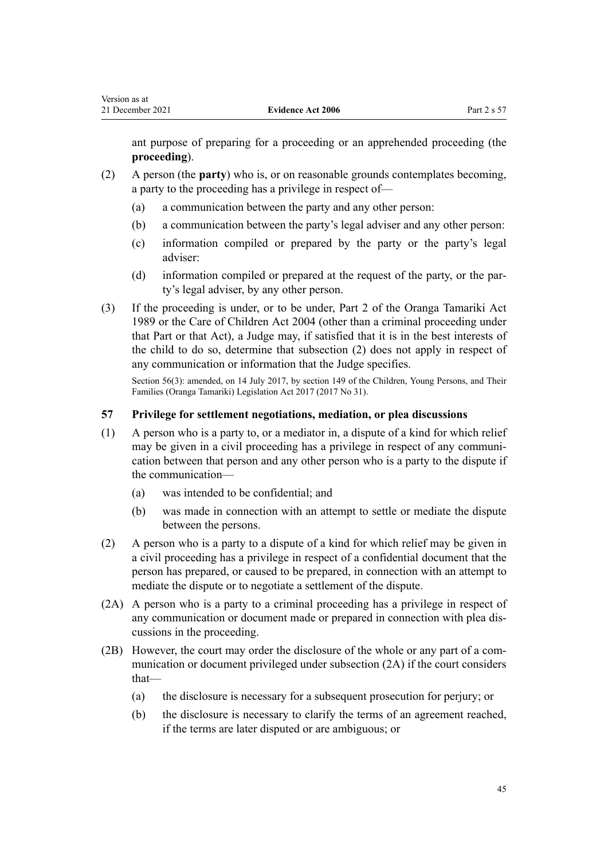<span id="page-44-0"></span>ant purpose of preparing for a proceeding or an apprehended proceeding (the **proceeding**).

- (2) A person (the **party**) who is, or on reasonable grounds contemplates becoming, a party to the proceeding has a privilege in respect of—
	- (a) a communication between the party and any other person:
	- (b) a communication between the party's legal adviser and any other person:
	- (c) information compiled or prepared by the party or the party's legal adviser:
	- (d) information compiled or prepared at the request of the party, or the party's legal adviser, by any other person.
- (3) If the proceeding is under, or to be under, [Part 2](http://legislation.govt.nz/pdflink.aspx?id=DLM149452) of the Oranga Tamariki Act 1989 or the [Care of Children Act 2004](http://legislation.govt.nz/pdflink.aspx?id=DLM317232) (other than a criminal proceeding under that Part or that Act), a Judge may, if satisfied that it is in the best interests of the child to do so, determine that subsection (2) does not apply in respect of any communication or information that the Judge specifies.

Section 56(3): amended, on 14 July 2017, by [section 149](http://legislation.govt.nz/pdflink.aspx?id=DLM7287401) of the Children, Young Persons, and Their Families (Oranga Tamariki) Legislation Act 2017 (2017 No 31).

# **57 Privilege for settlement negotiations, mediation, or plea discussions**

- (1) A person who is a party to, or a mediator in, a dispute of a kind for which relief may be given in a civil proceeding has a privilege in respect of any communication between that person and any other person who is a party to the dispute if the communication—
	- (a) was intended to be confidential; and
	- (b) was made in connection with an attempt to settle or mediate the dispute between the persons.
- (2) A person who is a party to a dispute of a kind for which relief may be given in a civil proceeding has a privilege in respect of a confidential document that the person has prepared, or caused to be prepared, in connection with an attempt to mediate the dispute or to negotiate a settlement of the dispute.
- (2A) A person who is a party to a criminal proceeding has a privilege in respect of any communication or document made or prepared in connection with plea dis‐ cussions in the proceeding.
- (2B) However, the court may order the disclosure of the whole or any part of a communication or document privileged under subsection (2A) if the court considers that—
	- (a) the disclosure is necessary for a subsequent prosecution for perjury; or
	- (b) the disclosure is necessary to clarify the terms of an agreement reached, if the terms are later disputed or are ambiguous; or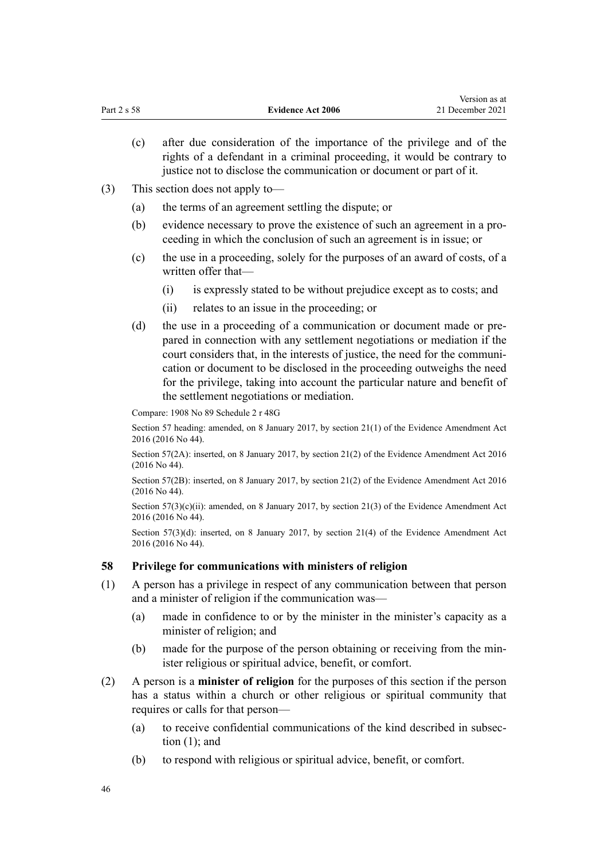<span id="page-45-0"></span>(c) after due consideration of the importance of the privilege and of the rights of a defendant in a criminal proceeding, it would be contrary to justice not to disclose the communication or document or part of it.

Version as at

- (3) This section does not apply to—
	- (a) the terms of an agreement settling the dispute; or
	- (b) evidence necessary to prove the existence of such an agreement in a pro‐ ceeding in which the conclusion of such an agreement is in issue; or
	- (c) the use in a proceeding, solely for the purposes of an award of costs, of a written offer that—
		- (i) is expressly stated to be without prejudice except as to costs; and
		- (ii) relates to an issue in the proceeding; or
	- (d) the use in a proceeding of a communication or document made or prepared in connection with any settlement negotiations or mediation if the court considers that, in the interests of justice, the need for the communication or document to be disclosed in the proceeding outweighs the need for the privilege, taking into account the particular nature and benefit of the settlement negotiations or mediation.

Compare: 1908 No 89 Schedule 2 r 48G

Section 57 heading: amended, on 8 January 2017, by [section 21\(1\)](http://legislation.govt.nz/pdflink.aspx?id=DLM6488745) of the Evidence Amendment Act 2016 (2016 No 44).

Section 57(2A): inserted, on 8 January 2017, by [section 21\(2\)](http://legislation.govt.nz/pdflink.aspx?id=DLM6488745) of the Evidence Amendment Act 2016 (2016 No 44).

Section 57(2B): inserted, on 8 January 2017, by [section 21\(2\)](http://legislation.govt.nz/pdflink.aspx?id=DLM6488745) of the Evidence Amendment Act 2016 (2016 No 44).

Section  $57(3)(c)(ii)$ : amended, on 8 January 2017, by section  $21(3)$  of the Evidence Amendment Act 2016 (2016 No 44).

Section 57(3)(d): inserted, on 8 January 2017, by [section 21\(4\)](http://legislation.govt.nz/pdflink.aspx?id=DLM6488745) of the Evidence Amendment Act 2016 (2016 No 44).

## **58 Privilege for communications with ministers of religion**

- (1) A person has a privilege in respect of any communication between that person and a minister of religion if the communication was—
	- (a) made in confidence to or by the minister in the minister's capacity as a minister of religion; and
	- (b) made for the purpose of the person obtaining or receiving from the minister religious or spiritual advice, benefit, or comfort.
- (2) A person is a **minister of religion** for the purposes of this section if the person has a status within a church or other religious or spiritual community that requires or calls for that person—
	- (a) to receive confidential communications of the kind described in subsec‐ tion (1); and
	- (b) to respond with religious or spiritual advice, benefit, or comfort.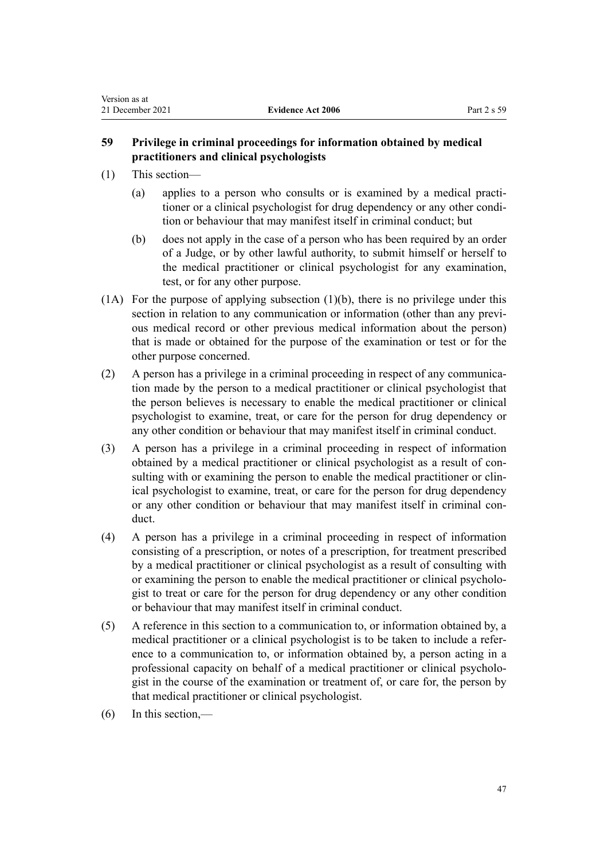# **59 Privilege in criminal proceedings for information obtained by medical practitioners and clinical psychologists**

(1) This section—

<span id="page-46-0"></span>Version as at

- (a) applies to a person who consults or is examined by a medical practi‐ tioner or a clinical psychologist for drug dependency or any other condi‐ tion or behaviour that may manifest itself in criminal conduct; but
- (b) does not apply in the case of a person who has been required by an order of a Judge, or by other lawful authority, to submit himself or herself to the medical practitioner or clinical psychologist for any examination, test, or for any other purpose.
- $(1)$  For the purpose of applying subsection  $(1)(b)$ , there is no privilege under this section in relation to any communication or information (other than any previous medical record or other previous medical information about the person) that is made or obtained for the purpose of the examination or test or for the other purpose concerned.
- $(2)$  A person has a privilege in a criminal proceeding in respect of any communication made by the person to a medical practitioner or clinical psychologist that the person believes is necessary to enable the medical practitioner or clinical psychologist to examine, treat, or care for the person for drug dependency or any other condition or behaviour that may manifest itself in criminal conduct.
- (3) A person has a privilege in a criminal proceeding in respect of information obtained by a medical practitioner or clinical psychologist as a result of con‐ sulting with or examining the person to enable the medical practitioner or clinical psychologist to examine, treat, or care for the person for drug dependency or any other condition or behaviour that may manifest itself in criminal conduct.
- (4) A person has a privilege in a criminal proceeding in respect of information consisting of a prescription, or notes of a prescription, for treatment prescribed by a medical practitioner or clinical psychologist as a result of consulting with or examining the person to enable the medical practitioner or clinical psychologist to treat or care for the person for drug dependency or any other condition or behaviour that may manifest itself in criminal conduct.
- (5) A reference in this section to a communication to, or information obtained by, a medical practitioner or a clinical psychologist is to be taken to include a refer‐ ence to a communication to, or information obtained by, a person acting in a professional capacity on behalf of a medical practitioner or clinical psychologist in the course of the examination or treatment of, or care for, the person by that medical practitioner or clinical psychologist.
- (6) In this section,—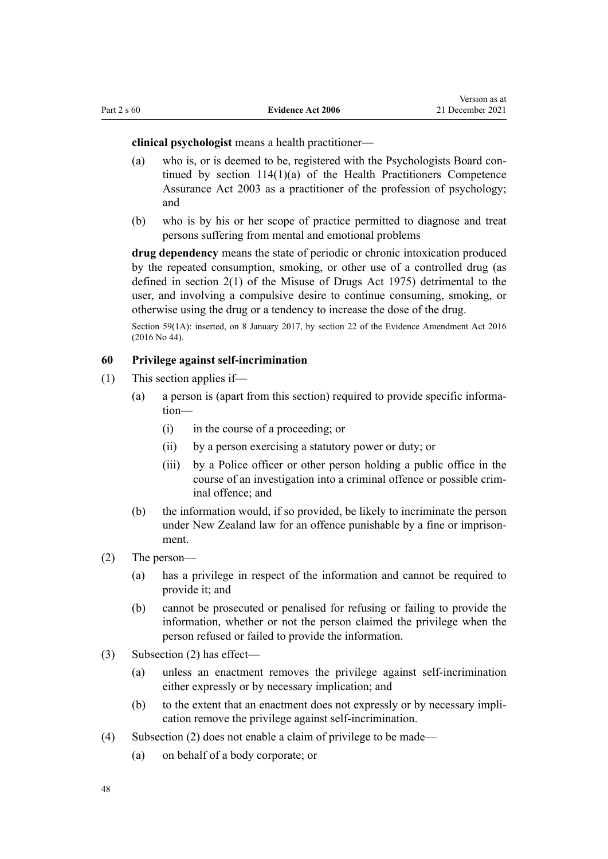<span id="page-47-0"></span>**clinical psychologist** means a health practitioner—

- (a) who is, or is deemed to be, registered with the Psychologists Board continued by [section 114\(1\)\(a\)](http://legislation.govt.nz/pdflink.aspx?id=DLM204329) of the Health Practitioners Competence Assurance Act 2003 as a practitioner of the profession of psychology; and
- (b) who is by his or her scope of practice permitted to diagnose and treat persons suffering from mental and emotional problems

**drug dependency** means the state of periodic or chronic intoxication produced by the repeated consumption, smoking, or other use of a controlled drug (as defined in [section 2\(1\)](http://legislation.govt.nz/pdflink.aspx?id=DLM436106) of the Misuse of Drugs Act 1975) detrimental to the user, and involving a compulsive desire to continue consuming, smoking, or otherwise using the drug or a tendency to increase the dose of the drug.

Section 59(1A): inserted, on 8 January 2017, by [section 22](http://legislation.govt.nz/pdflink.aspx?id=DLM6488746) of the Evidence Amendment Act 2016 (2016 No 44).

#### **60 Privilege against self-incrimination**

- (1) This section applies if—
	- (a) a person is (apart from this section) required to provide specific information—
		- (i) in the course of a proceeding; or
		- (ii) by a person exercising a statutory power or duty; or
		- (iii) by a Police officer or other person holding a public office in the course of an investigation into a criminal offence or possible crim‐ inal offence; and
	- (b) the information would, if so provided, be likely to incriminate the person under New Zealand law for an offence punishable by a fine or imprisonment.
- (2) The person—
	- (a) has a privilege in respect of the information and cannot be required to provide it; and
	- (b) cannot be prosecuted or penalised for refusing or failing to provide the information, whether or not the person claimed the privilege when the person refused or failed to provide the information.
- (3) Subsection (2) has effect—
	- (a) unless an enactment removes the privilege against self-incrimination either expressly or by necessary implication; and
	- (b) to the extent that an enactment does not expressly or by necessary implication remove the privilege against self-incrimination.
- (4) Subsection (2) does not enable a claim of privilege to be made—
	- (a) on behalf of a body corporate; or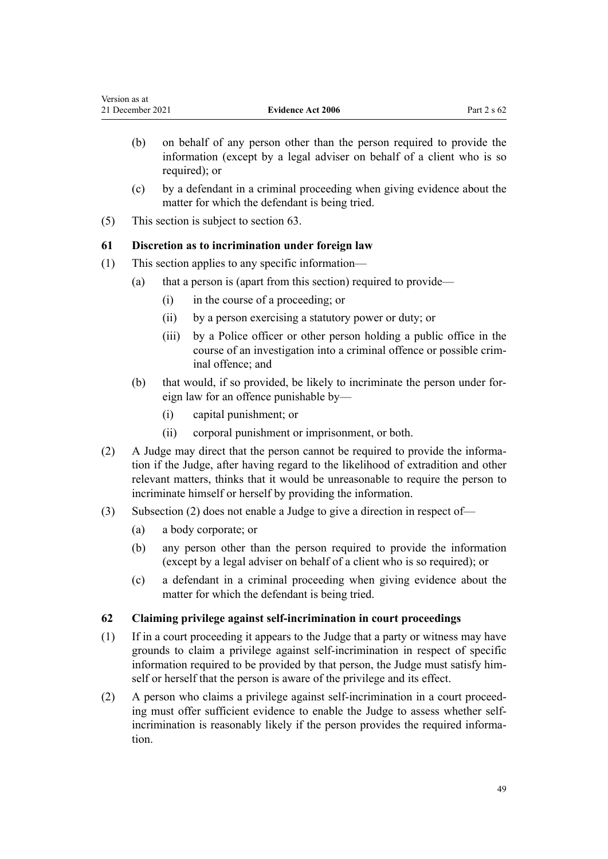- (b) on behalf of any person other than the person required to provide the information (except by a legal adviser on behalf of a client who is so required); or
- (c) by a defendant in a criminal proceeding when giving evidence about the matter for which the defendant is being tried.
- (5) This section is subject to [section 63.](#page-49-0)

# **61 Discretion as to incrimination under foreign law**

- (1) This section applies to any specific information—
	- (a) that a person is (apart from this section) required to provide—
		- (i) in the course of a proceeding; or
		- (ii) by a person exercising a statutory power or duty; or
		- (iii) by a Police officer or other person holding a public office in the course of an investigation into a criminal offence or possible crim‐ inal offence; and
	- (b) that would, if so provided, be likely to incriminate the person under for‐ eign law for an offence punishable by—
		- (i) capital punishment; or
		- (ii) corporal punishment or imprisonment, or both.
- (2) A Judge may direct that the person cannot be required to provide the informa‐ tion if the Judge, after having regard to the likelihood of extradition and other relevant matters, thinks that it would be unreasonable to require the person to incriminate himself or herself by providing the information.
- (3) Subsection (2) does not enable a Judge to give a direction in respect of—
	- (a) a body corporate; or
	- (b) any person other than the person required to provide the information (except by a legal adviser on behalf of a client who is so required); or
	- (c) a defendant in a criminal proceeding when giving evidence about the matter for which the defendant is being tried.

## **62 Claiming privilege against self-incrimination in court proceedings**

- (1) If in a court proceeding it appears to the Judge that a party or witness may have grounds to claim a privilege against self-incrimination in respect of specific information required to be provided by that person, the Judge must satisfy himself or herself that the person is aware of the privilege and its effect.
- (2) A person who claims a privilege against self-incrimination in a court proceed‐ ing must offer sufficient evidence to enable the Judge to assess whether selfincrimination is reasonably likely if the person provides the required information.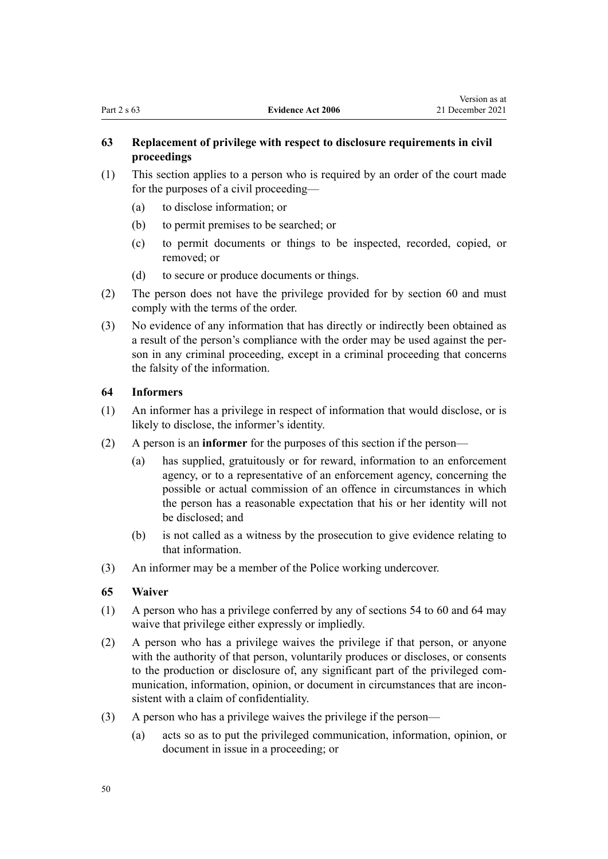# <span id="page-49-0"></span>**63 Replacement of privilege with respect to disclosure requirements in civil proceedings**

- (1) This section applies to a person who is required by an order of the court made for the purposes of a civil proceeding—
	- (a) to disclose information; or
	- (b) to permit premises to be searched; or
	- (c) to permit documents or things to be inspected, recorded, copied, or removed; or
	- (d) to secure or produce documents or things.
- (2) The person does not have the privilege provided for by [section 60](#page-47-0) and must comply with the terms of the order.
- (3) No evidence of any information that has directly or indirectly been obtained as a result of the person's compliance with the order may be used against the per‐ son in any criminal proceeding, except in a criminal proceeding that concerns the falsity of the information.

# **64 Informers**

- (1) An informer has a privilege in respect of information that would disclose, or is likely to disclose, the informer's identity.
- (2) A person is an **informer** for the purposes of this section if the person—
	- (a) has supplied, gratuitously or for reward, information to an enforcement agency, or to a representative of an enforcement agency, concerning the possible or actual commission of an offence in circumstances in which the person has a reasonable expectation that his or her identity will not be disclosed; and
	- (b) is not called as a witness by the prosecution to give evidence relating to that information.
- (3) An informer may be a member of the Police working undercover.

## **65 Waiver**

- (1) A person who has a privilege conferred by any of [sections 54 to 60](#page-42-0) and 64 may waive that privilege either expressly or impliedly.
- (2) A person who has a privilege waives the privilege if that person, or anyone with the authority of that person, voluntarily produces or discloses, or consents to the production or disclosure of, any significant part of the privileged communication, information, opinion, or document in circumstances that are inconsistent with a claim of confidentiality.
- (3) A person who has a privilege waives the privilege if the person—
	- (a) acts so as to put the privileged communication, information, opinion, or document in issue in a proceeding; or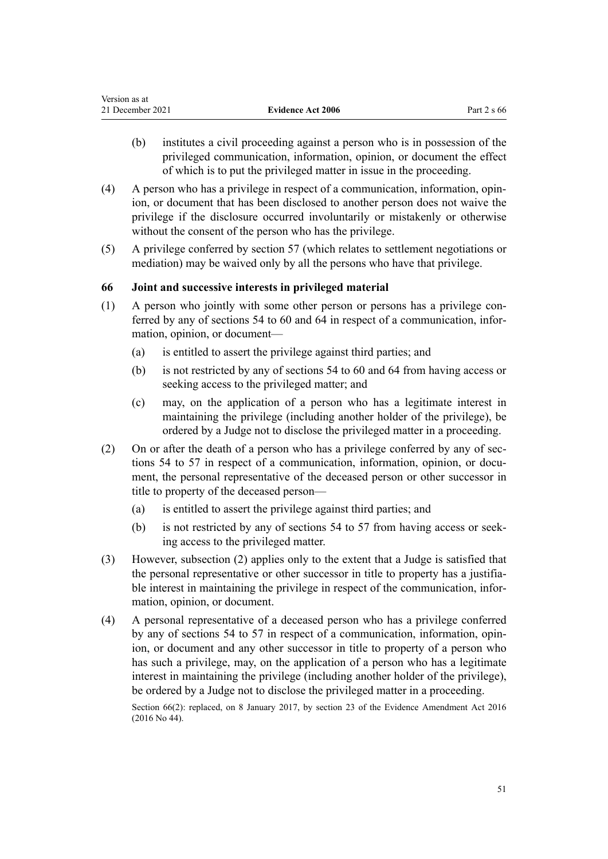| Version as at    |                          |               |
|------------------|--------------------------|---------------|
| 21 December 2021 | <b>Evidence Act 2006</b> | Part 2 s $66$ |

- (b) institutes a civil proceeding against a person who is in possession of the privileged communication, information, opinion, or document the effect of which is to put the privileged matter in issue in the proceeding.
- (4) A person who has a privilege in respect of a communication, information, opin‐ ion, or document that has been disclosed to another person does not waive the privilege if the disclosure occurred involuntarily or mistakenly or otherwise without the consent of the person who has the privilege.
- (5) A privilege conferred by [section 57](#page-44-0) (which relates to settlement negotiations or mediation) may be waived only by all the persons who have that privilege.

# **66 Joint and successive interests in privileged material**

- (1) A person who jointly with some other person or persons has a privilege con‐ ferred by any of [sections 54 to 60](#page-42-0) and [64](#page-49-0) in respect of a communication, information, opinion, or document—
	- (a) is entitled to assert the privilege against third parties; and
	- (b) is not restricted by any of [sections 54 to 60](#page-42-0) and [64](#page-49-0) from having access or seeking access to the privileged matter; and
	- (c) may, on the application of a person who has a legitimate interest in maintaining the privilege (including another holder of the privilege), be ordered by a Judge not to disclose the privileged matter in a proceeding.
- (2) On or after the death of a person who has a privilege conferred by any of [sec‐](#page-42-0) [tions 54 to 57](#page-42-0) in respect of a communication, information, opinion, or document, the personal representative of the deceased person or other successor in title to property of the deceased person—
	- (a) is entitled to assert the privilege against third parties; and
	- (b) is not restricted by any of [sections 54 to 57](#page-42-0) from having access or seek‐ ing access to the privileged matter.
- (3) However, subsection (2) applies only to the extent that a Judge is satisfied that the personal representative or other successor in title to property has a justifiable interest in maintaining the privilege in respect of the communication, information, opinion, or document.
- (4) A personal representative of a deceased person who has a privilege conferred by any of [sections 54 to 57](#page-42-0) in respect of a communication, information, opin‐ ion, or document and any other successor in title to property of a person who has such a privilege, may, on the application of a person who has a legitimate interest in maintaining the privilege (including another holder of the privilege), be ordered by a Judge not to disclose the privileged matter in a proceeding.

Section 66(2): replaced, on 8 January 2017, by [section 23](http://legislation.govt.nz/pdflink.aspx?id=DLM6488747) of the Evidence Amendment Act 2016 (2016 No 44).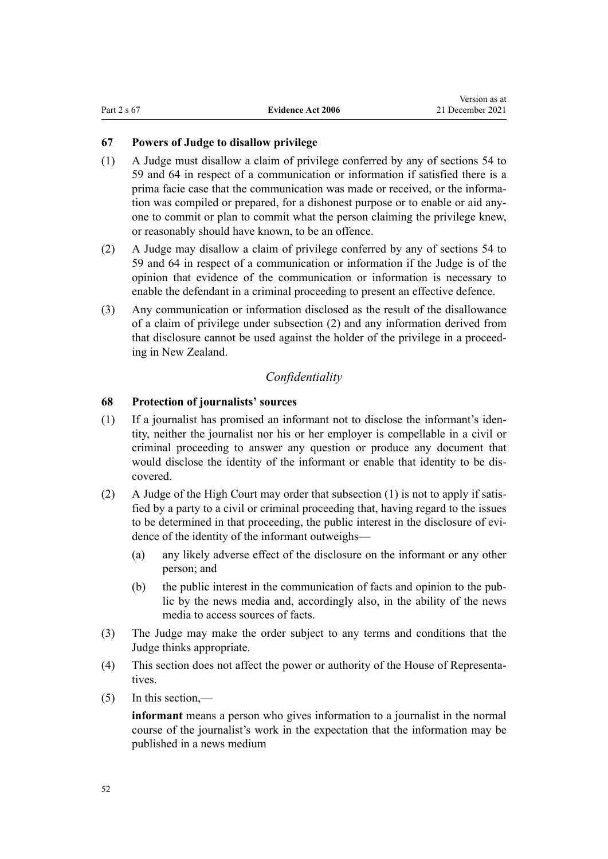Version as at

# **67 Powers of Judge to disallow privilege**

- (1) A Judge must disallow a claim of privilege conferred by any of [sections 54 to](#page-42-0) [59](#page-42-0) and [64](#page-49-0) in respect of a communication or information if satisfied there is a prima facie case that the communication was made or received, or the information was compiled or prepared, for a dishonest purpose or to enable or aid any‐ one to commit or plan to commit what the person claiming the privilege knew, or reasonably should have known, to be an offence.
- (2) A Judge may disallow a claim of privilege conferred by any of [sections 54 to](#page-42-0) [59](#page-42-0) and [64](#page-49-0) in respect of a communication or information if the Judge is of the opinion that evidence of the communication or information is necessary to enable the defendant in a criminal proceeding to present an effective defence.
- (3) Any communication or information disclosed as the result of the disallowance of a claim of privilege under subsection (2) and any information derived from that disclosure cannot be used against the holder of the privilege in a proceed‐ ing in New Zealand.

# *Confidentiality*

# **68 Protection of journalists' sources**

- (1) If a journalist has promised an informant not to disclose the informant's iden‐ tity, neither the journalist nor his or her employer is compellable in a civil or criminal proceeding to answer any question or produce any document that would disclose the identity of the informant or enable that identity to be discovered.
- (2) A Judge of the High Court may order that subsection  $(1)$  is not to apply if satisfied by a party to a civil or criminal proceeding that, having regard to the issues to be determined in that proceeding, the public interest in the disclosure of evidence of the identity of the informant outweighs—
	- (a) any likely adverse effect of the disclosure on the informant or any other person; and
	- (b) the public interest in the communication of facts and opinion to the pub‐ lic by the news media and, accordingly also, in the ability of the news media to access sources of facts.
- (3) The Judge may make the order subject to any terms and conditions that the Judge thinks appropriate.
- (4) This section does not affect the power or authority of the House of Representa‐ tives.
- (5) In this section,—

**informant** means a person who gives information to a journalist in the normal course of the journalist's work in the expectation that the information may be published in a news medium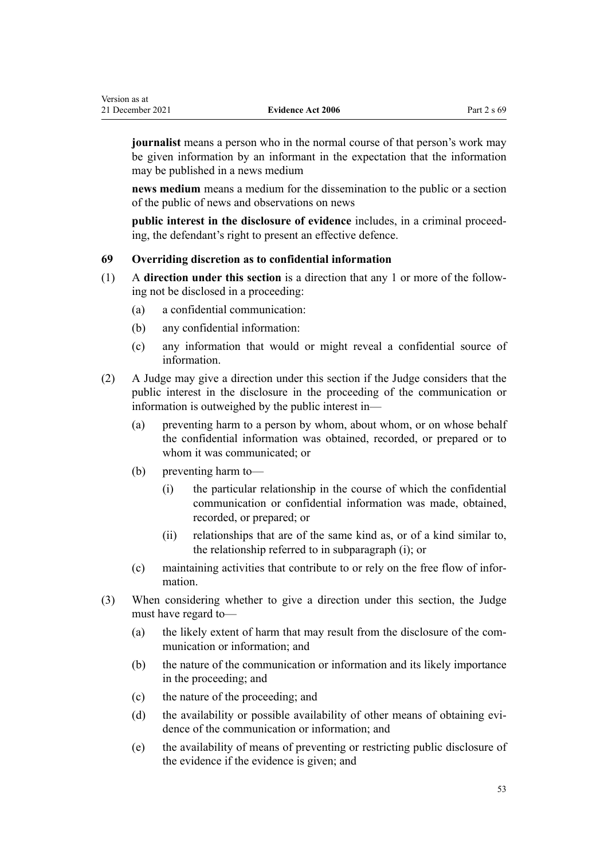**journalist** means a person who in the normal course of that person's work may be given information by an informant in the expectation that the information may be published in a news medium

**news medium** means a medium for the dissemination to the public or a section of the public of news and observations on news

**public interest in the disclosure of evidence** includes, in a criminal proceed‐ ing, the defendant's right to present an effective defence.

## **69 Overriding discretion as to confidential information**

- (1) A **direction under this section** is a direction that any 1 or more of the follow‐ ing not be disclosed in a proceeding:
	- (a) a confidential communication:

<span id="page-52-0"></span>Version as at

- (b) any confidential information:
- (c) any information that would or might reveal a confidential source of information.
- (2) A Judge may give a direction under this section if the Judge considers that the public interest in the disclosure in the proceeding of the communication or information is outweighed by the public interest in—
	- (a) preventing harm to a person by whom, about whom, or on whose behalf the confidential information was obtained, recorded, or prepared or to whom it was communicated; or
	- (b) preventing harm to—
		- (i) the particular relationship in the course of which the confidential communication or confidential information was made, obtained, recorded, or prepared; or
		- (ii) relationships that are of the same kind as, or of a kind similar to, the relationship referred to in subparagraph (i); or
	- (c) maintaining activities that contribute to or rely on the free flow of infor‐ mation.
- (3) When considering whether to give a direction under this section, the Judge must have regard to—
	- (a) the likely extent of harm that may result from the disclosure of the communication or information; and
	- (b) the nature of the communication or information and its likely importance in the proceeding; and
	- (c) the nature of the proceeding; and
	- (d) the availability or possible availability of other means of obtaining evidence of the communication or information; and
	- (e) the availability of means of preventing or restricting public disclosure of the evidence if the evidence is given; and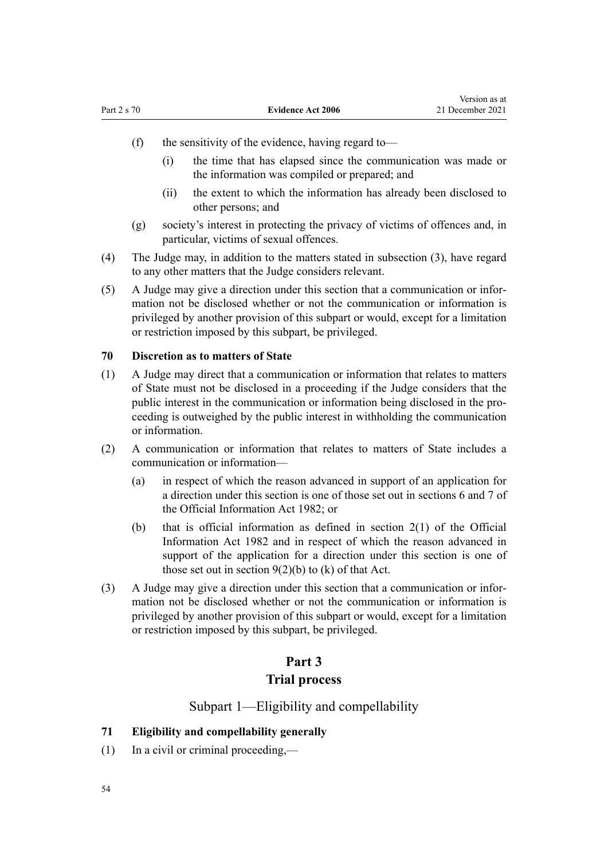- <span id="page-53-0"></span>(f) the sensitivity of the evidence, having regard to—
	- (i) the time that has elapsed since the communication was made or the information was compiled or prepared; and
	- (ii) the extent to which the information has already been disclosed to other persons; and
- (g) society's interest in protecting the privacy of victims of offences and, in particular, victims of sexual offences.
- (4) The Judge may, in addition to the matters stated in subsection (3), have regard to any other matters that the Judge considers relevant.
- (5) A Judge may give a direction under this section that a communication or infor‐ mation not be disclosed whether or not the communication or information is privileged by another provision of this subpart or would, except for a limitation or restriction imposed by this subpart, be privileged.

## **70 Discretion as to matters of State**

- (1) A Judge may direct that a communication or information that relates to matters of State must not be disclosed in a proceeding if the Judge considers that the public interest in the communication or information being disclosed in the pro‐ ceeding is outweighed by the public interest in withholding the communication or information.
- (2) A communication or information that relates to matters of State includes a communication or information—
	- (a) in respect of which the reason advanced in support of an application for a direction under this section is one of those set out in [sections 6](http://legislation.govt.nz/pdflink.aspx?id=DLM65366) and [7](http://legislation.govt.nz/pdflink.aspx?id=DLM65368) of the Official Information Act 1982; or
	- (b) that is official information as defined in [section 2\(1\)](http://legislation.govt.nz/pdflink.aspx?id=DLM64790) of the Official Information Act 1982 and in respect of which the reason advanced in support of the application for a direction under this section is one of those set out in section  $9(2)(b)$  to (k) of that Act.
- (3) A Judge may give a direction under this section that a communication or infor‐ mation not be disclosed whether or not the communication or information is privileged by another provision of this subpart or would, except for a limitation or restriction imposed by this subpart, be privileged.

# **Part 3**

# **Trial process**

# Subpart 1—Eligibility and compellability

# **71 Eligibility and compellability generally**

(1) In a civil or criminal proceeding,—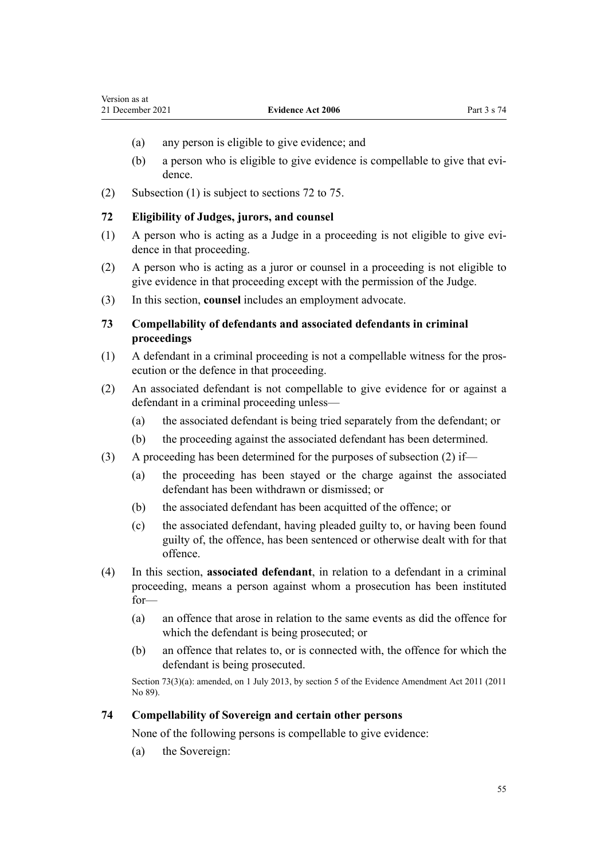- (a) any person is eligible to give evidence; and
- (b) a person who is eligible to give evidence is compellable to give that evidence.
- (2) Subsection (1) is subject to sections 72 to 75.

# **72 Eligibility of Judges, jurors, and counsel**

- (1) A person who is acting as a Judge in a proceeding is not eligible to give evi‐ dence in that proceeding.
- (2) A person who is acting as a juror or counsel in a proceeding is not eligible to give evidence in that proceeding except with the permission of the Judge.
- (3) In this section, **counsel** includes an employment advocate.
- **73 Compellability of defendants and associated defendants in criminal proceedings**
- (1) A defendant in a criminal proceeding is not a compellable witness for the pros‐ ecution or the defence in that proceeding.
- (2) An associated defendant is not compellable to give evidence for or against a defendant in a criminal proceeding unless—
	- (a) the associated defendant is being tried separately from the defendant; or
	- (b) the proceeding against the associated defendant has been determined.
- (3) A proceeding has been determined for the purposes of subsection (2) if—
	- (a) the proceeding has been stayed or the charge against the associated defendant has been withdrawn or dismissed; or
	- (b) the associated defendant has been acquitted of the offence; or
	- (c) the associated defendant, having pleaded guilty to, or having been found guilty of, the offence, has been sentenced or otherwise dealt with for that offence.
- (4) In this section, **associated defendant**, in relation to a defendant in a criminal proceeding, means a person against whom a prosecution has been instituted for—
	- (a) an offence that arose in relation to the same events as did the offence for which the defendant is being prosecuted; or
	- (b) an offence that relates to, or is connected with, the offence for which the defendant is being prosecuted.

Section 73(3)(a): amended, on 1 July 2013, by [section 5](http://legislation.govt.nz/pdflink.aspx?id=DLM4058409) of the Evidence Amendment Act 2011 (2011 No 89).

# **74 Compellability of Sovereign and certain other persons**

None of the following persons is compellable to give evidence:

(a) the Sovereign: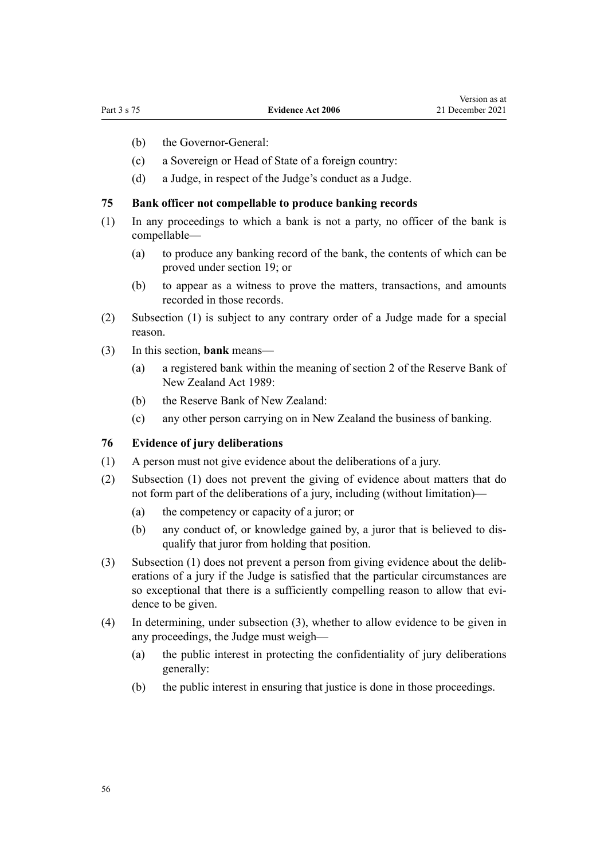- (b) the Governor-General:
- (c) a Sovereign or Head of State of a foreign country:
- (d) a Judge, in respect of the Judge's conduct as a Judge.

#### **75 Bank officer not compellable to produce banking records**

- (1) In any proceedings to which a bank is not a party, no officer of the bank is compellable—
	- (a) to produce any banking record of the bank, the contents of which can be proved under [section 19](#page-20-0); or
	- (b) to appear as a witness to prove the matters, transactions, and amounts recorded in those records.
- (2) Subsection (1) is subject to any contrary order of a Judge made for a special reason.
- (3) In this section, **bank** means—
	- (a) a registered bank within the meaning of [section 2](http://legislation.govt.nz/pdflink.aspx?id=DLM199370) of the Reserve Bank of New Zealand Act 1989:
	- (b) the Reserve Bank of New Zealand:
	- (c) any other person carrying on in New Zealand the business of banking.

#### **76 Evidence of jury deliberations**

- (1) A person must not give evidence about the deliberations of a jury.
- (2) Subsection (1) does not prevent the giving of evidence about matters that do not form part of the deliberations of a jury, including (without limitation)—
	- (a) the competency or capacity of a juror; or
	- (b) any conduct of, or knowledge gained by, a juror that is believed to dis‐ qualify that juror from holding that position.
- (3) Subsection (1) does not prevent a person from giving evidence about the delib‐ erations of a jury if the Judge is satisfied that the particular circumstances are so exceptional that there is a sufficiently compelling reason to allow that evidence to be given.
- (4) In determining, under subsection (3), whether to allow evidence to be given in any proceedings, the Judge must weigh—
	- (a) the public interest in protecting the confidentiality of jury deliberations generally:
	- (b) the public interest in ensuring that justice is done in those proceedings.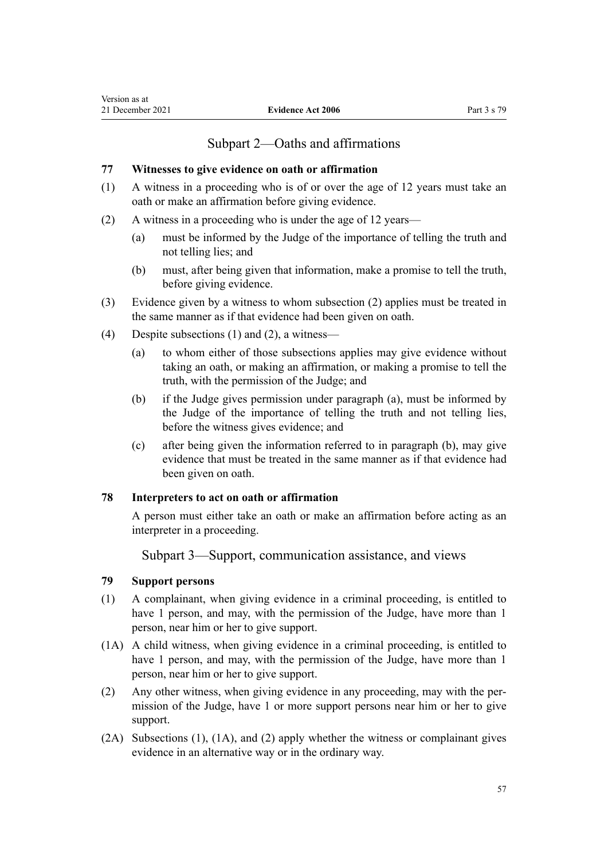# Subpart 2—Oaths and affirmations

# **77 Witnesses to give evidence on oath or affirmation**

- (1) A witness in a proceeding who is of or over the age of 12 years must take an oath or make an affirmation before giving evidence.
- (2) A witness in a proceeding who is under the age of 12 years—
	- (a) must be informed by the Judge of the importance of telling the truth and not telling lies; and
	- (b) must, after being given that information, make a promise to tell the truth, before giving evidence.
- (3) Evidence given by a witness to whom subsection (2) applies must be treated in the same manner as if that evidence had been given on oath.
- (4) Despite subsections (1) and (2), a witness—
	- (a) to whom either of those subsections applies may give evidence without taking an oath, or making an affirmation, or making a promise to tell the truth, with the permission of the Judge; and
	- (b) if the Judge gives permission under paragraph (a), must be informed by the Judge of the importance of telling the truth and not telling lies, before the witness gives evidence; and
	- (c) after being given the information referred to in paragraph (b), may give evidence that must be treated in the same manner as if that evidence had been given on oath.

# **78 Interpreters to act on oath or affirmation**

A person must either take an oath or make an affirmation before acting as an interpreter in a proceeding.

Subpart 3—Support, communication assistance, and views

## **79 Support persons**

- (1) A complainant, when giving evidence in a criminal proceeding, is entitled to have 1 person, and may, with the permission of the Judge, have more than 1 person, near him or her to give support.
- (1A) A child witness, when giving evidence in a criminal proceeding, is entitled to have 1 person, and may, with the permission of the Judge, have more than 1 person, near him or her to give support.
- (2) Any other witness, when giving evidence in any proceeding, may with the per‐ mission of the Judge, have 1 or more support persons near him or her to give support.
- (2A) Subsections (1), (1A), and (2) apply whether the witness or complainant gives evidence in an alternative way or in the ordinary way.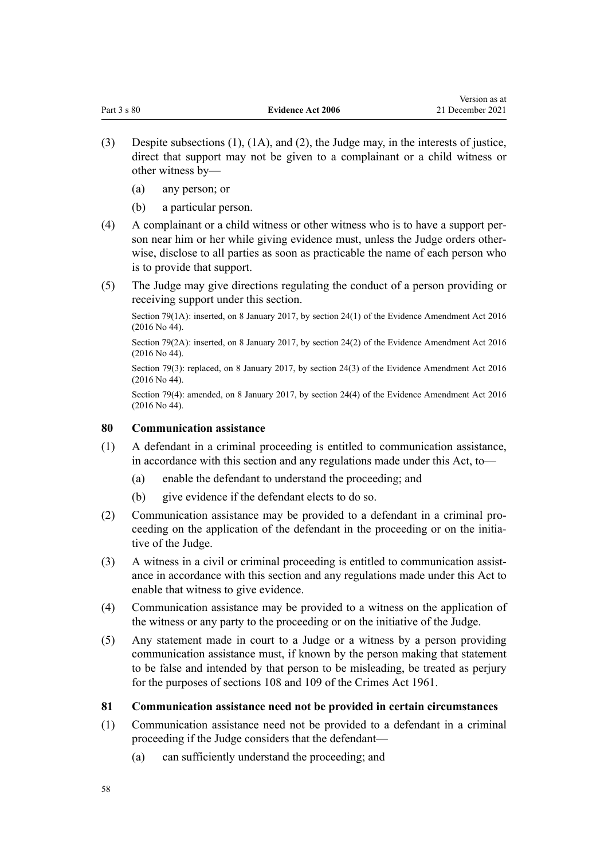- (3) Despite subsections (1), (1A), and (2), the Judge may, in the interests of justice, direct that support may not be given to a complainant or a child witness or other witness by—
	- (a) any person; or
	- (b) a particular person.
- (4) A complainant or a child witness or other witness who is to have a support per‐ son near him or her while giving evidence must, unless the Judge orders otherwise, disclose to all parties as soon as practicable the name of each person who is to provide that support.
- (5) The Judge may give directions regulating the conduct of a person providing or receiving support under this section.

Section 79(1A): inserted, on 8 January 2017, by [section 24\(1\)](http://legislation.govt.nz/pdflink.aspx?id=DLM6488748) of the Evidence Amendment Act 2016 (2016 No 44).

Section 79(2A): inserted, on 8 January 2017, by [section 24\(2\)](http://legislation.govt.nz/pdflink.aspx?id=DLM6488748) of the Evidence Amendment Act 2016 (2016 No 44).

Section 79(3): replaced, on 8 January 2017, by [section 24\(3\)](http://legislation.govt.nz/pdflink.aspx?id=DLM6488748) of the Evidence Amendment Act 2016 (2016 No 44).

Section 79(4): amended, on 8 January 2017, by [section 24\(4\)](http://legislation.govt.nz/pdflink.aspx?id=DLM6488748) of the Evidence Amendment Act 2016 (2016 No 44).

# **80 Communication assistance**

- (1) A defendant in a criminal proceeding is entitled to communication assistance, in accordance with this section and any regulations made under this Act, to—
	- (a) enable the defendant to understand the proceeding; and
	- (b) give evidence if the defendant elects to do so.
- (2) Communication assistance may be provided to a defendant in a criminal pro‐ ceeding on the application of the defendant in the proceeding or on the initiative of the Judge.
- $(3)$  A witness in a civil or criminal proceeding is entitled to communication assisted ance in accordance with this section and any regulations made under this Act to enable that witness to give evidence.
- (4) Communication assistance may be provided to a witness on the application of the witness or any party to the proceeding or on the initiative of the Judge.
- (5) Any statement made in court to a Judge or a witness by a person providing communication assistance must, if known by the person making that statement to be false and intended by that person to be misleading, be treated as perjury for the purposes of [sections 108](http://legislation.govt.nz/pdflink.aspx?id=DLM328793) and [109](http://legislation.govt.nz/pdflink.aspx?id=DLM328796) of the Crimes Act 1961.

# **81 Communication assistance need not be provided in certain circumstances**

- (1) Communication assistance need not be provided to a defendant in a criminal proceeding if the Judge considers that the defendant—
	- (a) can sufficiently understand the proceeding; and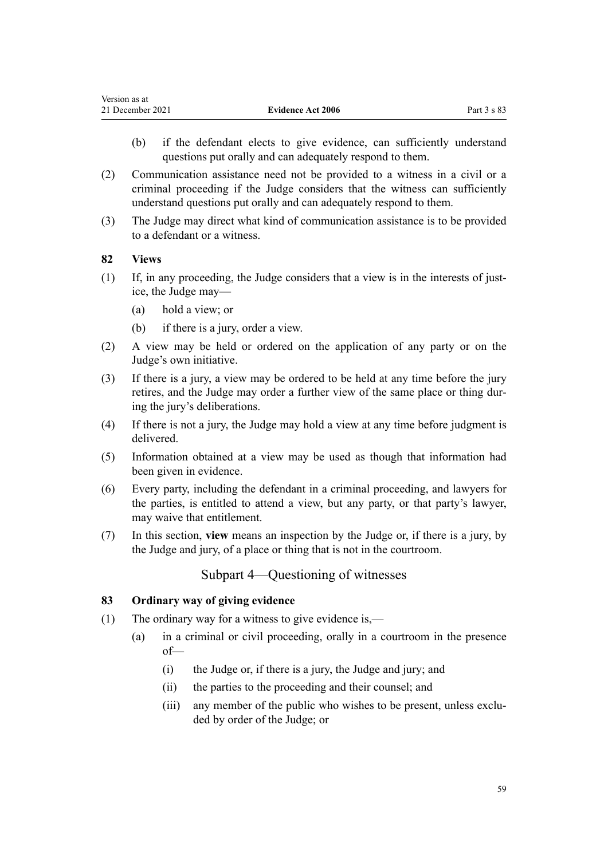<span id="page-58-0"></span>

| Version as at    |                          |             |
|------------------|--------------------------|-------------|
| 21 December 2021 | <b>Evidence Act 2006</b> | Part 3 s 83 |

- (b) if the defendant elects to give evidence, can sufficiently understand questions put orally and can adequately respond to them.
- (2) Communication assistance need not be provided to a witness in a civil or a criminal proceeding if the Judge considers that the witness can sufficiently understand questions put orally and can adequately respond to them.
- (3) The Judge may direct what kind of communication assistance is to be provided to a defendant or a witness.

## **82 Views**

- $(1)$  If, in any proceeding, the Judge considers that a view is in the interests of justice, the Judge may—
	- (a) hold a view; or
	- (b) if there is a jury, order a view.
- (2) A view may be held or ordered on the application of any party or on the Judge's own initiative.
- (3) If there is a jury, a view may be ordered to be held at any time before the jury retires, and the Judge may order a further view of the same place or thing dur‐ ing the jury's deliberations.
- (4) If there is not a jury, the Judge may hold a view at any time before judgment is delivered.
- (5) Information obtained at a view may be used as though that information had been given in evidence.
- (6) Every party, including the defendant in a criminal proceeding, and lawyers for the parties, is entitled to attend a view, but any party, or that party's lawyer, may waive that entitlement.
- (7) In this section, **view** means an inspection by the Judge or, if there is a jury, by the Judge and jury, of a place or thing that is not in the courtroom.

# Subpart 4—Questioning of witnesses

## **83 Ordinary way of giving evidence**

- (1) The ordinary way for a witness to give evidence is,—
	- (a) in a criminal or civil proceeding, orally in a courtroom in the presence of—
		- (i) the Judge or, if there is a jury, the Judge and jury; and
		- (ii) the parties to the proceeding and their counsel; and
		- (iii) any member of the public who wishes to be present, unless excluded by order of the Judge; or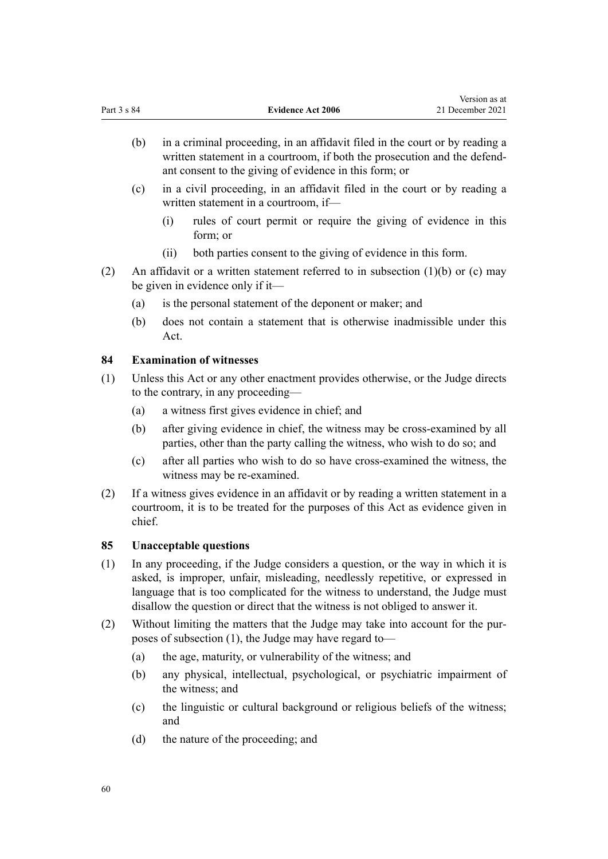- (b) in a criminal proceeding, in an affidavit filed in the court or by reading a written statement in a courtroom, if both the prosecution and the defendant consent to the giving of evidence in this form; or
- (c) in a civil proceeding, in an affidavit filed in the court or by reading a written statement in a courtroom, if—
	- (i) rules of court permit or require the giving of evidence in this form; or

Version as at

- (ii) both parties consent to the giving of evidence in this form.
- (2) An affidavit or a written statement referred to in subsection  $(1)(b)$  or (c) may be given in evidence only if it—
	- (a) is the personal statement of the deponent or maker; and
	- (b) does not contain a statement that is otherwise inadmissible under this Act.

## **84 Examination of witnesses**

- (1) Unless this Act or any other enactment provides otherwise, or the Judge directs to the contrary, in any proceeding—
	- (a) a witness first gives evidence in chief; and
	- (b) after giving evidence in chief, the witness may be cross-examined by all parties, other than the party calling the witness, who wish to do so; and
	- (c) after all parties who wish to do so have cross-examined the witness, the witness may be re-examined.
- (2) If a witness gives evidence in an affidavit or by reading a written statement in a courtroom, it is to be treated for the purposes of this Act as evidence given in chief.

## **85 Unacceptable questions**

- (1) In any proceeding, if the Judge considers a question, or the way in which it is asked, is improper, unfair, misleading, needlessly repetitive, or expressed in language that is too complicated for the witness to understand, the Judge must disallow the question or direct that the witness is not obliged to answer it.
- (2) Without limiting the matters that the Judge may take into account for the pur‐ poses of subsection (1), the Judge may have regard to—
	- (a) the age, maturity, or vulnerability of the witness; and
	- (b) any physical, intellectual, psychological, or psychiatric impairment of the witness; and
	- (c) the linguistic or cultural background or religious beliefs of the witness; and
	- (d) the nature of the proceeding; and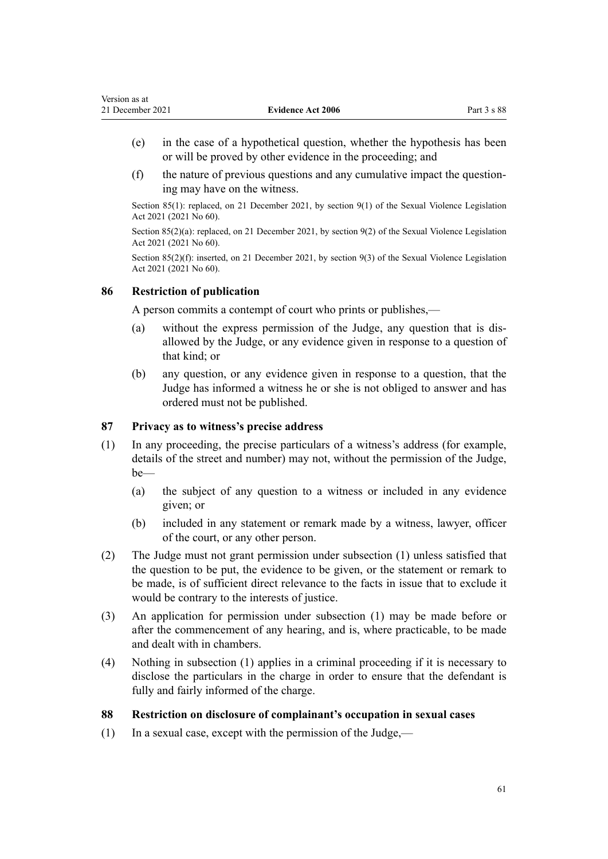- (e) in the case of a hypothetical question, whether the hypothesis has been or will be proved by other evidence in the proceeding; and
- $(f)$  the nature of previous questions and any cumulative impact the questioning may have on the witness.

Section 85(1): replaced, on 21 December 2021, by [section 9\(1\)](http://legislation.govt.nz/pdflink.aspx?id=LMS268268) of the Sexual Violence Legislation Act 2021 (2021 No 60).

Section 85(2)(a): replaced, on 21 December 2021, by [section 9\(2\)](http://legislation.govt.nz/pdflink.aspx?id=LMS268268) of the Sexual Violence Legislation Act 2021 (2021 No 60).

Section 85(2)(f): inserted, on 21 December 2021, by [section 9\(3\)](http://legislation.govt.nz/pdflink.aspx?id=LMS268268) of the Sexual Violence Legislation Act 2021 (2021 No 60).

## **86 Restriction of publication**

A person commits a contempt of court who prints or publishes,—

- (a) without the express permission of the Judge, any question that is dis‐ allowed by the Judge, or any evidence given in response to a question of that kind; or
- (b) any question, or any evidence given in response to a question, that the Judge has informed a witness he or she is not obliged to answer and has ordered must not be published.

#### **87 Privacy as to witness's precise address**

- (1) In any proceeding, the precise particulars of a witness's address (for example, details of the street and number) may not, without the permission of the Judge, be—
	- (a) the subject of any question to a witness or included in any evidence given; or
	- (b) included in any statement or remark made by a witness, lawyer, officer of the court, or any other person.
- (2) The Judge must not grant permission under subsection (1) unless satisfied that the question to be put, the evidence to be given, or the statement or remark to be made, is of sufficient direct relevance to the facts in issue that to exclude it would be contrary to the interests of justice.
- (3) An application for permission under subsection (1) may be made before or after the commencement of any hearing, and is, where practicable, to be made and dealt with in chambers.
- (4) Nothing in subsection (1) applies in a criminal proceeding if it is necessary to disclose the particulars in the charge in order to ensure that the defendant is fully and fairly informed of the charge.

#### **88 Restriction on disclosure of complainant's occupation in sexual cases**

 $(1)$  In a sexual case, except with the permission of the Judge,—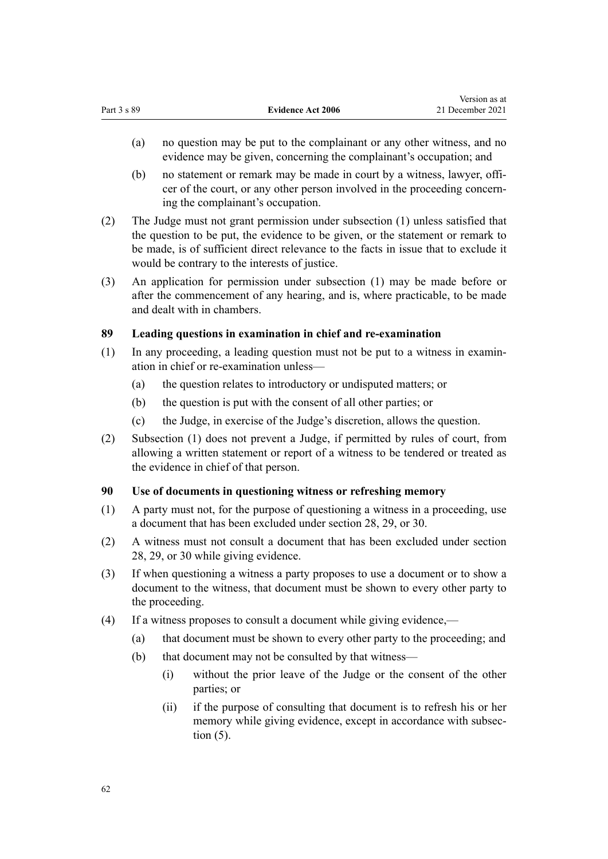|             |                          | Version as at    |
|-------------|--------------------------|------------------|
| Part 3 s 89 | <b>Evidence Act 2006</b> | 21 December 2021 |

- (a) no question may be put to the complainant or any other witness, and no evidence may be given, concerning the complainant's occupation; and
- (b) no statement or remark may be made in court by a witness, lawyer, officer of the court, or any other person involved in the proceeding concerning the complainant's occupation.
- (2) The Judge must not grant permission under subsection (1) unless satisfied that the question to be put, the evidence to be given, or the statement or remark to be made, is of sufficient direct relevance to the facts in issue that to exclude it would be contrary to the interests of justice.
- (3) An application for permission under subsection (1) may be made before or after the commencement of any hearing, and is, where practicable, to be made and dealt with in chambers.

# **89 Leading questions in examination in chief and re-examination**

- $(1)$  In any proceeding, a leading question must not be put to a witness in examination in chief or re-examination unless—
	- (a) the question relates to introductory or undisputed matters; or
	- (b) the question is put with the consent of all other parties; or
	- (c) the Judge, in exercise of the Judge's discretion, allows the question.
- (2) Subsection (1) does not prevent a Judge, if permitted by rules of court, from allowing a written statement or report of a witness to be tendered or treated as the evidence in chief of that person.

## **90 Use of documents in questioning witness or refreshing memory**

- (1) A party must not, for the purpose of questioning a witness in a proceeding, use a document that has been excluded under [section 28,](#page-24-0) [29,](#page-25-0) or [30.](#page-25-0)
- (2) A witness must not consult a document that has been excluded under [section](#page-24-0) [28,](#page-24-0) [29,](#page-25-0) or [30](#page-25-0) while giving evidence.
- (3) If when questioning a witness a party proposes to use a document or to show a document to the witness, that document must be shown to every other party to the proceeding.
- (4) If a witness proposes to consult a document while giving evidence,—
	- (a) that document must be shown to every other party to the proceeding; and
	- (b) that document may not be consulted by that witness—
		- (i) without the prior leave of the Judge or the consent of the other parties; or
		- (ii) if the purpose of consulting that document is to refresh his or her memory while giving evidence, except in accordance with subsection  $(5)$ .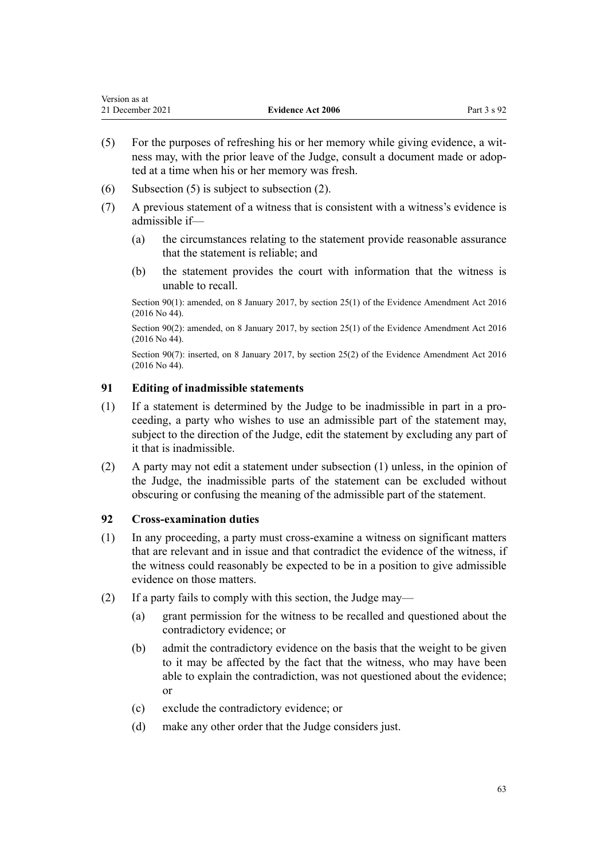| Version as at    |                          |             |
|------------------|--------------------------|-------------|
| 21 December 2021 | <b>Evidence Act 2006</b> | Part 3 s 92 |

- (5) For the purposes of refreshing his or her memory while giving evidence, a wit‐ ness may, with the prior leave of the Judge, consult a document made or adopted at a time when his or her memory was fresh.
- (6) Subsection (5) is subject to subsection (2).
- (7) A previous statement of a witness that is consistent with a witness's evidence is admissible if—
	- (a) the circumstances relating to the statement provide reasonable assurance that the statement is reliable; and
	- (b) the statement provides the court with information that the witness is unable to recall.

Section 90(1): amended, on 8 January 2017, by [section 25\(1\)](http://legislation.govt.nz/pdflink.aspx?id=DLM6488749) of the Evidence Amendment Act 2016 (2016 No 44).

Section 90(2): amended, on 8 January 2017, by [section 25\(1\)](http://legislation.govt.nz/pdflink.aspx?id=DLM6488749) of the Evidence Amendment Act 2016 (2016 No 44).

Section 90(7): inserted, on 8 January 2017, by [section 25\(2\)](http://legislation.govt.nz/pdflink.aspx?id=DLM6488749) of the Evidence Amendment Act 2016 (2016 No 44).

## **91 Editing of inadmissible statements**

- (1) If a statement is determined by the Judge to be inadmissible in part in a pro‐ ceeding, a party who wishes to use an admissible part of the statement may, subject to the direction of the Judge, edit the statement by excluding any part of it that is inadmissible.
- (2) A party may not edit a statement under subsection (1) unless, in the opinion of the Judge, the inadmissible parts of the statement can be excluded without obscuring or confusing the meaning of the admissible part of the statement.

#### **92 Cross-examination duties**

- (1) In any proceeding, a party must cross-examine a witness on significant matters that are relevant and in issue and that contradict the evidence of the witness, if the witness could reasonably be expected to be in a position to give admissible evidence on those matters.
- (2) If a party fails to comply with this section, the Judge may—
	- (a) grant permission for the witness to be recalled and questioned about the contradictory evidence; or
	- (b) admit the contradictory evidence on the basis that the weight to be given to it may be affected by the fact that the witness, who may have been able to explain the contradiction, was not questioned about the evidence; or
	- (c) exclude the contradictory evidence; or
	- (d) make any other order that the Judge considers just.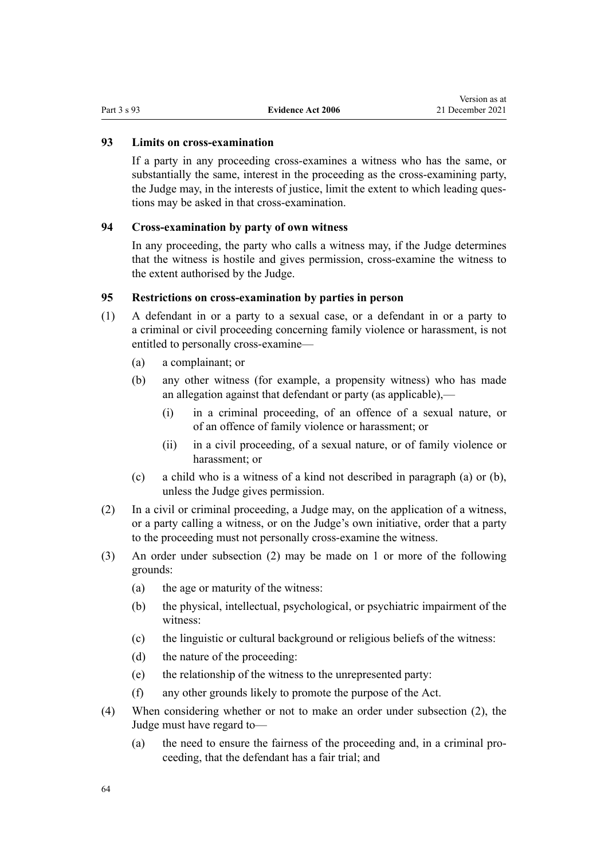# **93 Limits on cross-examination**

If a party in any proceeding cross-examines a witness who has the same, or substantially the same, interest in the proceeding as the cross-examining party, the Judge may, in the interests of justice, limit the extent to which leading questions may be asked in that cross-examination.

# **94 Cross-examination by party of own witness**

In any proceeding, the party who calls a witness may, if the Judge determines that the witness is hostile and gives permission, cross-examine the witness to the extent authorised by the Judge.

#### **95 Restrictions on cross-examination by parties in person**

- (1) A defendant in or a party to a sexual case, or a defendant in or a party to a criminal or civil proceeding concerning family violence or harassment, is not entitled to personally cross-examine—
	- (a) a complainant; or
	- (b) any other witness (for example, a propensity witness) who has made an allegation against that defendant or party (as applicable),—
		- (i) in a criminal proceeding, of an offence of a sexual nature, or of an offence of family violence or harassment; or
		- (ii) in a civil proceeding, of a sexual nature, or of family violence or harassment; or
	- (c) a child who is a witness of a kind not described in paragraph (a) or (b), unless the Judge gives permission.
- (2) In a civil or criminal proceeding, a Judge may, on the application of a witness, or a party calling a witness, or on the Judge's own initiative, order that a party to the proceeding must not personally cross-examine the witness.
- (3) An order under subsection (2) may be made on 1 or more of the following grounds:
	- (a) the age or maturity of the witness:
	- (b) the physical, intellectual, psychological, or psychiatric impairment of the witness:
	- (c) the linguistic or cultural background or religious beliefs of the witness:
	- (d) the nature of the proceeding:
	- (e) the relationship of the witness to the unrepresented party:
	- (f) any other grounds likely to promote the purpose of the Act.
- (4) When considering whether or not to make an order under subsection (2), the Judge must have regard to—
	- (a) the need to ensure the fairness of the proceeding and, in a criminal pro‐ ceeding, that the defendant has a fair trial; and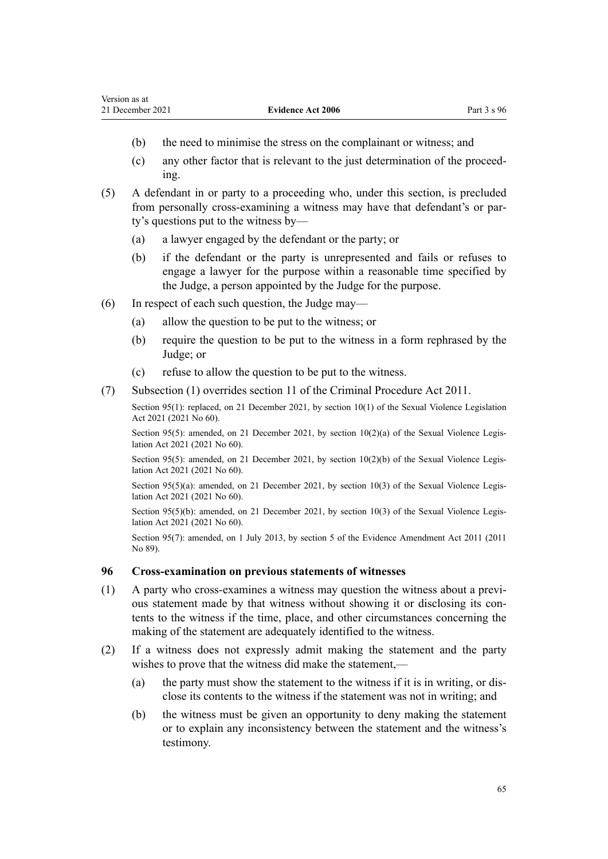- (b) the need to minimise the stress on the complainant or witness; and
- (c) any other factor that is relevant to the just determination of the proceed‐ ing.
- (5) A defendant in or party to a proceeding who, under this section, is precluded from personally cross-examining a witness may have that defendant's or par‐ ty's questions put to the witness by—
	- (a) a lawyer engaged by the defendant or the party; or
	- (b) if the defendant or the party is unrepresented and fails or refuses to engage a lawyer for the purpose within a reasonable time specified by the Judge, a person appointed by the Judge for the purpose.
- (6) In respect of each such question, the Judge may—
	- (a) allow the question to be put to the witness; or
	- (b) require the question to be put to the witness in a form rephrased by the Judge; or
	- (c) refuse to allow the question to be put to the witness.
- (7) Subsection (1) overrides [section 11](http://legislation.govt.nz/pdflink.aspx?id=DLM3865709) of the Criminal Procedure Act 2011.

Section 95(1): replaced, on 21 December 2021, by [section 10\(1\)](http://legislation.govt.nz/pdflink.aspx?id=LMS313532) of the Sexual Violence Legislation Act 2021 (2021 No 60).

Section 95(5): amended, on 21 December 2021, by section  $10(2)(a)$  of the Sexual Violence Legislation Act 2021 (2021 No 60).

Section 95(5): amended, on 21 December 2021, by [section 10\(2\)\(b\)](http://legislation.govt.nz/pdflink.aspx?id=LMS313532) of the Sexual Violence Legislation Act 2021 (2021 No 60).

Section  $95(5)(a)$ : amended, on 21 December 2021, by [section 10\(3\)](http://legislation.govt.nz/pdflink.aspx?id=LMS313532) of the Sexual Violence Legislation Act 2021 (2021 No 60).

Section  $95(5)(b)$ : amended, on 21 December 2021, by [section 10\(3\)](http://legislation.govt.nz/pdflink.aspx?id=LMS313532) of the Sexual Violence Legislation Act 2021 (2021 No 60).

Section 95(7): amended, on 1 July 2013, by [section 5](http://legislation.govt.nz/pdflink.aspx?id=DLM4058409) of the Evidence Amendment Act 2011 (2011 No 89).

#### **96 Cross-examination on previous statements of witnesses**

- $(1)$  A party who cross-examines a witness may question the witness about a previous statement made by that witness without showing it or disclosing its con‐ tents to the witness if the time, place, and other circumstances concerning the making of the statement are adequately identified to the witness.
- (2) If a witness does not expressly admit making the statement and the party wishes to prove that the witness did make the statement,—
	- (a) the party must show the statement to the witness if it is in writing, or dis‐ close its contents to the witness if the statement was not in writing; and
	- (b) the witness must be given an opportunity to deny making the statement or to explain any inconsistency between the statement and the witness's testimony.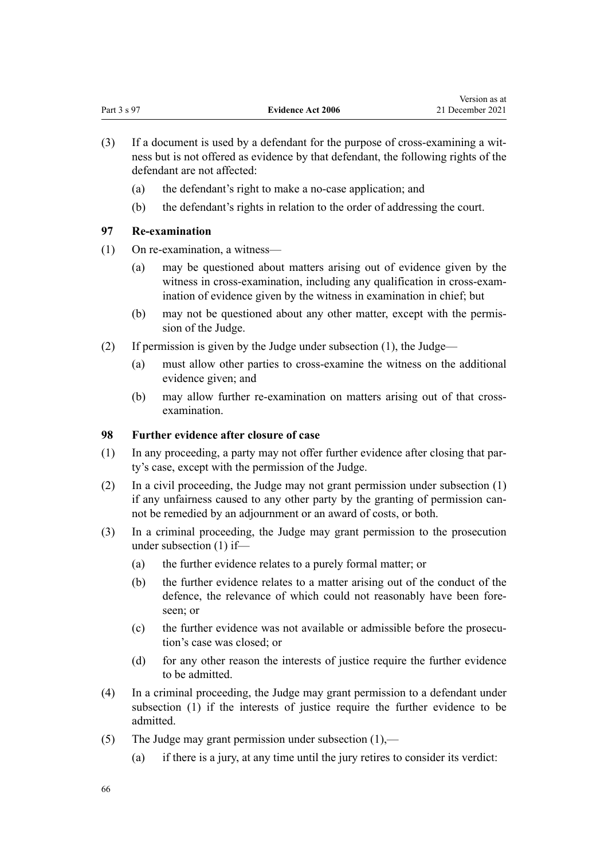| Part 3 s 97 | <b>Evidence Act 2006</b> | 21 December 2021 |
|-------------|--------------------------|------------------|

Version as at

- (3) If a document is used by a defendant for the purpose of cross-examining a wit‐ ness but is not offered as evidence by that defendant, the following rights of the defendant are not affected:
	- (a) the defendant's right to make a no-case application; and
	- (b) the defendant's rights in relation to the order of addressing the court.

# **97 Re-examination**

- (1) On re-examination, a witness—
	- (a) may be questioned about matters arising out of evidence given by the witness in cross-examination, including any qualification in cross-examination of evidence given by the witness in examination in chief; but
	- (b) may not be questioned about any other matter, except with the permission of the Judge.
- (2) If permission is given by the Judge under subsection (1), the Judge—
	- (a) must allow other parties to cross-examine the witness on the additional evidence given; and
	- (b) may allow further re-examination on matters arising out of that crossexamination.

# **98 Further evidence after closure of case**

- $(1)$  In any proceeding, a party may not offer further evidence after closing that party's case, except with the permission of the Judge.
- (2) In a civil proceeding, the Judge may not grant permission under subsection (1) if any unfairness caused to any other party by the granting of permission can‐ not be remedied by an adjournment or an award of costs, or both.
- (3) In a criminal proceeding, the Judge may grant permission to the prosecution under subsection (1) if—
	- (a) the further evidence relates to a purely formal matter; or
	- (b) the further evidence relates to a matter arising out of the conduct of the defence, the relevance of which could not reasonably have been foreseen; or
	- (c) the further evidence was not available or admissible before the prosecution's case was closed; or
	- (d) for any other reason the interests of justice require the further evidence to be admitted.
- (4) In a criminal proceeding, the Judge may grant permission to a defendant under subsection (1) if the interests of justice require the further evidence to be admitted.
- (5) The Judge may grant permission under subsection (1),—
	- (a) if there is a jury, at any time until the jury retires to consider its verdict: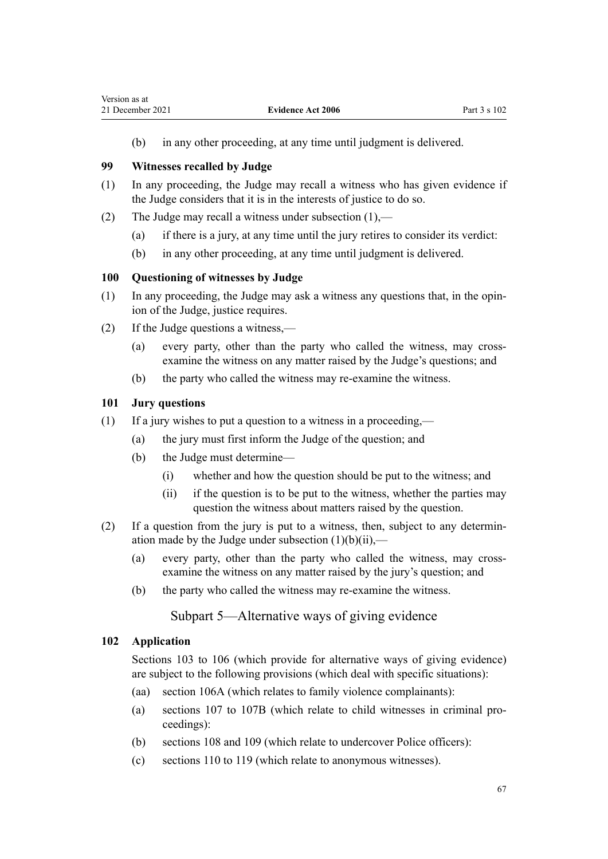(b) in any other proceeding, at any time until judgment is delivered.

# **99 Witnesses recalled by Judge**

- (1) In any proceeding, the Judge may recall a witness who has given evidence if the Judge considers that it is in the interests of justice to do so.
- (2) The Judge may recall a witness under subsection (1),—
	- (a) if there is a jury, at any time until the jury retires to consider its verdict:
	- (b) in any other proceeding, at any time until judgment is delivered.

# **100 Questioning of witnesses by Judge**

- $(1)$  In any proceeding, the Judge may ask a witness any questions that, in the opinion of the Judge, justice requires.
- (2) If the Judge questions a witness,—
	- (a) every party, other than the party who called the witness, may crossexamine the witness on any matter raised by the Judge's questions; and
	- (b) the party who called the witness may re-examine the witness.

# **101 Jury questions**

- $(1)$  If a jury wishes to put a question to a witness in a proceeding.—
	- (a) the jury must first inform the Judge of the question; and
	- (b) the Judge must determine—
		- (i) whether and how the question should be put to the witness; and
		- (ii) if the question is to be put to the witness, whether the parties may question the witness about matters raised by the question.
- (2) If a question from the jury is put to a witness, then, subject to any determin‐ ation made by the Judge under subsection  $(1)(b)(ii)$ ,—
	- (a) every party, other than the party who called the witness, may crossexamine the witness on any matter raised by the jury's question; and
	- (b) the party who called the witness may re-examine the witness.

# Subpart 5—Alternative ways of giving evidence

# **102 Application**

[Sections 103 to 106](#page-67-0) (which provide for alternative ways of giving evidence) are subject to the following provisions (which deal with specific situations):

- (aa) [section 106A](#page-71-0) (which relates to family violence complainants):
- (a) [sections 107 to 107B](#page-72-0) (which relate to child witnesses in criminal pro‐ ceedings):
- (b) [sections 108](#page-74-0) and [109](#page-75-0) (which relate to undercover Police officers):
- (c) [sections 110 to 119](#page-76-0) (which relate to anonymous witnesses).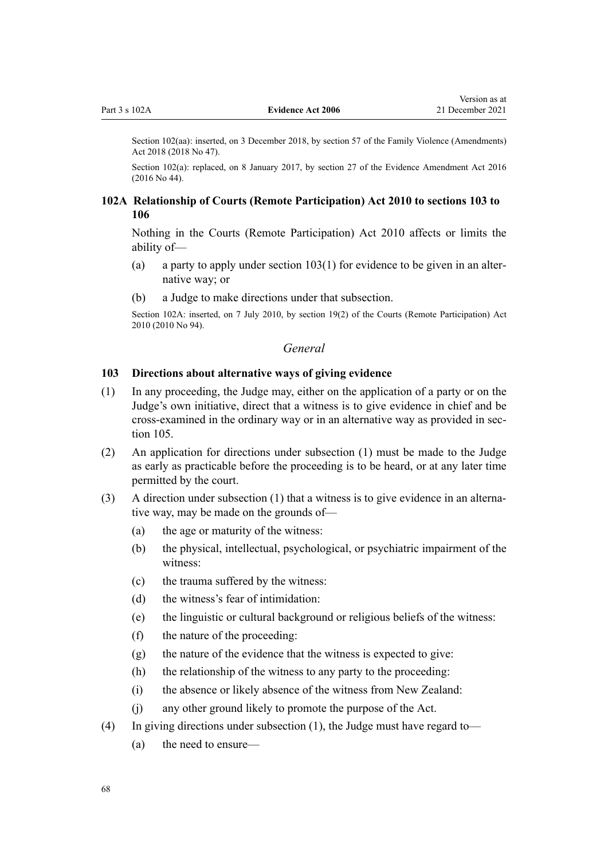<span id="page-67-0"></span>Section 102(aa): inserted, on 3 December 2018, by [section 57](http://legislation.govt.nz/pdflink.aspx?id=LMS113559) of the Family Violence (Amendments) Act 2018 (2018 No 47).

Section 102(a): replaced, on 8 January 2017, by [section 27](http://legislation.govt.nz/pdflink.aspx?id=DLM6488751) of the Evidence Amendment Act 2016 (2016 No 44).

# **102A Relationship of Courts (Remote Participation) Act 2010 to sections 103 to 106**

Nothing in the [Courts \(Remote Participation\) Act 2010](http://legislation.govt.nz/pdflink.aspx?id=DLM2600700) affects or limits the ability of—

- (a) a party to apply under section  $103(1)$  for evidence to be given in an alternative way; or
- (b) a Judge to make directions under that subsection.

Section 102A: inserted, on 7 July 2010, by [section 19\(2\)](http://legislation.govt.nz/pdflink.aspx?id=DLM2600770) of the Courts (Remote Participation) Act 2010 (2010 No 94).

# *General*

# **103 Directions about alternative ways of giving evidence**

- (1) In any proceeding, the Judge may, either on the application of a party or on the Judge's own initiative, direct that a witness is to give evidence in chief and be cross-examined in the ordinary way or in an alternative way as provided in sec[tion 105](#page-68-0).
- (2) An application for directions under subsection (1) must be made to the Judge as early as practicable before the proceeding is to be heard, or at any later time permitted by the court.
- $(3)$  A direction under subsection  $(1)$  that a witness is to give evidence in an alterna tive way, may be made on the grounds of—
	- (a) the age or maturity of the witness:
	- (b) the physical, intellectual, psychological, or psychiatric impairment of the witness:
	- (c) the trauma suffered by the witness:
	- (d) the witness's fear of intimidation:
	- (e) the linguistic or cultural background or religious beliefs of the witness:
	- (f) the nature of the proceeding:
	- $(g)$  the nature of the evidence that the witness is expected to give:
	- (h) the relationship of the witness to any party to the proceeding:
	- (i) the absence or likely absence of the witness from New Zealand:
	- (j) any other ground likely to promote the purpose of the Act.
- (4) In giving directions under subsection (1), the Judge must have regard to—
	- (a) the need to ensure—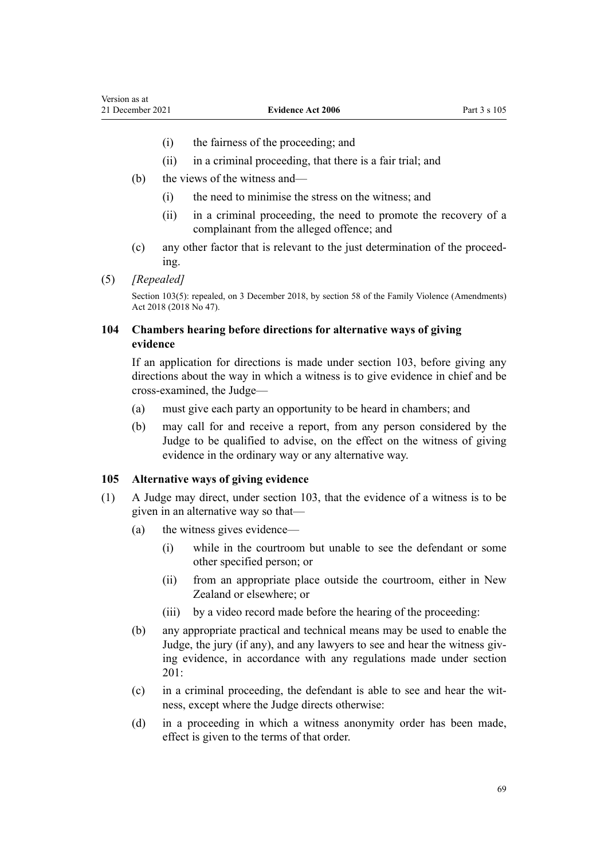- <span id="page-68-0"></span>(i) the fairness of the proceeding; and
- (ii) in a criminal proceeding, that there is a fair trial; and
- (b) the views of the witness and—
	- (i) the need to minimise the stress on the witness; and
	- (ii) in a criminal proceeding, the need to promote the recovery of a complainant from the alleged offence; and
- (c) any other factor that is relevant to the just determination of the proceed‐ ing.

#### (5) *[Repealed]*

Section 103(5): repealed, on 3 December 2018, by [section 58](http://legislation.govt.nz/pdflink.aspx?id=LMS113560) of the Family Violence (Amendments) Act 2018 (2018 No 47).

# **104 Chambers hearing before directions for alternative ways of giving evidence**

If an application for directions is made under [section 103,](#page-67-0) before giving any directions about the way in which a witness is to give evidence in chief and be cross-examined, the Judge—

- (a) must give each party an opportunity to be heard in chambers; and
- (b) may call for and receive a report, from any person considered by the Judge to be qualified to advise, on the effect on the witness of giving evidence in the ordinary way or any alternative way.

#### **105 Alternative ways of giving evidence**

- (1) A Judge may direct, under [section 103](#page-67-0), that the evidence of a witness is to be given in an alternative way so that—
	- (a) the witness gives evidence—
		- (i) while in the courtroom but unable to see the defendant or some other specified person; or
		- (ii) from an appropriate place outside the courtroom, either in New Zealand or elsewhere; or
		- (iii) by a video record made before the hearing of the proceeding:
	- (b) any appropriate practical and technical means may be used to enable the Judge, the jury (if any), and any lawyers to see and hear the witness giv‐ ing evidence, in accordance with any regulations made under [section](#page-127-0) [201](#page-127-0):
	- (c) in a criminal proceeding, the defendant is able to see and hear the wit‐ ness, except where the Judge directs otherwise:
	- (d) in a proceeding in which a witness anonymity order has been made, effect is given to the terms of that order.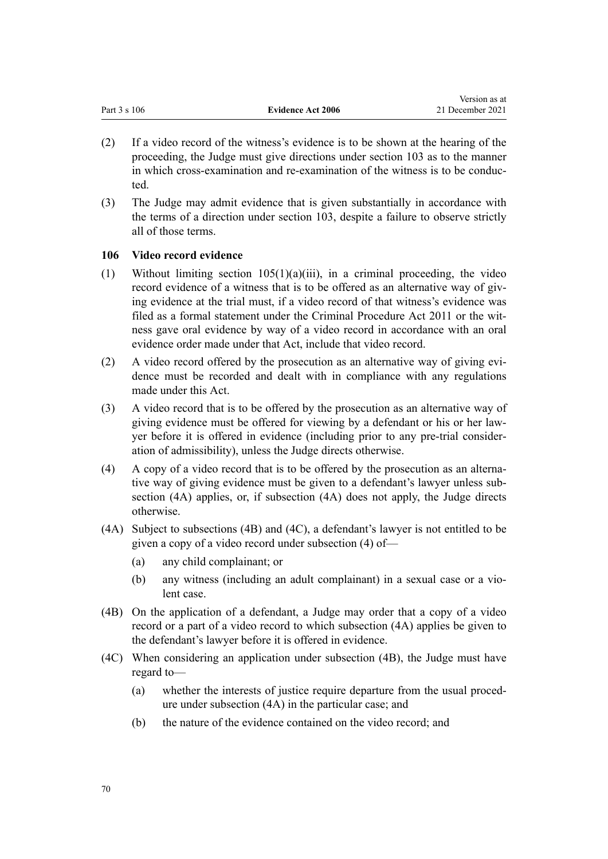<span id="page-69-0"></span>

| Part 3 s 106 | <b>Evidence Act 2006</b> | 21 December 2021 |
|--------------|--------------------------|------------------|

Version as at

- (2) If a video record of the witness's evidence is to be shown at the hearing of the proceeding, the Judge must give directions under [section 103](#page-67-0) as to the manner in which cross-examination and re-examination of the witness is to be conducted.
- (3) The Judge may admit evidence that is given substantially in accordance with the terms of a direction under [section 103](#page-67-0), despite a failure to observe strictly all of those terms.

## **106 Video record evidence**

- (1) Without limiting section  $105(1)(a)(iii)$ , in a criminal proceeding, the video record evidence of a witness that is to be offered as an alternative way of giving evidence at the trial must, if a video record of that witness's evidence was filed as a formal statement under the [Criminal Procedure Act 2011](http://legislation.govt.nz/pdflink.aspx?id=DLM3359902) or the witness gave oral evidence by way of a video record in accordance with an oral evidence order made under that Act, include that video record.
- (2) A video record offered by the prosecution as an alternative way of giving evidence must be recorded and dealt with in compliance with any regulations made under this Act.
- (3) A video record that is to be offered by the prosecution as an alternative way of giving evidence must be offered for viewing by a defendant or his or her law‐ yer before it is offered in evidence (including prior to any pre-trial consider‐ ation of admissibility), unless the Judge directs otherwise.
- (4) A copy of a video record that is to be offered by the prosecution as an alterna‐ tive way of giving evidence must be given to a defendant's lawyer unless sub‐ section (4A) applies, or, if subsection (4A) does not apply, the Judge directs otherwise.
- (4A) Subject to subsections (4B) and (4C), a defendant's lawyer is not entitled to be given a copy of a video record under subsection (4) of—
	- (a) any child complainant; or
	- (b) any witness (including an adult complainant) in a sexual case or a vio‐ lent case.
- (4B) On the application of a defendant, a Judge may order that a copy of a video record or a part of a video record to which subsection (4A) applies be given to the defendant's lawyer before it is offered in evidence.
- (4C) When considering an application under subsection (4B), the Judge must have regard to—
	- (a) whether the interests of justice require departure from the usual proced‐ ure under subsection (4A) in the particular case; and
	- (b) the nature of the evidence contained on the video record; and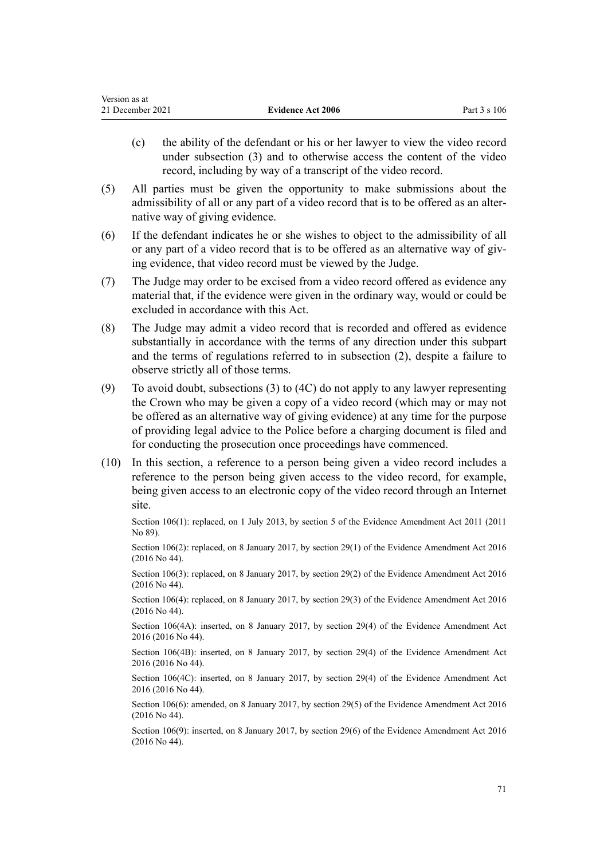| Version as at    |                          |              |
|------------------|--------------------------|--------------|
| 21 December 2021 | <b>Evidence Act 2006</b> | Part 3 s 106 |

- (c) the ability of the defendant or his or her lawyer to view the video record under subsection (3) and to otherwise access the content of the video record, including by way of a transcript of the video record.
- (5) All parties must be given the opportunity to make submissions about the admissibility of all or any part of a video record that is to be offered as an alter‐ native way of giving evidence.
- (6) If the defendant indicates he or she wishes to object to the admissibility of all or any part of a video record that is to be offered as an alternative way of giving evidence, that video record must be viewed by the Judge.
- (7) The Judge may order to be excised from a video record offered as evidence any material that, if the evidence were given in the ordinary way, would or could be excluded in accordance with this Act.
- (8) The Judge may admit a video record that is recorded and offered as evidence substantially in accordance with the terms of any direction under this subpart and the terms of regulations referred to in subsection (2), despite a failure to observe strictly all of those terms.
- (9) To avoid doubt, subsections (3) to (4C) do not apply to any lawyer representing the Crown who may be given a copy of a video record (which may or may not be offered as an alternative way of giving evidence) at any time for the purpose of providing legal advice to the Police before a charging document is filed and for conducting the prosecution once proceedings have commenced.
- (10) In this section, a reference to a person being given a video record includes a reference to the person being given access to the video record, for example, being given access to an electronic copy of the video record through an Internet site.

Section 106(1): replaced, on 1 July 2013, by [section 5](http://legislation.govt.nz/pdflink.aspx?id=DLM4058409) of the Evidence Amendment Act 2011 (2011) No 89).

Section 106(2): replaced, on 8 January 2017, by [section 29\(1\)](http://legislation.govt.nz/pdflink.aspx?id=DLM6488753) of the Evidence Amendment Act 2016 (2016 No 44).

Section 106(3): replaced, on 8 January 2017, by [section 29\(2\)](http://legislation.govt.nz/pdflink.aspx?id=DLM6488753) of the Evidence Amendment Act 2016 (2016 No 44).

Section 106(4): replaced, on 8 January 2017, by [section 29\(3\)](http://legislation.govt.nz/pdflink.aspx?id=DLM6488753) of the Evidence Amendment Act 2016 (2016 No 44).

Section 106(4A): inserted, on 8 January 2017, by [section 29\(4\)](http://legislation.govt.nz/pdflink.aspx?id=DLM6488753) of the Evidence Amendment Act 2016 (2016 No 44).

Section 106(4B): inserted, on 8 January 2017, by [section 29\(4\)](http://legislation.govt.nz/pdflink.aspx?id=DLM6488753) of the Evidence Amendment Act 2016 (2016 No 44).

Section 106(4C): inserted, on 8 January 2017, by [section 29\(4\)](http://legislation.govt.nz/pdflink.aspx?id=DLM6488753) of the Evidence Amendment Act 2016 (2016 No 44).

Section 106(6): amended, on 8 January 2017, by [section 29\(5\)](http://legislation.govt.nz/pdflink.aspx?id=DLM6488753) of the Evidence Amendment Act 2016 (2016 No 44).

Section 106(9): inserted, on 8 January 2017, by [section 29\(6\)](http://legislation.govt.nz/pdflink.aspx?id=DLM6488753) of the Evidence Amendment Act 2016 (2016 No 44).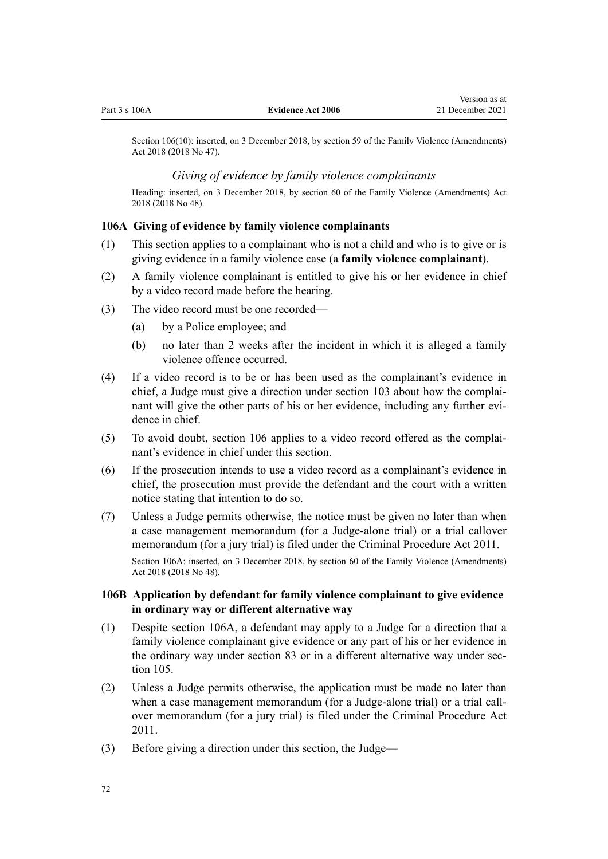<span id="page-71-0"></span>Section 106(10): inserted, on 3 December 2018, by [section 59](http://legislation.govt.nz/pdflink.aspx?id=LMS113561) of the Family Violence (Amendments) Act 2018 (2018 No 47).

# *Giving of evidence by family violence complainants*

Heading: inserted, on 3 December 2018, by [section 60](http://legislation.govt.nz/pdflink.aspx?id=LMS113566) of the Family Violence (Amendments) Act 2018 (2018 No 48).

#### **106A Giving of evidence by family violence complainants**

- (1) This section applies to a complainant who is not a child and who is to give or is giving evidence in a family violence case (a **family violence complainant**).
- (2) A family violence complainant is entitled to give his or her evidence in chief by a video record made before the hearing.
- (3) The video record must be one recorded—
	- (a) by a Police employee; and
	- (b) no later than 2 weeks after the incident in which it is alleged a family violence offence occurred.
- (4) If a video record is to be or has been used as the complainant's evidence in chief, a Judge must give a direction under [section 103](#page-67-0) about how the complainant will give the other parts of his or her evidence, including any further evidence in chief.
- (5) To avoid doubt, [section 106](#page-69-0) applies to a video record offered as the complai‐ nant's evidence in chief under this section.
- (6) If the prosecution intends to use a video record as a complainant's evidence in chief, the prosecution must provide the defendant and the court with a written notice stating that intention to do so.
- (7) Unless a Judge permits otherwise, the notice must be given no later than when a case management memorandum (for a Judge-alone trial) or a trial callover memorandum (for a jury trial) is filed under the [Criminal Procedure Act 2011](http://legislation.govt.nz/pdflink.aspx?id=DLM3359902). Section 106A: inserted, on 3 December 2018, by [section 60](http://legislation.govt.nz/pdflink.aspx?id=LMS113566) of the Family Violence (Amendments) Act 2018 (2018 No 48).

#### **106B Application by defendant for family violence complainant to give evidence in ordinary way or different alternative way**

- (1) Despite section 106A, a defendant may apply to a Judge for a direction that a family violence complainant give evidence or any part of his or her evidence in the ordinary way under [section 83](#page-58-0) or in a different alternative way under sec[tion 105](#page-68-0).
- (2) Unless a Judge permits otherwise, the application must be made no later than when a case management memorandum (for a Judge-alone trial) or a trial callover memorandum (for a jury trial) is filed under the [Criminal Procedure Act](http://legislation.govt.nz/pdflink.aspx?id=DLM3359902) [2011.](http://legislation.govt.nz/pdflink.aspx?id=DLM3359902)
- (3) Before giving a direction under this section, the Judge—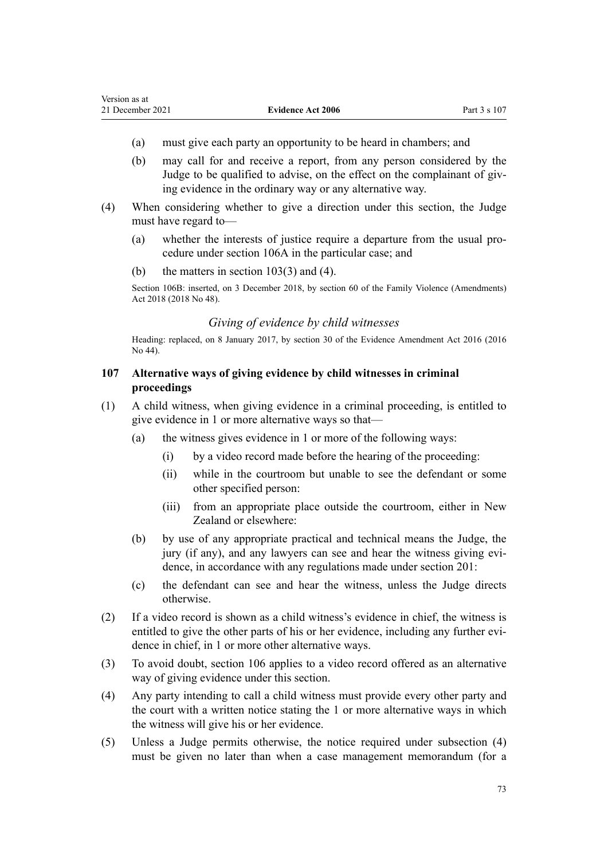- <span id="page-72-0"></span>(a) must give each party an opportunity to be heard in chambers; and
- (b) may call for and receive a report, from any person considered by the Judge to be qualified to advise, on the effect on the complainant of giving evidence in the ordinary way or any alternative way.
- (4) When considering whether to give a direction under this section, the Judge must have regard to—
	- (a) whether the interests of justice require a departure from the usual pro‐ cedure under [section 106A](#page-71-0) in the particular case; and
	- (b) the matters in section  $103(3)$  and (4).

Section 106B: inserted, on 3 December 2018, by [section 60](http://legislation.govt.nz/pdflink.aspx?id=LMS113566) of the Family Violence (Amendments) Act 2018 (2018 No 48).

#### *Giving of evidence by child witnesses*

Heading: replaced, on 8 January 2017, by [section 30](http://legislation.govt.nz/pdflink.aspx?id=DLM6488754) of the Evidence Amendment Act 2016 (2016 No 44).

## **107 Alternative ways of giving evidence by child witnesses in criminal proceedings**

- (1) A child witness, when giving evidence in a criminal proceeding, is entitled to give evidence in 1 or more alternative ways so that—
	- (a) the witness gives evidence in 1 or more of the following ways:
		- (i) by a video record made before the hearing of the proceeding:
		- (ii) while in the courtroom but unable to see the defendant or some other specified person:
		- (iii) from an appropriate place outside the courtroom, either in New Zealand or elsewhere:
	- (b) by use of any appropriate practical and technical means the Judge, the jury (if any), and any lawyers can see and hear the witness giving evidence, in accordance with any regulations made under [section 201](#page-127-0):
	- (c) the defendant can see and hear the witness, unless the Judge directs otherwise.
- (2) If a video record is shown as a child witness's evidence in chief, the witness is entitled to give the other parts of his or her evidence, including any further evidence in chief, in 1 or more other alternative ways.
- (3) To avoid doubt, [section 106](#page-69-0) applies to a video record offered as an alternative way of giving evidence under this section.
- (4) Any party intending to call a child witness must provide every other party and the court with a written notice stating the 1 or more alternative ways in which the witness will give his or her evidence.
- (5) Unless a Judge permits otherwise, the notice required under subsection (4) must be given no later than when a case management memorandum (for a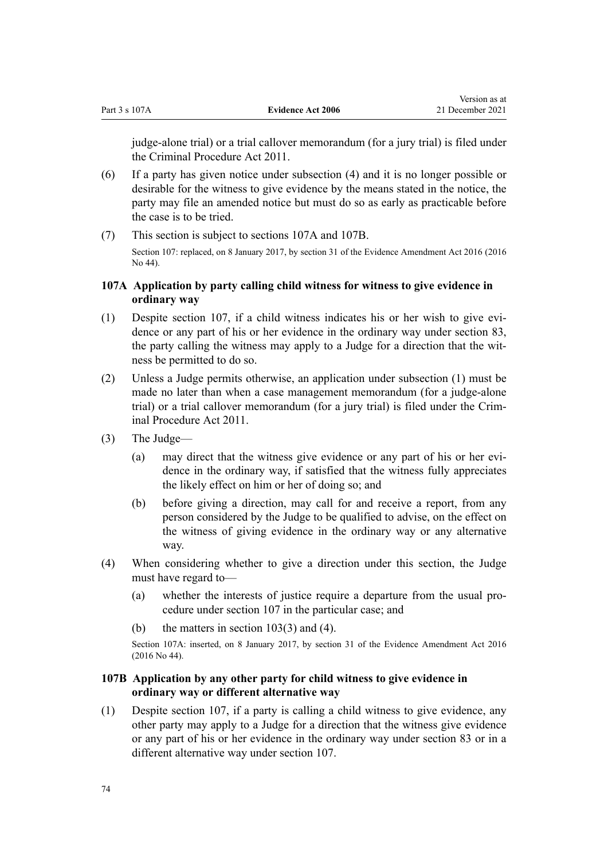judge-alone trial) or a trial callover memorandum (for a jury trial) is filed under the [Criminal Procedure Act 2011](http://legislation.govt.nz/pdflink.aspx?id=DLM3359902).

- (6) If a party has given notice under subsection (4) and it is no longer possible or desirable for the witness to give evidence by the means stated in the notice, the party may file an amended notice but must do so as early as practicable before the case is to be tried.
- (7) This section is subject to sections 107A and 107B. Section 107: replaced, on 8 January 2017, by [section 31](http://legislation.govt.nz/pdflink.aspx?id=DLM6488756) of the Evidence Amendment Act 2016 (2016 No 44).

## **107A Application by party calling child witness for witness to give evidence in ordinary way**

- (1) Despite [section 107](#page-72-0), if a child witness indicates his or her wish to give evidence or any part of his or her evidence in the ordinary way under [section 83](#page-58-0), the party calling the witness may apply to a Judge for a direction that the wit‐ ness be permitted to do so.
- (2) Unless a Judge permits otherwise, an application under subsection (1) must be made no later than when a case management memorandum (for a judge-alone trial) or a trial callover memorandum (for a jury trial) is filed under the [Crim‐](http://legislation.govt.nz/pdflink.aspx?id=DLM3359902) [inal Procedure Act 2011.](http://legislation.govt.nz/pdflink.aspx?id=DLM3359902)
- (3) The Judge—
	- (a) may direct that the witness give evidence or any part of his or her evidence in the ordinary way, if satisfied that the witness fully appreciates the likely effect on him or her of doing so; and
	- (b) before giving a direction, may call for and receive a report, from any person considered by the Judge to be qualified to advise, on the effect on the witness of giving evidence in the ordinary way or any alternative way.
- (4) When considering whether to give a direction under this section, the Judge must have regard to—
	- (a) whether the interests of justice require a departure from the usual pro‐ cedure under [section 107](#page-72-0) in the particular case; and
	- (b) the matters in section  $103(3)$  and (4).

Section 107A: inserted, on 8 January 2017, by [section 31](http://legislation.govt.nz/pdflink.aspx?id=DLM6488756) of the Evidence Amendment Act 2016 (2016 No 44).

### **107B Application by any other party for child witness to give evidence in ordinary way or different alternative way**

(1) Despite [section 107,](#page-72-0) if a party is calling a child witness to give evidence, any other party may apply to a Judge for a direction that the witness give evidence or any part of his or her evidence in the ordinary way under [section 83](#page-58-0) or in a different alternative way under section 107.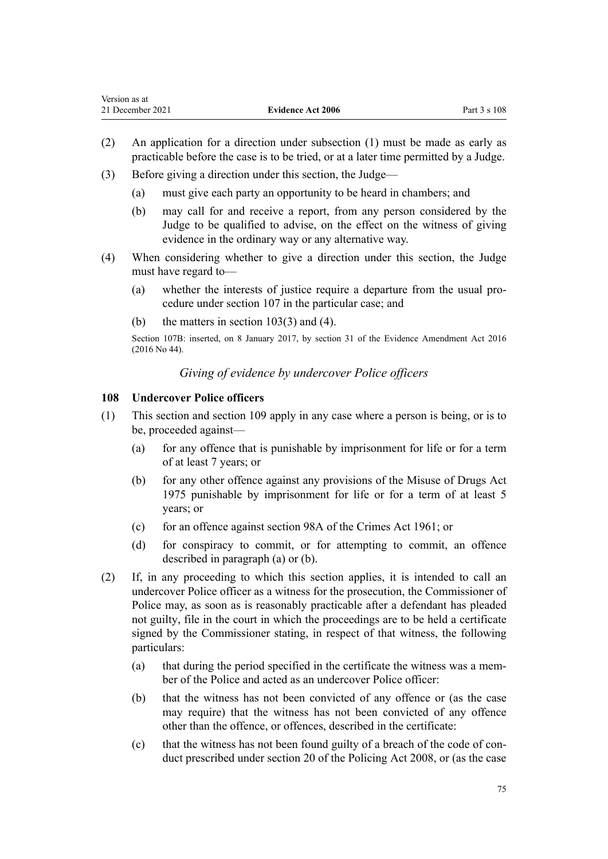- <span id="page-74-0"></span>(2) An application for a direction under subsection (1) must be made as early as practicable before the case is to be tried, or at a later time permitted by a Judge.
- (3) Before giving a direction under this section, the Judge—
	- (a) must give each party an opportunity to be heard in chambers; and
	- (b) may call for and receive a report, from any person considered by the Judge to be qualified to advise, on the effect on the witness of giving evidence in the ordinary way or any alternative way.
- (4) When considering whether to give a direction under this section, the Judge must have regard to—
	- (a) whether the interests of justice require a departure from the usual pro‐ cedure under [section 107](#page-72-0) in the particular case; and
	- (b) the matters in section  $103(3)$  and (4).

Section 107B: inserted, on 8 January 2017, by [section 31](http://legislation.govt.nz/pdflink.aspx?id=DLM6488756) of the Evidence Amendment Act 2016 (2016 No 44).

*Giving of evidence by undercover Police officers*

## **108 Undercover Police officers**

- (1) This section and [section 109](#page-75-0) apply in any case where a person is being, or is to be, proceeded against—
	- (a) for any offence that is punishable by imprisonment for life or for a term of at least 7 years; or
	- (b) for any other offence against any provisions of the [Misuse of Drugs Act](http://legislation.govt.nz/pdflink.aspx?id=DLM436100) [1975](http://legislation.govt.nz/pdflink.aspx?id=DLM436100) punishable by imprisonment for life or for a term of at least 5 years; or
	- (c) for an offence against [section 98A](http://legislation.govt.nz/pdflink.aspx?id=DLM328596) of the Crimes Act 1961; or
	- (d) for conspiracy to commit, or for attempting to commit, an offence described in paragraph (a) or (b).
- (2) If, in any proceeding to which this section applies, it is intended to call an undercover Police officer as a witness for the prosecution, the Commissioner of Police may, as soon as is reasonably practicable after a defendant has pleaded not guilty, file in the court in which the proceedings are to be held a certificate signed by the Commissioner stating, in respect of that witness, the following particulars:
	- (a) that during the period specified in the certificate the witness was a member of the Police and acted as an undercover Police officer:
	- (b) that the witness has not been convicted of any offence or (as the case may require) that the witness has not been convicted of any offence other than the offence, or offences, described in the certificate:
	- (c) that the witness has not been found guilty of a breach of the code of con‐ duct prescribed under [section 20](http://legislation.govt.nz/pdflink.aspx?id=DLM1102202) of the Policing Act 2008, or (as the case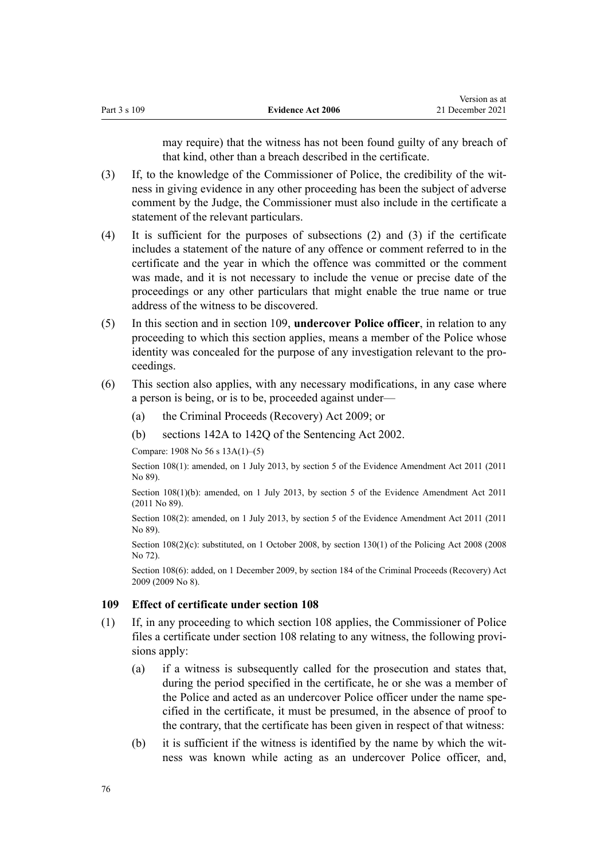may require) that the witness has not been found guilty of any breach of that kind, other than a breach described in the certificate.

Version as at

- <span id="page-75-0"></span>(3) If, to the knowledge of the Commissioner of Police, the credibility of the wit‐ ness in giving evidence in any other proceeding has been the subject of adverse comment by the Judge, the Commissioner must also include in the certificate a statement of the relevant particulars.
- (4) It is sufficient for the purposes of subsections (2) and (3) if the certificate includes a statement of the nature of any offence or comment referred to in the certificate and the year in which the offence was committed or the comment was made, and it is not necessary to include the venue or precise date of the proceedings or any other particulars that might enable the true name or true address of the witness to be discovered.
- (5) In this section and in section 109, **undercover Police officer**, in relation to any proceeding to which this section applies, means a member of the Police whose identity was concealed for the purpose of any investigation relevant to the proceedings.
- (6) This section also applies, with any necessary modifications, in any case where a person is being, or is to be, proceeded against under—
	- (a) the [Criminal Proceeds \(Recovery\) Act 2009](http://legislation.govt.nz/pdflink.aspx?id=BILL-SCDRAFT-7242); or
	- (b) [sections 142A to 142Q](http://legislation.govt.nz/pdflink.aspx?id=DLM2601243) of the Sentencing Act 2002.

Compare: 1908 No 56 [s 13A\(1\)–\(5\)](http://legislation.govt.nz/pdflink.aspx?id=DLM142716)

Section 108(1): amended, on 1 July 2013, by [section 5](http://legislation.govt.nz/pdflink.aspx?id=DLM4058409) of the Evidence Amendment Act 2011 (2011 No 89).

Section 108(1)(b): amended, on 1 July 2013, by [section 5](http://legislation.govt.nz/pdflink.aspx?id=DLM4058409) of the Evidence Amendment Act 2011 (2011 No 89).

Section 108(2): amended, on 1 July 2013, by [section 5](http://legislation.govt.nz/pdflink.aspx?id=DLM4058409) of the Evidence Amendment Act 2011 (2011 No 89).

Section 108(2)(c): substituted, on 1 October 2008, by [section 130\(1\)](http://legislation.govt.nz/pdflink.aspx?id=DLM1102383) of the Policing Act 2008 (2008) No 72).

Section 108(6): added, on 1 December 2009, by [section 184](http://legislation.govt.nz/pdflink.aspx?id=DLM1451423) of the Criminal Proceeds (Recovery) Act 2009 (2009 No 8).

### **109 Effect of certificate under section 108**

- (1) If, in any proceeding to which [section 108](#page-74-0) applies, the Commissioner of Police files a certificate under section 108 relating to any witness, the following provisions apply:
	- (a) if a witness is subsequently called for the prosecution and states that, during the period specified in the certificate, he or she was a member of the Police and acted as an undercover Police officer under the name specified in the certificate, it must be presumed, in the absence of proof to the contrary, that the certificate has been given in respect of that witness:
	- (b) it is sufficient if the witness is identified by the name by which the witness was known while acting as an undercover Police officer, and,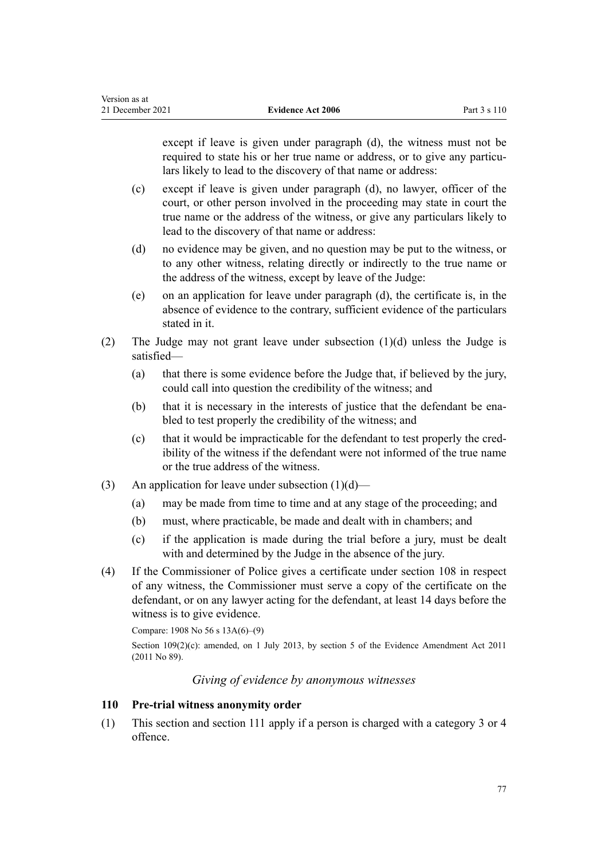<span id="page-76-0"></span>Version as at

except if leave is given under paragraph (d), the witness must not be required to state his or her true name or address, or to give any particulars likely to lead to the discovery of that name or address:

- (c) except if leave is given under paragraph (d), no lawyer, officer of the court, or other person involved in the proceeding may state in court the true name or the address of the witness, or give any particulars likely to lead to the discovery of that name or address:
- (d) no evidence may be given, and no question may be put to the witness, or to any other witness, relating directly or indirectly to the true name or the address of the witness, except by leave of the Judge:
- (e) on an application for leave under paragraph (d), the certificate is, in the absence of evidence to the contrary, sufficient evidence of the particulars stated in it.
- (2) The Judge may not grant leave under subsection (1)(d) unless the Judge is satisfied—
	- (a) that there is some evidence before the Judge that, if believed by the jury, could call into question the credibility of the witness; and
	- (b) that it is necessary in the interests of justice that the defendant be enabled to test properly the credibility of the witness; and
	- (c) that it would be impracticable for the defendant to test properly the cred‐ ibility of the witness if the defendant were not informed of the true name or the true address of the witness.
- (3) An application for leave under subsection  $(1)(d)$ 
	- (a) may be made from time to time and at any stage of the proceeding; and
	- (b) must, where practicable, be made and dealt with in chambers; and
	- (c) if the application is made during the trial before a jury, must be dealt with and determined by the Judge in the absence of the jury.
- (4) If the Commissioner of Police gives a certificate under [section 108](#page-74-0) in respect of any witness, the Commissioner must serve a copy of the certificate on the defendant, or on any lawyer acting for the defendant, at least 14 days before the witness is to give evidence.

Compare: 1908 No 56 [s 13A\(6\)–\(9\)](http://legislation.govt.nz/pdflink.aspx?id=DLM142716)

Section 109(2)(c): amended, on 1 July 2013, by [section 5](http://legislation.govt.nz/pdflink.aspx?id=DLM4058409) of the Evidence Amendment Act 2011 (2011 No 89).

*Giving of evidence by anonymous witnesses*

### **110 Pre-trial witness anonymity order**

(1) This section and [section 111](#page-78-0) apply if a person is charged with a category 3 or 4 offence.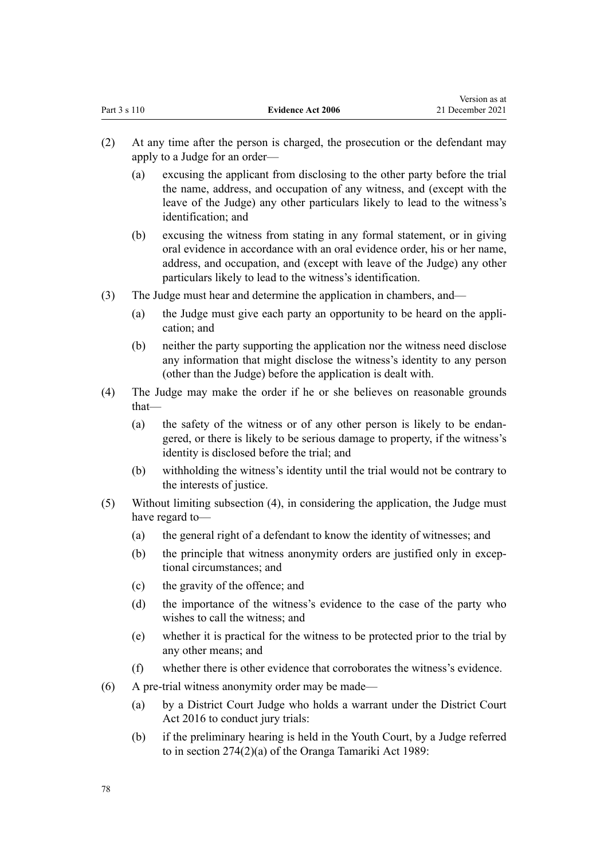| Part 3 s 110 | <b>Evidence Act 2006</b> | $1.0101011$ as at<br>21 December 2021 |
|--------------|--------------------------|---------------------------------------|
|              |                          |                                       |

Version as at

- (2) At any time after the person is charged, the prosecution or the defendant may apply to a Judge for an order—
	- (a) excusing the applicant from disclosing to the other party before the trial the name, address, and occupation of any witness, and (except with the leave of the Judge) any other particulars likely to lead to the witness's identification; and
	- (b) excusing the witness from stating in any formal statement, or in giving oral evidence in accordance with an oral evidence order, his or her name, address, and occupation, and (except with leave of the Judge) any other particulars likely to lead to the witness's identification.
- (3) The Judge must hear and determine the application in chambers, and—
	- (a) the Judge must give each party an opportunity to be heard on the appli‐ cation; and
	- (b) neither the party supporting the application nor the witness need disclose any information that might disclose the witness's identity to any person (other than the Judge) before the application is dealt with.
- (4) The Judge may make the order if he or she believes on reasonable grounds that—
	- (a) the safety of the witness or of any other person is likely to be endan‐ gered, or there is likely to be serious damage to property, if the witness's identity is disclosed before the trial; and
	- (b) withholding the witness's identity until the trial would not be contrary to the interests of justice.
- (5) Without limiting subsection (4), in considering the application, the Judge must have regard to—
	- (a) the general right of a defendant to know the identity of witnesses; and
	- (b) the principle that witness anonymity orders are justified only in exceptional circumstances; and
	- (c) the gravity of the offence; and
	- (d) the importance of the witness's evidence to the case of the party who wishes to call the witness; and
	- (e) whether it is practical for the witness to be protected prior to the trial by any other means; and
	- (f) whether there is other evidence that corroborates the witness's evidence.
- (6) A pre-trial witness anonymity order may be made—
	- (a) by a District Court Judge who holds a warrant under the [District Court](http://legislation.govt.nz/pdflink.aspx?id=DLM6942200) [Act 2016](http://legislation.govt.nz/pdflink.aspx?id=DLM6942200) to conduct jury trials:
	- (b) if the preliminary hearing is held in the Youth Court, by a Judge referred to in [section 274\(2\)\(a\)](http://legislation.govt.nz/pdflink.aspx?id=DLM153420) of the Oranga Tamariki Act 1989: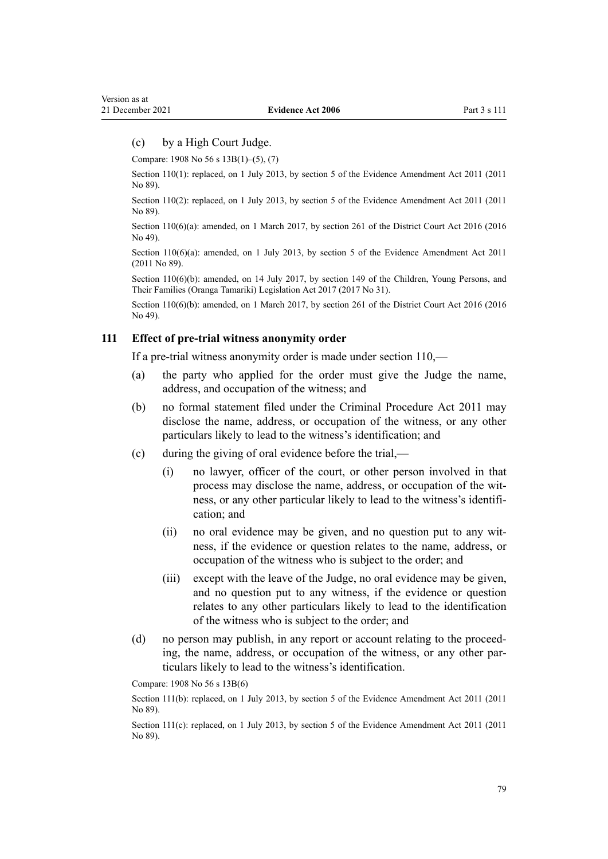### <span id="page-78-0"></span>(c) by a High Court Judge.

Compare: 1908 No 56 [s 13B\(1\)–\(5\), \(7\)](http://legislation.govt.nz/pdflink.aspx?id=DLM142720)

Section 110(1): replaced, on 1 July 2013, by [section 5](http://legislation.govt.nz/pdflink.aspx?id=DLM4058409) of the Evidence Amendment Act 2011 (2011 No 89).

Section 110(2): replaced, on 1 July 2013, by [section 5](http://legislation.govt.nz/pdflink.aspx?id=DLM4058409) of the Evidence Amendment Act 2011 (2011) No 89).

Section 110(6)(a): amended, on 1 March 2017, by [section 261](http://legislation.govt.nz/pdflink.aspx?id=DLM6942680) of the District Court Act 2016 (2016) No 49).

Section 110(6)(a): amended, on 1 July 2013, by [section 5](http://legislation.govt.nz/pdflink.aspx?id=DLM4058409) of the Evidence Amendment Act 2011 (2011 No 89).

Section 110(6)(b): amended, on 14 July 2017, by [section 149](http://legislation.govt.nz/pdflink.aspx?id=DLM7287401) of the Children, Young Persons, and Their Families (Oranga Tamariki) Legislation Act 2017 (2017 No 31).

Section 110(6)(b): amended, on 1 March 2017, by [section 261](http://legislation.govt.nz/pdflink.aspx?id=DLM6942680) of the District Court Act 2016 (2016 No 49).

#### **111 Effect of pre-trial witness anonymity order**

If a pre-trial witness anonymity order is made under [section 110,](#page-76-0)—

- (a) the party who applied for the order must give the Judge the name, address, and occupation of the witness; and
- (b) no formal statement filed under the [Criminal Procedure Act 2011](http://legislation.govt.nz/pdflink.aspx?id=DLM3359902) may disclose the name, address, or occupation of the witness, or any other particulars likely to lead to the witness's identification; and
- (c) during the giving of oral evidence before the trial,—
	- (i) no lawyer, officer of the court, or other person involved in that process may disclose the name, address, or occupation of the wit‐ ness, or any other particular likely to lead to the witness's identification; and
	- (ii) no oral evidence may be given, and no question put to any wit‐ ness, if the evidence or question relates to the name, address, or occupation of the witness who is subject to the order; and
	- (iii) except with the leave of the Judge, no oral evidence may be given, and no question put to any witness, if the evidence or question relates to any other particulars likely to lead to the identification of the witness who is subject to the order; and
- (d) no person may publish, in any report or account relating to the proceeding, the name, address, or occupation of the witness, or any other particulars likely to lead to the witness's identification.

Compare: 1908 No 56 [s 13B\(6\)](http://legislation.govt.nz/pdflink.aspx?id=DLM142720)

Section 111(b): replaced, on 1 July 2013, by [section 5](http://legislation.govt.nz/pdflink.aspx?id=DLM4058409) of the Evidence Amendment Act 2011 (2011 No 89).

Section 111(c): replaced, on 1 July 2013, by [section 5](http://legislation.govt.nz/pdflink.aspx?id=DLM4058409) of the Evidence Amendment Act 2011 (2011) No 89).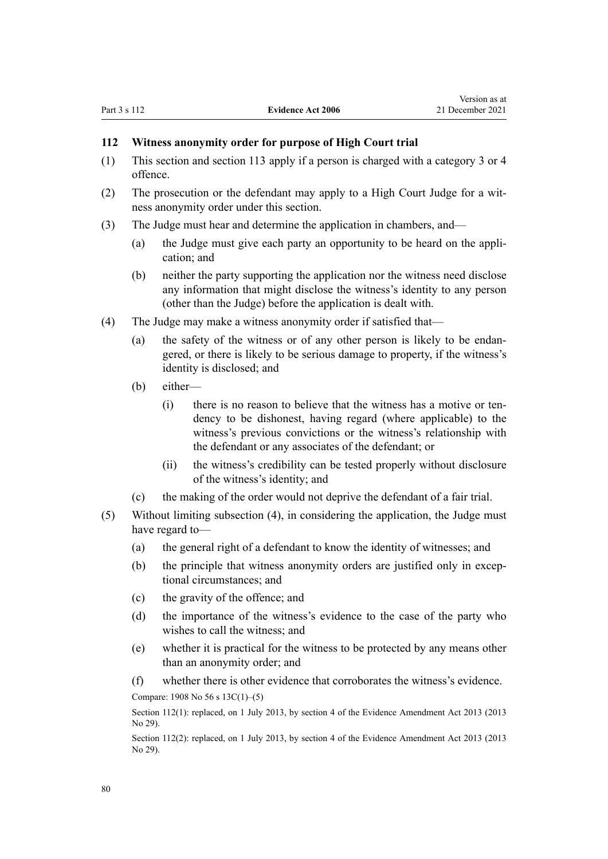#### <span id="page-79-0"></span>**112 Witness anonymity order for purpose of High Court trial**

- (1) This section and [section 113](#page-80-0) apply if a person is charged with a category 3 or 4 offence.
- (2) The prosecution or the defendant may apply to a High Court Judge for a wit‐ ness anonymity order under this section.
- (3) The Judge must hear and determine the application in chambers, and—
	- (a) the Judge must give each party an opportunity to be heard on the appli‐ cation; and
	- (b) neither the party supporting the application nor the witness need disclose any information that might disclose the witness's identity to any person (other than the Judge) before the application is dealt with.
- (4) The Judge may make a witness anonymity order if satisfied that—
	- (a) the safety of the witness or of any other person is likely to be endan‐ gered, or there is likely to be serious damage to property, if the witness's identity is disclosed; and
	- (b) either—
		- (i) there is no reason to believe that the witness has a motive or ten‐ dency to be dishonest, having regard (where applicable) to the witness's previous convictions or the witness's relationship with the defendant or any associates of the defendant; or
		- (ii) the witness's credibility can be tested properly without disclosure of the witness's identity; and
	- (c) the making of the order would not deprive the defendant of a fair trial.
- (5) Without limiting subsection (4), in considering the application, the Judge must have regard to—
	- (a) the general right of a defendant to know the identity of witnesses; and
	- (b) the principle that witness anonymity orders are justified only in exceptional circumstances; and
	- (c) the gravity of the offence; and
	- (d) the importance of the witness's evidence to the case of the party who wishes to call the witness; and
	- (e) whether it is practical for the witness to be protected by any means other than an anonymity order; and
	- (f) whether there is other evidence that corroborates the witness's evidence.

Compare: 1908 No 56 [s 13C\(1\)–\(5\)](http://legislation.govt.nz/pdflink.aspx?id=DLM142723)

Section 112(1): replaced, on 1 July 2013, by [section 4](http://legislation.govt.nz/pdflink.aspx?id=DLM5189089) of the Evidence Amendment Act 2013 (2013) No 29).

Section 112(2): replaced, on 1 July 2013, by [section 4](http://legislation.govt.nz/pdflink.aspx?id=DLM5189089) of the Evidence Amendment Act 2013 (2013 No 29).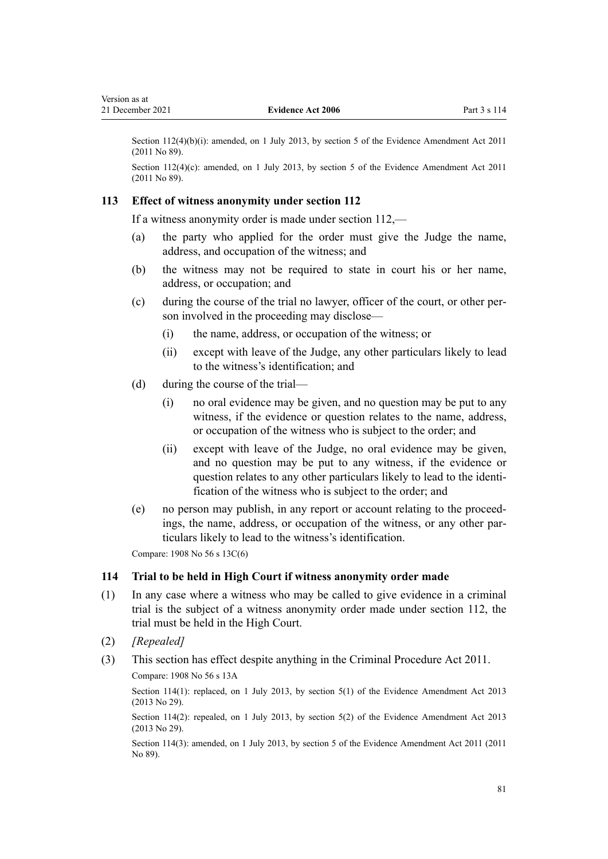<span id="page-80-0"></span>Section 112(4)(b)(i): amended, on 1 July 2013, by [section 5](http://legislation.govt.nz/pdflink.aspx?id=DLM4058409) of the Evidence Amendment Act 2011 (2011 No 89).

Section 112(4)(c): amended, on 1 July 2013, by [section 5](http://legislation.govt.nz/pdflink.aspx?id=DLM4058409) of the Evidence Amendment Act 2011 (2011 No 89).

#### **113 Effect of witness anonymity under section 112**

If a witness anonymity order is made under [section 112,](#page-79-0)—

- (a) the party who applied for the order must give the Judge the name, address, and occupation of the witness; and
- (b) the witness may not be required to state in court his or her name, address, or occupation; and
- (c) during the course of the trial no lawyer, officer of the court, or other per‐ son involved in the proceeding may disclose—
	- (i) the name, address, or occupation of the witness; or
	- (ii) except with leave of the Judge, any other particulars likely to lead to the witness's identification; and
- (d) during the course of the trial—
	- (i) no oral evidence may be given, and no question may be put to any witness, if the evidence or question relates to the name, address, or occupation of the witness who is subject to the order; and
	- (ii) except with leave of the Judge, no oral evidence may be given, and no question may be put to any witness, if the evidence or question relates to any other particulars likely to lead to the identi‐ fication of the witness who is subject to the order; and
- (e) no person may publish, in any report or account relating to the proceed‐ ings, the name, address, or occupation of the witness, or any other particulars likely to lead to the witness's identification.

Compare: 1908 No 56 [s 13C\(6\)](http://legislation.govt.nz/pdflink.aspx?id=DLM142723)

#### **114 Trial to be held in High Court if witness anonymity order made**

- (1) In any case where a witness who may be called to give evidence in a criminal trial is the subject of a witness anonymity order made under [section 112,](#page-79-0) the trial must be held in the High Court.
- (2) *[Repealed]*
- (3) This section has effect despite anything in the [Criminal Procedure Act 2011.](http://legislation.govt.nz/pdflink.aspx?id=DLM3359902)

Compare: 1908 No 56 [s 13A](http://legislation.govt.nz/pdflink.aspx?id=DLM142716)

Section 114(1): replaced, on 1 July 2013, by [section 5\(1\)](http://legislation.govt.nz/pdflink.aspx?id=DLM5189090) of the Evidence Amendment Act 2013 (2013 No 29).

Section 114(2): repealed, on 1 July 2013, by [section 5\(2\)](http://legislation.govt.nz/pdflink.aspx?id=DLM5189090) of the Evidence Amendment Act 2013 (2013 No 29).

Section 114(3): amended, on 1 July 2013, by [section 5](http://legislation.govt.nz/pdflink.aspx?id=DLM4058409) of the Evidence Amendment Act 2011 (2011 No 89).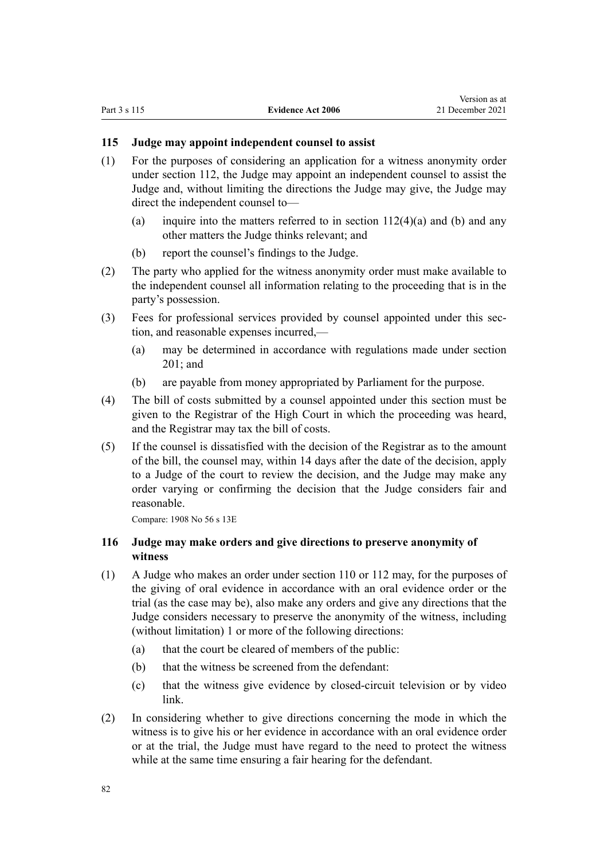Version as at

## **115 Judge may appoint independent counsel to assist**

- (1) For the purposes of considering an application for a witness anonymity order under [section 112,](#page-79-0) the Judge may appoint an independent counsel to assist the Judge and, without limiting the directions the Judge may give, the Judge may direct the independent counsel to—
	- (a) inquire into the matters referred to in section  $112(4)(a)$  and (b) and any other matters the Judge thinks relevant; and
	- (b) report the counsel's findings to the Judge.
- (2) The party who applied for the witness anonymity order must make available to the independent counsel all information relating to the proceeding that is in the party's possession.
- (3) Fees for professional services provided by counsel appointed under this section, and reasonable expenses incurred,—
	- (a) may be determined in accordance with regulations made under [section](#page-127-0) [201](#page-127-0); and
	- (b) are payable from money appropriated by Parliament for the purpose.
- (4) The bill of costs submitted by a counsel appointed under this section must be given to the Registrar of the High Court in which the proceeding was heard, and the Registrar may tax the bill of costs.
- (5) If the counsel is dissatisfied with the decision of the Registrar as to the amount of the bill, the counsel may, within 14 days after the date of the decision, apply to a Judge of the court to review the decision, and the Judge may make any order varying or confirming the decision that the Judge considers fair and reasonable.

Compare: 1908 No 56 [s 13E](http://legislation.govt.nz/pdflink.aspx?id=DLM142729)

## **116 Judge may make orders and give directions to preserve anonymity of witness**

- (1) A Judge who makes an order under [section 110](#page-76-0) or [112](#page-79-0) may, for the purposes of the giving of oral evidence in accordance with an oral evidence order or the trial (as the case may be), also make any orders and give any directions that the Judge considers necessary to preserve the anonymity of the witness, including (without limitation) 1 or more of the following directions:
	- (a) that the court be cleared of members of the public:
	- (b) that the witness be screened from the defendant:
	- (c) that the witness give evidence by closed-circuit television or by video link.
- (2) In considering whether to give directions concerning the mode in which the witness is to give his or her evidence in accordance with an oral evidence order or at the trial, the Judge must have regard to the need to protect the witness while at the same time ensuring a fair hearing for the defendant.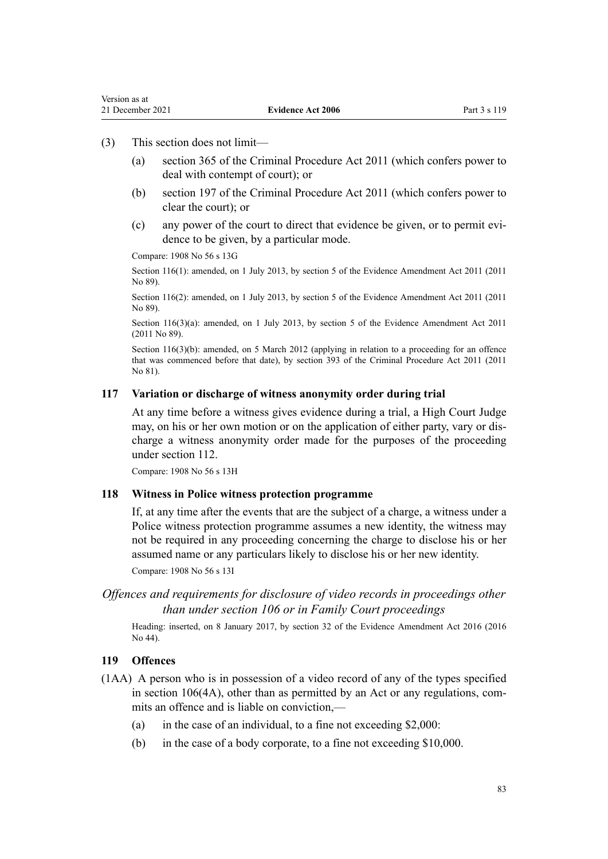(3) This section does not limit—

Version as at

- (a) [section 365](http://legislation.govt.nz/pdflink.aspx?id=DLM3360580) of the Criminal Procedure Act 2011 (which confers power to deal with contempt of court); or
- (b) [section 197](http://legislation.govt.nz/pdflink.aspx?id=DLM3360340) of the Criminal Procedure Act 2011 (which confers power to clear the court); or
- (c) any power of the court to direct that evidence be given, or to permit evi‐ dence to be given, by a particular mode.

Compare: 1908 No 56 [s 13G](http://legislation.govt.nz/pdflink.aspx?id=DLM142735)

Section 116(1): amended, on 1 July 2013, by [section 5](http://legislation.govt.nz/pdflink.aspx?id=DLM4058409) of the Evidence Amendment Act 2011 (2011 No 89).

Section 116(2): amended, on 1 July 2013, by [section 5](http://legislation.govt.nz/pdflink.aspx?id=DLM4058409) of the Evidence Amendment Act 2011 (2011 No 89).

Section 116(3)(a): amended, on 1 July 2013, by [section 5](http://legislation.govt.nz/pdflink.aspx?id=DLM4058409) of the Evidence Amendment Act 2011 (2011 No 89).

Section 116(3)(b): amended, on 5 March 2012 (applying in relation to a proceeding for an offence that was commenced before that date), by [section 393](http://legislation.govt.nz/pdflink.aspx?id=DLM3865810) of the Criminal Procedure Act 2011 (2011 No 81).

#### **117 Variation or discharge of witness anonymity order during trial**

At any time before a witness gives evidence during a trial, a High Court Judge may, on his or her own motion or on the application of either party, vary or dis‐ charge a witness anonymity order made for the purposes of the proceeding under [section 112.](#page-79-0)

Compare: 1908 No 56 [s 13H](http://legislation.govt.nz/pdflink.aspx?id=DLM142738)

#### **118 Witness in Police witness protection programme**

If, at any time after the events that are the subject of a charge, a witness under a Police witness protection programme assumes a new identity, the witness may not be required in any proceeding concerning the charge to disclose his or her assumed name or any particulars likely to disclose his or her new identity. Compare: 1908 No 56 [s 13I](http://legislation.govt.nz/pdflink.aspx?id=DLM142741)

## *Offences and requirements for disclosure of video records in proceedings other than under section 106 or in Family Court proceedings*

Heading: inserted, on 8 January 2017, by [section 32](http://legislation.govt.nz/pdflink.aspx?id=DLM6665326) of the Evidence Amendment Act 2016 (2016 No 44).

#### **119 Offences**

- (1AA) A person who is in possession of a video record of any of the types specified in section  $106(4A)$ , other than as permitted by an Act or any regulations, commits an offence and is liable on conviction,—
	- (a) in the case of an individual, to a fine not exceeding \$2,000:
	- (b) in the case of a body corporate, to a fine not exceeding \$10,000.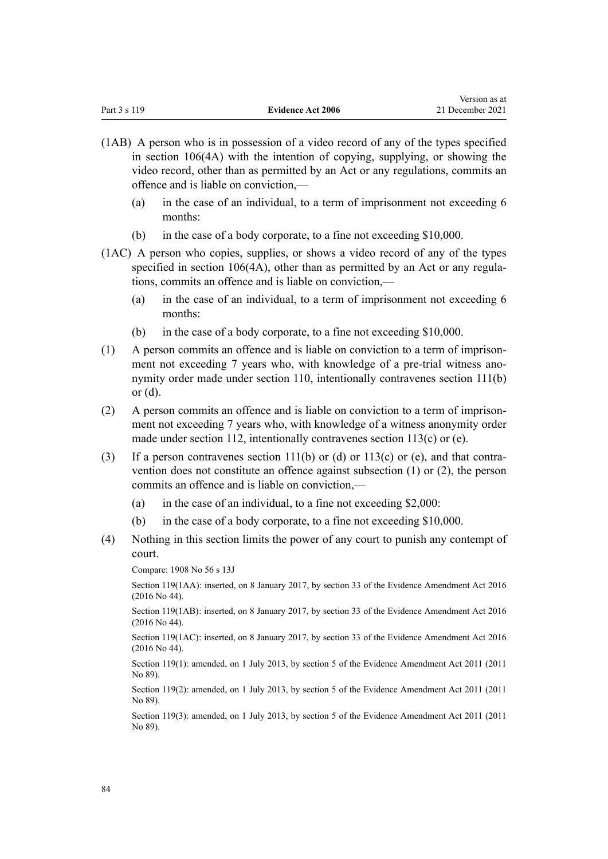| Part 3 s 119 | <b>Evidence Act 2006</b> | 21 December 2021 |
|--------------|--------------------------|------------------|
|              |                          |                  |

Version as at

- (1AB) A person who is in possession of a video record of any of the types specified in [section 106\(4A\)](#page-69-0) with the intention of copying, supplying, or showing the video record, other than as permitted by an Act or any regulations, commits an offence and is liable on conviction,—
	- (a) in the case of an individual, to a term of imprisonment not exceeding 6 months:
	- (b) in the case of a body corporate, to a fine not exceeding \$10,000.
- (1AC) A person who copies, supplies, or shows a video record of any of the types specified in [section 106\(4A\)](#page-69-0), other than as permitted by an Act or any regulations, commits an offence and is liable on conviction,—
	- (a) in the case of an individual, to a term of imprisonment not exceeding 6 months:
	- (b) in the case of a body corporate, to a fine not exceeding \$10,000.
- (1) A person commits an offence and is liable on conviction to a term of imprison‐ ment not exceeding 7 years who, with knowledge of a pre-trial witness anonymity order made under [section 110,](#page-76-0) intentionally contravenes [section 111\(b\)](#page-78-0) [or \(d\)](#page-78-0).
- (2) A person commits an offence and is liable on conviction to a term of imprison‐ ment not exceeding 7 years who, with knowledge of a witness anonymity order made under [section 112](#page-79-0), intentionally contravenes [section 113\(c\) or \(e\).](#page-80-0)
- (3) If a person contravenes [section 111\(b\) or \(d\)](#page-78-0) or [113\(c\) or \(e\),](#page-80-0) and that contravention does not constitute an offence against subsection (1) or (2), the person commits an offence and is liable on conviction,—
	- (a) in the case of an individual, to a fine not exceeding  $$2,000$ :
	- (b) in the case of a body corporate, to a fine not exceeding \$10,000.
- (4) Nothing in this section limits the power of any court to punish any contempt of court.

Compare: 1908 No 56 [s 13J](http://legislation.govt.nz/pdflink.aspx?id=DLM142744)

Section 119(1AA): inserted, on 8 January 2017, by [section 33](http://legislation.govt.nz/pdflink.aspx?id=DLM6488760) of the Evidence Amendment Act 2016 (2016 No 44).

Section 119(1AB): inserted, on 8 January 2017, by [section 33](http://legislation.govt.nz/pdflink.aspx?id=DLM6488760) of the Evidence Amendment Act 2016 (2016 No 44).

Section 119(1AC): inserted, on 8 January 2017, by [section 33](http://legislation.govt.nz/pdflink.aspx?id=DLM6488760) of the Evidence Amendment Act 2016 (2016 No 44).

Section 119(1): amended, on 1 July 2013, by [section 5](http://legislation.govt.nz/pdflink.aspx?id=DLM4058409) of the Evidence Amendment Act 2011 (2011 No 89).

Section 119(2): amended, on 1 July 2013, by [section 5](http://legislation.govt.nz/pdflink.aspx?id=DLM4058409) of the Evidence Amendment Act 2011 (2011 No 89).

Section 119(3): amended, on 1 July 2013, by [section 5](http://legislation.govt.nz/pdflink.aspx?id=DLM4058409) of the Evidence Amendment Act 2011 (2011 No 89).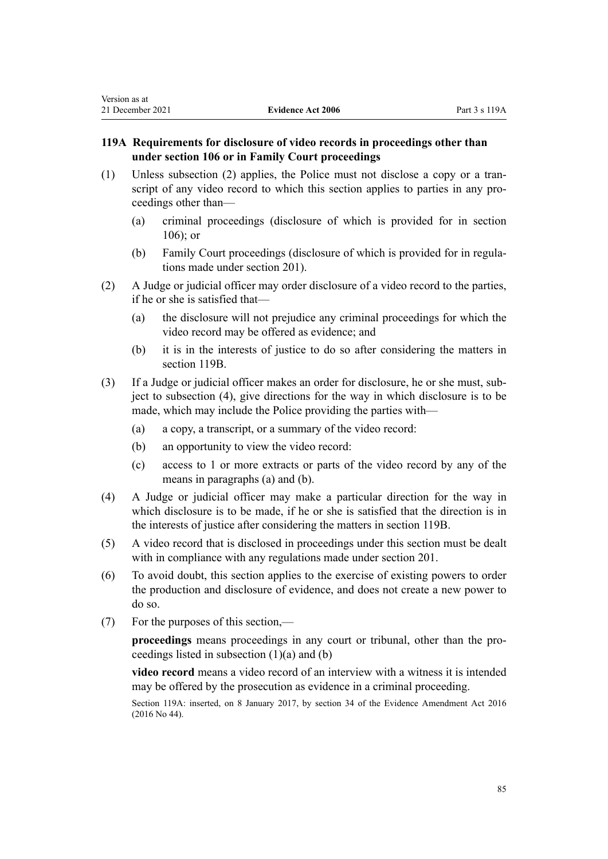## <span id="page-84-0"></span>**119A Requirements for disclosure of video records in proceedings other than under section 106 or in Family Court proceedings**

- (1) Unless subsection (2) applies, the Police must not disclose a copy or a tran‐ script of any video record to which this section applies to parties in any proceedings other than—
	- (a) criminal proceedings (disclosure of which is provided for in [section](#page-69-0) [106](#page-69-0)); or
	- (b) Family Court proceedings (disclosure of which is provided for in regula‐ tions made under [section 201\)](#page-127-0).
- (2) A Judge or judicial officer may order disclosure of a video record to the parties, if he or she is satisfied that—
	- (a) the disclosure will not prejudice any criminal proceedings for which the video record may be offered as evidence; and
	- (b) it is in the interests of justice to do so after considering the matters in [section 119B](#page-85-0).
- (3) If a Judge or judicial officer makes an order for disclosure, he or she must, sub‐ ject to subsection (4), give directions for the way in which disclosure is to be made, which may include the Police providing the parties with—
	- (a) a copy, a transcript, or a summary of the video record:
	- (b) an opportunity to view the video record:
	- (c) access to 1 or more extracts or parts of the video record by any of the means in paragraphs (a) and (b).
- (4) A Judge or judicial officer may make a particular direction for the way in which disclosure is to be made, if he or she is satisfied that the direction is in the interests of justice after considering the matters in [section 119B.](#page-85-0)
- (5) A video record that is disclosed in proceedings under this section must be dealt with in compliance with any regulations made under [section 201.](#page-127-0)
- (6) To avoid doubt, this section applies to the exercise of existing powers to order the production and disclosure of evidence, and does not create a new power to do so.
- (7) For the purposes of this section,—

**proceedings** means proceedings in any court or tribunal, other than the proceedings listed in subsection (1)(a) and (b)

**video record** means a video record of an interview with a witness it is intended may be offered by the prosecution as evidence in a criminal proceeding.

Section 119A: inserted, on 8 January 2017, by [section 34](http://legislation.govt.nz/pdflink.aspx?id=DLM6665328) of the Evidence Amendment Act 2016 (2016 No 44).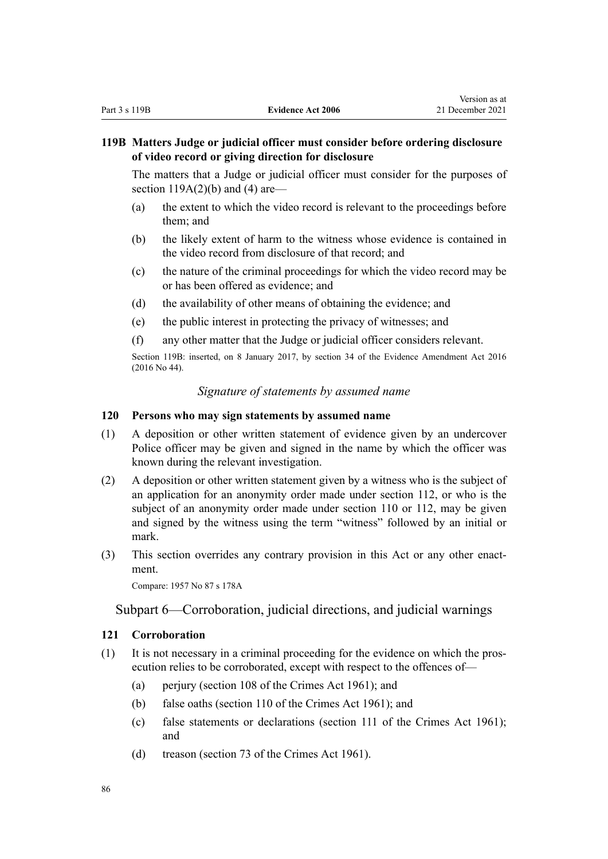## <span id="page-85-0"></span>**119B Matters Judge or judicial officer must consider before ordering disclosure of video record or giving direction for disclosure**

The matters that a Judge or judicial officer must consider for the purposes of section  $119A(2)(b)$  and (4) are—

- (a) the extent to which the video record is relevant to the proceedings before them; and
- (b) the likely extent of harm to the witness whose evidence is contained in the video record from disclosure of that record; and
- (c) the nature of the criminal proceedings for which the video record may be or has been offered as evidence; and
- (d) the availability of other means of obtaining the evidence; and
- (e) the public interest in protecting the privacy of witnesses; and
- (f) any other matter that the Judge or judicial officer considers relevant.

Section 119B: inserted, on 8 January 2017, by [section 34](http://legislation.govt.nz/pdflink.aspx?id=DLM6665328) of the Evidence Amendment Act 2016 (2016 No 44).

## *Signature of statements by assumed name*

#### **120 Persons who may sign statements by assumed name**

- (1) A deposition or other written statement of evidence given by an undercover Police officer may be given and signed in the name by which the officer was known during the relevant investigation.
- (2) A deposition or other written statement given by a witness who is the subject of an application for an anonymity order made under [section 112,](#page-79-0) or who is the subject of an anonymity order made under [section 110](#page-76-0) or 112, may be given and signed by the witness using the term "witness" followed by an initial or mark.
- (3) This section overrides any contrary provision in this Act or any other enactment.

Compare: 1957 No 87 s 178A

### Subpart 6—Corroboration, judicial directions, and judicial warnings

#### **121 Corroboration**

- (1) It is not necessary in a criminal proceeding for the evidence on which the pros‐ ecution relies to be corroborated, except with respect to the offences of—
	- (a) perjury [\(section 108](http://legislation.govt.nz/pdflink.aspx?id=DLM328793) of the Crimes Act 1961); and
	- (b) false oaths ([section 110](http://legislation.govt.nz/pdflink.aspx?id=DLM328798) of the Crimes Act 1961); and
	- (c) false statements or declarations ([section 111](http://legislation.govt.nz/pdflink.aspx?id=DLM328799) of the Crimes Act 1961); and
	- (d) treason [\(section 73](http://legislation.govt.nz/pdflink.aspx?id=DLM328520) of the Crimes Act 1961).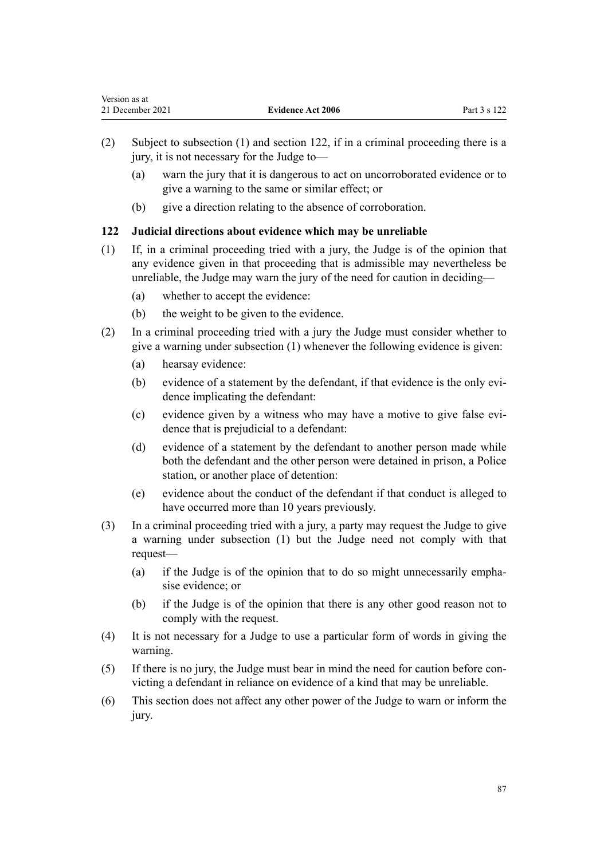- (2) Subject to subsection (1) and section 122, if in a criminal proceeding there is a jury, it is not necessary for the Judge to—
	- (a) warn the jury that it is dangerous to act on uncorroborated evidence or to give a warning to the same or similar effect; or
	- (b) give a direction relating to the absence of corroboration.

## **122 Judicial directions about evidence which may be unreliable**

- (1) If, in a criminal proceeding tried with a jury, the Judge is of the opinion that any evidence given in that proceeding that is admissible may nevertheless be unreliable, the Judge may warn the jury of the need for caution in deciding—
	- (a) whether to accept the evidence:
	- (b) the weight to be given to the evidence.
- (2) In a criminal proceeding tried with a jury the Judge must consider whether to give a warning under subsection (1) whenever the following evidence is given:
	- (a) hearsay evidence:
	- (b) evidence of a statement by the defendant, if that evidence is the only evidence implicating the defendant:
	- (c) evidence given by a witness who may have a motive to give false evi‐ dence that is prejudicial to a defendant:
	- (d) evidence of a statement by the defendant to another person made while both the defendant and the other person were detained in prison, a Police station, or another place of detention:
	- (e) evidence about the conduct of the defendant if that conduct is alleged to have occurred more than 10 years previously.
- (3) In a criminal proceeding tried with a jury, a party may request the Judge to give a warning under subsection (1) but the Judge need not comply with that request—
	- (a) if the Judge is of the opinion that to do so might unnecessarily empha‐ sise evidence; or
	- (b) if the Judge is of the opinion that there is any other good reason not to comply with the request.
- (4) It is not necessary for a Judge to use a particular form of words in giving the warning.
- (5) If there is no jury, the Judge must bear in mind the need for caution before con‐ victing a defendant in reliance on evidence of a kind that may be unreliable.
- (6) This section does not affect any other power of the Judge to warn or inform the jury.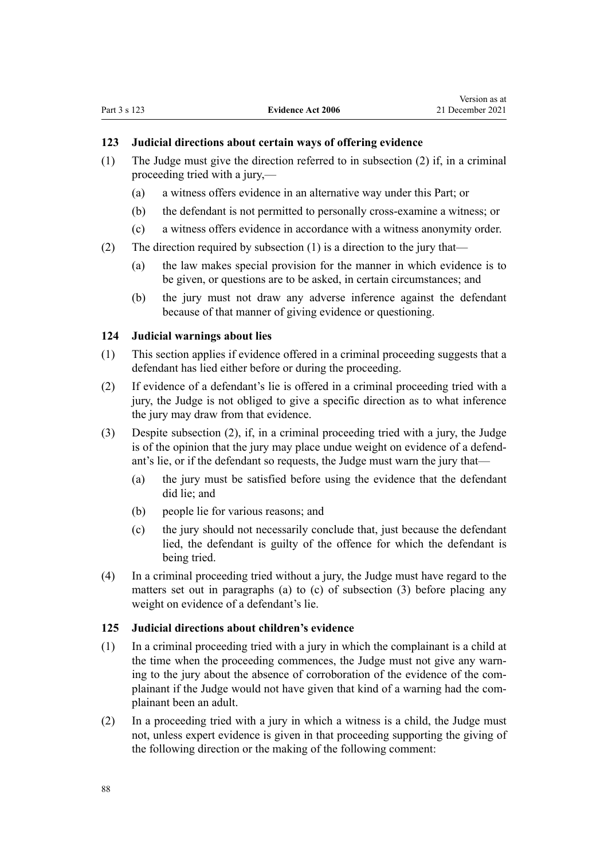### **123 Judicial directions about certain ways of offering evidence**

- (1) The Judge must give the direction referred to in subsection (2) if, in a criminal proceeding tried with a jury,—
	- (a) a witness offers evidence in an alternative way under this Part; or
	- (b) the defendant is not permitted to personally cross-examine a witness; or
	- (c) a witness offers evidence in accordance with a witness anonymity order.
- (2) The direction required by subsection (1) is a direction to the jury that—
	- (a) the law makes special provision for the manner in which evidence is to be given, or questions are to be asked, in certain circumstances; and
	- (b) the jury must not draw any adverse inference against the defendant because of that manner of giving evidence or questioning.

### **124 Judicial warnings about lies**

- (1) This section applies if evidence offered in a criminal proceeding suggests that a defendant has lied either before or during the proceeding.
- (2) If evidence of a defendant's lie is offered in a criminal proceeding tried with a jury, the Judge is not obliged to give a specific direction as to what inference the jury may draw from that evidence.
- (3) Despite subsection (2), if, in a criminal proceeding tried with a jury, the Judge is of the opinion that the jury may place undue weight on evidence of a defendant's lie, or if the defendant so requests, the Judge must warn the jury that—
	- (a) the jury must be satisfied before using the evidence that the defendant did lie; and
	- (b) people lie for various reasons; and
	- (c) the jury should not necessarily conclude that, just because the defendant lied, the defendant is guilty of the offence for which the defendant is being tried.
- (4) In a criminal proceeding tried without a jury, the Judge must have regard to the matters set out in paragraphs (a) to (c) of subsection (3) before placing any weight on evidence of a defendant's lie.

### **125 Judicial directions about children's evidence**

- (1) In a criminal proceeding tried with a jury in which the complainant is a child at the time when the proceeding commences, the Judge must not give any warning to the jury about the absence of corroboration of the evidence of the complainant if the Judge would not have given that kind of a warning had the com‐ plainant been an adult.
- (2) In a proceeding tried with a jury in which a witness is a child, the Judge must not, unless expert evidence is given in that proceeding supporting the giving of the following direction or the making of the following comment: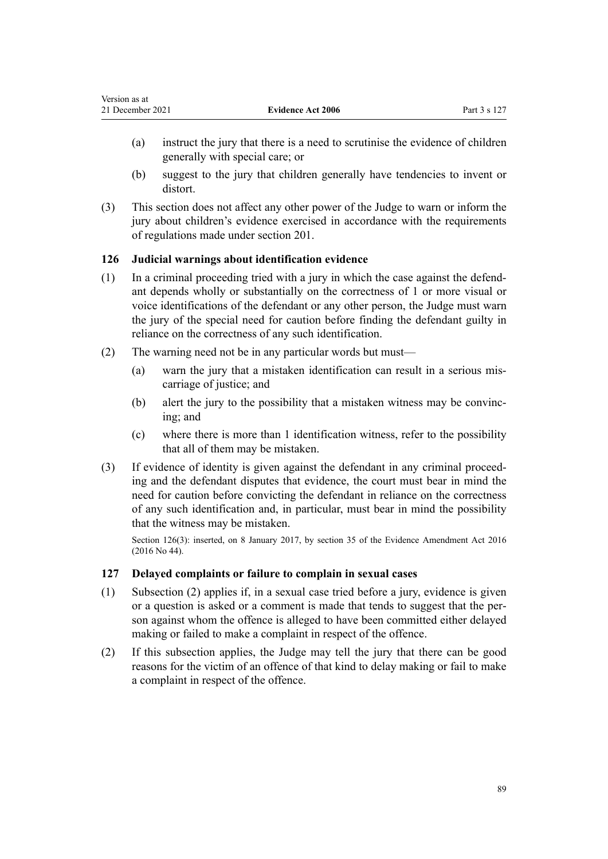| Version as at    |                          |              |
|------------------|--------------------------|--------------|
| 21 December 2021 | <b>Evidence Act 2006</b> | Part 3 s 127 |

- (a) instruct the jury that there is a need to scrutinise the evidence of children generally with special care; or
- (b) suggest to the jury that children generally have tendencies to invent or distort.
- (3) This section does not affect any other power of the Judge to warn or inform the jury about children's evidence exercised in accordance with the requirements of regulations made under [section 201](#page-127-0).

### **126 Judicial warnings about identification evidence**

- $(1)$  In a criminal proceeding tried with a jury in which the case against the defendant depends wholly or substantially on the correctness of 1 or more visual or voice identifications of the defendant or any other person, the Judge must warn the jury of the special need for caution before finding the defendant guilty in reliance on the correctness of any such identification.
- (2) The warning need not be in any particular words but must—
	- (a) warn the jury that a mistaken identification can result in a serious mis‐ carriage of justice; and
	- (b) alert the jury to the possibility that a mistaken witness may be convincing; and
	- (c) where there is more than 1 identification witness, refer to the possibility that all of them may be mistaken.
- (3) If evidence of identity is given against the defendant in any criminal proceed‐ ing and the defendant disputes that evidence, the court must bear in mind the need for caution before convicting the defendant in reliance on the correctness of any such identification and, in particular, must bear in mind the possibility that the witness may be mistaken.

Section 126(3): inserted, on 8 January 2017, by [section 35](http://legislation.govt.nz/pdflink.aspx?id=DLM6488761) of the Evidence Amendment Act 2016 (2016 No 44).

### **127 Delayed complaints or failure to complain in sexual cases**

- (1) Subsection (2) applies if, in a sexual case tried before a jury, evidence is given or a question is asked or a comment is made that tends to suggest that the person against whom the offence is alleged to have been committed either delayed making or failed to make a complaint in respect of the offence.
- (2) If this subsection applies, the Judge may tell the jury that there can be good reasons for the victim of an offence of that kind to delay making or fail to make a complaint in respect of the offence.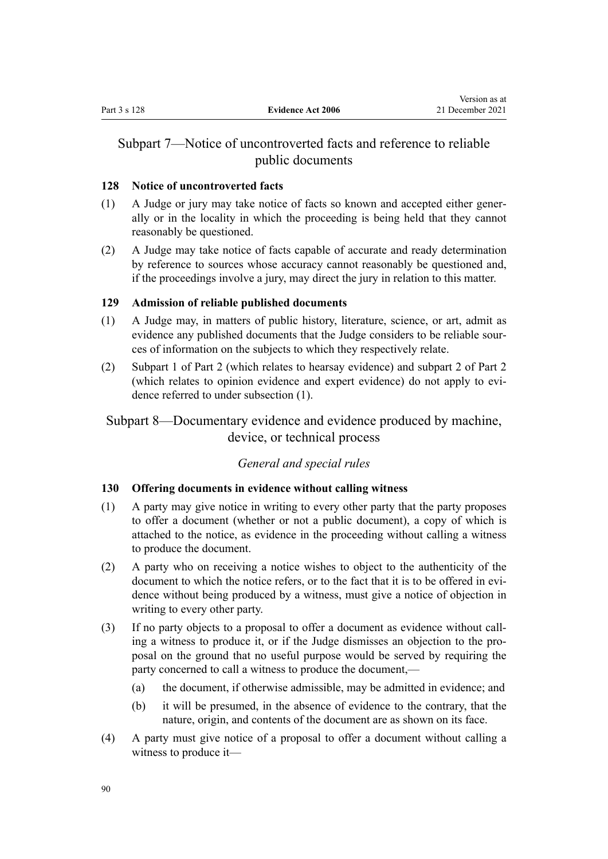# Subpart 7—Notice of uncontroverted facts and reference to reliable public documents

### **128 Notice of uncontroverted facts**

- (1) A Judge or jury may take notice of facts so known and accepted either gener‐ ally or in the locality in which the proceeding is being held that they cannot reasonably be questioned.
- (2) A Judge may take notice of facts capable of accurate and ready determination by reference to sources whose accuracy cannot reasonably be questioned and, if the proceedings involve a jury, may direct the jury in relation to this matter.

### **129 Admission of reliable published documents**

- (1) A Judge may, in matters of public history, literature, science, or art, admit as evidence any published documents that the Judge considers to be reliable sources of information on the subjects to which they respectively relate.
- (2) [Subpart 1](#page-18-0) of Part 2 (which relates to hearsay evidence) and [subpart 2](#page-22-0) of Part 2 (which relates to opinion evidence and expert evidence) do not apply to evidence referred to under subsection (1).

# Subpart 8—Documentary evidence and evidence produced by machine, device, or technical process

## *General and special rules*

### **130 Offering documents in evidence without calling witness**

- (1) A party may give notice in writing to every other party that the party proposes to offer a document (whether or not a public document), a copy of which is attached to the notice, as evidence in the proceeding without calling a witness to produce the document.
- (2) A party who on receiving a notice wishes to object to the authenticity of the document to which the notice refers, or to the fact that it is to be offered in evidence without being produced by a witness, must give a notice of objection in writing to every other party.
- (3) If no party objects to a proposal to offer a document as evidence without call‐ ing a witness to produce it, or if the Judge dismisses an objection to the pro‐ posal on the ground that no useful purpose would be served by requiring the party concerned to call a witness to produce the document,—
	- (a) the document, if otherwise admissible, may be admitted in evidence; and
	- (b) it will be presumed, in the absence of evidence to the contrary, that the nature, origin, and contents of the document are as shown on its face.
- (4) A party must give notice of a proposal to offer a document without calling a witness to produce it—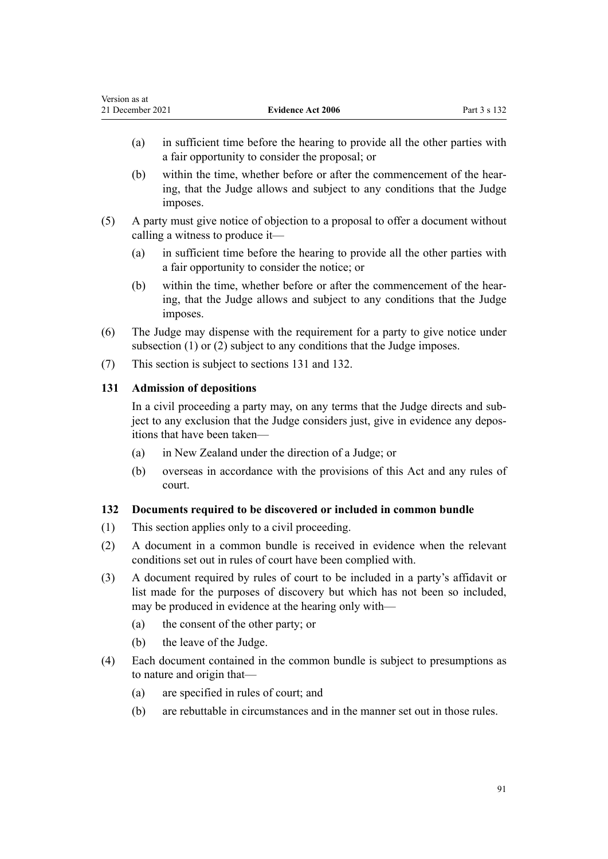| version as at    |                          |              |
|------------------|--------------------------|--------------|
| 21 December 2021 | <b>Evidence Act 2006</b> | Part 3 s 132 |

- (a) in sufficient time before the hearing to provide all the other parties with a fair opportunity to consider the proposal; or
- (b) within the time, whether before or after the commencement of the hearing, that the Judge allows and subject to any conditions that the Judge imposes.
- (5) A party must give notice of objection to a proposal to offer a document without calling a witness to produce it—
	- (a) in sufficient time before the hearing to provide all the other parties with a fair opportunity to consider the notice; or
	- (b) within the time, whether before or after the commencement of the hearing, that the Judge allows and subject to any conditions that the Judge imposes.
- (6) The Judge may dispense with the requirement for a party to give notice under subsection (1) or (2) subject to any conditions that the Judge imposes.
- (7) This section is subject to sections 131 and 132.

## **131 Admission of depositions**

 $\mathbf{v}$  version as at a set  $\mathbf{v}$ 

In a civil proceeding a party may, on any terms that the Judge directs and sub‐ ject to any exclusion that the Judge considers just, give in evidence any depositions that have been taken—

- (a) in New Zealand under the direction of a Judge; or
- (b) overseas in accordance with the provisions of this Act and any rules of court.

### **132 Documents required to be discovered or included in common bundle**

- (1) This section applies only to a civil proceeding.
- (2) A document in a common bundle is received in evidence when the relevant conditions set out in rules of court have been complied with.
- (3) A document required by rules of court to be included in a party's affidavit or list made for the purposes of discovery but which has not been so included, may be produced in evidence at the hearing only with—
	- (a) the consent of the other party; or
	- (b) the leave of the Judge.
- (4) Each document contained in the common bundle is subject to presumptions as to nature and origin that—
	- (a) are specified in rules of court; and
	- (b) are rebuttable in circumstances and in the manner set out in those rules.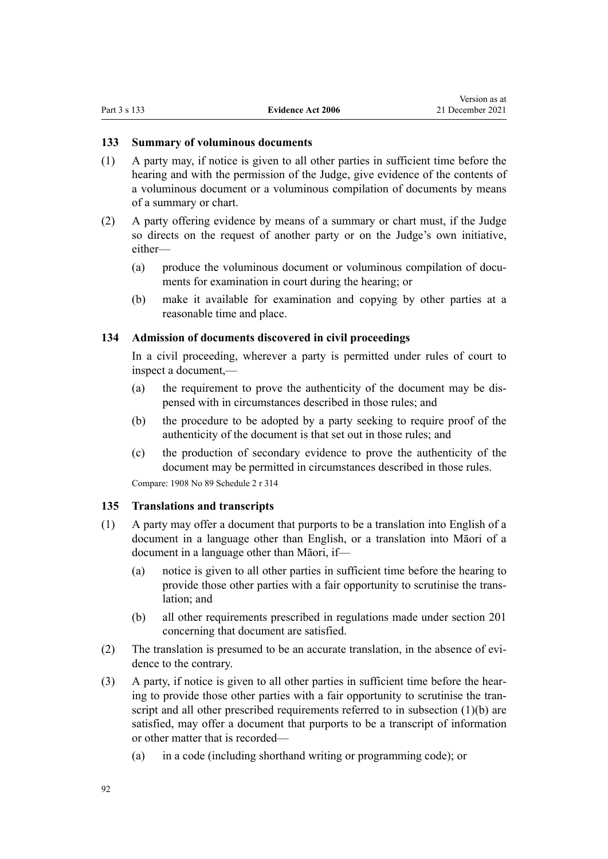Version as at

### **133 Summary of voluminous documents**

- (1) A party may, if notice is given to all other parties in sufficient time before the hearing and with the permission of the Judge, give evidence of the contents of a voluminous document or a voluminous compilation of documents by means of a summary or chart.
- (2) A party offering evidence by means of a summary or chart must, if the Judge so directs on the request of another party or on the Judge's own initiative, either—
	- (a) produce the voluminous document or voluminous compilation of documents for examination in court during the hearing; or
	- (b) make it available for examination and copying by other parties at a reasonable time and place.

### **134 Admission of documents discovered in civil proceedings**

In a civil proceeding, wherever a party is permitted under rules of court to inspect a document,—

- (a) the requirement to prove the authenticity of the document may be dis‐ pensed with in circumstances described in those rules; and
- (b) the procedure to be adopted by a party seeking to require proof of the authenticity of the document is that set out in those rules; and
- (c) the production of secondary evidence to prove the authenticity of the document may be permitted in circumstances described in those rules.

Compare: 1908 No 89 Schedule 2 r 314

### **135 Translations and transcripts**

- (1) A party may offer a document that purports to be a translation into English of a document in a language other than English, or a translation into Māori of a document in a language other than Māori, if—
	- (a) notice is given to all other parties in sufficient time before the hearing to provide those other parties with a fair opportunity to scrutinise the translation; and
	- (b) all other requirements prescribed in regulations made under [section 201](#page-127-0) concerning that document are satisfied.
- (2) The translation is presumed to be an accurate translation, in the absence of evidence to the contrary.
- (3) A party, if notice is given to all other parties in sufficient time before the hear‐ ing to provide those other parties with a fair opportunity to scrutinise the transcript and all other prescribed requirements referred to in subsection (1)(b) are satisfied, may offer a document that purports to be a transcript of information or other matter that is recorded—
	- (a) in a code (including shorthand writing or programming code); or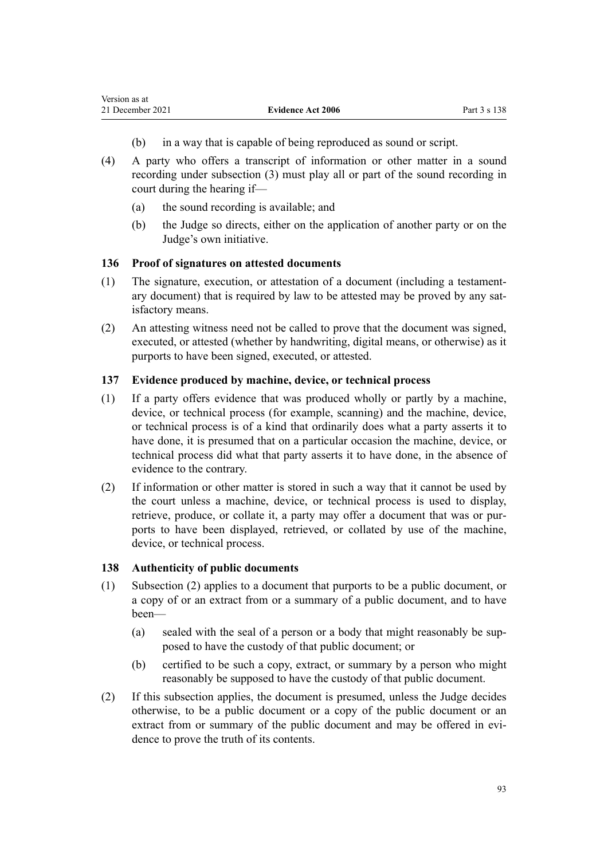- (b) in a way that is capable of being reproduced as sound or script.
- (4) A party who offers a transcript of information or other matter in a sound recording under subsection (3) must play all or part of the sound recording in court during the hearing if—
	- (a) the sound recording is available; and
	- (b) the Judge so directs, either on the application of another party or on the Judge's own initiative.

## **136 Proof of signatures on attested documents**

- (1) The signature, execution, or attestation of a document (including a testament‐ ary document) that is required by law to be attested may be proved by any satisfactory means.
- (2) An attesting witness need not be called to prove that the document was signed, executed, or attested (whether by handwriting, digital means, or otherwise) as it purports to have been signed, executed, or attested.

## **137 Evidence produced by machine, device, or technical process**

- (1) If a party offers evidence that was produced wholly or partly by a machine, device, or technical process (for example, scanning) and the machine, device, or technical process is of a kind that ordinarily does what a party asserts it to have done, it is presumed that on a particular occasion the machine, device, or technical process did what that party asserts it to have done, in the absence of evidence to the contrary.
- (2) If information or other matter is stored in such a way that it cannot be used by the court unless a machine, device, or technical process is used to display, retrieve, produce, or collate it, a party may offer a document that was or purports to have been displayed, retrieved, or collated by use of the machine, device, or technical process.

### **138 Authenticity of public documents**

- (1) Subsection (2) applies to a document that purports to be a public document, or a copy of or an extract from or a summary of a public document, and to have been—
	- (a) sealed with the seal of a person or a body that might reasonably be supposed to have the custody of that public document; or
	- (b) certified to be such a copy, extract, or summary by a person who might reasonably be supposed to have the custody of that public document.
- (2) If this subsection applies, the document is presumed, unless the Judge decides otherwise, to be a public document or a copy of the public document or an extract from or summary of the public document and may be offered in evidence to prove the truth of its contents.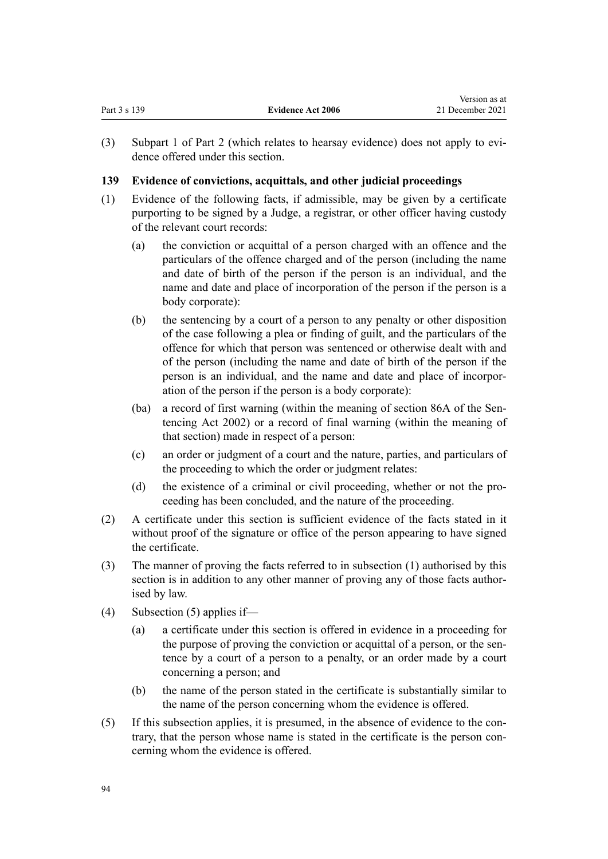|              |                          | Version as at    |
|--------------|--------------------------|------------------|
| Part 3 s 139 | <b>Evidence Act 2006</b> | 21 December 2021 |

(3) [Subpart 1](#page-18-0) of Part 2 (which relates to hearsay evidence) does not apply to evi‐ dence offered under this section.

## **139 Evidence of convictions, acquittals, and other judicial proceedings**

- (1) Evidence of the following facts, if admissible, may be given by a certificate purporting to be signed by a Judge, a registrar, or other officer having custody of the relevant court records:
	- (a) the conviction or acquittal of a person charged with an offence and the particulars of the offence charged and of the person (including the name and date of birth of the person if the person is an individual, and the name and date and place of incorporation of the person if the person is a body corporate):
	- (b) the sentencing by a court of a person to any penalty or other disposition of the case following a plea or finding of guilt, and the particulars of the offence for which that person was sentenced or otherwise dealt with and of the person (including the name and date of birth of the person if the person is an individual, and the name and date and place of incorpor‐ ation of the person if the person is a body corporate):
	- (ba) a record of first warning (within the meaning of [section 86A](http://legislation.govt.nz/pdflink.aspx?id=DLM3023002) of the Sentencing Act 2002) or a record of final warning (within the meaning of that section) made in respect of a person:
	- (c) an order or judgment of a court and the nature, parties, and particulars of the proceeding to which the order or judgment relates:
	- (d) the existence of a criminal or civil proceeding, whether or not the proceeding has been concluded, and the nature of the proceeding.
- (2) A certificate under this section is sufficient evidence of the facts stated in it without proof of the signature or office of the person appearing to have signed the certificate.
- (3) The manner of proving the facts referred to in subsection (1) authorised by this section is in addition to any other manner of proving any of those facts authorised by law.
- (4) Subsection (5) applies if—
	- (a) a certificate under this section is offered in evidence in a proceeding for the purpose of proving the conviction or acquittal of a person, or the sentence by a court of a person to a penalty, or an order made by a court concerning a person; and
	- (b) the name of the person stated in the certificate is substantially similar to the name of the person concerning whom the evidence is offered.
- (5) If this subsection applies, it is presumed, in the absence of evidence to the con‐ trary, that the person whose name is stated in the certificate is the person con‐ cerning whom the evidence is offered.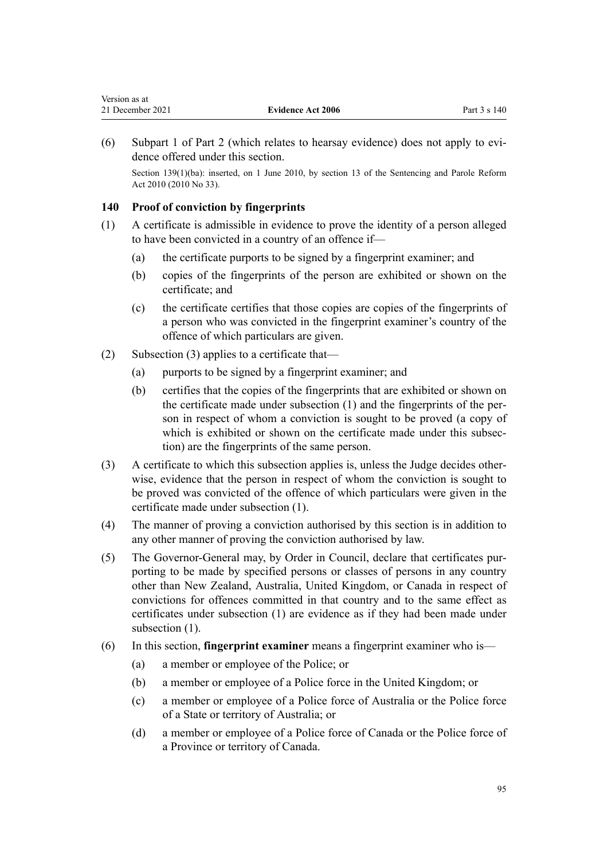| Version as at    |                          |              |
|------------------|--------------------------|--------------|
| 21 December 2021 | <b>Evidence Act 2006</b> | Part 3 s 140 |

(6) [Subpart 1](#page-18-0) of Part 2 (which relates to hearsay evidence) does not apply to evi‐ dence offered under this section.

Section 139(1)(ba): inserted, on 1 June 2010, by [section 13](http://legislation.govt.nz/pdflink.aspx?id=DLM2836314) of the Sentencing and Parole Reform Act 2010 (2010 No 33).

### **140 Proof of conviction by fingerprints**

- (1) A certificate is admissible in evidence to prove the identity of a person alleged to have been convicted in a country of an offence if—
	- (a) the certificate purports to be signed by a fingerprint examiner; and
	- (b) copies of the fingerprints of the person are exhibited or shown on the certificate; and
	- (c) the certificate certifies that those copies are copies of the fingerprints of a person who was convicted in the fingerprint examiner's country of the offence of which particulars are given.
- (2) Subsection (3) applies to a certificate that—
	- (a) purports to be signed by a fingerprint examiner; and
	- (b) certifies that the copies of the fingerprints that are exhibited or shown on the certificate made under subsection (1) and the fingerprints of the per‐ son in respect of whom a conviction is sought to be proved (a copy of which is exhibited or shown on the certificate made under this subsection) are the fingerprints of the same person.
- (3) A certificate to which this subsection applies is, unless the Judge decides other‐ wise, evidence that the person in respect of whom the conviction is sought to be proved was convicted of the offence of which particulars were given in the certificate made under subsection (1).
- (4) The manner of proving a conviction authorised by this section is in addition to any other manner of proving the conviction authorised by law.
- (5) The Governor-General may, by Order in Council, declare that certificates pur‐ porting to be made by specified persons or classes of persons in any country other than New Zealand, Australia, United Kingdom, or Canada in respect of convictions for offences committed in that country and to the same effect as certificates under subsection (1) are evidence as if they had been made under subsection  $(1)$ .
- (6) In this section, **fingerprint examiner** means a fingerprint examiner who is—
	- (a) a member or employee of the Police; or
	- (b) a member or employee of a Police force in the United Kingdom; or
	- (c) a member or employee of a Police force of Australia or the Police force of a State or territory of Australia; or
	- (d) a member or employee of a Police force of Canada or the Police force of a Province or territory of Canada.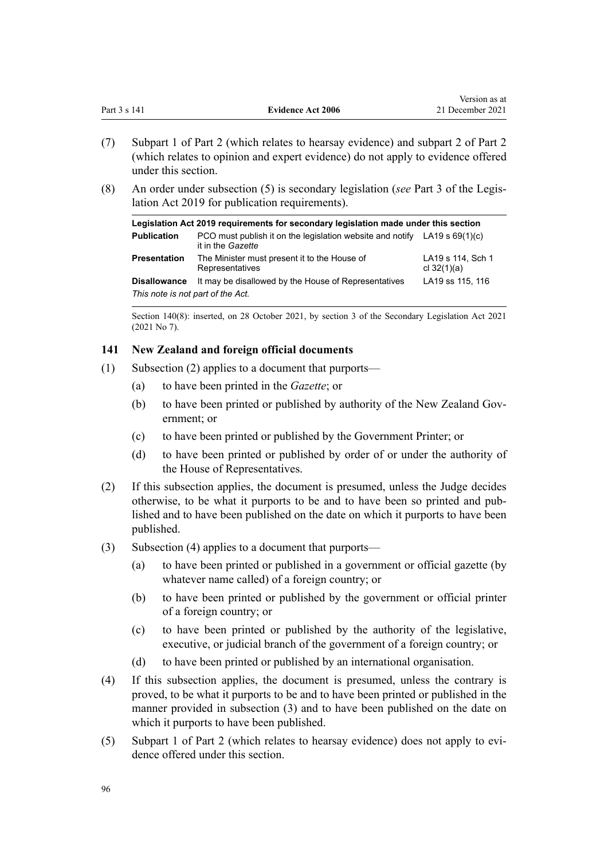|              |                          | Version as at    |
|--------------|--------------------------|------------------|
| Part 3 s 141 | <b>Evidence Act 2006</b> | 21 December 2021 |

- (7) [Subpart 1](#page-18-0) of Part 2 (which relates to hearsay evidence) and [subpart 2](#page-22-0) of Part 2 (which relates to opinion and expert evidence) do not apply to evidence offered under this section.
- (8) An order under subsection (5) is secondary legislation (*see* [Part 3](http://legislation.govt.nz/pdflink.aspx?id=DLM7298343) of the Legis‐ lation Act 2019 for publication requirements).

| Legislation Act 2019 requirements for secondary legislation made under this section |                                                                                                         |                                    |  |
|-------------------------------------------------------------------------------------|---------------------------------------------------------------------------------------------------------|------------------------------------|--|
| <b>Publication</b>                                                                  | PCO must publish it on the legislation website and notify LA19 s $69(1)(c)$<br>it in the <i>Gazette</i> |                                    |  |
| <b>Presentation</b>                                                                 | The Minister must present it to the House of<br>Representatives                                         | LA19 s 114, Sch 1<br>cl $32(1)(a)$ |  |
| <b>Disallowance</b>                                                                 | It may be disallowed by the House of Representatives                                                    | LA19 ss 115, 116                   |  |
| This note is not part of the Act.                                                   |                                                                                                         |                                    |  |

Section 140(8): inserted, on 28 October 2021, by [section 3](http://legislation.govt.nz/pdflink.aspx?id=LMS268932) of the Secondary Legislation Act 2021 (2021 No 7).

#### **141 New Zealand and foreign official documents**

- (1) Subsection (2) applies to a document that purports—
	- (a) to have been printed in the *Gazette*; or
	- (b) to have been printed or published by authority of the New Zealand Government; or
	- (c) to have been printed or published by the Government Printer; or
	- (d) to have been printed or published by order of or under the authority of the House of Representatives.
- (2) If this subsection applies, the document is presumed, unless the Judge decides otherwise, to be what it purports to be and to have been so printed and pub‐ lished and to have been published on the date on which it purports to have been published.
- (3) Subsection (4) applies to a document that purports—
	- (a) to have been printed or published in a government or official gazette (by whatever name called) of a foreign country; or
	- (b) to have been printed or published by the government or official printer of a foreign country; or
	- (c) to have been printed or published by the authority of the legislative, executive, or judicial branch of the government of a foreign country; or
	- (d) to have been printed or published by an international organisation.
- (4) If this subsection applies, the document is presumed, unless the contrary is proved, to be what it purports to be and to have been printed or published in the manner provided in subsection (3) and to have been published on the date on which it purports to have been published.
- (5) [Subpart 1](#page-18-0) of Part 2 (which relates to hearsay evidence) does not apply to evi‐ dence offered under this section.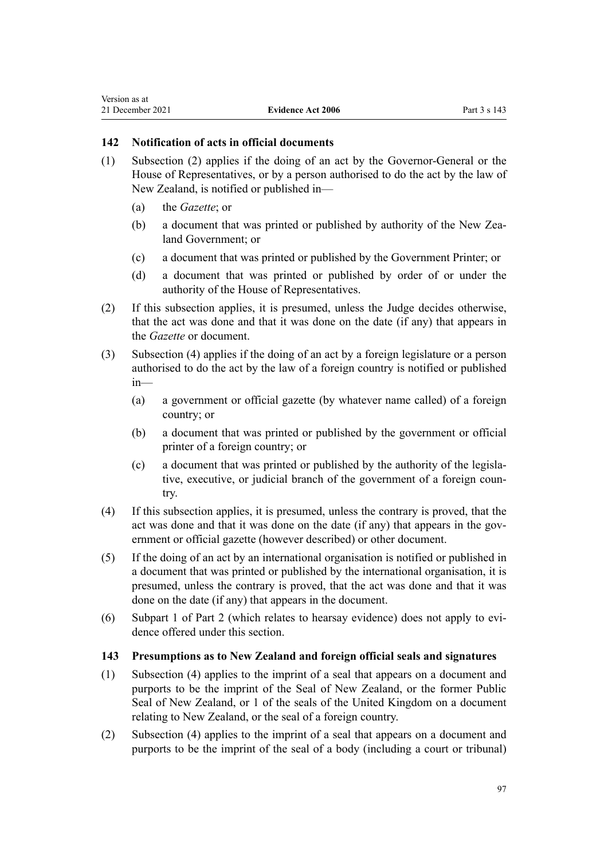## **142 Notification of acts in official documents**

- (1) Subsection (2) applies if the doing of an act by the Governor-General or the House of Representatives, or by a person authorised to do the act by the law of New Zealand, is notified or published in—
	- (a) the *Gazette*; or

Version as at

- (b) a document that was printed or published by authority of the New Zealand Government; or
- (c) a document that was printed or published by the Government Printer; or
- (d) a document that was printed or published by order of or under the authority of the House of Representatives.
- (2) If this subsection applies, it is presumed, unless the Judge decides otherwise, that the act was done and that it was done on the date (if any) that appears in the *Gazette* or document.
- (3) Subsection (4) applies if the doing of an act by a foreign legislature or a person authorised to do the act by the law of a foreign country is notified or published in—
	- (a) a government or official gazette (by whatever name called) of a foreign country; or
	- (b) a document that was printed or published by the government or official printer of a foreign country; or
	- (c) a document that was printed or published by the authority of the legisla‐ tive, executive, or judicial branch of the government of a foreign coun‐ try.
- (4) If this subsection applies, it is presumed, unless the contrary is proved, that the act was done and that it was done on the date (if any) that appears in the government or official gazette (however described) or other document.
- (5) If the doing of an act by an international organisation is notified or published in a document that was printed or published by the international organisation, it is presumed, unless the contrary is proved, that the act was done and that it was done on the date (if any) that appears in the document.
- (6) [Subpart 1](#page-18-0) of Part 2 (which relates to hearsay evidence) does not apply to evi‐ dence offered under this section.

### **143 Presumptions as to New Zealand and foreign official seals and signatures**

- (1) Subsection (4) applies to the imprint of a seal that appears on a document and purports to be the imprint of the Seal of New Zealand, or the former Public Seal of New Zealand, or 1 of the seals of the United Kingdom on a document relating to New Zealand, or the seal of a foreign country.
- (2) Subsection (4) applies to the imprint of a seal that appears on a document and purports to be the imprint of the seal of a body (including a court or tribunal)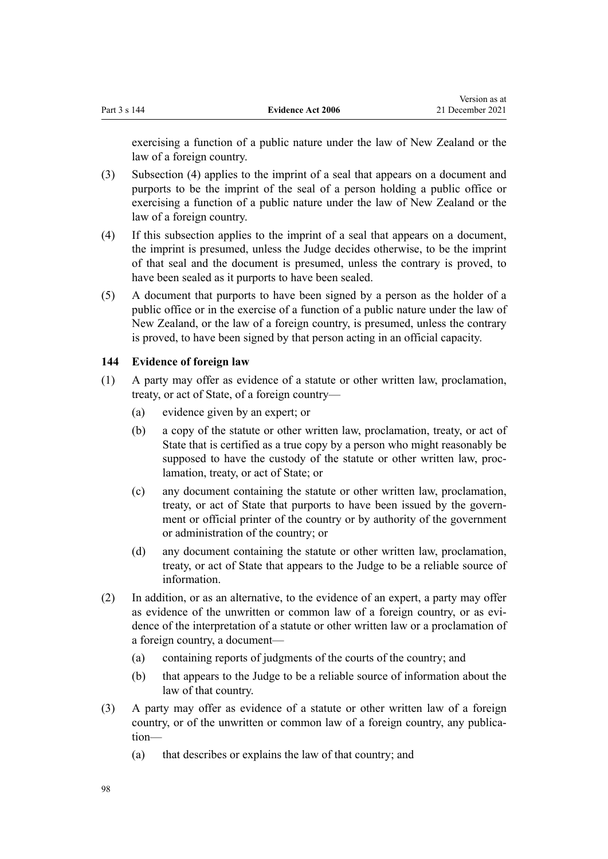exercising a function of a public nature under the law of New Zealand or the law of a foreign country.

Version as at

- (3) Subsection (4) applies to the imprint of a seal that appears on a document and purports to be the imprint of the seal of a person holding a public office or exercising a function of a public nature under the law of New Zealand or the law of a foreign country.
- (4) If this subsection applies to the imprint of a seal that appears on a document, the imprint is presumed, unless the Judge decides otherwise, to be the imprint of that seal and the document is presumed, unless the contrary is proved, to have been sealed as it purports to have been sealed.
- (5) A document that purports to have been signed by a person as the holder of a public office or in the exercise of a function of a public nature under the law of New Zealand, or the law of a foreign country, is presumed, unless the contrary is proved, to have been signed by that person acting in an official capacity.

## **144 Evidence of foreign law**

- (1) A party may offer as evidence of a statute or other written law, proclamation, treaty, or act of State, of a foreign country—
	- (a) evidence given by an expert; or
	- (b) a copy of the statute or other written law, proclamation, treaty, or act of State that is certified as a true copy by a person who might reasonably be supposed to have the custody of the statute or other written law, proclamation, treaty, or act of State; or
	- (c) any document containing the statute or other written law, proclamation, treaty, or act of State that purports to have been issued by the govern‐ ment or official printer of the country or by authority of the government or administration of the country; or
	- (d) any document containing the statute or other written law, proclamation, treaty, or act of State that appears to the Judge to be a reliable source of information.
- (2) In addition, or as an alternative, to the evidence of an expert, a party may offer as evidence of the unwritten or common law of a foreign country, or as evidence of the interpretation of a statute or other written law or a proclamation of a foreign country, a document—
	- (a) containing reports of judgments of the courts of the country; and
	- (b) that appears to the Judge to be a reliable source of information about the law of that country.
- (3) A party may offer as evidence of a statute or other written law of a foreign country, or of the unwritten or common law of a foreign country, any publication—
	- (a) that describes or explains the law of that country; and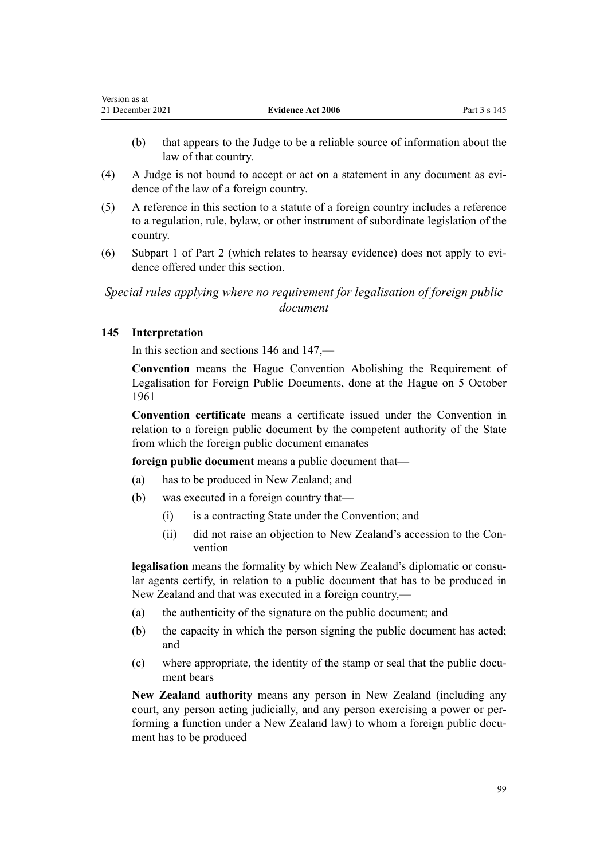| Version as at    |                          |              |
|------------------|--------------------------|--------------|
| 21 December 2021 | <b>Evidence Act 2006</b> | Part 3 s 145 |

- (b) that appears to the Judge to be a reliable source of information about the law of that country.
- (4) A Judge is not bound to accept or act on a statement in any document as evi‐ dence of the law of a foreign country.
- (5) A reference in this section to a statute of a foreign country includes a reference to a regulation, rule, bylaw, or other instrument of subordinate legislation of the country.
- (6) [Subpart 1](#page-18-0) of Part 2 (which relates to hearsay evidence) does not apply to evi‐ dence offered under this section.

*Special rules applying where no requirement for legalisation of foreign public document*

## **145 Interpretation**

In this section and [sections 146](#page-99-0) and [147,](#page-99-0)—

**Convention** means the Hague Convention Abolishing the Requirement of Legalisation for Foreign Public Documents, done at the Hague on 5 October 1961

**Convention certificate** means a certificate issued under the Convention in relation to a foreign public document by the competent authority of the State from which the foreign public document emanates

**foreign public document** means a public document that—

- (a) has to be produced in New Zealand; and
- (b) was executed in a foreign country that—
	- (i) is a contracting State under the Convention; and
	- (ii) did not raise an objection to New Zealand's accession to the Con‐ vention

**legalisation** means the formality by which New Zealand's diplomatic or consular agents certify, in relation to a public document that has to be produced in New Zealand and that was executed in a foreign country,—

- (a) the authenticity of the signature on the public document; and
- (b) the capacity in which the person signing the public document has acted; and
- (c) where appropriate, the identity of the stamp or seal that the public document bears

**New Zealand authority** means any person in New Zealand (including any court, any person acting judicially, and any person exercising a power or performing a function under a New Zealand law) to whom a foreign public document has to be produced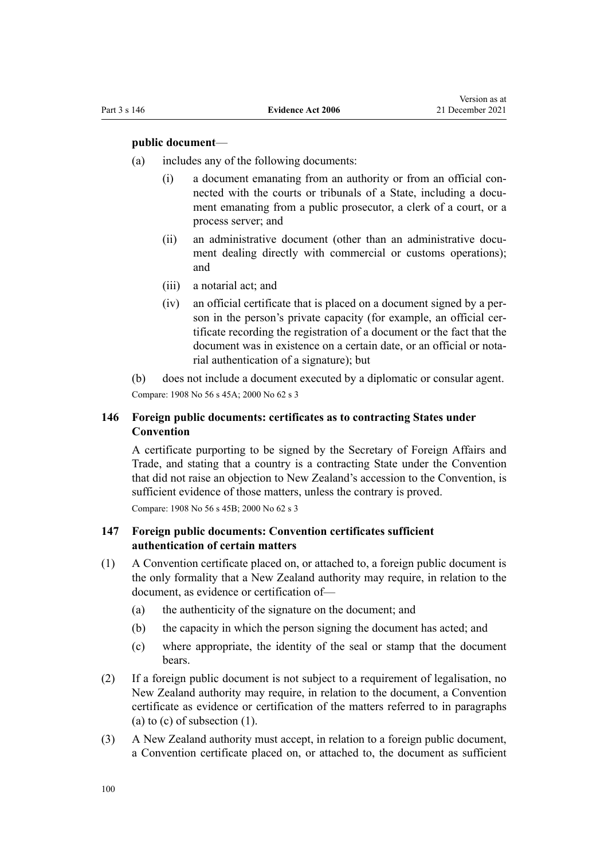#### <span id="page-99-0"></span>**public document**—

- (a) includes any of the following documents:
	- (i) a document emanating from an authority or from an official con‐ nected with the courts or tribunals of a State, including a document emanating from a public prosecutor, a clerk of a court, or a process server; and
	- (ii) an administrative document (other than an administrative document dealing directly with commercial or customs operations); and
	- (iii) a notarial act; and
	- (iv) an official certificate that is placed on a document signed by a per‐ son in the person's private capacity (for example, an official certificate recording the registration of a document or the fact that the document was in existence on a certain date, or an official or nota‐ rial authentication of a signature); but
- (b) does not include a document executed by a diplomatic or consular agent. Compare: 1908 No 56 [s 45A;](http://legislation.govt.nz/pdflink.aspx?id=DLM143330) 2000 No 62 [s 3](http://legislation.govt.nz/pdflink.aspx?id=DLM76253)

## **146 Foreign public documents: certificates as to contracting States under Convention**

A certificate purporting to be signed by the Secretary of Foreign Affairs and Trade, and stating that a country is a contracting State under the Convention that did not raise an objection to New Zealand's accession to the Convention, is sufficient evidence of those matters, unless the contrary is proved.

Compare: 1908 No 56 [s 45B](http://legislation.govt.nz/pdflink.aspx?id=DLM143345); 2000 No 62 [s 3](http://legislation.govt.nz/pdflink.aspx?id=DLM76253)

### **147 Foreign public documents: Convention certificates sufficient authentication of certain matters**

- (1) A Convention certificate placed on, or attached to, a foreign public document is the only formality that a New Zealand authority may require, in relation to the document, as evidence or certification of—
	- (a) the authenticity of the signature on the document; and
	- (b) the capacity in which the person signing the document has acted; and
	- (c) where appropriate, the identity of the seal or stamp that the document bears.
- (2) If a foreign public document is not subject to a requirement of legalisation, no New Zealand authority may require, in relation to the document, a Convention certificate as evidence or certification of the matters referred to in paragraphs (a) to  $(c)$  of subsection  $(1)$ .
- (3) A New Zealand authority must accept, in relation to a foreign public document, a Convention certificate placed on, or attached to, the document as sufficient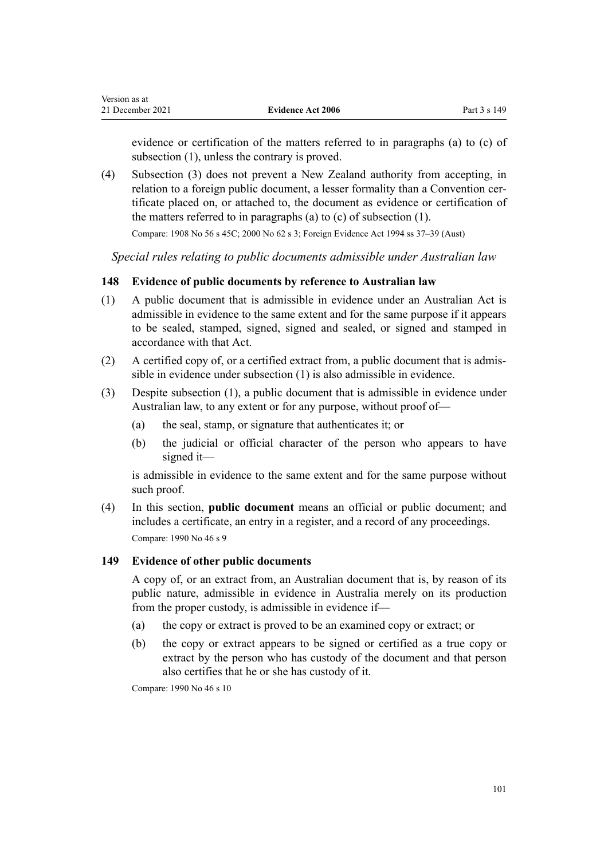evidence or certification of the matters referred to in paragraphs (a) to (c) of subsection (1), unless the contrary is proved.

(4) Subsection (3) does not prevent a New Zealand authority from accepting, in relation to a foreign public document, a lesser formality than a Convention certificate placed on, or attached to, the document as evidence or certification of the matters referred to in paragraphs (a) to (c) of subsection (1). Compare: 1908 No 56 [s 45C](http://legislation.govt.nz/pdflink.aspx?id=DLM143348); 2000 No 62 [s 3](http://legislation.govt.nz/pdflink.aspx?id=DLM76253); Foreign Evidence Act 1994 ss 37–39 (Aust)

*Special rules relating to public documents admissible under Australian law*

## **148 Evidence of public documents by reference to Australian law**

- (1) A public document that is admissible in evidence under an Australian Act is admissible in evidence to the same extent and for the same purpose if it appears to be sealed, stamped, signed, signed and sealed, or signed and stamped in accordance with that Act.
- (2) A certified copy of, or a certified extract from, a public document that is admis‐ sible in evidence under subsection (1) is also admissible in evidence.
- (3) Despite subsection (1), a public document that is admissible in evidence under Australian law, to any extent or for any purpose, without proof of—
	- (a) the seal, stamp, or signature that authenticates it; or
	- (b) the judicial or official character of the person who appears to have signed it—

is admissible in evidence to the same extent and for the same purpose without such proof.

(4) In this section, **public document** means an official or public document; and includes a certificate, an entry in a register, and a record of any proceedings. Compare: 1990 No 46 [s 9](http://legislation.govt.nz/pdflink.aspx?id=DLM210967)

### **149 Evidence of other public documents**

A copy of, or an extract from, an Australian document that is, by reason of its public nature, admissible in evidence in Australia merely on its production from the proper custody, is admissible in evidence if—

- (a) the copy or extract is proved to be an examined copy or extract; or
- (b) the copy or extract appears to be signed or certified as a true copy or extract by the person who has custody of the document and that person also certifies that he or she has custody of it.

Compare: 1990 No 46 [s 10](http://legislation.govt.nz/pdflink.aspx?id=DLM210970)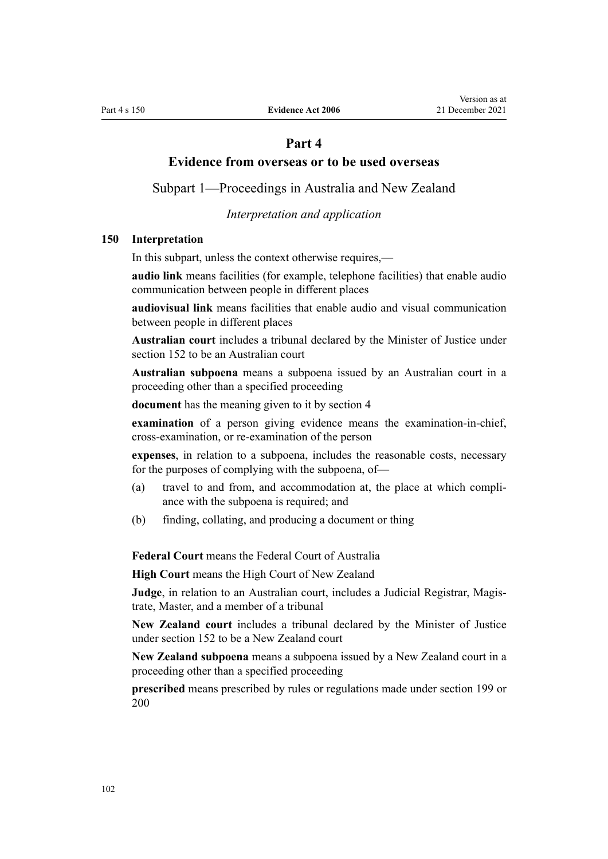## **Part 4**

## **Evidence from overseas or to be used overseas**

Subpart 1—Proceedings in Australia and New Zealand

*Interpretation and application*

## **150 Interpretation**

In this subpart, unless the context otherwise requires,—

**audio link** means facilities (for example, telephone facilities) that enable audio communication between people in different places

**audiovisual link** means facilities that enable audio and visual communication between people in different places

**Australian court** includes a tribunal declared by the Minister of Justice under [section 152](#page-103-0) to be an Australian court

**Australian subpoena** means a subpoena issued by an Australian court in a proceeding other than a specified proceeding

**document** has the meaning given to it by [section 4](#page-10-0)

**examination** of a person giving evidence means the examination-in-chief, cross-examination, or re-examination of the person

**expenses**, in relation to a subpoena, includes the reasonable costs, necessary for the purposes of complying with the subpoena, of—

- (a) travel to and from, and accommodation at, the place at which compli‐ ance with the subpoena is required; and
- (b) finding, collating, and producing a document or thing

**Federal Court** means the Federal Court of Australia

**High Court** means the High Court of New Zealand

**Judge**, in relation to an Australian court, includes a Judicial Registrar, Magis‐ trate, Master, and a member of a tribunal

**New Zealand court** includes a tribunal declared by the Minister of Justice under [section 152](#page-103-0) to be a New Zealand court

**New Zealand subpoena** means a subpoena issued by a New Zealand court in a proceeding other than a specified proceeding

**prescribed** means prescribed by rules or regulations made under [section 199](#page-125-0) or [200](#page-126-0)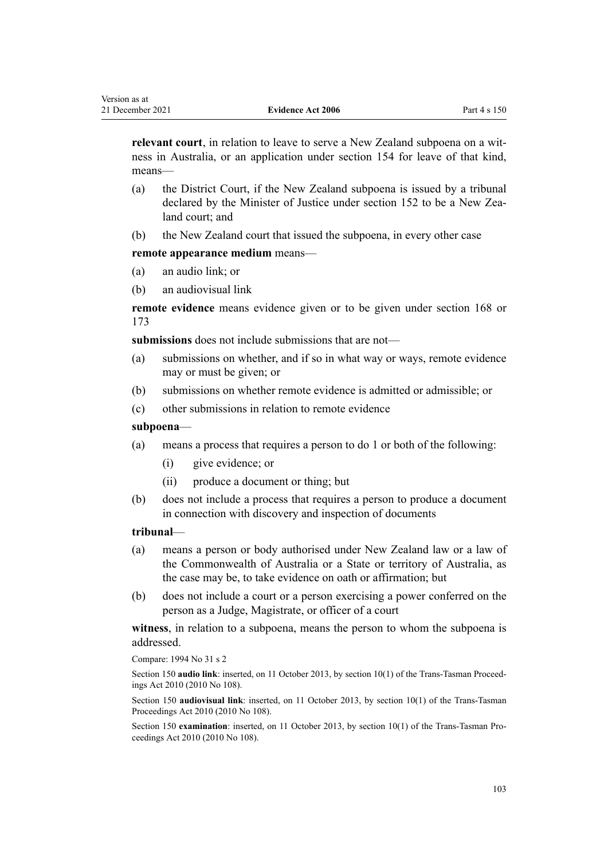**relevant court**, in relation to leave to serve a New Zealand subpoena on a wit‐ ness in Australia, or an application under [section 154](#page-104-0) for leave of that kind, means—

- (a) the District Court, if the New Zealand subpoena is issued by a tribunal declared by the Minister of Justice under [section 152](#page-103-0) to be a New Zealand court; and
- (b) the New Zealand court that issued the subpoena, in every other case

#### **remote appearance medium** means—

(a) an audio link; or

Version as at

(b) an audiovisual link

**remote evidence** means evidence given or to be given under [section 168](#page-111-0) or [173](#page-114-0)

**submissions** does not include submissions that are not—

- (a) submissions on whether, and if so in what way or ways, remote evidence may or must be given; or
- (b) submissions on whether remote evidence is admitted or admissible; or
- (c) other submissions in relation to remote evidence

#### **subpoena**—

- (a) means a process that requires a person to do 1 or both of the following:
	- (i) give evidence; or
	- (ii) produce a document or thing; but
- (b) does not include a process that requires a person to produce a document in connection with discovery and inspection of documents

#### **tribunal**—

- (a) means a person or body authorised under New Zealand law or a law of the Commonwealth of Australia or a State or territory of Australia, as the case may be, to take evidence on oath or affirmation; but
- (b) does not include a court or a person exercising a power conferred on the person as a Judge, Magistrate, or officer of a court

**witness**, in relation to a subpoena, means the person to whom the subpoena is addressed.

Compare: 1994 No 31 [s 2](http://legislation.govt.nz/pdflink.aspx?id=DLM331063)

Section 150 **audio link**: inserted, on 11 October 2013, by [section 10\(1\)](http://legislation.govt.nz/pdflink.aspx?id=DLM2576329) of the Trans-Tasman Proceedings Act 2010 (2010 No 108).

Section 150 **audiovisual link**: inserted, on 11 October 2013, by [section 10\(1\)](http://legislation.govt.nz/pdflink.aspx?id=DLM2576329) of the Trans-Tasman Proceedings Act 2010 (2010 No 108).

Section 150 **examination**: inserted, on 11 October 2013, by [section 10\(1\)](http://legislation.govt.nz/pdflink.aspx?id=DLM2576329) of the Trans-Tasman Proceedings Act 2010 (2010 No 108).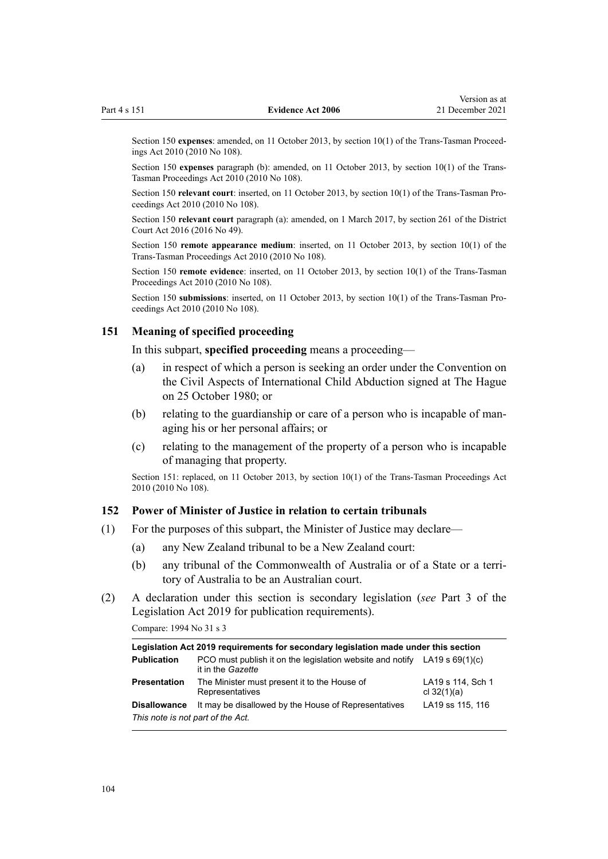<span id="page-103-0"></span>Section 150 **expenses**: amended, on 11 October 2013, by [section 10\(1\)](http://legislation.govt.nz/pdflink.aspx?id=DLM2576329) of the Trans-Tasman Proceedings Act 2010 (2010 No 108).

Section 150 **expenses** paragraph (b): amended, on 11 October 2013, by [section 10\(1\)](http://legislation.govt.nz/pdflink.aspx?id=DLM2576329) of the Trans-Tasman Proceedings Act 2010 (2010 No 108).

Section 150 **relevant court**: inserted, on 11 October 2013, by [section 10\(1\)](http://legislation.govt.nz/pdflink.aspx?id=DLM2576329) of the Trans-Tasman Pro‐ ceedings Act 2010 (2010 No 108).

Section 150 **relevant court** paragraph (a): amended, on 1 March 2017, by [section 261](http://legislation.govt.nz/pdflink.aspx?id=DLM6942680) of the District Court Act 2016 (2016 No 49).

Section 150 **remote appearance medium**: inserted, on 11 October 2013, by [section 10\(1\)](http://legislation.govt.nz/pdflink.aspx?id=DLM2576329) of the Trans-Tasman Proceedings Act 2010 (2010 No 108).

Section 150 **remote evidence**: inserted, on 11 October 2013, by [section 10\(1\)](http://legislation.govt.nz/pdflink.aspx?id=DLM2576329) of the Trans-Tasman Proceedings Act 2010 (2010 No 108).

Section 150 **submissions**: inserted, on 11 October 2013, by [section 10\(1\)](http://legislation.govt.nz/pdflink.aspx?id=DLM2576329) of the Trans-Tasman Proceedings Act 2010 (2010 No 108).

#### **151 Meaning of specified proceeding**

In this subpart, **specified proceeding** means a proceeding—

- (a) in respect of which a person is seeking an order under the Convention on the Civil Aspects of International Child Abduction signed at The Hague on 25 October 1980; or
- (b) relating to the guardianship or care of a person who is incapable of managing his or her personal affairs; or
- (c) relating to the management of the property of a person who is incapable of managing that property.

Section 151: replaced, on 11 October 2013, by [section 10\(1\)](http://legislation.govt.nz/pdflink.aspx?id=DLM2576329) of the Trans-Tasman Proceedings Act 2010 (2010 No 108).

#### **152 Power of Minister of Justice in relation to certain tribunals**

- (1) For the purposes of this subpart, the Minister of Justice may declare—
	- (a) any New Zealand tribunal to be a New Zealand court:
	- (b) any tribunal of the Commonwealth of Australia or of a State or a terri‐ tory of Australia to be an Australian court.
- (2) A declaration under this section is secondary legislation (*see* [Part 3](http://legislation.govt.nz/pdflink.aspx?id=DLM7298343) of the Legislation Act 2019 for publication requirements).

Compare: 1994 No 31 [s 3](http://legislation.govt.nz/pdflink.aspx?id=DLM331096)

| Legislation Act 2019 requirements for secondary legislation made under this section |                                                                                                  |                                    |
|-------------------------------------------------------------------------------------|--------------------------------------------------------------------------------------------------|------------------------------------|
| <b>Publication</b>                                                                  | PCO must publish it on the legislation website and notify $LA19 s 69(1)(c)$<br>it in the Gazette |                                    |
| <b>Presentation</b>                                                                 | The Minister must present it to the House of<br>Representatives                                  | LA19 s 114, Sch 1<br>cl $32(1)(a)$ |
| <b>Disallowance</b><br>This note is not part of the Act.                            | It may be disallowed by the House of Representatives                                             | LA19 ss 115, 116                   |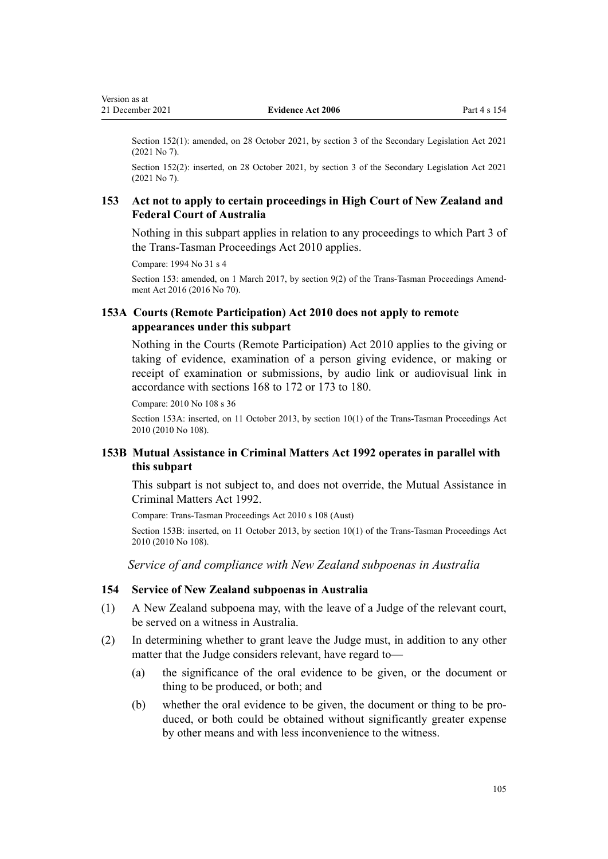<span id="page-104-0"></span>Section 152(1): amended, on 28 October 2021, by [section 3](http://legislation.govt.nz/pdflink.aspx?id=LMS268932) of the Secondary Legislation Act 2021 (2021 No 7).

Section 152(2): inserted, on 28 October 2021, by [section 3](http://legislation.govt.nz/pdflink.aspx?id=LMS268932) of the Secondary Legislation Act 2021 (2021 No 7).

## **153 Act not to apply to certain proceedings in High Court of New Zealand and Federal Court of Australia**

Nothing in this subpart applies in relation to any proceedings to which [Part 3](http://legislation.govt.nz/pdflink.aspx?id=DLM7144603) of the Trans-Tasman Proceedings Act 2010 applies.

Compare: 1994 No 31 [s 4](http://legislation.govt.nz/pdflink.aspx?id=DLM331098)

Section 153: amended, on 1 March 2017, by [section 9\(2\)](http://legislation.govt.nz/pdflink.aspx?id=DLM6945040) of the Trans-Tasman Proceedings Amendment Act 2016 (2016 No 70).

### **153A Courts (Remote Participation) Act 2010 does not apply to remote appearances under this subpart**

Nothing in the [Courts \(Remote Participation\) Act 2010](http://legislation.govt.nz/pdflink.aspx?id=DLM2600700) applies to the giving or taking of evidence, examination of a person giving evidence, or making or receipt of examination or submissions, by audio link or audiovisual link in accordance with [sections 168 to 172](#page-111-0) or [173 to 180.](#page-114-0)

Compare: 2010 No 108 [s 36](http://legislation.govt.nz/pdflink.aspx?id=DLM3121611)

Section 153A: inserted, on 11 October 2013, by [section 10\(1\)](http://legislation.govt.nz/pdflink.aspx?id=DLM2576329) of the Trans-Tasman Proceedings Act 2010 (2010 No 108).

## **153B Mutual Assistance in Criminal Matters Act 1992 operates in parallel with this subpart**

This subpart is not subject to, and does not override, the [Mutual Assistance in](http://legislation.govt.nz/pdflink.aspx?id=DLM273056) [Criminal Matters Act 1992](http://legislation.govt.nz/pdflink.aspx?id=DLM273056).

Compare: Trans-Tasman Proceedings Act 2010 s 108 (Aust)

Section 153B: inserted, on 11 October 2013, by [section 10\(1\)](http://legislation.govt.nz/pdflink.aspx?id=DLM2576329) of the Trans-Tasman Proceedings Act 2010 (2010 No 108).

*Service of and compliance with New Zealand subpoenas in Australia*

#### **154 Service of New Zealand subpoenas in Australia**

- (1) A New Zealand subpoena may, with the leave of a Judge of the relevant court, be served on a witness in Australia.
- (2) In determining whether to grant leave the Judge must, in addition to any other matter that the Judge considers relevant, have regard to—
	- (a) the significance of the oral evidence to be given, or the document or thing to be produced, or both; and
	- (b) whether the oral evidence to be given, the document or thing to be pro‐ duced, or both could be obtained without significantly greater expense by other means and with less inconvenience to the witness.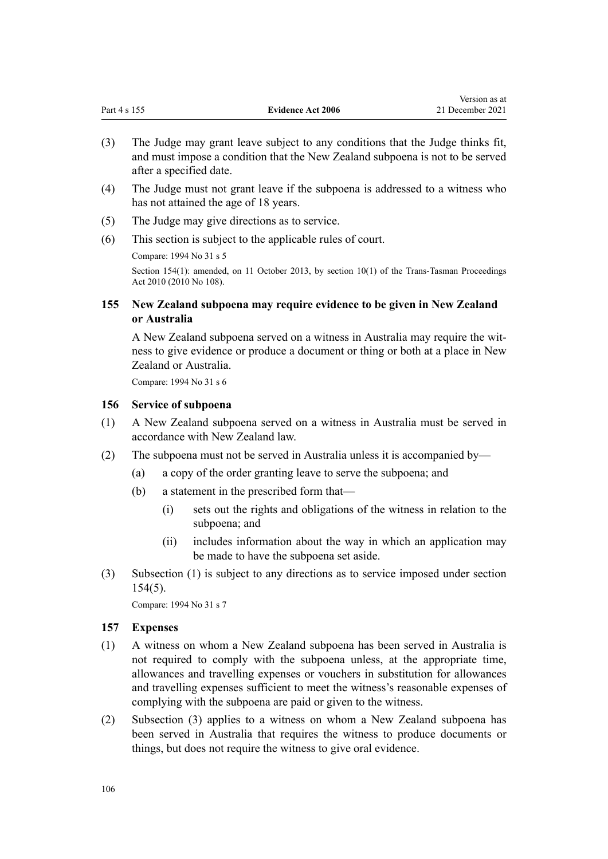<span id="page-105-0"></span>

|              |                          | Version as at    |
|--------------|--------------------------|------------------|
| Part 4 s 155 | <b>Evidence Act 2006</b> | 21 December 2021 |

- (3) The Judge may grant leave subject to any conditions that the Judge thinks fit, and must impose a condition that the New Zealand subpoena is not to be served after a specified date.
- (4) The Judge must not grant leave if the subpoena is addressed to a witness who has not attained the age of 18 years.
- (5) The Judge may give directions as to service.
- (6) This section is subject to the applicable rules of court.

Compare: 1994 No 31 [s 5](http://legislation.govt.nz/pdflink.aspx?id=DLM331501)

Section 154(1): amended, on 11 October 2013, by [section 10\(1\)](http://legislation.govt.nz/pdflink.aspx?id=DLM2576329) of the Trans-Tasman Proceedings Act 2010 (2010 No 108).

## **155 New Zealand subpoena may require evidence to be given in New Zealand or Australia**

A New Zealand subpoena served on a witness in Australia may require the wit‐ ness to give evidence or produce a document or thing or both at a place in New Zealand or Australia.

Compare: 1994 No 31 [s 6](http://legislation.govt.nz/pdflink.aspx?id=DLM331503)

#### **156 Service of subpoena**

- (1) A New Zealand subpoena served on a witness in Australia must be served in accordance with New Zealand law.
- (2) The subpoena must not be served in Australia unless it is accompanied by—
	- (a) a copy of the order granting leave to serve the subpoena; and
	- (b) a statement in the prescribed form that—
		- (i) sets out the rights and obligations of the witness in relation to the subpoena; and
		- (ii) includes information about the way in which an application may be made to have the subpoena set aside.
- (3) Subsection (1) is subject to any directions as to service imposed under [section](#page-104-0) [154\(5\).](#page-104-0)

Compare: 1994 No 31 [s 7](http://legislation.govt.nz/pdflink.aspx?id=DLM331505)

#### **157 Expenses**

- (1) A witness on whom a New Zealand subpoena has been served in Australia is not required to comply with the subpoena unless, at the appropriate time, allowances and travelling expenses or vouchers in substitution for allowances and travelling expenses sufficient to meet the witness's reasonable expenses of complying with the subpoena are paid or given to the witness.
- (2) Subsection (3) applies to a witness on whom a New Zealand subpoena has been served in Australia that requires the witness to produce documents or things, but does not require the witness to give oral evidence.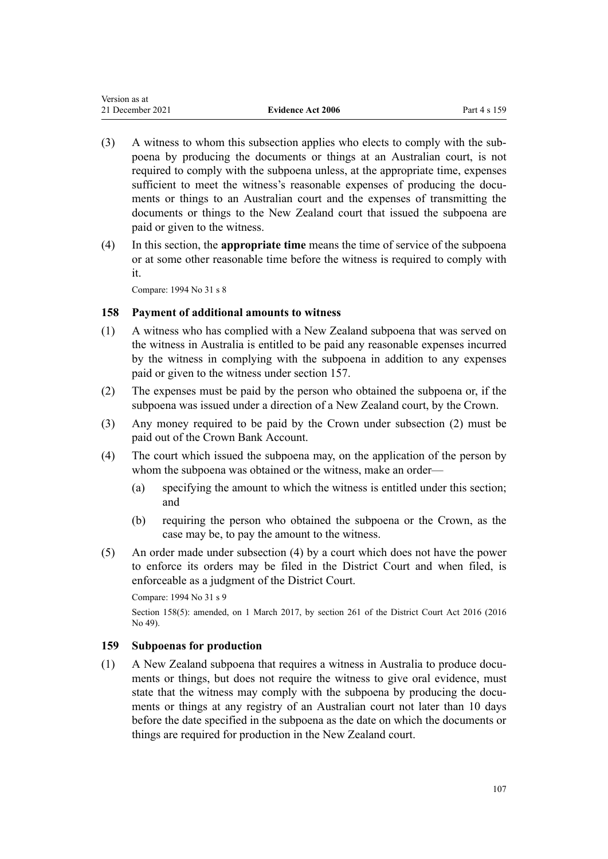| Version as at    |                          |              |
|------------------|--------------------------|--------------|
| 21 December 2021 | <b>Evidence Act 2006</b> | Part 4 s 159 |

- (3) A witness to whom this subsection applies who elects to comply with the sub‐ poena by producing the documents or things at an Australian court, is not required to comply with the subpoena unless, at the appropriate time, expenses sufficient to meet the witness's reasonable expenses of producing the documents or things to an Australian court and the expenses of transmitting the documents or things to the New Zealand court that issued the subpoena are paid or given to the witness.
- (4) In this section, the **appropriate time** means the time of service of the subpoena or at some other reasonable time before the witness is required to comply with it.

Compare: 1994 No 31 [s 8](http://legislation.govt.nz/pdflink.aspx?id=DLM331507)

## **158 Payment of additional amounts to witness**

- (1) A witness who has complied with a New Zealand subpoena that was served on the witness in Australia is entitled to be paid any reasonable expenses incurred by the witness in complying with the subpoena in addition to any expenses paid or given to the witness under [section 157.](#page-105-0)
- (2) The expenses must be paid by the person who obtained the subpoena or, if the subpoena was issued under a direction of a New Zealand court, by the Crown.
- (3) Any money required to be paid by the Crown under subsection (2) must be paid out of the Crown Bank Account.
- (4) The court which issued the subpoena may, on the application of the person by whom the subpoena was obtained or the witness, make an order—
	- (a) specifying the amount to which the witness is entitled under this section; and
	- (b) requiring the person who obtained the subpoena or the Crown, as the case may be, to pay the amount to the witness.
- (5) An order made under subsection (4) by a court which does not have the power to enforce its orders may be filed in the District Court and when filed, is enforceable as a judgment of the District Court.

Compare: 1994 No 31 [s 9](http://legislation.govt.nz/pdflink.aspx?id=DLM331510)

Section 158(5): amended, on 1 March 2017, by [section 261](http://legislation.govt.nz/pdflink.aspx?id=DLM6942680) of the District Court Act 2016 (2016 No 49).

### **159 Subpoenas for production**

(1) A New Zealand subpoena that requires a witness in Australia to produce documents or things, but does not require the witness to give oral evidence, must state that the witness may comply with the subpoena by producing the documents or things at any registry of an Australian court not later than 10 days before the date specified in the subpoena as the date on which the documents or things are required for production in the New Zealand court.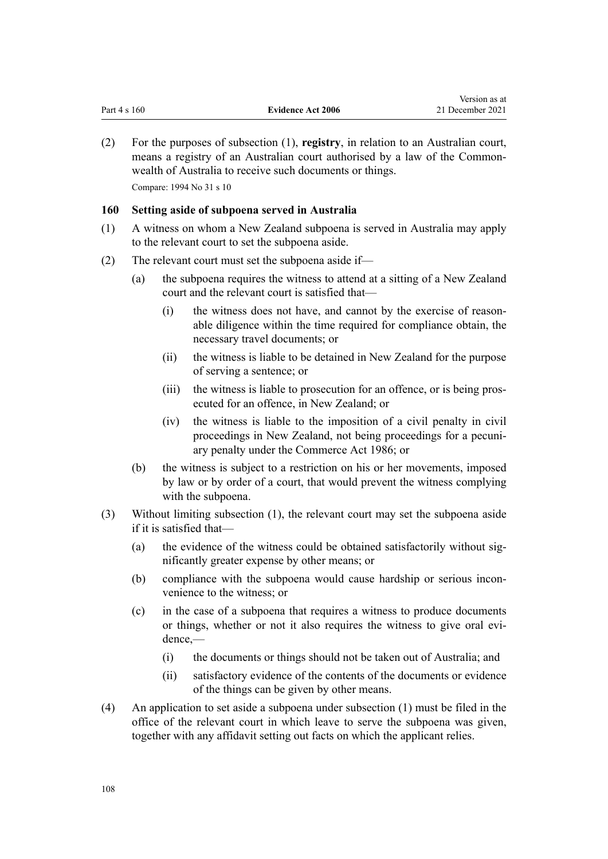|              |                          | Version as at    |
|--------------|--------------------------|------------------|
| Part 4 s 160 | <b>Evidence Act 2006</b> | 21 December 2021 |
|              |                          |                  |

(2) For the purposes of subsection (1), **registry**, in relation to an Australian court, means a registry of an Australian court authorised by a law of the Commonwealth of Australia to receive such documents or things. Compare: 1994 No 31 [s 10](http://legislation.govt.nz/pdflink.aspx?id=DLM331512)

#### **160 Setting aside of subpoena served in Australia**

- (1) A witness on whom a New Zealand subpoena is served in Australia may apply to the relevant court to set the subpoena aside.
- (2) The relevant court must set the subpoena aside if—
	- (a) the subpoena requires the witness to attend at a sitting of a New Zealand court and the relevant court is satisfied that—
		- (i) the witness does not have, and cannot by the exercise of reasonable diligence within the time required for compliance obtain, the necessary travel documents; or
		- (ii) the witness is liable to be detained in New Zealand for the purpose of serving a sentence; or
		- (iii) the witness is liable to prosecution for an offence, or is being prosecuted for an offence, in New Zealand; or
		- (iv) the witness is liable to the imposition of a civil penalty in civil proceedings in New Zealand, not being proceedings for a pecuniary penalty under the [Commerce Act 1986](http://legislation.govt.nz/pdflink.aspx?id=DLM87622); or
	- (b) the witness is subject to a restriction on his or her movements, imposed by law or by order of a court, that would prevent the witness complying with the subpoena.
- (3) Without limiting subsection (1), the relevant court may set the subpoena aside if it is satisfied that—
	- (a) the evidence of the witness could be obtained satisfactorily without significantly greater expense by other means; or
	- (b) compliance with the subpoena would cause hardship or serious inconvenience to the witness; or
	- (c) in the case of a subpoena that requires a witness to produce documents or things, whether or not it also requires the witness to give oral evidence,—
		- (i) the documents or things should not be taken out of Australia; and
		- (ii) satisfactory evidence of the contents of the documents or evidence of the things can be given by other means.
- (4) An application to set aside a subpoena under subsection (1) must be filed in the office of the relevant court in which leave to serve the subpoena was given, together with any affidavit setting out facts on which the applicant relies.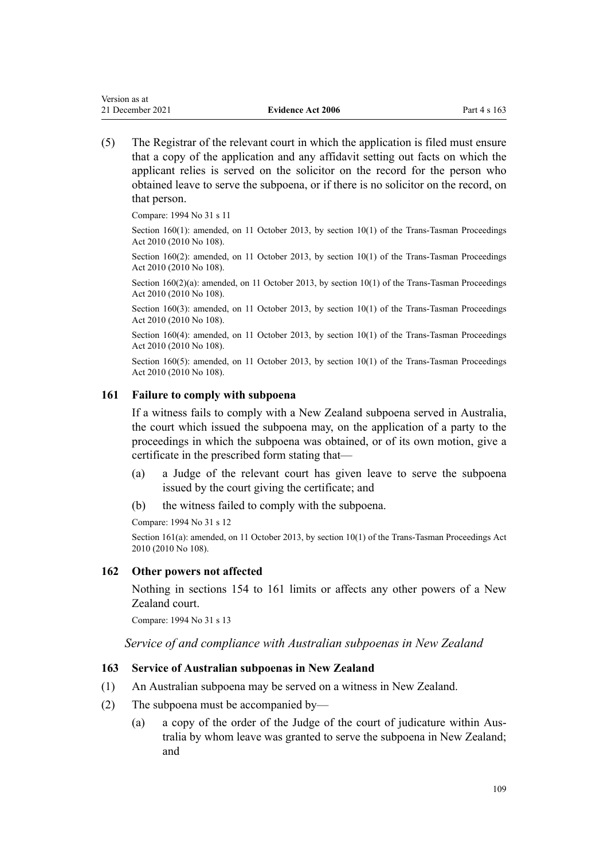<span id="page-108-0"></span>(5) The Registrar of the relevant court in which the application is filed must ensure that a copy of the application and any affidavit setting out facts on which the applicant relies is served on the solicitor on the record for the person who obtained leave to serve the subpoena, or if there is no solicitor on the record, on that person.

Compare: 1994 No 31 [s 11](http://legislation.govt.nz/pdflink.aspx?id=DLM331515)

Section 160(1): amended, on 11 October 2013, by [section 10\(1\)](http://legislation.govt.nz/pdflink.aspx?id=DLM2576329) of the Trans-Tasman Proceedings Act 2010 (2010 No 108).

Section 160(2): amended, on 11 October 2013, by [section 10\(1\)](http://legislation.govt.nz/pdflink.aspx?id=DLM2576329) of the Trans-Tasman Proceedings Act 2010 (2010 No 108).

Section 160(2)(a): amended, on 11 October 2013, by [section 10\(1\)](http://legislation.govt.nz/pdflink.aspx?id=DLM2576329) of the Trans-Tasman Proceedings Act 2010 (2010 No 108).

Section 160(3): amended, on 11 October 2013, by [section 10\(1\)](http://legislation.govt.nz/pdflink.aspx?id=DLM2576329) of the Trans-Tasman Proceedings Act 2010 (2010 No 108).

Section 160(4): amended, on 11 October 2013, by [section 10\(1\)](http://legislation.govt.nz/pdflink.aspx?id=DLM2576329) of the Trans-Tasman Proceedings Act 2010 (2010 No 108).

Section 160(5): amended, on 11 October 2013, by [section 10\(1\)](http://legislation.govt.nz/pdflink.aspx?id=DLM2576329) of the Trans-Tasman Proceedings Act 2010 (2010 No 108).

### **161 Failure to comply with subpoena**

If a witness fails to comply with a New Zealand subpoena served in Australia, the court which issued the subpoena may, on the application of a party to the proceedings in which the subpoena was obtained, or of its own motion, give a certificate in the prescribed form stating that—

- (a) a Judge of the relevant court has given leave to serve the subpoena issued by the court giving the certificate; and
- (b) the witness failed to comply with the subpoena.

Compare: 1994 No 31 [s 12](http://legislation.govt.nz/pdflink.aspx?id=DLM331517)

Section 161(a): amended, on 11 October 2013, by [section 10\(1\)](http://legislation.govt.nz/pdflink.aspx?id=DLM2576329) of the Trans-Tasman Proceedings Act 2010 (2010 No 108).

### **162 Other powers not affected**

Nothing in [sections 154 to 161](#page-104-0) limits or affects any other powers of a New Zealand court.

Compare: 1994 No 31 [s 13](http://legislation.govt.nz/pdflink.aspx?id=DLM331519)

*Service of and compliance with Australian subpoenas in New Zealand*

## **163 Service of Australian subpoenas in New Zealand**

- (1) An Australian subpoena may be served on a witness in New Zealand.
- (2) The subpoena must be accompanied by—
	- (a) a copy of the order of the Judge of the court of judicature within Aus‐ tralia by whom leave was granted to serve the subpoena in New Zealand; and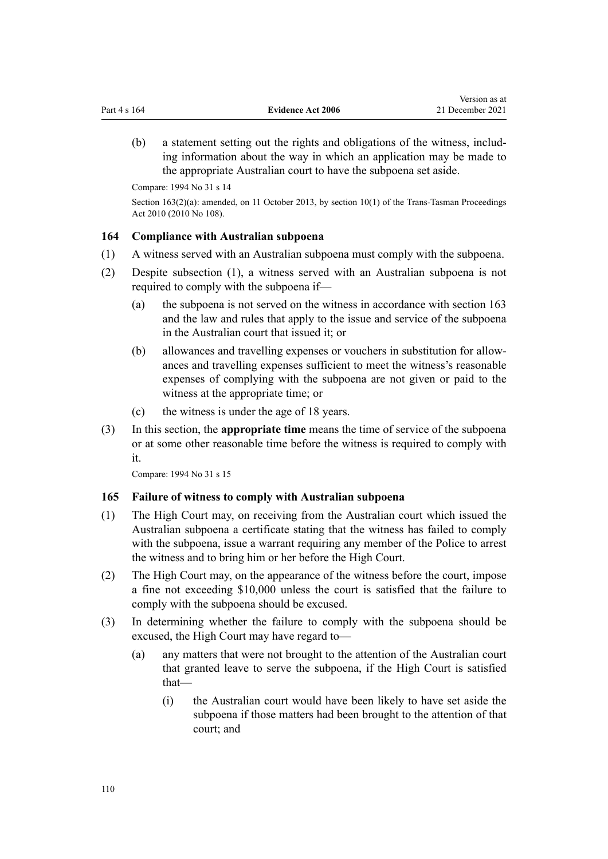(b) a statement setting out the rights and obligations of the witness, includ‐ ing information about the way in which an application may be made to the appropriate Australian court to have the subpoena set aside.

Compare: 1994 No 31 [s 14](http://legislation.govt.nz/pdflink.aspx?id=DLM331522)

Section 163(2)(a): amended, on 11 October 2013, by [section 10\(1\)](http://legislation.govt.nz/pdflink.aspx?id=DLM2576329) of the Trans-Tasman Proceedings Act 2010 (2010 No 108).

### **164 Compliance with Australian subpoena**

- (1) A witness served with an Australian subpoena must comply with the subpoena.
- (2) Despite subsection (1), a witness served with an Australian subpoena is not required to comply with the subpoena if—
	- (a) the subpoena is not served on the witness in accordance with [section 163](#page-108-0) and the law and rules that apply to the issue and service of the subpoena in the Australian court that issued it; or
	- (b) allowances and travelling expenses or vouchers in substitution for allow‐ ances and travelling expenses sufficient to meet the witness's reasonable expenses of complying with the subpoena are not given or paid to the witness at the appropriate time; or
	- (c) the witness is under the age of 18 years.
- (3) In this section, the **appropriate time** means the time of service of the subpoena or at some other reasonable time before the witness is required to comply with it.

Compare: 1994 No 31 [s 15](http://legislation.govt.nz/pdflink.aspx?id=DLM331524)

### **165 Failure of witness to comply with Australian subpoena**

- (1) The High Court may, on receiving from the Australian court which issued the Australian subpoena a certificate stating that the witness has failed to comply with the subpoena, issue a warrant requiring any member of the Police to arrest the witness and to bring him or her before the High Court.
- (2) The High Court may, on the appearance of the witness before the court, impose a fine not exceeding \$10,000 unless the court is satisfied that the failure to comply with the subpoena should be excused.
- (3) In determining whether the failure to comply with the subpoena should be excused, the High Court may have regard to—
	- (a) any matters that were not brought to the attention of the Australian court that granted leave to serve the subpoena, if the High Court is satisfied that—
		- (i) the Australian court would have been likely to have set aside the subpoena if those matters had been brought to the attention of that court; and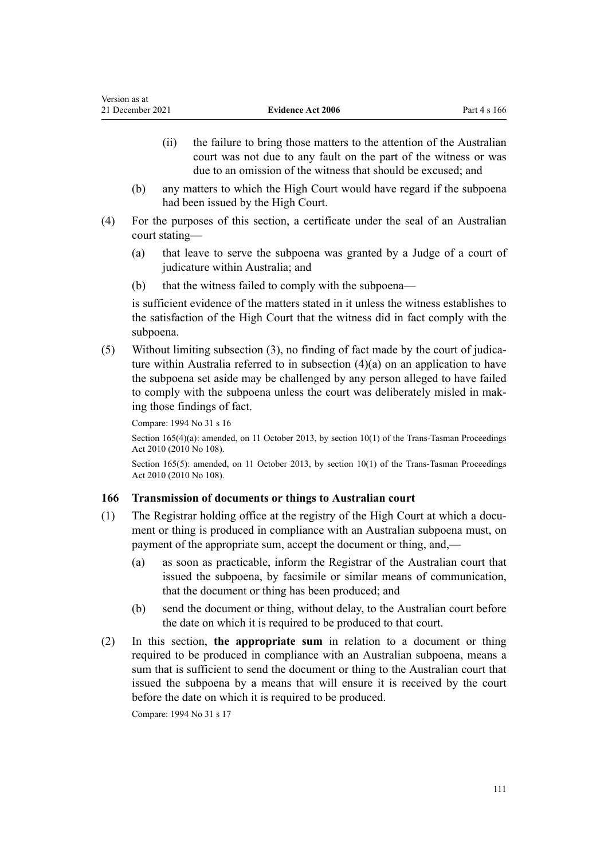- (ii) the failure to bring those matters to the attention of the Australian court was not due to any fault on the part of the witness or was due to an omission of the witness that should be excused; and
- (b) any matters to which the High Court would have regard if the subpoena had been issued by the High Court.
- (4) For the purposes of this section, a certificate under the seal of an Australian court stating—
	- (a) that leave to serve the subpoena was granted by a Judge of a court of judicature within Australia; and
	- (b) that the witness failed to comply with the subpoena—

is sufficient evidence of the matters stated in it unless the witness establishes to the satisfaction of the High Court that the witness did in fact comply with the subpoena.

 $(5)$  Without limiting subsection  $(3)$ , no finding of fact made by the court of judicature within Australia referred to in subsection (4)(a) on an application to have the subpoena set aside may be challenged by any person alleged to have failed to comply with the subpoena unless the court was deliberately misled in mak‐ ing those findings of fact.

Compare: 1994 No 31 [s 16](http://legislation.govt.nz/pdflink.aspx?id=DLM331526)

Section 165(4)(a): amended, on 11 October 2013, by [section 10\(1\)](http://legislation.govt.nz/pdflink.aspx?id=DLM2576329) of the Trans-Tasman Proceedings Act 2010 (2010 No 108).

Section 165(5): amended, on 11 October 2013, by [section 10\(1\)](http://legislation.govt.nz/pdflink.aspx?id=DLM2576329) of the Trans-Tasman Proceedings Act 2010 (2010 No 108).

### **166 Transmission of documents or things to Australian court**

- $(1)$  The Registrar holding office at the registry of the High Court at which a document or thing is produced in compliance with an Australian subpoena must, on payment of the appropriate sum, accept the document or thing, and,—
	- (a) as soon as practicable, inform the Registrar of the Australian court that issued the subpoena, by facsimile or similar means of communication, that the document or thing has been produced; and
	- (b) send the document or thing, without delay, to the Australian court before the date on which it is required to be produced to that court.
- (2) In this section, **the appropriate sum** in relation to a document or thing required to be produced in compliance with an Australian subpoena, means a sum that is sufficient to send the document or thing to the Australian court that issued the subpoena by a means that will ensure it is received by the court before the date on which it is required to be produced.

Compare: 1994 No 31 [s 17](http://legislation.govt.nz/pdflink.aspx?id=DLM331528)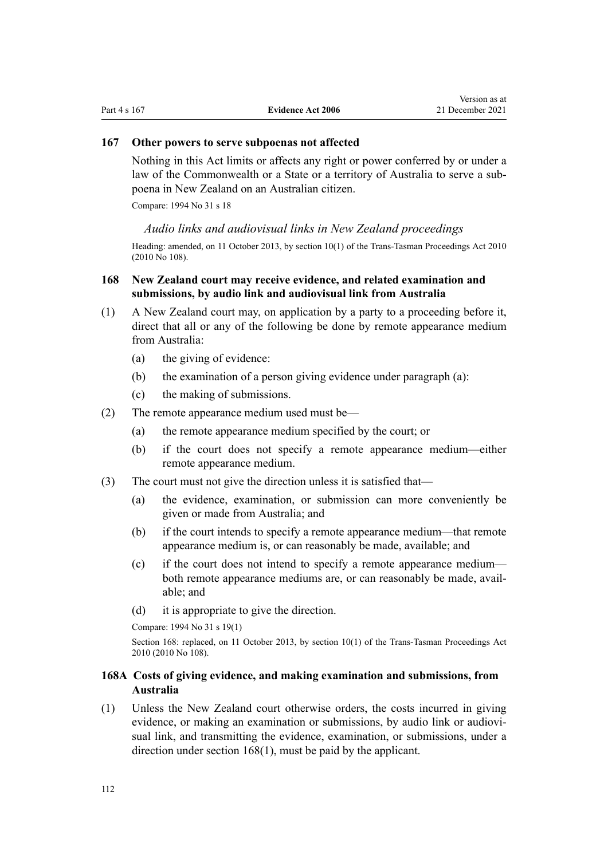## <span id="page-111-0"></span>**167 Other powers to serve subpoenas not affected**

Nothing in this Act limits or affects any right or power conferred by or under a law of the Commonwealth or a State or a territory of Australia to serve a subpoena in New Zealand on an Australian citizen.

Compare: 1994 No 31 [s 18](http://legislation.govt.nz/pdflink.aspx?id=DLM331531)

### *Audio links and audiovisual links in New Zealand proceedings*

Heading: amended, on 11 October 2013, by [section 10\(1\)](http://legislation.govt.nz/pdflink.aspx?id=DLM2576329) of the Trans-Tasman Proceedings Act 2010 (2010 No 108).

## **168 New Zealand court may receive evidence, and related examination and submissions, by audio link and audiovisual link from Australia**

- (1) A New Zealand court may, on application by a party to a proceeding before it, direct that all or any of the following be done by remote appearance medium from Australia:
	- (a) the giving of evidence:
	- (b) the examination of a person giving evidence under paragraph (a):
	- (c) the making of submissions.
- (2) The remote appearance medium used must be—
	- (a) the remote appearance medium specified by the court; or
	- (b) if the court does not specify a remote appearance medium—either remote appearance medium.
- (3) The court must not give the direction unless it is satisfied that—
	- (a) the evidence, examination, or submission can more conveniently be given or made from Australia; and
	- (b) if the court intends to specify a remote appearance medium—that remote appearance medium is, or can reasonably be made, available; and
	- (c) if the court does not intend to specify a remote appearance medium both remote appearance mediums are, or can reasonably be made, available; and
	- (d) it is appropriate to give the direction.

Compare: 1994 No 31 [s 19\(1\)](http://legislation.govt.nz/pdflink.aspx?id=DLM331534)

Section 168: replaced, on 11 October 2013, by [section 10\(1\)](http://legislation.govt.nz/pdflink.aspx?id=DLM2576329) of the Trans-Tasman Proceedings Act 2010 (2010 No 108).

## **168A Costs of giving evidence, and making examination and submissions, from Australia**

(1) Unless the New Zealand court otherwise orders, the costs incurred in giving evidence, or making an examination or submissions, by audio link or audiovisual link, and transmitting the evidence, examination, or submissions, under a direction under section 168(1), must be paid by the applicant.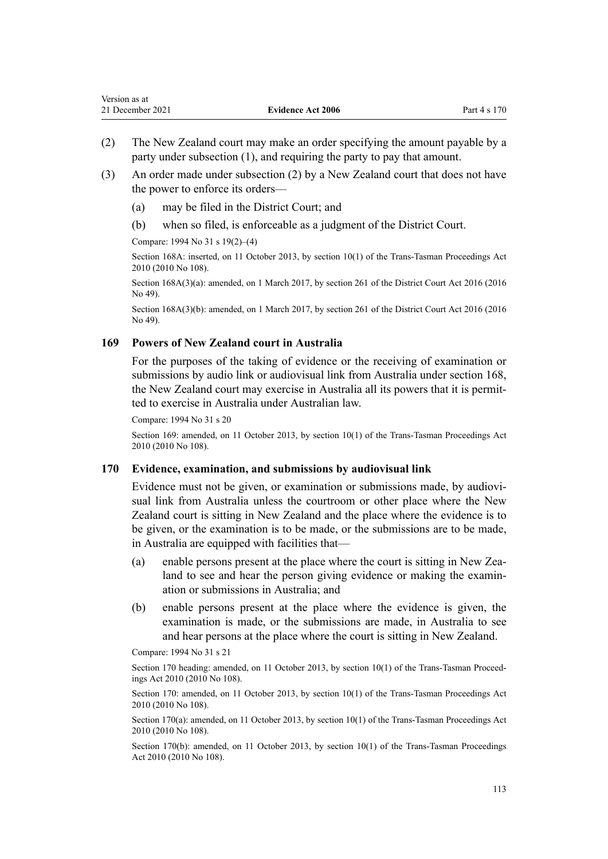- (2) The New Zealand court may make an order specifying the amount payable by a party under subsection (1), and requiring the party to pay that amount.
- (3) An order made under subsection (2) by a New Zealand court that does not have the power to enforce its orders—
	- (a) may be filed in the District Court; and
	- (b) when so filed, is enforceable as a judgment of the District Court.

Compare: 1994 No 31 [s 19\(2\)–\(4\)](http://legislation.govt.nz/pdflink.aspx?id=DLM331534)

Section 168A: inserted, on 11 October 2013, by [section 10\(1\)](http://legislation.govt.nz/pdflink.aspx?id=DLM2576329) of the Trans-Tasman Proceedings Act 2010 (2010 No 108).

Section 168A(3)(a): amended, on 1 March 2017, by [section 261](http://legislation.govt.nz/pdflink.aspx?id=DLM6942680) of the District Court Act 2016 (2016 No 49).

Section 168A(3)(b): amended, on 1 March 2017, by [section 261](http://legislation.govt.nz/pdflink.aspx?id=DLM6942680) of the District Court Act 2016 (2016 No 49).

## **169 Powers of New Zealand court in Australia**

For the purposes of the taking of evidence or the receiving of examination or submissions by audio link or audiovisual link from Australia under [section 168](#page-111-0), the New Zealand court may exercise in Australia all its powers that it is permit‐ ted to exercise in Australia under Australian law.

Compare: 1994 No 31 [s 20](http://legislation.govt.nz/pdflink.aspx?id=DLM331536)

Section 169: amended, on 11 October 2013, by [section 10\(1\)](http://legislation.govt.nz/pdflink.aspx?id=DLM2576329) of the Trans-Tasman Proceedings Act 2010 (2010 No 108).

### **170 Evidence, examination, and submissions by audiovisual link**

Evidence must not be given, or examination or submissions made, by audiovisual link from Australia unless the courtroom or other place where the New Zealand court is sitting in New Zealand and the place where the evidence is to be given, or the examination is to be made, or the submissions are to be made, in Australia are equipped with facilities that—

- (a) enable persons present at the place where the court is sitting in New Zealand to see and hear the person giving evidence or making the examination or submissions in Australia; and
- (b) enable persons present at the place where the evidence is given, the examination is made, or the submissions are made, in Australia to see and hear persons at the place where the court is sitting in New Zealand.

Compare: 1994 No 31 [s 21](http://legislation.govt.nz/pdflink.aspx?id=DLM331538)

Section 170 heading: amended, on 11 October 2013, by [section 10\(1\)](http://legislation.govt.nz/pdflink.aspx?id=DLM2576329) of the Trans-Tasman Proceedings Act 2010 (2010 No 108).

Section 170: amended, on 11 October 2013, by [section 10\(1\)](http://legislation.govt.nz/pdflink.aspx?id=DLM2576329) of the Trans-Tasman Proceedings Act 2010 (2010 No 108).

Section 170(a): amended, on 11 October 2013, by [section 10\(1\)](http://legislation.govt.nz/pdflink.aspx?id=DLM2576329) of the Trans-Tasman Proceedings Act 2010 (2010 No 108).

Section 170(b): amended, on 11 October 2013, by [section 10\(1\)](http://legislation.govt.nz/pdflink.aspx?id=DLM2576329) of the Trans-Tasman Proceedings Act 2010 (2010 No 108).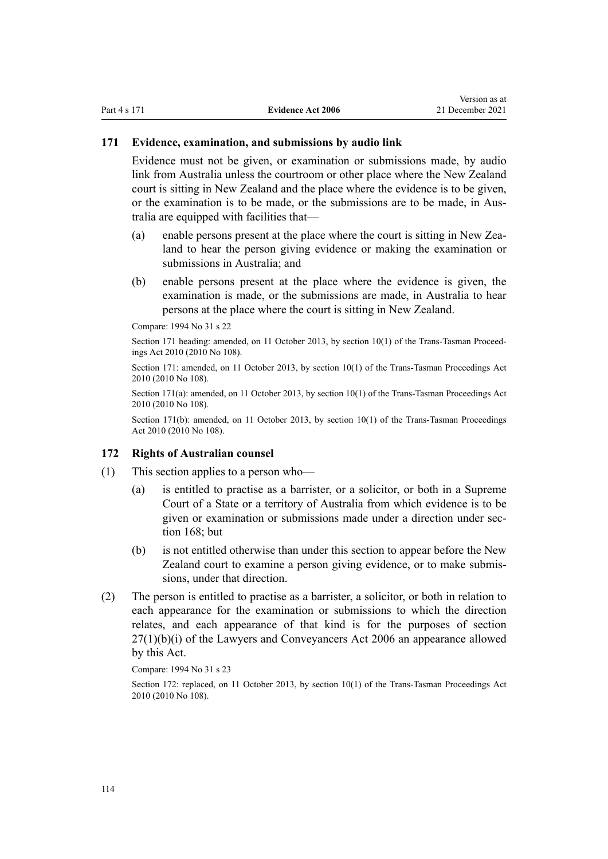#### **171 Evidence, examination, and submissions by audio link**

Evidence must not be given, or examination or submissions made, by audio link from Australia unless the courtroom or other place where the New Zealand court is sitting in New Zealand and the place where the evidence is to be given, or the examination is to be made, or the submissions are to be made, in Aus‐ tralia are equipped with facilities that—

- (a) enable persons present at the place where the court is sitting in New Zealand to hear the person giving evidence or making the examination or submissions in Australia; and
- (b) enable persons present at the place where the evidence is given, the examination is made, or the submissions are made, in Australia to hear persons at the place where the court is sitting in New Zealand.

Compare: 1994 No 31 [s 22](http://legislation.govt.nz/pdflink.aspx?id=DLM331540)

Section 171 heading: amended, on 11 October 2013, by [section 10\(1\)](http://legislation.govt.nz/pdflink.aspx?id=DLM2576329) of the Trans-Tasman Proceedings Act 2010 (2010 No 108).

Section 171: amended, on 11 October 2013, by [section 10\(1\)](http://legislation.govt.nz/pdflink.aspx?id=DLM2576329) of the Trans-Tasman Proceedings Act 2010 (2010 No 108).

Section 171(a): amended, on 11 October 2013, by [section 10\(1\)](http://legislation.govt.nz/pdflink.aspx?id=DLM2576329) of the Trans-Tasman Proceedings Act 2010 (2010 No 108).

Section 171(b): amended, on 11 October 2013, by [section 10\(1\)](http://legislation.govt.nz/pdflink.aspx?id=DLM2576329) of the Trans-Tasman Proceedings Act 2010 (2010 No 108).

### **172 Rights of Australian counsel**

- (1) This section applies to a person who—
	- (a) is entitled to practise as a barrister, or a solicitor, or both in a Supreme Court of a State or a territory of Australia from which evidence is to be given or examination or submissions made under a direction under sec[tion 168](#page-111-0); but
	- (b) is not entitled otherwise than under this section to appear before the New Zealand court to examine a person giving evidence, or to make submis‐ sions, under that direction.
- (2) The person is entitled to practise as a barrister, a solicitor, or both in relation to each appearance for the examination or submissions to which the direction relates, and each appearance of that kind is for the purposes of [section](http://legislation.govt.nz/pdflink.aspx?id=DLM365736)  $27(1)(b)(i)$  of the Lawyers and Conveyancers Act 2006 an appearance allowed by this Act.

Compare: 1994 No 31 [s 23](http://legislation.govt.nz/pdflink.aspx?id=DLM331542)

Section 172: replaced, on 11 October 2013, by [section 10\(1\)](http://legislation.govt.nz/pdflink.aspx?id=DLM2576329) of the Trans-Tasman Proceedings Act 2010 (2010 No 108).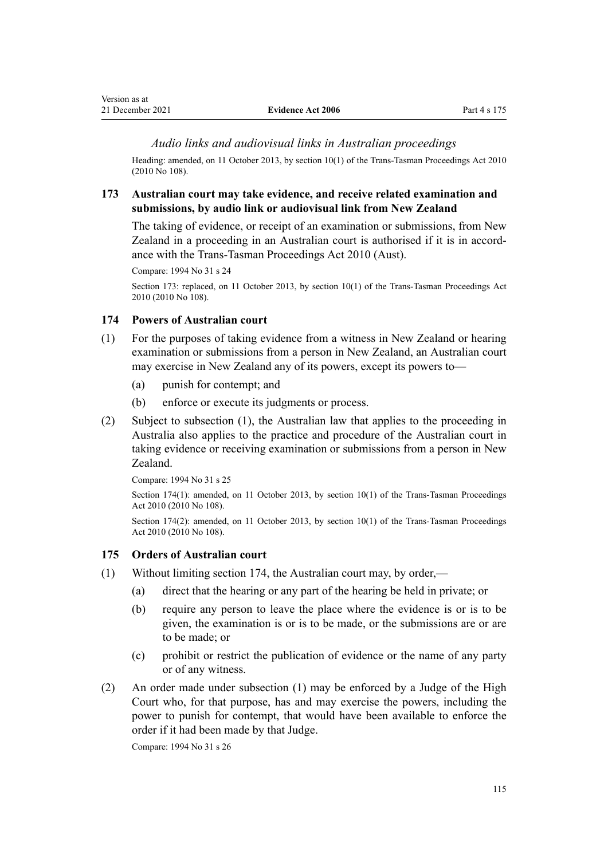## <span id="page-114-0"></span>*Audio links and audiovisual links in Australian proceedings*

Heading: amended, on 11 October 2013, by [section 10\(1\)](http://legislation.govt.nz/pdflink.aspx?id=DLM2576329) of the Trans-Tasman Proceedings Act 2010 (2010 No 108).

## **173 Australian court may take evidence, and receive related examination and submissions, by audio link or audiovisual link from New Zealand**

The taking of evidence, or receipt of an examination or submissions, from New Zealand in a proceeding in an Australian court is authorised if it is in accordance with the Trans-Tasman Proceedings Act 2010 (Aust).

```
Compare: 1994 No 31 s 24
```
Section 173: replaced, on 11 October 2013, by [section 10\(1\)](http://legislation.govt.nz/pdflink.aspx?id=DLM2576329) of the Trans-Tasman Proceedings Act 2010 (2010 No 108).

## **174 Powers of Australian court**

- (1) For the purposes of taking evidence from a witness in New Zealand or hearing examination or submissions from a person in New Zealand, an Australian court may exercise in New Zealand any of its powers, except its powers to—
	- (a) punish for contempt; and
	- (b) enforce or execute its judgments or process.
- (2) Subject to subsection (1), the Australian law that applies to the proceeding in Australia also applies to the practice and procedure of the Australian court in taking evidence or receiving examination or submissions from a person in New Zealand.

Compare: 1994 No 31 [s 25](http://legislation.govt.nz/pdflink.aspx?id=DLM331547)

Section 174(1): amended, on 11 October 2013, by [section 10\(1\)](http://legislation.govt.nz/pdflink.aspx?id=DLM2576329) of the Trans-Tasman Proceedings Act 2010 (2010 No 108).

Section 174(2): amended, on 11 October 2013, by [section 10\(1\)](http://legislation.govt.nz/pdflink.aspx?id=DLM2576329) of the Trans-Tasman Proceedings Act 2010 (2010 No 108).

### **175 Orders of Australian court**

- (1) Without limiting section 174, the Australian court may, by order,—
	- (a) direct that the hearing or any part of the hearing be held in private; or
	- (b) require any person to leave the place where the evidence is or is to be given, the examination is or is to be made, or the submissions are or are to be made; or
	- (c) prohibit or restrict the publication of evidence or the name of any party or of any witness.
- (2) An order made under subsection (1) may be enforced by a Judge of the High Court who, for that purpose, has and may exercise the powers, including the power to punish for contempt, that would have been available to enforce the order if it had been made by that Judge.

Compare: 1994 No 31 [s 26](http://legislation.govt.nz/pdflink.aspx?id=DLM331549)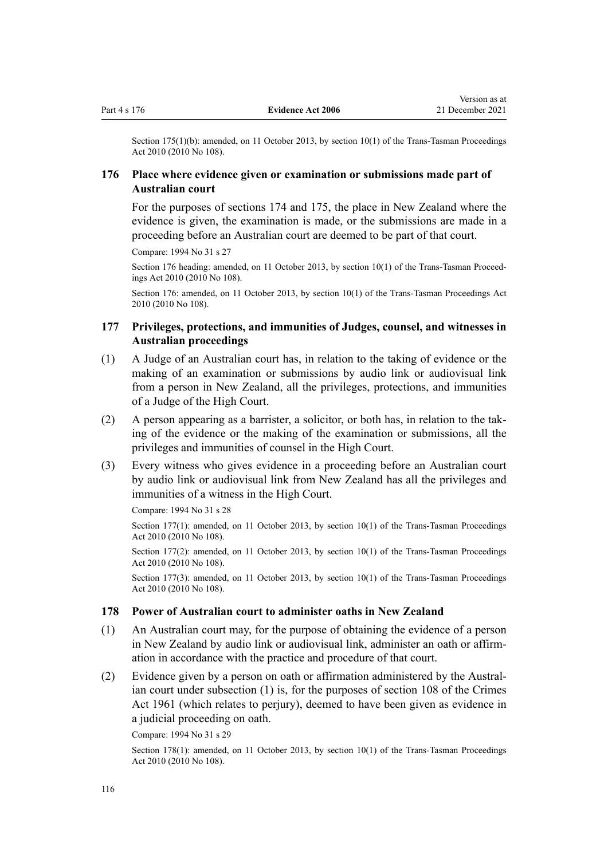Section 175(1)(b): amended, on 11 October 2013, by [section 10\(1\)](http://legislation.govt.nz/pdflink.aspx?id=DLM2576329) of the Trans-Tasman Proceedings Act 2010 (2010 No 108).

## **176 Place where evidence given or examination or submissions made part of Australian court**

For the purposes of [sections 174](#page-114-0) and [175](#page-114-0), the place in New Zealand where the evidence is given, the examination is made, or the submissions are made in a proceeding before an Australian court are deemed to be part of that court.

Compare: 1994 No 31 [s 27](http://legislation.govt.nz/pdflink.aspx?id=DLM331551)

Section 176 heading: amended, on 11 October 2013, by [section 10\(1\)](http://legislation.govt.nz/pdflink.aspx?id=DLM2576329) of the Trans-Tasman Proceedings Act 2010 (2010 No 108).

Section 176: amended, on 11 October 2013, by [section 10\(1\)](http://legislation.govt.nz/pdflink.aspx?id=DLM2576329) of the Trans-Tasman Proceedings Act 2010 (2010 No 108).

## **177 Privileges, protections, and immunities of Judges, counsel, and witnesses in Australian proceedings**

- (1) A Judge of an Australian court has, in relation to the taking of evidence or the making of an examination or submissions by audio link or audiovisual link from a person in New Zealand, all the privileges, protections, and immunities of a Judge of the High Court.
- (2) A person appearing as a barrister, a solicitor, or both has, in relation to the tak‐ ing of the evidence or the making of the examination or submissions, all the privileges and immunities of counsel in the High Court.
- (3) Every witness who gives evidence in a proceeding before an Australian court by audio link or audiovisual link from New Zealand has all the privileges and immunities of a witness in the High Court.

Compare: 1994 No 31 [s 28](http://legislation.govt.nz/pdflink.aspx?id=DLM331553)

Section 177(1): amended, on 11 October 2013, by [section 10\(1\)](http://legislation.govt.nz/pdflink.aspx?id=DLM2576329) of the Trans-Tasman Proceedings Act 2010 (2010 No 108).

Section 177(2): amended, on 11 October 2013, by [section 10\(1\)](http://legislation.govt.nz/pdflink.aspx?id=DLM2576329) of the Trans-Tasman Proceedings Act 2010 (2010 No 108).

Section 177(3): amended, on 11 October 2013, by [section 10\(1\)](http://legislation.govt.nz/pdflink.aspx?id=DLM2576329) of the Trans-Tasman Proceedings Act 2010 (2010 No 108).

### **178 Power of Australian court to administer oaths in New Zealand**

- (1) An Australian court may, for the purpose of obtaining the evidence of a person in New Zealand by audio link or audiovisual link, administer an oath or affirm‐ ation in accordance with the practice and procedure of that court.
- (2) Evidence given by a person on oath or affirmation administered by the Austral‐ ian court under subsection (1) is, for the purposes of [section 108](http://legislation.govt.nz/pdflink.aspx?id=DLM328793) of the Crimes Act 1961 (which relates to perjury), deemed to have been given as evidence in a judicial proceeding on oath.

Compare: 1994 No 31 [s 29](http://legislation.govt.nz/pdflink.aspx?id=DLM331555)

Section 178(1): amended, on 11 October 2013, by [section 10\(1\)](http://legislation.govt.nz/pdflink.aspx?id=DLM2576329) of the Trans-Tasman Proceedings Act 2010 (2010 No 108).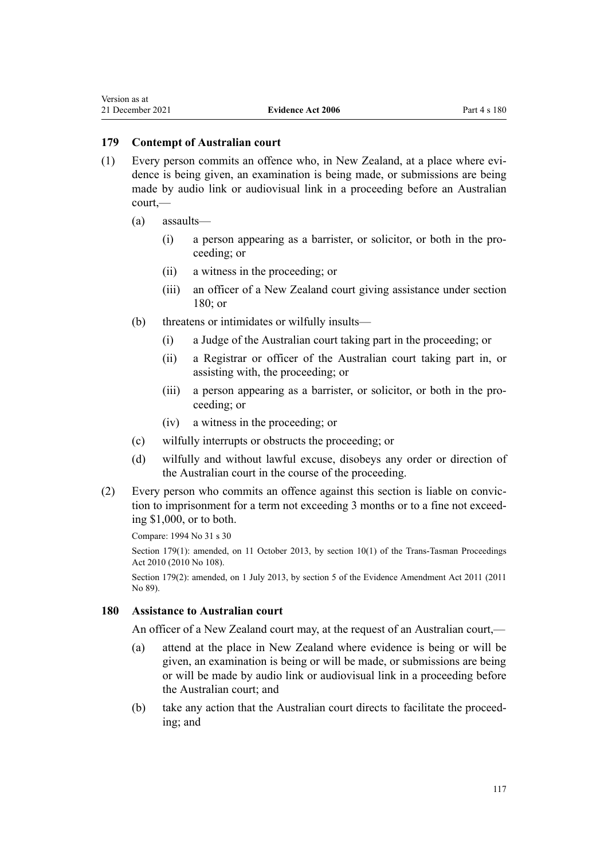### **179 Contempt of Australian court**

- (1) Every person commits an offence who, in New Zealand, at a place where evi‐ dence is being given, an examination is being made, or submissions are being made by audio link or audiovisual link in a proceeding before an Australian court,—
	- (a) assaults—
		- (i) a person appearing as a barrister, or solicitor, or both in the pro‐ ceeding; or
		- (ii) a witness in the proceeding; or
		- (iii) an officer of a New Zealand court giving assistance under section 180; or
	- (b) threatens or intimidates or wilfully insults—
		- (i) a Judge of the Australian court taking part in the proceeding; or
		- (ii) a Registrar or officer of the Australian court taking part in, or assisting with, the proceeding; or
		- (iii) a person appearing as a barrister, or solicitor, or both in the pro‐ ceeding; or
		- (iv) a witness in the proceeding; or
	- (c) wilfully interrupts or obstructs the proceeding; or
	- (d) wilfully and without lawful excuse, disobeys any order or direction of the Australian court in the course of the proceeding.
- (2) Every person who commits an offence against this section is liable on convic‐ tion to imprisonment for a term not exceeding 3 months or to a fine not exceed‐ ing \$1,000, or to both.

Compare: 1994 No 31 [s 30](http://legislation.govt.nz/pdflink.aspx?id=DLM331557)

Section 179(1): amended, on 11 October 2013, by [section 10\(1\)](http://legislation.govt.nz/pdflink.aspx?id=DLM2576329) of the Trans-Tasman Proceedings Act 2010 (2010 No 108).

Section 179(2): amended, on 1 July 2013, by [section 5](http://legislation.govt.nz/pdflink.aspx?id=DLM4058409) of the Evidence Amendment Act 2011 (2011 No 89).

## **180 Assistance to Australian court**

An officer of a New Zealand court may, at the request of an Australian court,—

- (a) attend at the place in New Zealand where evidence is being or will be given, an examination is being or will be made, or submissions are being or will be made by audio link or audiovisual link in a proceeding before the Australian court; and
- (b) take any action that the Australian court directs to facilitate the proceed‐ ing; and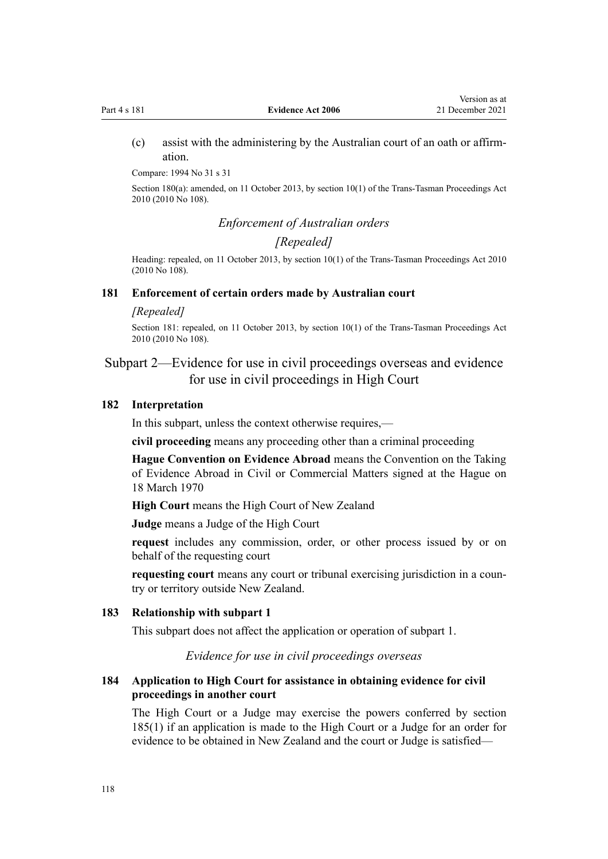(c) assist with the administering by the Australian court of an oath or affirm‐ ation.

Compare: 1994 No 31 [s 31](http://legislation.govt.nz/pdflink.aspx?id=DLM331559)

Section 180(a): amended, on 11 October 2013, by [section 10\(1\)](http://legislation.govt.nz/pdflink.aspx?id=DLM2576329) of the Trans-Tasman Proceedings Act 2010 (2010 No 108).

## *Enforcement of Australian orders*

## *[Repealed]*

Heading: repealed, on 11 October 2013, by [section 10\(1\)](http://legislation.govt.nz/pdflink.aspx?id=DLM2576329) of the Trans-Tasman Proceedings Act 2010 (2010 No 108).

### **181 Enforcement of certain orders made by Australian court**

#### *[Repealed]*

Section 181: repealed, on 11 October 2013, by [section 10\(1\)](http://legislation.govt.nz/pdflink.aspx?id=DLM2576329) of the Trans-Tasman Proceedings Act 2010 (2010 No 108).

# Subpart 2—Evidence for use in civil proceedings overseas and evidence for use in civil proceedings in High Court

#### **182 Interpretation**

In this subpart, unless the context otherwise requires,—

**civil proceeding** means any proceeding other than a criminal proceeding

**Hague Convention on Evidence Abroad** means the Convention on the Taking of Evidence Abroad in Civil or Commercial Matters signed at the Hague on 18 March 1970

**High Court** means the High Court of New Zealand

**Judge** means a Judge of the High Court

**request** includes any commission, order, or other process issued by or on behalf of the requesting court

**requesting court** means any court or tribunal exercising jurisdiction in a coun‐ try or territory outside New Zealand.

### **183 Relationship with subpart 1**

This subpart does not affect the application or operation of [subpart 1](#page-101-0).

*Evidence for use in civil proceedings overseas*

### **184 Application to High Court for assistance in obtaining evidence for civil proceedings in another court**

The High Court or a Judge may exercise the powers conferred by [section](#page-118-0) [185\(1\)](#page-118-0) if an application is made to the High Court or a Judge for an order for evidence to be obtained in New Zealand and the court or Judge is satisfied—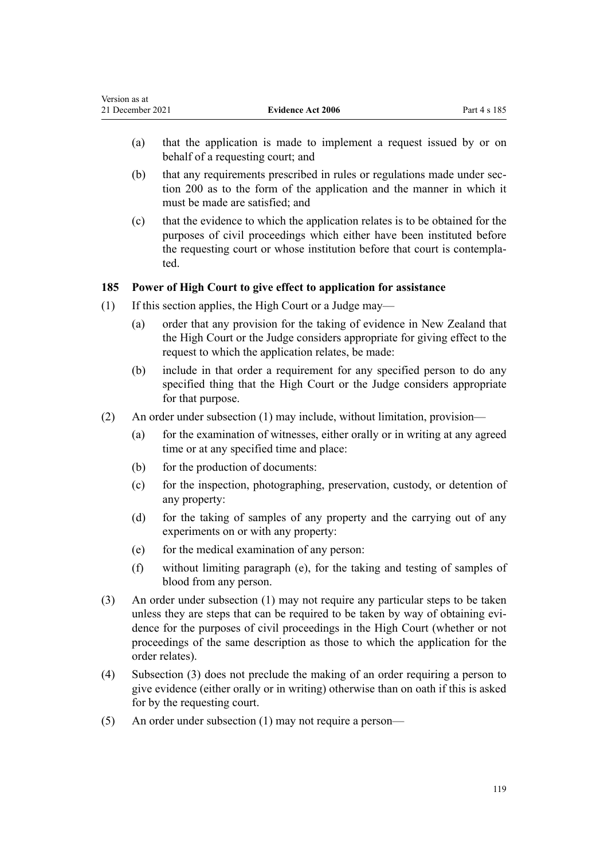<span id="page-118-0"></span>

| Version as at    |                          |              |
|------------------|--------------------------|--------------|
| 21 December 2021 | <b>Evidence Act 2006</b> | Part 4 s 185 |

- (a) that the application is made to implement a request issued by or on behalf of a requesting court; and
- (b) that any requirements prescribed in rules or regulations made under sec[tion 200](#page-126-0) as to the form of the application and the manner in which it must be made are satisfied; and
- (c) that the evidence to which the application relates is to be obtained for the purposes of civil proceedings which either have been instituted before the requesting court or whose institution before that court is contempla‐ ted.

## **185 Power of High Court to give effect to application for assistance**

- (1) If this section applies, the High Court or a Judge may—
	- (a) order that any provision for the taking of evidence in New Zealand that the High Court or the Judge considers appropriate for giving effect to the request to which the application relates, be made:
	- (b) include in that order a requirement for any specified person to do any specified thing that the High Court or the Judge considers appropriate for that purpose.
- (2) An order under subsection (1) may include, without limitation, provision—
	- (a) for the examination of witnesses, either orally or in writing at any agreed time or at any specified time and place:
	- (b) for the production of documents:
	- (c) for the inspection, photographing, preservation, custody, or detention of any property:
	- (d) for the taking of samples of any property and the carrying out of any experiments on or with any property:
	- (e) for the medical examination of any person:
	- (f) without limiting paragraph (e), for the taking and testing of samples of blood from any person.
- (3) An order under subsection (1) may not require any particular steps to be taken unless they are steps that can be required to be taken by way of obtaining evidence for the purposes of civil proceedings in the High Court (whether or not proceedings of the same description as those to which the application for the order relates).
- (4) Subsection (3) does not preclude the making of an order requiring a person to give evidence (either orally or in writing) otherwise than on oath if this is asked for by the requesting court.
- (5) An order under subsection (1) may not require a person—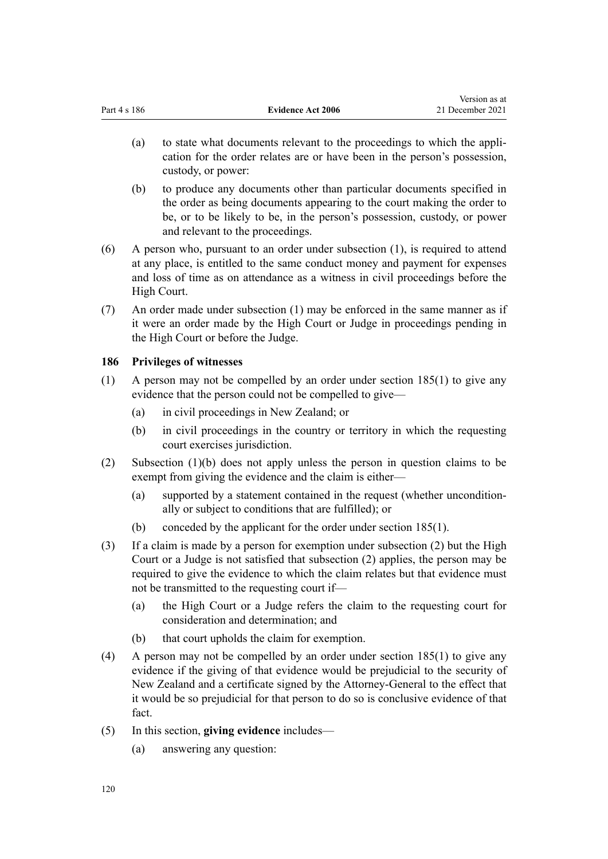|                          | Version as at    |
|--------------------------|------------------|
| <b>Evidence Act 2006</b> | 21 December 2021 |
|                          |                  |

- (a) to state what documents relevant to the proceedings to which the appli‐ cation for the order relates are or have been in the person's possession, custody, or power:
- (b) to produce any documents other than particular documents specified in the order as being documents appearing to the court making the order to be, or to be likely to be, in the person's possession, custody, or power and relevant to the proceedings.
- (6) A person who, pursuant to an order under subsection (1), is required to attend at any place, is entitled to the same conduct money and payment for expenses and loss of time as on attendance as a witness in civil proceedings before the High Court.
- (7) An order made under subsection (1) may be enforced in the same manner as if it were an order made by the High Court or Judge in proceedings pending in the High Court or before the Judge.

## **186 Privileges of witnesses**

- (1) A person may not be compelled by an order under section  $185(1)$  to give any evidence that the person could not be compelled to give—
	- (a) in civil proceedings in New Zealand; or
	- (b) in civil proceedings in the country or territory in which the requesting court exercises jurisdiction.
- (2) Subsection (1)(b) does not apply unless the person in question claims to be exempt from giving the evidence and the claim is either—
	- (a) supported by a statement contained in the request (whether uncondition‐ ally or subject to conditions that are fulfilled); or
	- (b) conceded by the applicant for the order under [section 185\(1\)](#page-118-0).
- (3) If a claim is made by a person for exemption under subsection (2) but the High Court or a Judge is not satisfied that subsection (2) applies, the person may be required to give the evidence to which the claim relates but that evidence must not be transmitted to the requesting court if—
	- (a) the High Court or a Judge refers the claim to the requesting court for consideration and determination; and
	- (b) that court upholds the claim for exemption.
- (4) A person may not be compelled by an order under [section 185\(1\)](#page-118-0) to give any evidence if the giving of that evidence would be prejudicial to the security of New Zealand and a certificate signed by the Attorney-General to the effect that it would be so prejudicial for that person to do so is conclusive evidence of that fact.
- (5) In this section, **giving evidence** includes—
	- (a) answering any question: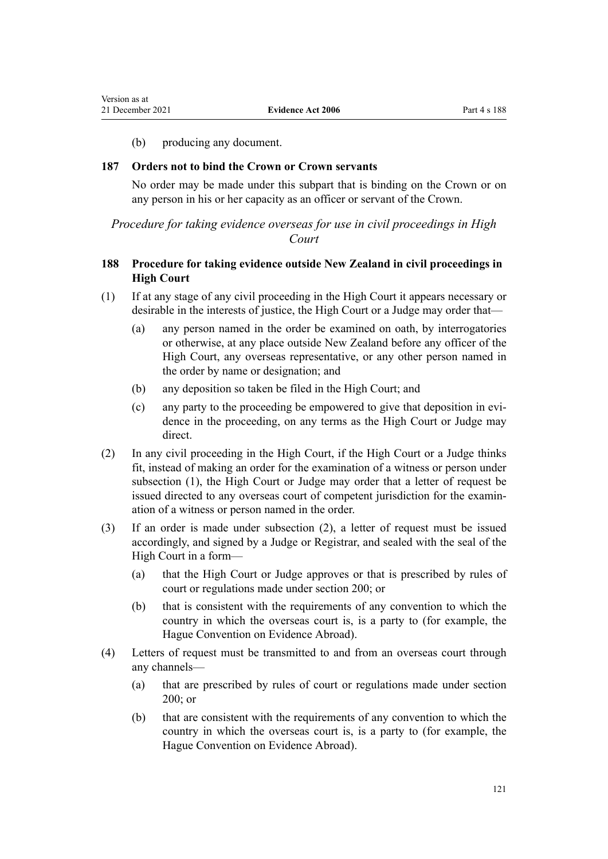(b) producing any document.

### **187 Orders not to bind the Crown or Crown servants**

No order may be made under this subpart that is binding on the Crown or on any person in his or her capacity as an officer or servant of the Crown.

# *Procedure for taking evidence overseas for use in civil proceedings in High Court*

# **188 Procedure for taking evidence outside New Zealand in civil proceedings in High Court**

- (1) If at any stage of any civil proceeding in the High Court it appears necessary or desirable in the interests of justice, the High Court or a Judge may order that—
	- (a) any person named in the order be examined on oath, by interrogatories or otherwise, at any place outside New Zealand before any officer of the High Court, any overseas representative, or any other person named in the order by name or designation; and
	- (b) any deposition so taken be filed in the High Court; and
	- (c) any party to the proceeding be empowered to give that deposition in evi‐ dence in the proceeding, on any terms as the High Court or Judge may direct.
- (2) In any civil proceeding in the High Court, if the High Court or a Judge thinks fit, instead of making an order for the examination of a witness or person under subsection (1), the High Court or Judge may order that a letter of request be issued directed to any overseas court of competent jurisdiction for the examination of a witness or person named in the order.
- (3) If an order is made under subsection (2), a letter of request must be issued accordingly, and signed by a Judge or Registrar, and sealed with the seal of the High Court in a form—
	- (a) that the High Court or Judge approves or that is prescribed by rules of court or regulations made under [section 200;](#page-126-0) or
	- (b) that is consistent with the requirements of any convention to which the country in which the overseas court is, is a party to (for example, the Hague Convention on Evidence Abroad).
- (4) Letters of request must be transmitted to and from an overseas court through any channels—
	- (a) that are prescribed by rules of court or regulations made under [section](#page-126-0) [200](#page-126-0); or
	- (b) that are consistent with the requirements of any convention to which the country in which the overseas court is, is a party to (for example, the Hague Convention on Evidence Abroad).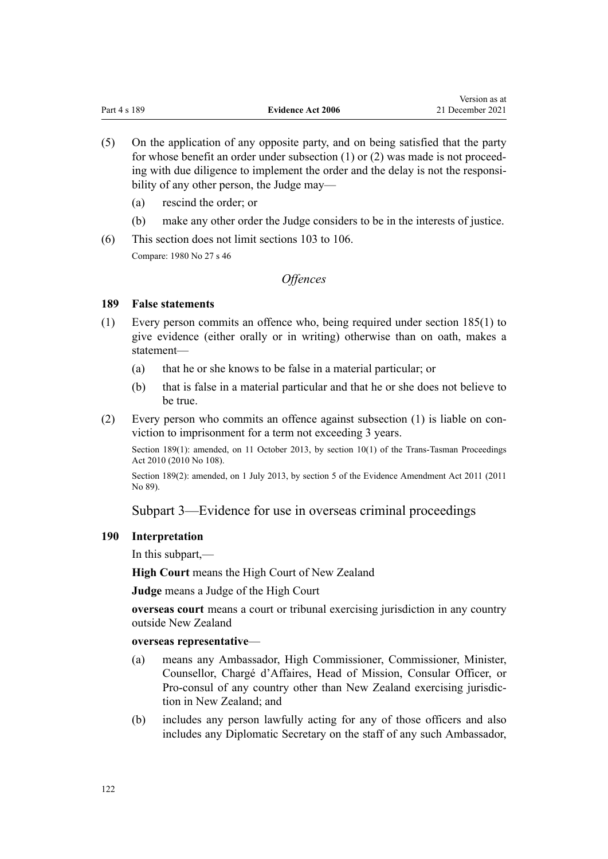| Part 4 s 189 | <b>Evidence Act 2006</b> | $1.91911 \, \mathrm{m}$<br>21 December 2021 |
|--------------|--------------------------|---------------------------------------------|
|              |                          |                                             |

Version as at

- (5) On the application of any opposite party, and on being satisfied that the party for whose benefit an order under subsection  $(1)$  or  $(2)$  was made is not proceeding with due diligence to implement the order and the delay is not the responsibility of any other person, the Judge may—
	- (a) rescind the order; or
	- (b) make any other order the Judge considers to be in the interests of justice.
- (6) This section does not limit [sections 103 to 106](#page-67-0). Compare: 1980 No 27 [s 46](http://legislation.govt.nz/pdflink.aspx?id=DLM36264)

# *Offences*

### **189 False statements**

- (1) Every person commits an offence who, being required under [section](#page-118-0) 185(1) to give evidence (either orally or in writing) otherwise than on oath, makes a statement—
	- (a) that he or she knows to be false in a material particular; or
	- (b) that is false in a material particular and that he or she does not believe to be true.
- (2) Every person who commits an offence against subsection (1) is liable on con‐ viction to imprisonment for a term not exceeding 3 years.

Section 189(1): amended, on 11 October 2013, by [section 10\(1\)](http://legislation.govt.nz/pdflink.aspx?id=DLM2576329) of the Trans-Tasman Proceedings Act 2010 (2010 No 108).

Section 189(2): amended, on 1 July 2013, by [section 5](http://legislation.govt.nz/pdflink.aspx?id=DLM4058409) of the Evidence Amendment Act 2011 (2011 No 89).

## Subpart 3—Evidence for use in overseas criminal proceedings

# **190 Interpretation**

In this subpart,—

**High Court** means the High Court of New Zealand

**Judge** means a Judge of the High Court

**overseas court** means a court or tribunal exercising jurisdiction in any country outside New Zealand

### **overseas representative**—

- (a) means any Ambassador, High Commissioner, Commissioner, Minister, Counsellor, Chargé d'Affaires, Head of Mission, Consular Officer, or Pro-consul of any country other than New Zealand exercising jurisdiction in New Zealand; and
- (b) includes any person lawfully acting for any of those officers and also includes any Diplomatic Secretary on the staff of any such Ambassador,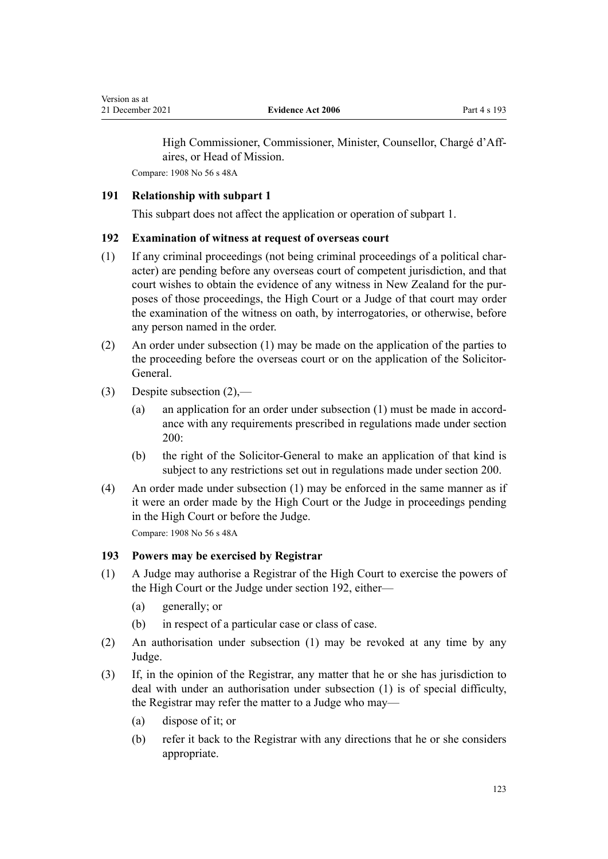<span id="page-122-0"></span>High Commissioner, Commissioner, Minister, Counsellor, Chargé d'Affaires, or Head of Mission.

Compare: 1908 No 56 [s 48A](http://legislation.govt.nz/pdflink.aspx?id=DLM143378)

## **191 Relationship with subpart 1**

This subpart does not affect the application or operation of [subpart 1](#page-101-0).

## **192 Examination of witness at request of overseas court**

- (1) If any criminal proceedings (not being criminal proceedings of a political char‐ acter) are pending before any overseas court of competent jurisdiction, and that court wishes to obtain the evidence of any witness in New Zealand for the purposes of those proceedings, the High Court or a Judge of that court may order the examination of the witness on oath, by interrogatories, or otherwise, before any person named in the order.
- (2) An order under subsection (1) may be made on the application of the parties to the proceeding before the overseas court or on the application of the Solicitor-General.
- (3) Despite subsection (2),—
	- (a) an application for an order under subsection  $(1)$  must be made in accordance with any requirements prescribed in regulations made under [section](#page-126-0) [200](#page-126-0):
	- (b) the right of the Solicitor-General to make an application of that kind is subject to any restrictions set out in regulations made under [section 200](#page-126-0).
- (4) An order made under subsection (1) may be enforced in the same manner as if it were an order made by the High Court or the Judge in proceedings pending in the High Court or before the Judge.

Compare: 1908 No 56 [s 48A](http://legislation.govt.nz/pdflink.aspx?id=DLM143378)

## **193 Powers may be exercised by Registrar**

- (1) A Judge may authorise a Registrar of the High Court to exercise the powers of the High Court or the Judge under section 192, either—
	- (a) generally; or
	- (b) in respect of a particular case or class of case.
- (2) An authorisation under subsection (1) may be revoked at any time by any Judge.
- (3) If, in the opinion of the Registrar, any matter that he or she has jurisdiction to deal with under an authorisation under subsection (1) is of special difficulty, the Registrar may refer the matter to a Judge who may—
	- (a) dispose of it; or
	- (b) refer it back to the Registrar with any directions that he or she considers appropriate.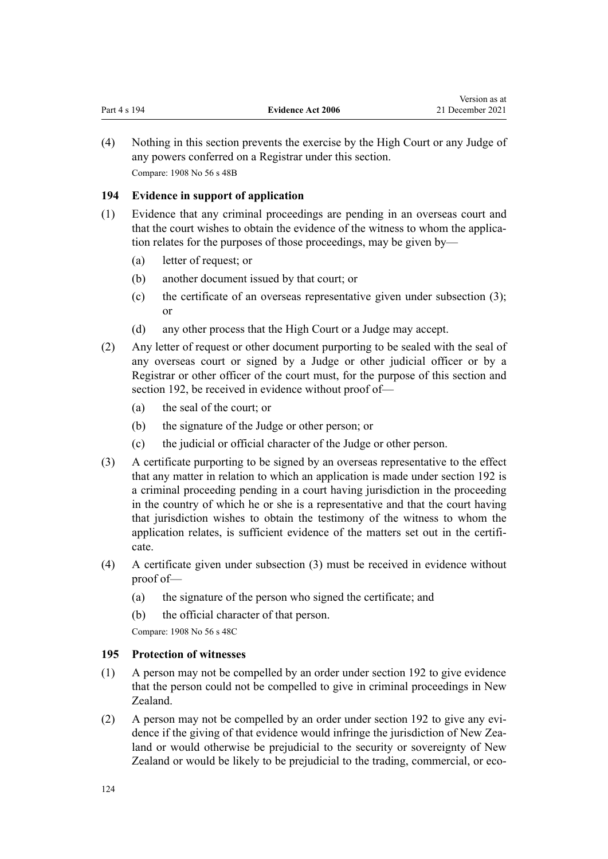<span id="page-123-0"></span>

|              |                          | Version as at    |
|--------------|--------------------------|------------------|
| Part 4 s 194 | <b>Evidence Act 2006</b> | 21 December 2021 |

(4) Nothing in this section prevents the exercise by the High Court or any Judge of any powers conferred on a Registrar under this section. Compare: 1908 No 56 [s 48B](http://legislation.govt.nz/pdflink.aspx?id=DLM143381)

# **194 Evidence in support of application**

- (1) Evidence that any criminal proceedings are pending in an overseas court and that the court wishes to obtain the evidence of the witness to whom the applica‐ tion relates for the purposes of those proceedings, may be given by—
	- (a) letter of request; or
	- (b) another document issued by that court; or
	- (c) the certificate of an overseas representative given under subsection (3); or
	- (d) any other process that the High Court or a Judge may accept.
- (2) Any letter of request or other document purporting to be sealed with the seal of any overseas court or signed by a Judge or other judicial officer or by a Registrar or other officer of the court must, for the purpose of this section and [section 192,](#page-122-0) be received in evidence without proof of—
	- (a) the seal of the court; or
	- (b) the signature of the Judge or other person; or
	- (c) the judicial or official character of the Judge or other person.
- (3) A certificate purporting to be signed by an overseas representative to the effect that any matter in relation to which an application is made under [section 192](#page-122-0) is a criminal proceeding pending in a court having jurisdiction in the proceeding in the country of which he or she is a representative and that the court having that jurisdiction wishes to obtain the testimony of the witness to whom the application relates, is sufficient evidence of the matters set out in the certificate.
- (4) A certificate given under subsection (3) must be received in evidence without proof of—
	- (a) the signature of the person who signed the certificate; and
	- (b) the official character of that person.

Compare: 1908 No 56 [s 48C](http://legislation.govt.nz/pdflink.aspx?id=DLM143384)

## **195 Protection of witnesses**

- (1) A person may not be compelled by an order under [section 192](#page-122-0) to give evidence that the person could not be compelled to give in criminal proceedings in New Zealand.
- (2) A person may not be compelled by an order under [section 192](#page-122-0) to give any evidence if the giving of that evidence would infringe the jurisdiction of New Zealand or would otherwise be prejudicial to the security or sovereignty of New Zealand or would be likely to be prejudicial to the trading, commercial, or eco-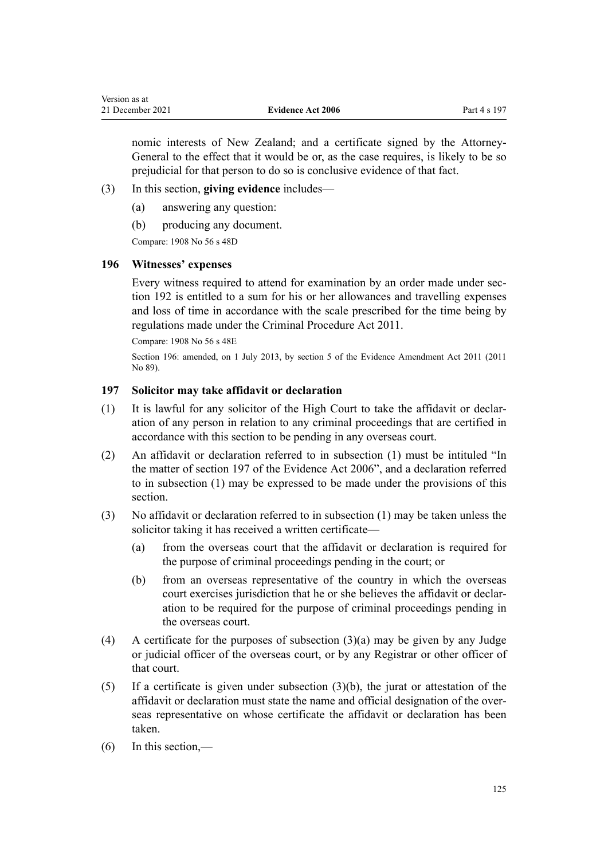<span id="page-124-0"></span>nomic interests of New Zealand; and a certificate signed by the Attorney-General to the effect that it would be or, as the case requires, is likely to be so prejudicial for that person to do so is conclusive evidence of that fact.

- (3) In this section, **giving evidence** includes—
	- (a) answering any question:
	- (b) producing any document.

Compare: 1908 No 56 [s 48D](http://legislation.govt.nz/pdflink.aspx?id=DLM143387)

### **196 Witnesses' expenses**

Every witness required to attend for examination by an order made under sec[tion 192](#page-122-0) is entitled to a sum for his or her allowances and travelling expenses and loss of time in accordance with the scale prescribed for the time being by regulations made under the [Criminal Procedure Act 2011](http://legislation.govt.nz/pdflink.aspx?id=DLM3359902).

Compare: 1908 No 56 [s 48E](http://legislation.govt.nz/pdflink.aspx?id=DLM143390)

Section 196: amended, on 1 July 2013, by [section 5](http://legislation.govt.nz/pdflink.aspx?id=DLM4058409) of the Evidence Amendment Act 2011 (2011 No 89).

# **197 Solicitor may take affidavit or declaration**

- $(1)$  It is lawful for any solicitor of the High Court to take the affidavit or declaration of any person in relation to any criminal proceedings that are certified in accordance with this section to be pending in any overseas court.
- (2) An affidavit or declaration referred to in subsection (1) must be intituled "In the matter of section 197 of the Evidence Act 2006", and a declaration referred to in subsection (1) may be expressed to be made under the provisions of this section.
- (3) No affidavit or declaration referred to in subsection (1) may be taken unless the solicitor taking it has received a written certificate—
	- (a) from the overseas court that the affidavit or declaration is required for the purpose of criminal proceedings pending in the court; or
	- (b) from an overseas representative of the country in which the overseas court exercises jurisdiction that he or she believes the affidavit or declar‐ ation to be required for the purpose of criminal proceedings pending in the overseas court.
- (4) A certificate for the purposes of subsection (3)(a) may be given by any Judge or judicial officer of the overseas court, or by any Registrar or other officer of that court.
- (5) If a certificate is given under subsection (3)(b), the jurat or attestation of the affidavit or declaration must state the name and official designation of the over‐ seas representative on whose certificate the affidavit or declaration has been taken.
- (6) In this section,—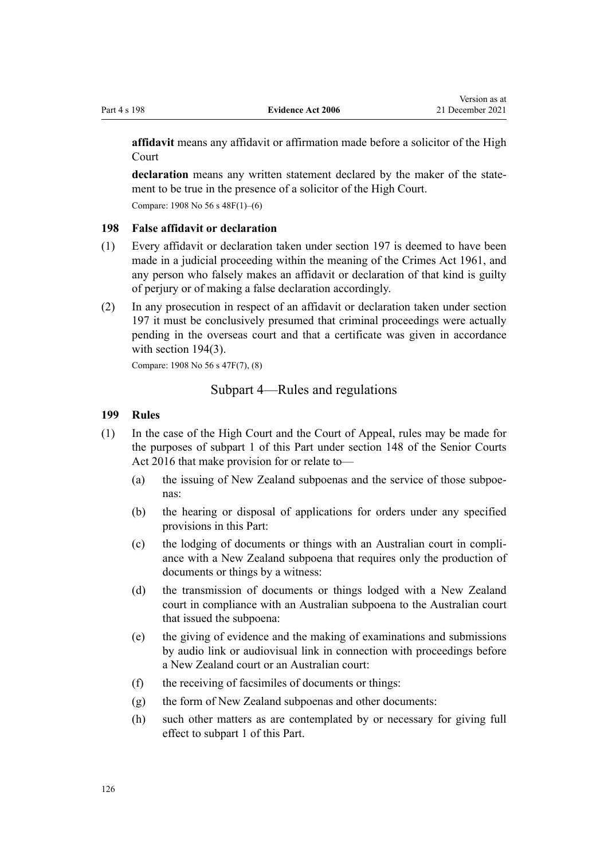<span id="page-125-0"></span>**affidavit** means any affidavit or affirmation made before a solicitor of the High Court

**declaration** means any written statement declared by the maker of the state– ment to be true in the presence of a solicitor of the High Court.

Compare: 1908 No 56 [s 48F\(1\)–\(6\)](http://legislation.govt.nz/pdflink.aspx?id=DLM143393)

## **198 False affidavit or declaration**

- (1) Every affidavit or declaration taken under [section 197](#page-124-0) is deemed to have been made in a judicial proceeding within the meaning of the [Crimes Act 1961](http://legislation.govt.nz/pdflink.aspx?id=DLM327381), and any person who falsely makes an affidavit or declaration of that kind is guilty of perjury or of making a false declaration accordingly.
- (2) In any prosecution in respect of an affidavit or declaration taken under [section](#page-124-0) [197](#page-124-0) it must be conclusively presumed that criminal proceedings were actually pending in the overseas court and that a certificate was given in accordance with [section 194\(3\).](#page-123-0)

Compare: 1908 No 56 [s 47F\(7\), \(8\)](http://legislation.govt.nz/pdflink.aspx?id=DLM143393)

## Subpart 4—Rules and regulations

#### **199 Rules**

- (1) In the case of the High Court and the Court of Appeal, rules may be made for the purposes of [subpart 1](#page-101-0) of this Part under [section 148](http://legislation.govt.nz/pdflink.aspx?id=DLM5759504) of the Senior Courts Act 2016 that make provision for or relate to—
	- (a) the issuing of New Zealand subpoenas and the service of those subpoe‐ nas:
	- (b) the hearing or disposal of applications for orders under any specified provisions in this Part:
	- (c) the lodging of documents or things with an Australian court in compli‐ ance with a New Zealand subpoena that requires only the production of documents or things by a witness:
	- (d) the transmission of documents or things lodged with a New Zealand court in compliance with an Australian subpoena to the Australian court that issued the subpoena:
	- (e) the giving of evidence and the making of examinations and submissions by audio link or audiovisual link in connection with proceedings before a New Zealand court or an Australian court:
	- (f) the receiving of facsimiles of documents or things:
	- (g) the form of New Zealand subpoenas and other documents:
	- (h) such other matters as are contemplated by or necessary for giving full effect to [subpart 1](#page-101-0) of this Part.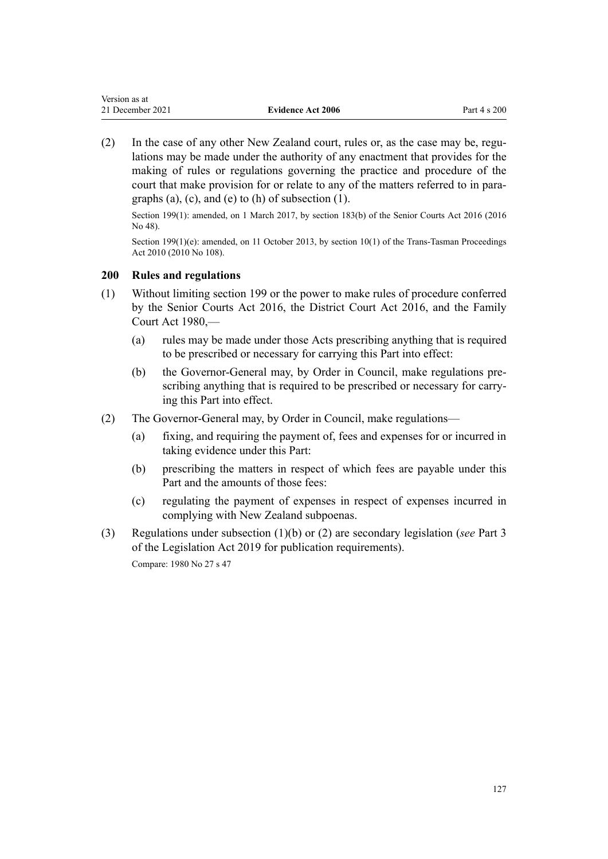<span id="page-126-0"></span> $(2)$  In the case of any other New Zealand court, rules or, as the case may be, regulations may be made under the authority of any enactment that provides for the making of rules or regulations governing the practice and procedure of the court that make provision for or relate to any of the matters referred to in paragraphs (a), (c), and (e) to (h) of subsection  $(1)$ .

Section 199(1): amended, on 1 March 2017, by [section 183\(b\)](http://legislation.govt.nz/pdflink.aspx?id=DLM5759564) of the Senior Courts Act 2016 (2016 No 48).

Section 199(1)(e): amended, on 11 October 2013, by [section 10\(1\)](http://legislation.govt.nz/pdflink.aspx?id=DLM2576329) of the Trans-Tasman Proceedings Act 2010 (2010 No 108).

# **200 Rules and regulations**

- (1) Without limiting [section 199](#page-125-0) or the power to make rules of procedure conferred by the [Senior Courts Act 2016](http://legislation.govt.nz/pdflink.aspx?id=DLM5759202), the [District Court Act 2016,](http://legislation.govt.nz/pdflink.aspx?id=DLM6942200) and the [Family](http://legislation.govt.nz/pdflink.aspx?id=DLM42253) [Court Act 1980,](http://legislation.govt.nz/pdflink.aspx?id=DLM42253)—
	- (a) rules may be made under those Acts prescribing anything that is required to be prescribed or necessary for carrying this Part into effect:
	- (b) the Governor-General may, by Order in Council, make regulations prescribing anything that is required to be prescribed or necessary for carrying this Part into effect.
- (2) The Governor-General may, by Order in Council, make regulations—
	- (a) fixing, and requiring the payment of, fees and expenses for or incurred in taking evidence under this Part:
	- (b) prescribing the matters in respect of which fees are payable under this Part and the amounts of those fees:
	- (c) regulating the payment of expenses in respect of expenses incurred in complying with New Zealand subpoenas.
- (3) Regulations under subsection (1)(b) or (2) are secondary legislation (*see* [Part 3](http://legislation.govt.nz/pdflink.aspx?id=DLM7298343) of the Legislation Act 2019 for publication requirements). Compare: 1980 No 27 [s 47](http://legislation.govt.nz/pdflink.aspx?id=DLM36266)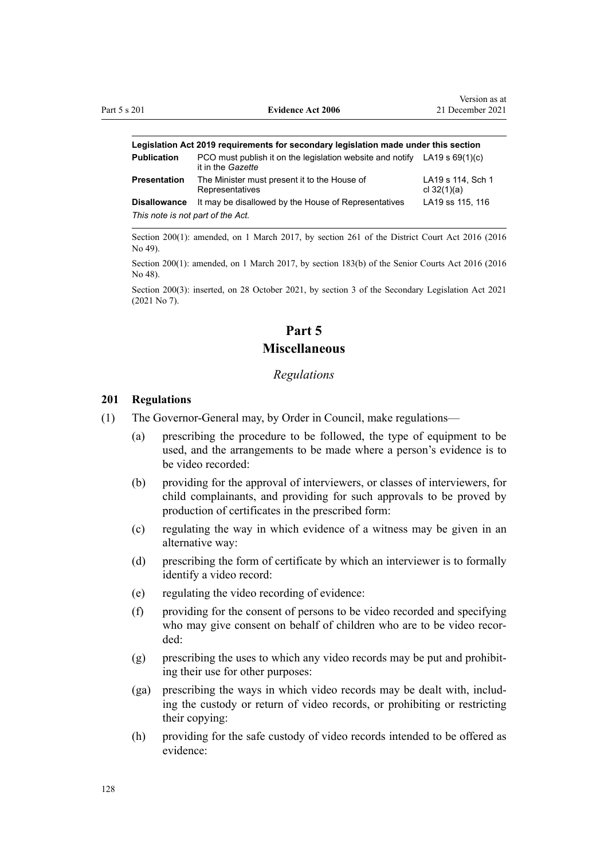|                                   | Legislation Act 2019 requirements for secondary legislation made under this section              |                                    |
|-----------------------------------|--------------------------------------------------------------------------------------------------|------------------------------------|
| <b>Publication</b>                | PCO must publish it on the legislation website and notify LA19 s $69(1)(c)$<br>it in the Gazette |                                    |
| Presentation                      | The Minister must present it to the House of<br>Representatives                                  | LA19 s 114, Sch 1<br>cl $32(1)(a)$ |
| <b>Disallowance</b>               | It may be disallowed by the House of Representatives                                             | LA19 ss 115, 116                   |
| This note is not part of the Act. |                                                                                                  |                                    |

Section 200(1): amended, on 1 March 2017, by [section 261](http://legislation.govt.nz/pdflink.aspx?id=DLM6942680) of the District Court Act 2016 (2016 No 49).

Section 200(1): amended, on 1 March 2017, by [section 183\(b\)](http://legislation.govt.nz/pdflink.aspx?id=DLM5759564) of the Senior Courts Act 2016 (2016 No 48).

Section 200(3): inserted, on 28 October 2021, by [section 3](http://legislation.govt.nz/pdflink.aspx?id=LMS268932) of the Secondary Legislation Act 2021 (2021 No 7).

# **Part 5 Miscellaneous**

## *Regulations*

## **201 Regulations**

(1) The Governor-General may, by Order in Council, make regulations—

- (a) prescribing the procedure to be followed, the type of equipment to be used, and the arrangements to be made where a person's evidence is to be video recorded:
- (b) providing for the approval of interviewers, or classes of interviewers, for child complainants, and providing for such approvals to be proved by production of certificates in the prescribed form:
- (c) regulating the way in which evidence of a witness may be given in an alternative way:
- (d) prescribing the form of certificate by which an interviewer is to formally identify a video record:
- (e) regulating the video recording of evidence:
- (f) providing for the consent of persons to be video recorded and specifying who may give consent on behalf of children who are to be video recorded:
- $(g)$  prescribing the uses to which any video records may be put and prohibiting their use for other purposes:
- (ga) prescribing the ways in which video records may be dealt with, includ‐ ing the custody or return of video records, or prohibiting or restricting their copying:
- (h) providing for the safe custody of video records intended to be offered as evidence: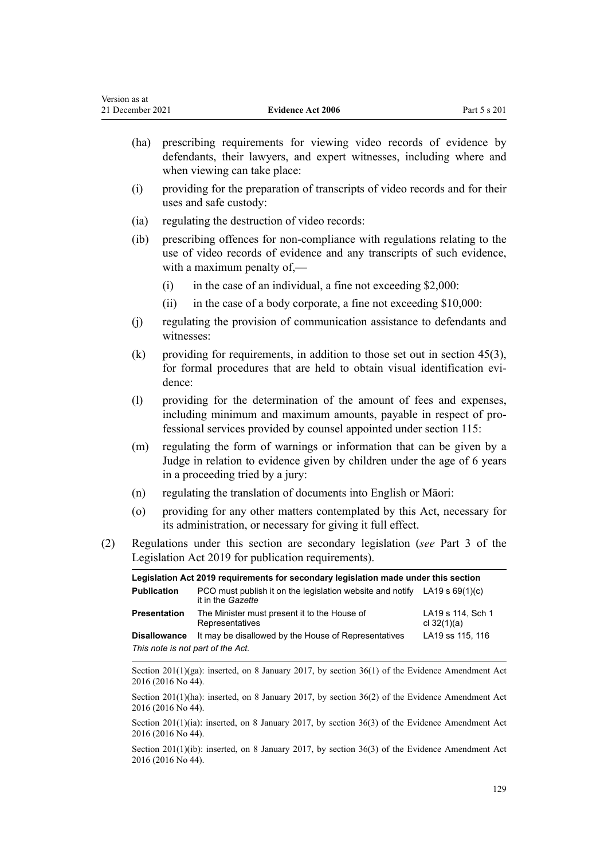| (ha) | prescribing requirements for viewing video records of evidence by<br>defendants, their lawyers, and expert witnesses, including where and<br>when viewing can take place: |
|------|---------------------------------------------------------------------------------------------------------------------------------------------------------------------------|
| (1)  | providing for the preparation of transcripts of video records and for their<br>uses and safe custody:                                                                     |
| (i)  | regulating the destruction of video records:                                                                                                                              |

21 December 2021 **Evidence Act 2006** Part 5 s 201

Version as at

- (ib) prescribing offences for non-compliance with regulations relating to the use of video records of evidence and any transcripts of such evidence, with a maximum penalty of,—
	- $(i)$  in the case of an individual, a fine not exceeding \$2,000:
	- (ii) in the case of a body corporate, a fine not exceeding \$10,000:
- (j) regulating the provision of communication assistance to defendants and witnesses:
- (k) providing for requirements, in addition to those set out in [section 45\(3\)](#page-36-0), for formal procedures that are held to obtain visual identification evidence:
- (l) providing for the determination of the amount of fees and expenses, including minimum and maximum amounts, payable in respect of professional services provided by counsel appointed under [section 115:](#page-81-0)
- (m) regulating the form of warnings or information that can be given by a Judge in relation to evidence given by children under the age of 6 years in a proceeding tried by a jury:
- (n) regulating the translation of documents into English or Māori:
- (o) providing for any other matters contemplated by this Act, necessary for its administration, or necessary for giving it full effect.
- (2) Regulations under this section are secondary legislation (*see* [Part 3](http://legislation.govt.nz/pdflink.aspx?id=DLM7298343) of the Legislation Act 2019 for publication requirements).

**Legislation Act 2019 requirements for secondary legislation made under this section Publication** PCO must publish it on the legislation website and notify LA19 [s 69\(1\)\(c\)](http://legislation.govt.nz/pdflink.aspx?id=DLM7298353) it in the *Gazette* **Presentation** The Minister must present it to the House of **Representatives** LA19 [s 114,](http://legislation.govt.nz/pdflink.aspx?id=DLM7298429) Sch 1 [cl 32\(1\)\(a\)](http://legislation.govt.nz/pdflink.aspx?id=LMS7911) **Disallowance** It may be disallowed by the House of Representatives LA19 [ss 115](http://legislation.govt.nz/pdflink.aspx?id=DLM7298431), [116](http://legislation.govt.nz/pdflink.aspx?id=DLM7298432) *This note is not part of the Act.*

Section 201(1)(ga): inserted, on 8 January 2017, by [section 36\(1\)](http://legislation.govt.nz/pdflink.aspx?id=DLM6488762) of the Evidence Amendment Act 2016 (2016 No 44).

Section 201(1)(ha): inserted, on 8 January 2017, by [section 36\(2\)](http://legislation.govt.nz/pdflink.aspx?id=DLM6488762) of the Evidence Amendment Act 2016 (2016 No 44).

Section 201(1)(ia): inserted, on 8 January 2017, by [section 36\(3\)](http://legislation.govt.nz/pdflink.aspx?id=DLM6488762) of the Evidence Amendment Act 2016 (2016 No 44).

Section 201(1)(ib): inserted, on 8 January 2017, by [section 36\(3\)](http://legislation.govt.nz/pdflink.aspx?id=DLM6488762) of the Evidence Amendment Act 2016 (2016 No 44).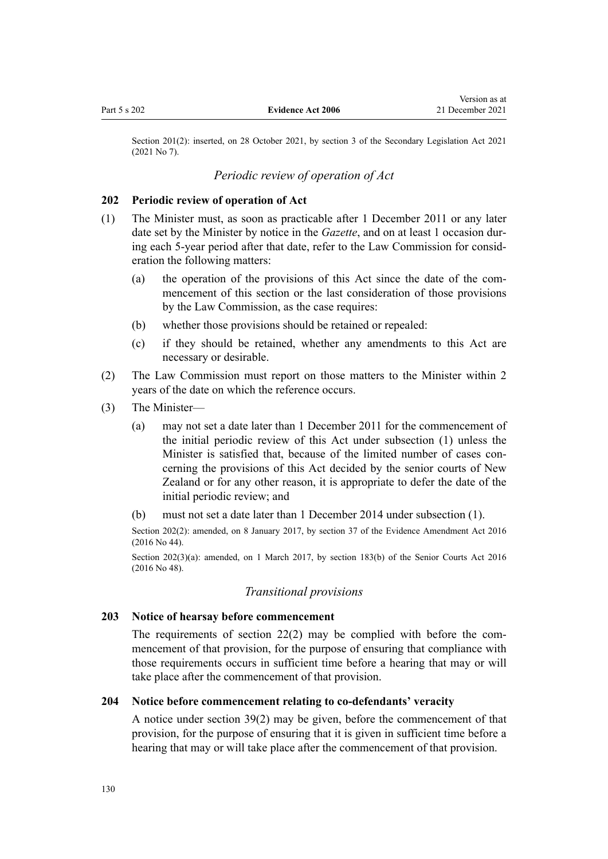<span id="page-129-0"></span>Section 201(2): inserted, on 28 October 2021, by [section 3](http://legislation.govt.nz/pdflink.aspx?id=LMS268932) of the Secondary Legislation Act 2021 (2021 No 7).

Version as at

# *Periodic review of operation of Act*

## **202 Periodic review of operation of Act**

- (1) The Minister must, as soon as practicable after 1 December 2011 or any later date set by the Minister by notice in the *Gazette*, and on at least 1 occasion during each 5-year period after that date, refer to the Law Commission for consid‐ eration the following matters:
	- (a) the operation of the provisions of this Act since the date of the commencement of this section or the last consideration of those provisions by the Law Commission, as the case requires:
	- (b) whether those provisions should be retained or repealed:
	- (c) if they should be retained, whether any amendments to this Act are necessary or desirable.
- (2) The Law Commission must report on those matters to the Minister within 2 years of the date on which the reference occurs.
- (3) The Minister—
	- (a) may not set a date later than 1 December 2011 for the commencement of the initial periodic review of this Act under subsection (1) unless the Minister is satisfied that, because of the limited number of cases concerning the provisions of this Act decided by the senior courts of New Zealand or for any other reason, it is appropriate to defer the date of the initial periodic review; and
	- (b) must not set a date later than 1 December 2014 under subsection (1).

Section 202(2): amended, on 8 January 2017, by [section 37](http://legislation.govt.nz/pdflink.aspx?id=DLM6922300) of the Evidence Amendment Act 2016 (2016 No 44).

Section 202(3)(a): amended, on 1 March 2017, by [section 183\(b\)](http://legislation.govt.nz/pdflink.aspx?id=DLM5759564) of the Senior Courts Act 2016 (2016 No 48).

## *Transitional provisions*

### **203 Notice of hearsay before commencement**

The requirements of section  $22(2)$  may be complied with before the commencement of that provision, for the purpose of ensuring that compliance with those requirements occurs in sufficient time before a hearing that may or will take place after the commencement of that provision.

### **204 Notice before commencement relating to co-defendants' veracity**

A notice under [section 39\(2\)](#page-30-0) may be given, before the commencement of that provision, for the purpose of ensuring that it is given in sufficient time before a hearing that may or will take place after the commencement of that provision.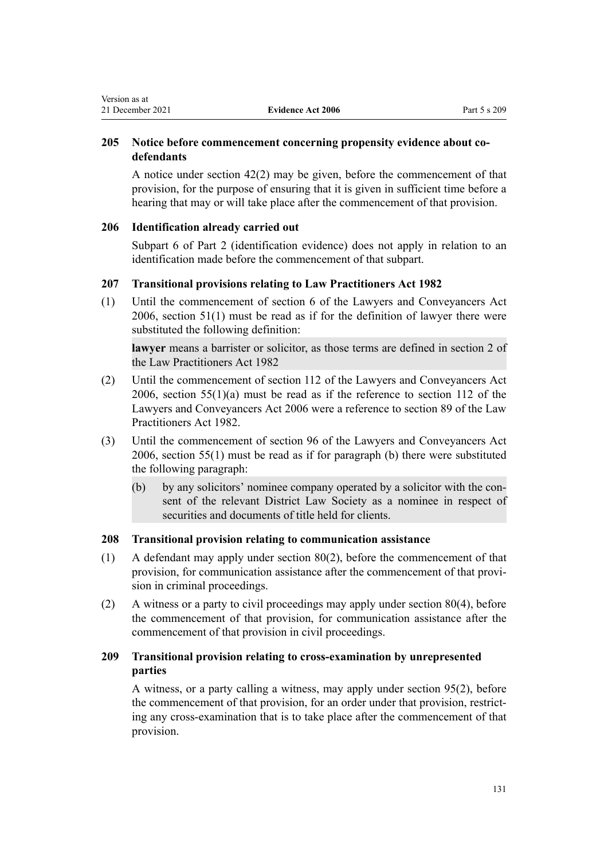# **205 Notice before commencement concerning propensity evidence about codefendants**

A notice under [section 42\(2\)](#page-31-0) may be given, before the commencement of that provision, for the purpose of ensuring that it is given in sufficient time before a hearing that may or will take place after the commencement of that provision.

### **206 Identification already carried out**

[Subpart 6](#page-36-0) of Part 2 (identification evidence) does not apply in relation to an identification made before the commencement of that subpart.

### **207 Transitional provisions relating to Law Practitioners Act 1982**

(1) Until the commencement of [section 6](http://legislation.govt.nz/pdflink.aspx?id=DLM364948) of the Lawyers and Conveyancers Act 2006, [section 51\(1\)](#page-39-0) must be read as if for the definition of lawyer there were substituted the following definition:

**lawyer** means a barrister or solicitor, as those terms are defined in [section 2](http://legislation.govt.nz/pdflink.aspx?id=DLM62325) of the Law Practitioners Act 1982

- (2) Until the commencement of [section 112](http://legislation.govt.nz/pdflink.aspx?id=DLM366142) of the Lawyers and Conveyancers Act 2006, section  $55(1)(a)$  must be read as if the reference to section 112 of the Lawyers and Conveyancers Act 2006 were a reference to [section 89](http://legislation.govt.nz/pdflink.aspx?id=DLM63264) of the Law Practitioners Act 1982.
- (3) Until the commencement of [section 96](http://legislation.govt.nz/pdflink.aspx?id=DLM366124) of the Lawyers and Conveyancers Act 2006, [section 55\(1\)](#page-43-0) must be read as if for paragraph (b) there were substituted the following paragraph:
	- (b) by any solicitors' nominee company operated by a solicitor with the consent of the relevant District Law Society as a nominee in respect of securities and documents of title held for clients.

### **208 Transitional provision relating to communication assistance**

- (1) A defendant may apply under [section 80\(2\),](#page-57-0) before the commencement of that provision, for communication assistance after the commencement of that provi‐ sion in criminal proceedings.
- (2) A witness or a party to civil proceedings may apply under [section 80\(4\),](#page-57-0) before the commencement of that provision, for communication assistance after the commencement of that provision in civil proceedings.

# **209 Transitional provision relating to cross-examination by unrepresented parties**

A witness, or a party calling a witness, may apply under [section 95\(2\)](#page-63-0), before the commencement of that provision, for an order under that provision, restricting any cross-examination that is to take place after the commencement of that provision.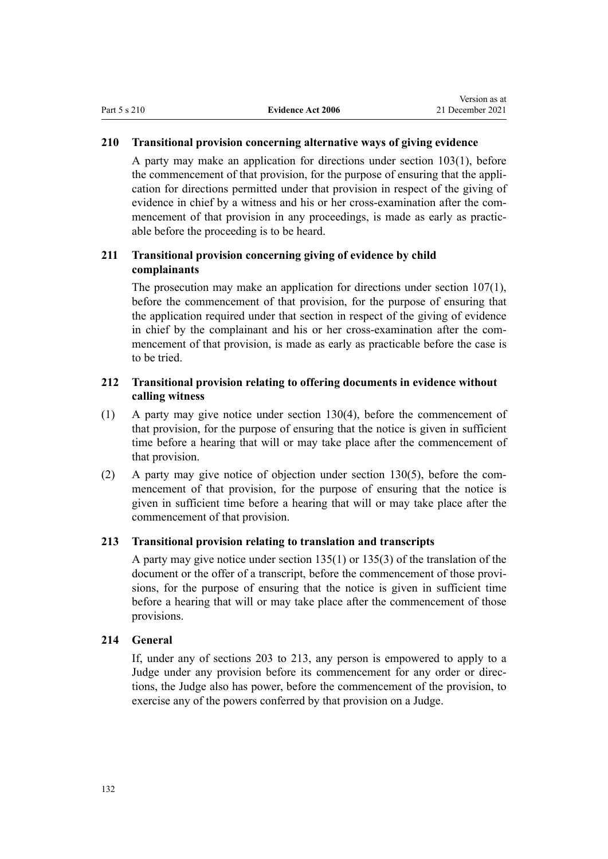## **210 Transitional provision concerning alternative ways of giving evidence**

A party may make an application for directions under [section 103\(1\)](#page-67-0), before the commencement of that provision, for the purpose of ensuring that the appli‐ cation for directions permitted under that provision in respect of the giving of evidence in chief by a witness and his or her cross-examination after the commencement of that provision in any proceedings, is made as early as practicable before the proceeding is to be heard.

# **211 Transitional provision concerning giving of evidence by child complainants**

The prosecution may make an application for directions under [section 107\(1\)](#page-72-0), before the commencement of that provision, for the purpose of ensuring that the application required under that section in respect of the giving of evidence in chief by the complainant and his or her cross-examination after the commencement of that provision, is made as early as practicable before the case is to be tried.

## **212 Transitional provision relating to offering documents in evidence without calling witness**

- (1) A party may give notice under [section 130\(4\),](#page-89-0) before the commencement of that provision, for the purpose of ensuring that the notice is given in sufficient time before a hearing that will or may take place after the commencement of that provision.
- (2) A party may give notice of objection under section  $130(5)$ , before the commencement of that provision, for the purpose of ensuring that the notice is given in sufficient time before a hearing that will or may take place after the commencement of that provision.

## **213 Transitional provision relating to translation and transcripts**

A party may give notice under [section 135\(1\)](#page-91-0) or 135(3) of the translation of the document or the offer of a transcript, before the commencement of those provisions, for the purpose of ensuring that the notice is given in sufficient time before a hearing that will or may take place after the commencement of those provisions.

## **214 General**

If, under any of [sections 203 to 213](#page-129-0), any person is empowered to apply to a Judge under any provision before its commencement for any order or direc‐ tions, the Judge also has power, before the commencement of the provision, to exercise any of the powers conferred by that provision on a Judge.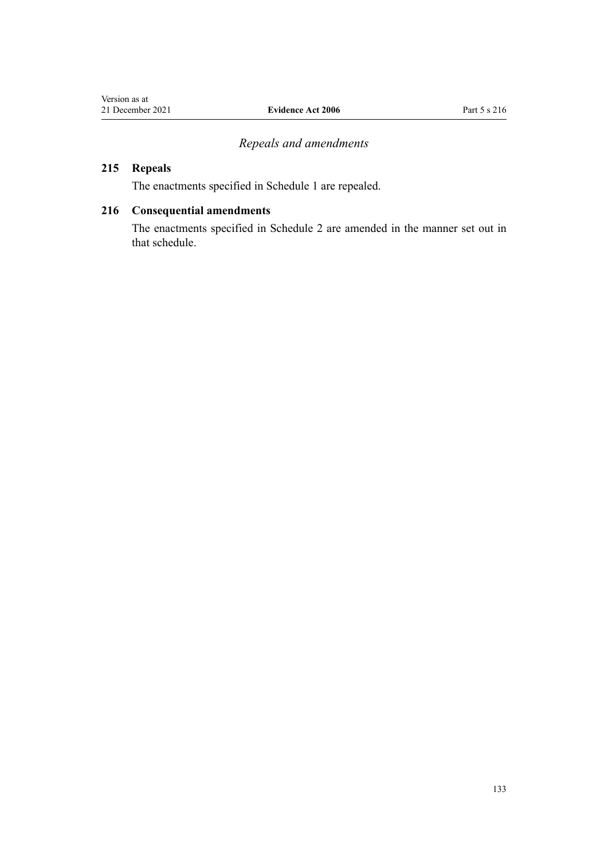# *Repeals and amendments*

# <span id="page-132-0"></span>**215 Repeals**

The enactments specified in [Schedule 1](#page-134-0) are repealed.

# **216 Consequential amendments**

The enactments specified in [Schedule 2](#page-135-0) are amended in the manner set out in that schedule.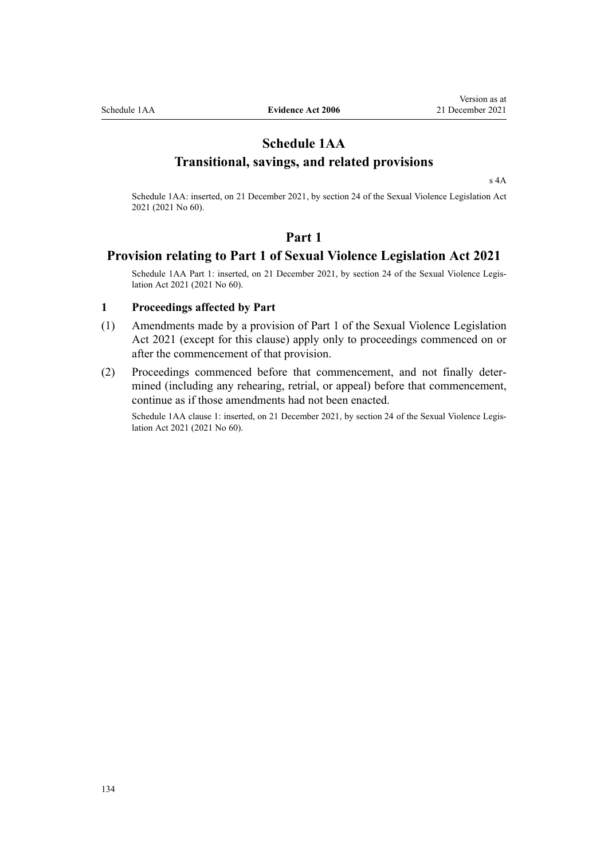# **Schedule 1AA Transitional, savings, and related provisions**

[s 4A](#page-15-0)

Schedule 1AA: inserted, on 21 December 2021, by [section 24](http://legislation.govt.nz/pdflink.aspx?id=LMS268299) of the Sexual Violence Legislation Act 2021 (2021 No 60).

# **Part 1**

# **Provision relating to Part 1 of Sexual Violence Legislation Act 2021**

Schedule 1AA Part 1: inserted, on 21 December 2021, by [section 24](http://legislation.govt.nz/pdflink.aspx?id=LMS268299) of the Sexual Violence Legislation Act 2021 (2021 No 60).

### **1 Proceedings affected by Part**

- (1) Amendments made by a provision of [Part 1](http://legislation.govt.nz/pdflink.aspx?id=LMS268300) of the Sexual Violence Legislation Act 2021 (except for this clause) apply only to proceedings commenced on or after the commencement of that provision.
- (2) Proceedings commenced before that commencement, and not finally deter‐ mined (including any rehearing, retrial, or appeal) before that commencement, continue as if those amendments had not been enacted.

Schedule 1AA clause 1: inserted, on 21 December 2021, by [section 24](http://legislation.govt.nz/pdflink.aspx?id=LMS268299) of the Sexual Violence Legislation Act 2021 (2021 No 60).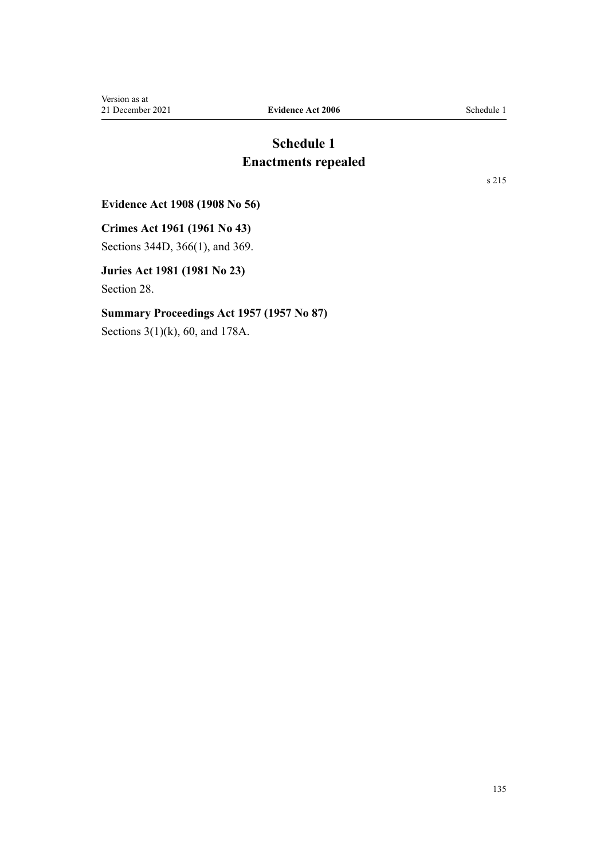# **Schedule 1 Enactments repealed**

[s 215](#page-132-0)

<span id="page-134-0"></span>**Evidence Act 1908 (1908 No 56)**

**Crimes Act 1961 (1961 No 43)**

[Sections 344D,](http://legislation.govt.nz/pdflink.aspx?id=DLM331455) [366\(1\)](http://legislation.govt.nz/pdflink.aspx?id=DLM331739), and [369.](http://legislation.govt.nz/pdflink.aspx?id=DLM331752)

**Juries Act 1981 (1981 No 23)** [Section 28](http://legislation.govt.nz/pdflink.aspx?id=DLM44833).

# **Summary Proceedings Act 1957 (1957 No 87)**

[Sections 3\(1\)\(k\),](http://legislation.govt.nz/pdflink.aspx?id=DLM311134) [60,](http://legislation.govt.nz/pdflink.aspx?id=DLM311772) and 178A.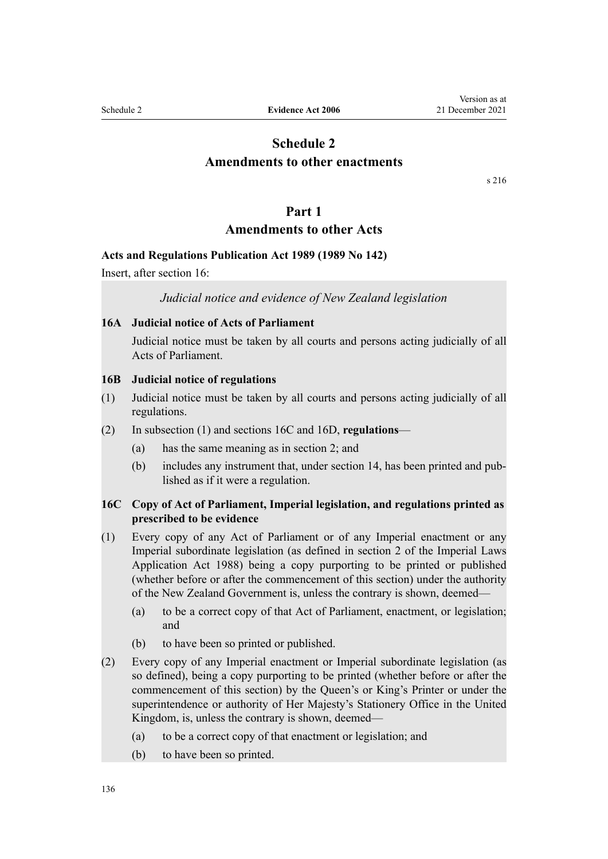# <span id="page-135-0"></span>**Schedule 2 Amendments to other enactments**

[s 216](#page-132-0)

## **Part 1**

# **Amendments to other Acts**

### **Acts and Regulations Publication Act 1989 (1989 No 142)**

Insert, after [section 16](http://legislation.govt.nz/pdflink.aspx?id=DLM195428):

### *Judicial notice and evidence of New Zealand legislation*

### **16A Judicial notice of Acts of Parliament**

Judicial notice must be taken by all courts and persons acting judicially of all Acts of Parliament.

### **16B Judicial notice of regulations**

- (1) Judicial notice must be taken by all courts and persons acting judicially of all regulations.
- (2) In subsection (1) and sections 16C and 16D, **regulations**
	- (a) has the same meaning as in section 2; and
	- (b) includes any instrument that, under section 14, has been printed and pub‐ lished as if it were a regulation.

## **16C Copy of Act of Parliament, Imperial legislation, and regulations printed as prescribed to be evidence**

- (1) Every copy of any Act of Parliament or of any Imperial enactment or any Imperial subordinate legislation (as defined in section 2 of the Imperial Laws Application Act 1988) being a copy purporting to be printed or published (whether before or after the commencement of this section) under the authority of the New Zealand Government is, unless the contrary is shown, deemed—
	- (a) to be a correct copy of that Act of Parliament, enactment, or legislation; and
	- (b) to have been so printed or published.
- (2) Every copy of any Imperial enactment or Imperial subordinate legislation (as so defined), being a copy purporting to be printed (whether before or after the commencement of this section) by the Queen's or King's Printer or under the superintendence or authority of Her Majesty's Stationery Office in the United Kingdom, is, unless the contrary is shown, deemed—
	- (a) to be a correct copy of that enactment or legislation; and
	- (b) to have been so printed.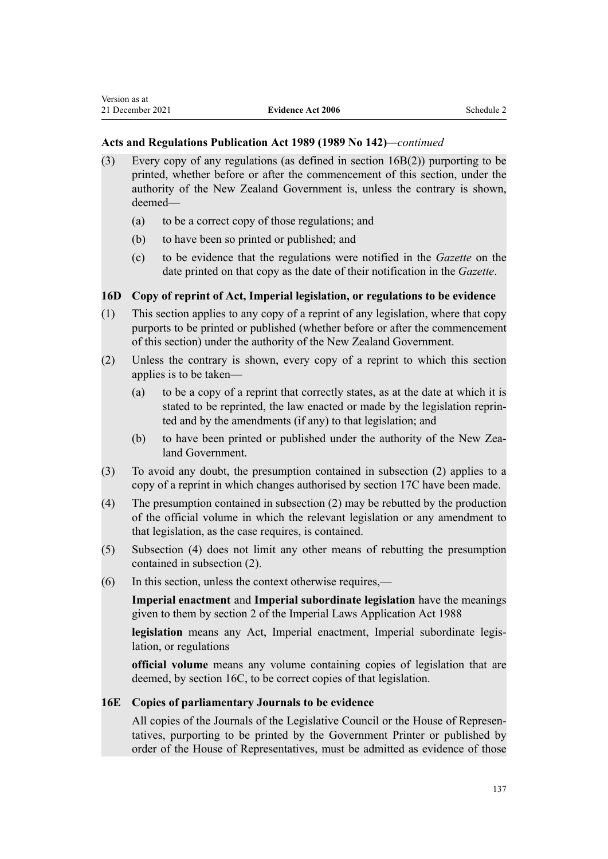### **Acts and Regulations Publication Act 1989 (1989 No 142)***—continued*

- (3) Every copy of any regulations (as defined in section 16B(2)) purporting to be printed, whether before or after the commencement of this section, under the authority of the New Zealand Government is, unless the contrary is shown, deemed—
	- (a) to be a correct copy of those regulations; and
	- (b) to have been so printed or published; and
	- (c) to be evidence that the regulations were notified in the *Gazette* on the date printed on that copy as the date of their notification in the *Gazette*.

# **16D Copy of reprint of Act, Imperial legislation, or regulations to be evidence**

- (1) This section applies to any copy of a reprint of any legislation, where that copy purports to be printed or published (whether before or after the commencement of this section) under the authority of the New Zealand Government.
- (2) Unless the contrary is shown, every copy of a reprint to which this section applies is to be taken—
	- (a) to be a copy of a reprint that correctly states, as at the date at which it is stated to be reprinted, the law enacted or made by the legislation reprin‐ ted and by the amendments (if any) to that legislation; and
	- (b) to have been printed or published under the authority of the New Zealand Government.
- (3) To avoid any doubt, the presumption contained in subsection (2) applies to a copy of a reprint in which changes authorised by section 17C have been made.
- (4) The presumption contained in subsection (2) may be rebutted by the production of the official volume in which the relevant legislation or any amendment to that legislation, as the case requires, is contained.
- (5) Subsection (4) does not limit any other means of rebutting the presumption contained in subsection (2).
- (6) In this section, unless the context otherwise requires,—

**Imperial enactment** and **Imperial subordinate legislation** have the meanings given to them by section 2 of the Imperial Laws Application Act 1988

legislation means any Act, Imperial enactment, Imperial subordinate legislation, or regulations

**official volume** means any volume containing copies of legislation that are deemed, by section 16C, to be correct copies of that legislation.

### **16E Copies of parliamentary Journals to be evidence**

All copies of the Journals of the Legislative Council or the House of Representatives, purporting to be printed by the Government Printer or published by order of the House of Representatives, must be admitted as evidence of those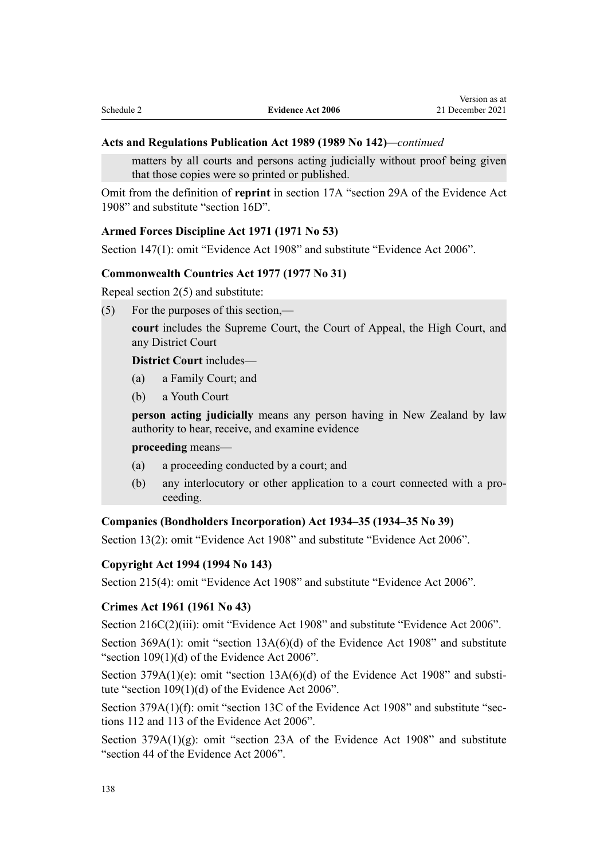### **Acts and Regulations Publication Act 1989 (1989 No 142)***—continued*

matters by all courts and persons acting judicially without proof being given that those copies were so printed or published.

Omit from the definition of **reprint** in [section 17A](http://legislation.govt.nz/pdflink.aspx?id=DLM195453) "section 29A of the Evidence Act 1908" and substitute "section 16D".

## **Armed Forces Discipline Act 1971 (1971 No 53)**

[Section 147\(1\)](http://legislation.govt.nz/pdflink.aspx?id=DLM403639): omit "Evidence Act 1908" and substitute "Evidence Act 2006".

### **Commonwealth Countries Act 1977 (1977 No 31)**

Repeal [section 2\(5\)](http://legislation.govt.nz/pdflink.aspx?id=DLM442766) and substitute:

(5) For the purposes of this section,—

**court** includes the Supreme Court, the Court of Appeal, the High Court, and any District Court

**District Court** includes—

- (a) a Family Court; and
- (b) a Youth Court

**person acting judicially** means any person having in New Zealand by law authority to hear, receive, and examine evidence

**proceeding** means—

- (a) a proceeding conducted by a court; and
- (b) any interlocutory or other application to a court connected with a pro‐ ceeding.

## **Companies (Bondholders Incorporation) Act 1934–35 (1934–35 No 39)**

[Section 13\(2\)](http://legislation.govt.nz/pdflink.aspx?id=DLM217572): omit "Evidence Act 1908" and substitute "Evidence Act 2006".

### **Copyright Act 1994 (1994 No 143)**

[Section 215\(4\)](http://legislation.govt.nz/pdflink.aspx?id=DLM346885): omit "Evidence Act 1908" and substitute "Evidence Act 2006".

### **Crimes Act 1961 (1961 No 43)**

[Section 216C\(2\)\(iii\)](http://legislation.govt.nz/pdflink.aspx?id=DLM329834): omit "Evidence Act 1908" and substitute "Evidence Act 2006".

[Section 369A\(1\):](http://legislation.govt.nz/pdflink.aspx?id=DLM331754) omit "section 13A(6)(d) of the Evidence Act 1908" and substitute "section  $109(1)(d)$  of the Evidence Act 2006".

Section  $379A(1)(e)$ : omit "section  $13A(6)(d)$  of the Evidence Act 1908" and substitute "section 109(1)(d) of the Evidence Act 2006".

[Section 379A\(1\)\(f\)](http://legislation.govt.nz/pdflink.aspx?id=DLM331903): omit "section 13C of the Evidence Act 1908" and substitute "sections 112 and 113 of the Evidence Act 2006".

Section  $379A(1)(g)$ : omit "section 23A of the Evidence Act 1908" and substitute "section 44 of the Evidence Act 2006".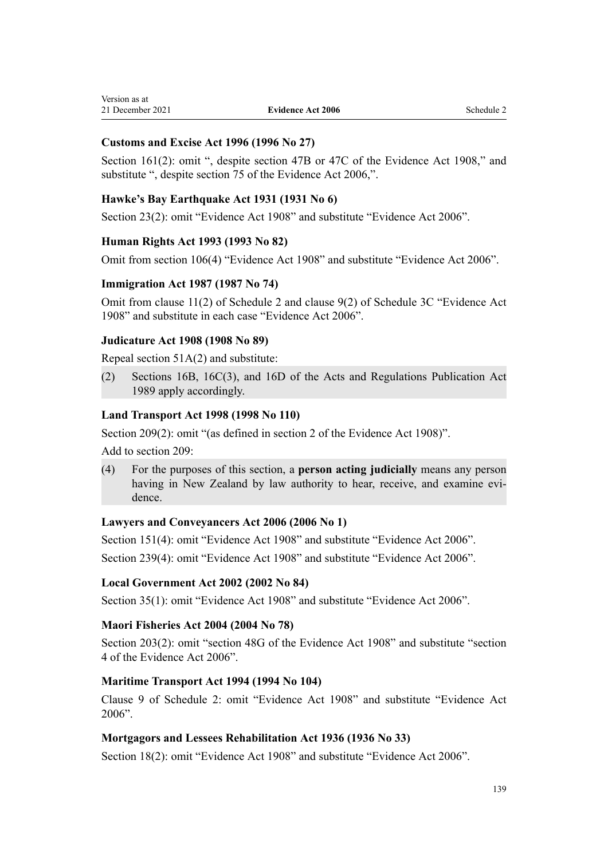# **Customs and Excise Act 1996 (1996 No 27)**

[Section 161\(2\)](http://legislation.govt.nz/pdflink.aspx?id=DLM379235): omit ", despite section 47B or 47C of the Evidence Act 1908," and substitute ", despite section 75 of the Evidence Act 2006,".

## **Hawke's Bay Earthquake Act 1931 (1931 No 6)**

[Section 23\(2\)](http://legislation.govt.nz/pdflink.aspx?id=DLM209250): omit "Evidence Act 1908" and substitute "Evidence Act 2006".

## **Human Rights Act 1993 (1993 No 82)**

Omit from [section 106\(4\)](http://legislation.govt.nz/pdflink.aspx?id=DLM305410) "Evidence Act 1908" and substitute "Evidence Act 2006".

## **Immigration Act 1987 (1987 No 74)**

Omit from [clause 11\(2\)](http://legislation.govt.nz/pdflink.aspx?id=DLM114344) of Schedule 2 and [clause 9\(2\)](http://legislation.govt.nz/pdflink.aspx?id=DLM114918) of Schedule 3C "Evidence Act 1908" and substitute in each case "Evidence Act 2006".

## **Judicature Act 1908 (1908 No 89)**

Repeal [section 51A\(2\)](http://legislation.govt.nz/pdflink.aspx?id=DLM146496) and substitute:

(2) Sections 16B, 16C(3), and 16D of the Acts and Regulations Publication Act 1989 apply accordingly.

## **Land Transport Act 1998 (1998 No 110)**

[Section 209\(2\)](http://legislation.govt.nz/pdflink.aspx?id=DLM435639): omit "(as defined in section 2 of the Evidence Act 1908)".

Add to [section 209](http://legislation.govt.nz/pdflink.aspx?id=DLM435639):

(4) For the purposes of this section, a **person acting judicially** means any person having in New Zealand by law authority to hear, receive, and examine evidence.

## **Lawyers and Conveyancers Act 2006 (2006 No 1)**

[Section 151\(4\)](http://legislation.govt.nz/pdflink.aspx?id=DLM366190): omit "Evidence Act 1908" and substitute "Evidence Act 2006".

[Section 239\(4\)](http://legislation.govt.nz/pdflink.aspx?id=DLM366793): omit "Evidence Act 1908" and substitute "Evidence Act 2006".

### **Local Government Act 2002 (2002 No 84)**

[Section 35\(1\)](http://legislation.govt.nz/pdflink.aspx?id=DLM171847): omit "Evidence Act 1908" and substitute "Evidence Act 2006".

### **Maori Fisheries Act 2004 (2004 No 78)**

[Section 203\(2\):](http://legislation.govt.nz/pdflink.aspx?id=DLM313602) omit "section 48G of the Evidence Act 1908" and substitute "section 4 of the Evidence Act 2006".

### **Maritime Transport Act 1994 (1994 No 104)**

[Clause 9](http://legislation.govt.nz/pdflink.aspx?id=DLM339539) of Schedule 2: omit "Evidence Act 1908" and substitute "Evidence Act 2006".

### **Mortgagors and Lessees Rehabilitation Act 1936 (1936 No 33)**

[Section 18\(2\)](http://legislation.govt.nz/pdflink.aspx?id=DLM220219): omit "Evidence Act 1908" and substitute "Evidence Act 2006".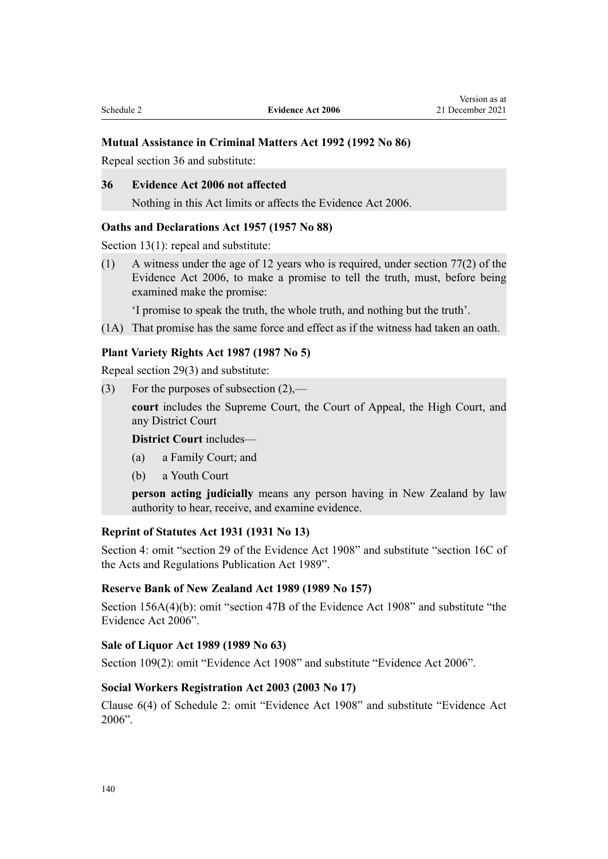### **Mutual Assistance in Criminal Matters Act 1992 (1992 No 86)**

Repeal [section 36](http://legislation.govt.nz/pdflink.aspx?id=DLM274421) and substitute:

## **36 Evidence Act 2006 not affected**

Nothing in this Act limits or affects the Evidence Act 2006.

#### **Oaths and Declarations Act 1957 (1957 No 88)**

[Section 13\(1\)](http://legislation.govt.nz/pdflink.aspx?id=DLM316124): repeal and substitute:

(1) A witness under the age of 12 years who is required, under section 77(2) of the Evidence Act 2006, to make a promise to tell the truth, must, before being examined make the promise:

'I promise to speak the truth, the whole truth, and nothing but the truth'.

(1A) That promise has the same force and effect as if the witness had taken an oath.

### **Plant Variety Rights Act 1987 (1987 No 5)**

Repeal [section 29\(3\)](http://legislation.govt.nz/pdflink.aspx?id=DLM101077) and substitute:

(3) For the purposes of subsection (2),—

**court** includes the Supreme Court, the Court of Appeal, the High Court, and any District Court

**District Court** includes—

- (a) a Family Court; and
- (b) a Youth Court

**person acting judicially** means any person having in New Zealand by law authority to hear, receive, and examine evidence.

### **Reprint of Statutes Act 1931 (1931 No 13)**

[Section 4:](http://legislation.govt.nz/pdflink.aspx?id=DLM209558) omit "section 29 of the Evidence Act 1908" and substitute "section 16C of the Acts and Regulations Publication Act 1989".

### **Reserve Bank of New Zealand Act 1989 (1989 No 157)**

[Section 156A\(4\)\(b\)](http://legislation.govt.nz/pdflink.aspx?id=DLM201571): omit "section 47B of the Evidence Act 1908" and substitute "the Evidence Act 2006".

### **Sale of Liquor Act 1989 (1989 No 63)**

[Section 109\(2\)](http://legislation.govt.nz/pdflink.aspx?id=DLM166130): omit "Evidence Act 1908" and substitute "Evidence Act 2006".

## **Social Workers Registration Act 2003 (2003 No 17)**

[Clause 6\(4\)](http://legislation.govt.nz/pdflink.aspx?id=DLM191203) of Schedule 2: omit "Evidence Act 1908" and substitute "Evidence Act 2006".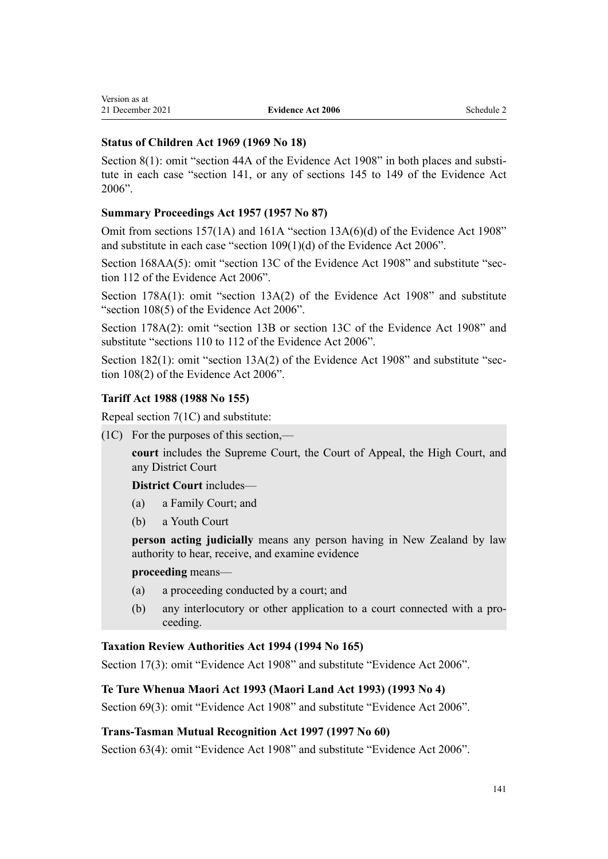# **Status of Children Act 1969 (1969 No 18)**

[Section 8\(1\)](http://legislation.govt.nz/pdflink.aspx?id=DLM391005): omit "section 44A of the Evidence Act  $1908$ " in both places and substitute in each case "section 141, or any of sections 145 to 149 of the Evidence Act 2006".

# **Summary Proceedings Act 1957 (1957 No 87)**

Omit from sections  $157(1)$  and  $161A$  "section  $13A(6)(d)$  of the Evidence Act  $1908$ " and substitute in each case "section 109(1)(d) of the Evidence Act 2006".

[Section 168AA\(5\)](http://legislation.govt.nz/pdflink.aspx?id=DLM313538): omit "section 13C of the Evidence Act 1908" and substitute "section 112 of the Evidence Act 2006".

Section 178A(1): omit "section 13A(2) of the Evidence Act 1908" and substitute "section 108(5) of the Evidence Act 2006".

Section 178A(2): omit "section 13B or section 13C of the Evidence Act 1908" and substitute "sections 110 to 112 of the Evidence Act 2006".

[Section 182\(1\):](http://legislation.govt.nz/pdflink.aspx?id=DLM313715) omit "section 13A(2) of the Evidence Act 1908" and substitute "section 108(2) of the Evidence Act 2006".

# **Tariff Act 1988 (1988 No 155)**

Repeal [section 7\(1C\)](http://legislation.govt.nz/pdflink.aspx?id=DLM137077) and substitute:

(1C) For the purposes of this section,—

**court** includes the Supreme Court, the Court of Appeal, the High Court, and any District Court

**District Court** includes—

- (a) a Family Court; and
- (b) a Youth Court

**person acting judicially** means any person having in New Zealand by law authority to hear, receive, and examine evidence

### **proceeding** means—

- (a) a proceeding conducted by a court; and
- (b) any interlocutory or other application to a court connected with a pro‐ ceeding.

# **Taxation Review Authorities Act 1994 (1994 No 165)**

[Section 17\(3\)](http://legislation.govt.nz/pdflink.aspx?id=DLM347495): omit "Evidence Act 1908" and substitute "Evidence Act 2006".

### **Te Ture Whenua Maori Act 1993 (Maori Land Act 1993) (1993 No 4)**

[Section 69\(3\)](http://legislation.govt.nz/pdflink.aspx?id=DLM290957): omit "Evidence Act 1908" and substitute "Evidence Act 2006".

### **Trans-Tasman Mutual Recognition Act 1997 (1997 No 60)**

[Section 63\(4\)](http://legislation.govt.nz/pdflink.aspx?id=DLM411352): omit "Evidence Act 1908" and substitute "Evidence Act 2006".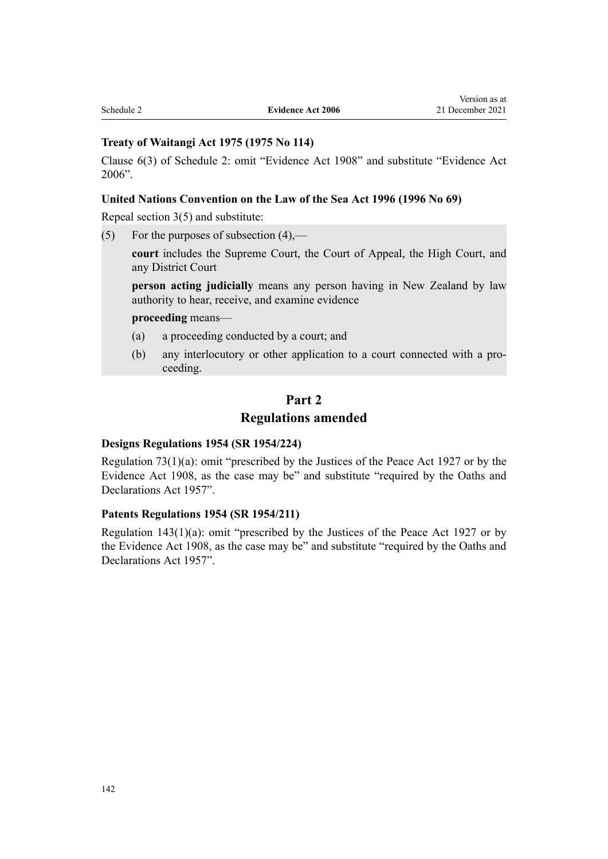# **Treaty of Waitangi Act 1975 (1975 No 114)**

[Clause 6\(3\)](http://legislation.govt.nz/pdflink.aspx?id=DLM435881) of Schedule 2: omit "Evidence Act 1908" and substitute "Evidence Act 2006".

## **United Nations Convention on the Law of the Sea Act 1996 (1996 No 69)**

Repeal [section 3\(5\)](http://legislation.govt.nz/pdflink.aspx?id=DLM393778) and substitute:

(5) For the purposes of subsection  $(4)$ ,—

**court** includes the Supreme Court, the Court of Appeal, the High Court, and any District Court

**person acting judicially** means any person having in New Zealand by law authority to hear, receive, and examine evidence

## **proceeding** means—

- (a) a proceeding conducted by a court; and
- (b) any interlocutory or other application to a court connected with a pro‐ ceeding.

# **Part 2 Regulations amended**

### **Designs Regulations 1954 (SR 1954/224)**

[Regulation 73\(1\)\(a\):](http://legislation.govt.nz/pdflink.aspx?id=DLM8430) omit "prescribed by the Justices of the Peace Act 1927 or by the Evidence Act 1908, as the case may be" and substitute "required by the Oaths and Declarations Act 1957".

#### **Patents Regulations 1954 (SR 1954/211)**

[Regulation 143\(1\)\(a\)](http://legislation.govt.nz/pdflink.aspx?id=DLM7688): omit "prescribed by the Justices of the Peace Act 1927 or by the Evidence Act 1908, as the case may be" and substitute "required by the Oaths and Declarations Act 1957".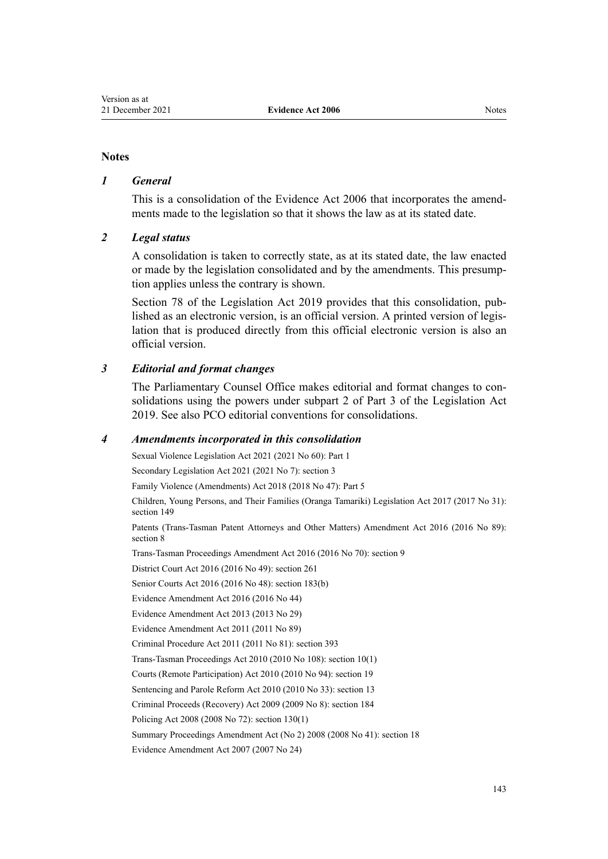#### **Notes**

### *1 General*

This is a consolidation of the Evidence Act 2006 that incorporates the amendments made to the legislation so that it shows the law as at its stated date.

### *2 Legal status*

A consolidation is taken to correctly state, as at its stated date, the law enacted or made by the legislation consolidated and by the amendments. This presump‐ tion applies unless the contrary is shown.

[Section 78](http://legislation.govt.nz/pdflink.aspx?id=DLM7298365) of the Legislation Act 2019 provides that this consolidation, pub‐ lished as an electronic version, is an official version. A printed version of legis‐ lation that is produced directly from this official electronic version is also an official version.

### *3 Editorial and format changes*

The Parliamentary Counsel Office makes editorial and format changes to consolidations using the powers under [subpart 2](http://legislation.govt.nz/pdflink.aspx?id=DLM7298371) of Part 3 of the Legislation Act 2019. See also [PCO editorial conventions for consolidations](http://www.pco.govt.nz/editorial-conventions/).

#### *4 Amendments incorporated in this consolidation*

Sexual Violence Legislation Act 2021 (2021 No 60): [Part 1](http://legislation.govt.nz/pdflink.aspx?id=LMS268300)

Secondary Legislation Act 2021 (2021 No 7): [section 3](http://legislation.govt.nz/pdflink.aspx?id=LMS268932)

Family Violence (Amendments) Act 2018 (2018 No 47): [Part 5](http://legislation.govt.nz/pdflink.aspx?id=LMS113567)

Children, Young Persons, and Their Families (Oranga Tamariki) Legislation Act 2017 (2017 No 31): [section 149](http://legislation.govt.nz/pdflink.aspx?id=DLM7287401)

Patents (Trans-Tasman Patent Attorneys and Other Matters) Amendment Act 2016 (2016 No 89): [section 8](http://legislation.govt.nz/pdflink.aspx?id=DLM6636735)

Trans-Tasman Proceedings Amendment Act 2016 (2016 No 70): [section 9](http://legislation.govt.nz/pdflink.aspx?id=DLM6945040)

District Court Act 2016 (2016 No 49): [section 261](http://legislation.govt.nz/pdflink.aspx?id=DLM6942680)

Senior Courts Act 2016 (2016 No 48): [section 183\(b\)](http://legislation.govt.nz/pdflink.aspx?id=DLM5759564)

[Evidence Amendment Act 2016](http://legislation.govt.nz/pdflink.aspx?id=DLM6488702) (2016 No 44)

[Evidence Amendment Act 2013](http://legislation.govt.nz/pdflink.aspx?id=DLM5189082) (2013 No 29)

[Evidence Amendment Act 2011](http://legislation.govt.nz/pdflink.aspx?id=DLM4058400) (2011 No 89)

Criminal Procedure Act 2011 (2011 No 81): [section 393](http://legislation.govt.nz/pdflink.aspx?id=DLM3865810)

Trans-Tasman Proceedings Act 2010 (2010 No 108): [section 10\(1\)](http://legislation.govt.nz/pdflink.aspx?id=DLM2576329)

Courts (Remote Participation) Act 2010 (2010 No 94): [section 19](http://legislation.govt.nz/pdflink.aspx?id=DLM2600770)

Sentencing and Parole Reform Act 2010 (2010 No 33): [section 13](http://legislation.govt.nz/pdflink.aspx?id=DLM2836314)

Criminal Proceeds (Recovery) Act 2009 (2009 No 8): [section 184](http://legislation.govt.nz/pdflink.aspx?id=DLM1451423)

Policing Act 2008 (2008 No 72): [section 130\(1\)](http://legislation.govt.nz/pdflink.aspx?id=DLM1102383)

Summary Proceedings Amendment Act (No 2) 2008 (2008 No 41): [section 18](http://legislation.govt.nz/pdflink.aspx?id=DLM1380050)

[Evidence Amendment Act 2007](http://legislation.govt.nz/pdflink.aspx?id=DLM410010) (2007 No 24)